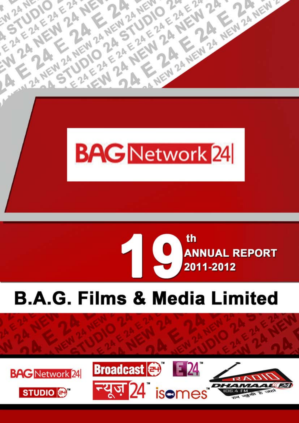



# **B.A.G. Films & Media Limited**

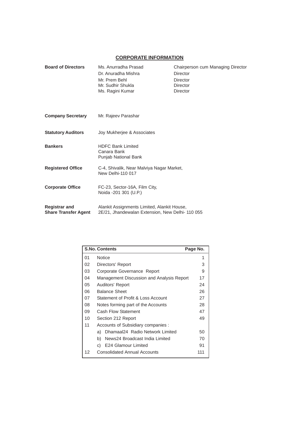### **CORPORATE INFORMATION**

| <b>Board of Directors</b>   | Ms. Anurradha Prasad<br>Dr. Anuradha Mishra            | Chairperson cum Managing Director<br>Director |  |
|-----------------------------|--------------------------------------------------------|-----------------------------------------------|--|
|                             |                                                        |                                               |  |
|                             | Mr. Prem Behl                                          | Director                                      |  |
|                             | Mr. Sudhir Shukla                                      | Director                                      |  |
|                             | Ms. Ragini Kumar                                       | <b>Director</b>                               |  |
|                             |                                                        |                                               |  |
| <b>Company Secretary</b>    | Mr. Rajeev Parashar                                    |                                               |  |
| <b>Statutory Auditors</b>   | Joy Mukherjee & Associates                             |                                               |  |
|                             |                                                        |                                               |  |
| <b>Bankers</b>              | <b>HDFC Bank Limited</b>                               |                                               |  |
|                             | Canara Bank                                            |                                               |  |
|                             | Punjab National Bank                                   |                                               |  |
| <b>Registered Office</b>    | C-4, Shivalik, Near Malviya Nagar Market,              |                                               |  |
|                             | New Delhi-110 017                                      |                                               |  |
|                             |                                                        |                                               |  |
| <b>Corporate Office</b>     | FC-23, Sector-16A, Film City,<br>Noida -201 301 (U.P.) |                                               |  |
|                             |                                                        |                                               |  |
| <b>Registrar and</b>        | Alankit Assignments Limited, Alankit House,            |                                               |  |
| <b>Share Transfer Agent</b> | 2E/21, Jhandewalan Extension, New Delhi-110 055        |                                               |  |
|                             |                                                        |                                               |  |

|    | <b>S.No. Contents</b>                     | Page No. |
|----|-------------------------------------------|----------|
| 01 | <b>Notice</b>                             | 1        |
| 02 | Directors' Report                         | 3        |
| 03 | Corporate Governance Report               | 9        |
| 04 | Management Discussion and Analysis Report | 17       |
| 05 | <b>Auditors' Report</b>                   | 24       |
| 06 | <b>Balance Sheet</b>                      | 26       |
| 07 | Statement of Profit & Loss Account        | 27       |
| 08 | Notes forming part of the Accounts        | 28       |
| 09 | Cash Flow Statement                       | 47       |
| 10 | Section 212 Report                        | 49       |
| 11 | Accounts of Subsidiary companies :        |          |
|    | Dhamaal24 Radio Network Limited<br>a)     | 50       |
|    | News24 Broadcast India Limited<br>b).     | 70       |
|    | E24 Glamour Limited<br>C)                 | 91       |
| 12 | <b>Consolidated Annual Accounts</b>       | 111      |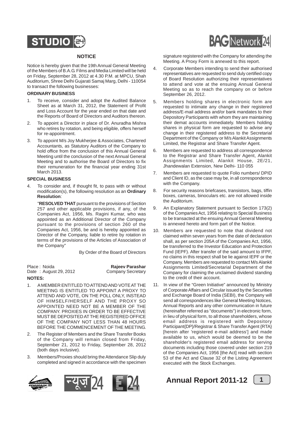

### **NOTICE**

Notice is hereby given that the 19th Annual General Meeting of the Members of B.A.G. Films and Media Limited will be held on Friday, September 28, 2012 at 4.30 P.M. at MPCU, Shah Auditorium, Shree Delhi Gujarati Samaj Marg, Delhi - 110054 to transact the following businesses:

### **ORDINARY BUSINESS**

- 1. To receive, consider and adopt the Audited Balance Sheet as at March 31, 2012, the Statement of Profit and Loss Account for the year ended on that date and the Reports of Board of Directors and Auditors thereon.
- 2. To appoint a Director in place of Dr. Anuradha Mishra who retires by rotation, and being eligible, offers herself for re-appointment.
- 3. To appoint M/s Joy Mukherjee & Associates, Chartered Accountants, as Statutory Auditors of the Company to hold office from the conclusion of this Annual General Meeting until the conclusion of the next Annual General Meeting and to authorise the Board of Directors to fix their remuneration for the financial year ending 31st March 2013.

### **SPECIAL BUSINESS**

To consider and, if thought fit, to pass with or without modification(s), the following resolution as an **Ordinary Resolution**:

"**RESOLVED THAT** pursuant to the provisions of Section 257 and other applicable provisions, if any, of the Companies Act, 1956, Ms. Ragini Kumar, who was appointed as an Additional Director of the Company pursuant to the provisions of section 260 of the Companies Act, 1956, be and is hereby appointed as Director of the Company, liable to retire by rotation in terms of the provisions of the Articles of Association of the Company"

By Order of the Board of Directors

| Place: Noida          | <b>Rajeev Parashar</b>   |
|-----------------------|--------------------------|
| Date: August 29, 2012 | <b>Company Secretary</b> |
| NOTES                 |                          |

- 1. A MEMBER ENTITLED TO ATTEND AND VOTE AT THE MEETING IS ENTITLED TO APPOINT A PROXY TO ATTEND AND VOTE, ON THE POLL ONLY, INSTEAD OF HIMSELF/HERSELF AND THE PROXY SO APPOINTED NEED NOT BE A MEMBER OF THE COMPANY. PROXIES IN ORDER TO BE EFFECTIVE MUST BE DEPOSITED AT THE REGISTERED OFFICE OF THE COMPANY NOT LESS THAN 48 HOURS BEFORE THE COMMENCEMENT OF THE MEETING.
- 2. The Register of Members and the Share Transfer Books of the Company will remain closed from Friday, September 21, 2012 to Friday, September 28, 2012 (both days inclusive).
- 3. Members/Proxies should bring the Attendance Slip duly completed and signed in accordance with the specimen





signature registered with the Company for attending the Meeting. A Proxy Form is annexed to this report.

- 4. Corporate Members intending to send their authorised representatives are requested to send duly certified copy of Board Resolution authorizing their representatives to attend and vote at the ensuing Annual General Meeting so as to reach the company on or before September 26, 2012.
- 5. Members holding shares in electronic form are requested to intimate any change in their registered address/E-mail address and/or bank mandates to their Depository Participants with whom they are maintaining their demat accounts immediately. Members holding shares in physical form are requested to advise any change in their registered address to the Secretarial Department of the Company or M/s Alankit Assignments Limited, the Registrar and Share Transfer Agent.
- 6. Members are requested to address all correspondence to the Registrar and Share Transfer Agent, Alankit Assignments Limited, Alankit House, 2E/21, Jhandewalan Extension, New Delhi- 110 055
- 7. Members are requested to quote Folio numbers/ DPID and Client ID, as the case may be, in all correspondence with the Company.
- 8. For security reasons briefcases, transistors, bags, tiffin boxes, cameras, binoculars etc. are not allowed inside the Auditorium.
- 9. An Explanatory Statement pursuant to Section 173(2) of the Companies Act, 1956 relating to Special Business to be transacted at the ensuing Annual General Meeting is annexed hereto and form part of the Notice.
- 10. Members are requested to note that dividend not claimed within seven years from the date of declaration shall, as per section 205A of the Companies Act, 1956, be transferred to the Investor Education and Protection Fund (IEPF). After transfer of the said amount to IFPF, no claims in this respect shall be lie against IEPF or the Company. Members are requested to contact M/s Alankit Assignments Limited/Secretarial Department of the Company for claiming the unclaimed dividend standing to the credit of their account.
- 11. In view of the "Green Initiative" announced by Ministry of Corporate Affairs and Circular issued by the Securities and Exchange Board of India (SEBI), the Company will send all correspondences like General Meeting Notices, Annual Reports and any other communication in future (hereinafter referred as "documents") in electronic form, in lieu of physical form, to all those shareholders, whose email address is registered with Depository Participant{DP}/Registrar & Share Transfer Agent {RTA} [herein after 'registered e-mail address'] and made available to us, which would be deemed to be the shareholder's registered email address for serving documents including those covered under section 219 of the Companies Act, 1956 [the Act] read with section 53 of the Act and Clause 32 of the Listing Agreement executed with the Stock Exchanges.

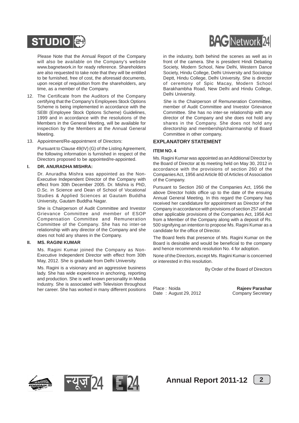

Please Note that the Annual Report of the Company will also be available on the Company's website www.bagnetwork.in for ready reference. Shareholders are also requested to take note that they will be entitled to be furnished, free of cost, the aforesaid documents, upon receipt of requisition from the shareholders, any time, as a member of the Company.

- 12. The Certificate from the Auditors of the Company certifying that the Company's Employees Stock Options Scheme is being implemented in accordance with the SEBI (Employee Stock Options Scheme) Guidelines, 1999 and in accordance with the resolutions of the Members in the General Meeting, will be available for inspection by the Members at the Annual General Meeting.
- 13. Appointment/Re-appointment of Directors:

Pursuant to Clause 49(IV) (G) of the Listing Agreement, the following information is furnished in respect of the Directors proposed to be appointed/re-appointed.

### **I. DR. ANURADHA MISHRA:**

Dr. Anuradha Mishra was appointed as the Non-Executive Independent Director of the Company with effect from 30th December 2005. Dr. Mishra is PhD, D.Sc. in Science and Dean of School of Vocational Studies & Applied Sciences at Gautam Buddha University, Gautam Buddha Nagar.

She is Chairperson of Audit Committee and Investor Grievance Committee and member of ESOP Compensation Committee and Remuneration Committee of the Company. She has no inter-se relationship with any director of the Company and she does not hold any shares in the Company.

### **II. MS. RAGINI KUMAR**

Ms. Ragini Kumar joined the Company as Non-Executive Independent Director with effect from 30th May, 2012. She is graduate from Delhi University.

Ms. Ragini is a visionary and an aggressive business lady. She has wide experience in anchoring, reporting and production. She is well known personality in Media Industry. She is associated with Television throughout her career. She has worked in many different positions



in the industry, both behind the scenes as well as in front of the camera. She is president Hindi Debating Society, Modern School, New Delhi, Western Dance Society, Hindu College, Delhi University and Sociology Deptt, Hindu College, Delhi University. She is director of ceremony of Spic Macay, Modern School Barakhambha Road, New Delhi and Hindu College, Delhi University.

She is the Chairperson of Remuneration Committee, member of Audit Committee and Investor Grievance Committee. She has no inter-se relationship with any director of the Company and she does not hold any shares in the Company. She does not hold any directorship and membership/chairmanship of Board Committee in other company.

### **EXPLANATORY STATEMENT**

### **ITEM NO. 4**

Ms. Ragini Kumar was appointed as an Additional Director by the Board of Director at its meeting held on May 30, 2012 in accordance with the provisions of section 260 of the Companies Act, 1956 and Article 80 of Articles of Association of the Company.

Pursuant to Section 260 of the Companies Act, 1956 the above Director holds office up to the date of the ensuing Annual General Meeting. In this regard the Company has received her candidature for appointment as Director of the Company in accordance with provisions of section 257 and all other applicable provisions of the Companies Act, 1956 Act from a Member of the Company along with a deposit of Rs. 500 signifying an intention to propose Ms. Ragini Kumar as a candidate for the office of Director.

The Board feels that presence of Ms. Ragini Kumar on the Board is desirable and would be beneficial to the company and hence recommends resolution No. 4 for adoption.

None of the Directors, except Ms. Ragini Kumar is concerned or interested in this resolution.

By Order of the Board of Directors

Place : Noida **Rajeev Parashar**<br>
Date : August 29, 2012 **Company Secretary** Date : August 29, 2012







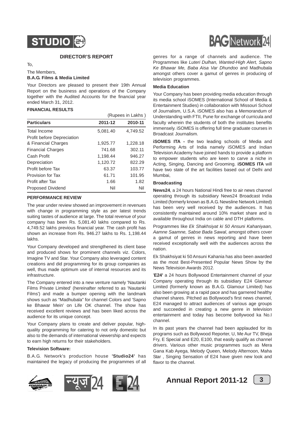

### **DIRECTOR'S REPORT**

To,

### The Members,

### **B.A.G. Films & Media Limited**

Your Directors are pleased to present their 19th Annual Report on the business and operations of the Company together with the Audited Accounts for the financial year ended March 31, 2012.

### **FINANCIAL RESULTS**

|                                   |          | (Rupees in Lakhs) |
|-----------------------------------|----------|-------------------|
| <b>Particulars</b>                | 2011-12  | 2010-11           |
| Total Income                      | 5,081.40 | 4,749.52          |
| <b>Profit before Depreciation</b> |          |                   |
| & Financial Charges               | 1,925.77 | 1,228.18          |
| <b>Financial Charges</b>          | 741.68   | 302.11            |
| Cash Profit                       | 1,198.44 | 946.27            |
| Depreciation                      | 1,120.72 | 822.29            |
| Profit before Tax                 | 63.37    | 103.77            |
| Provision for Tax                 | 61.71    | 101.95            |
| Profit after Tax                  | 1.66     | 1.82              |
| <b>Proposed Dividend</b>          | Nil      | Nil               |

### **PERFORMANCE REVIEW**

The year under review showed an improvement in revenues with change in programming style as per latest trends suiting tastes of audience at large. The total revenue of your company has been Rs. 5,081.40 lakhs compared to Rs. 4,749.52 lakhs previous financial year. The cash profit has shown an increase from Rs. 946.27 lakhs to Rs. 1,198.44 lakhs.

Your Company developed and strengthened its client base and produced shows for prominent channels viz. Colors, Imagine TV and Star. Your Company also leveraged content creations and did programming for its group companies as well, thus made optimum use of internal resources and its infrastructure.

The Company entered into a new venture namely 'Nautanki Films Private Limited' (hereinafter referred to as 'Nautanki Films') and made a bumper opening with the landmark shows such as "Madhubala" for channel Colors and 'Sapno ke Bhawar Mein' on Life OK channel. The show has received excellent reviews and has been liked across the audience for its unique concept.

Your Company plans to create and deliver popular, highquality programming for catering to not only domestic but also to the demands of international viewership and expects to earn high returns for their stakeholders.

### **Television Software:**

B.A.G. Network's production house **'Studio24'** has maintained the legacy of producing the programmes of all





genres for a range of channels and audience. The Programmes like *Luteri Dulhan, Wanted-High Alert, Sapno Ke Bhawar Me, Baba Aisa Var Dhundoo* and Madhubala amongst others cover a gamut of genres in producing of television programmes.

### **Media Education**

Your Company has been providing media education through its media school iSOMES (International School of Media & Entertainment Studies) in collaboration with Missouri School of Journalism, U.S.A. iSOMES also has a Memorandum of Understanding with FTII, Pune for exchange of curricula and faculty wherein the students of both the institutes benefits immensely. iSOMES is offering full time graduate courses in Broadcast Journalism.

**iSOMES ITA -** the two leading schools of Media and Performing Arts of India namely iSOMES and Indian Television Academy have joined hands to provide a platform to empower students who are keen to carve a niche in Acting, Singing, Dancing and Grooming. **iSOMES ITA** will have two state of the art facilities based out of Delhi and Mumbai,

### **Broadcasting**

**News24**, a 24 hours National Hindi free to air news channel operating through its subsidiary News24 Broadcast India Limited (formerly known as B.A.G. Newsline Network Limited) has been very well received by the audiences. It has consistently maintained around 10% market share and is available throughout India on cable and DTH platforms.

Programmes like *Ek Shakhsiyat ki 50 Ansuni Kahaniyaan, Aamne Saamne, Sabse Bada Sawal*, amongst others cover a gamut of genres in news reporting and have been received exceptionally well with the audiences across the nation.

Ek Shakhsiyat ki 50 Ansuni Kahania has also been awarded as the most Best-Presented Popular News Show by the News Television Awards 2012.

'**E24'** a 24 hours Bollywood Entertainment channel of your Company operating through its subsidiary E24 Glamour Limited (formerly known as B.A.G. Glamour Limited) has also been growing at a rapid pace and has garnered healthy channel shares. Pitched as Bollywood's first news channel, E24 managed to attract audiences of various age groups and succeeded in creating a new genre in television entertainment and today has become bollywood ka No.I channel.

In its past years the channel had been applauded for its programs such as Bollywood Reporter, U, Me Aur TV, Bheja Fry, E Special and E20, E100, that easily qualify as channel drivers. Various other music programmes such as Mera Gana Kab Ayega, Melody Queen, Melody Afternoon, Maha Star , Singing Sensation of E24 have given new look and flavor to the channel.



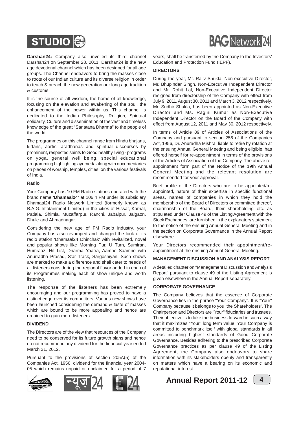



**Darshan24:** Company also unveiled its third channel Darshan24 on September 28, 2011. Darshan24 is the new age devotional channel which has been designed for all age groups. The Channel endeavors to bring the masses close to roots of our Indian culture and its diverse religion in order to teach & preach the new generation our long age tradition & customs.

It is the source of all wisdom, the home of all knowledge, focusing on the elevation and awakening of the soul, the enhancement of the power within us. This channel is dedicated to the Indian Philosophy, Religion, Spiritual solidarity, Culture and dissemination of the vast and timeless knowledge of the great "Sanatana Dharma" to the people of the world.

The programmes on this channel range from Hindu bhajans, kirtans, aartis, aradhanas and spiritual discourses by prominent, respected saints to Good healthy living - programs on yoga, general well being, special educational programming highlighting ayurveda along with documentaries on places of worship, temples, cities, on the various festivals of India.

### **Radio**

Your Company has 10 FM Radio stations operated with the brand name **'Dhamaal24'** at 106.4 FM under its subsidiary Dhamaal24 Radio Network Limited (formerly known as B.A.G. Infotainment Limited) in the cities of Hissar, Karnal, Patiala, Shimla, Muzaffarpur, Ranchi, Jabalpur, Jalgaon, Dhule and Ahmadnagar.

Considering the new age of FM Radio industry, your Company has also revamped and changed the look of its radio station 'Dhamaal24 Dhinchak' with revitalized, novel and popular shows like Morning Pur, U Turn, Sumiran, Humraaz, Hit List, Dharma Yaatra, Aamne Saamne with Anurradha Prasad, Star Track, Sargoshiyan. Such shows are marked to make a difference and shall cater to needs of all listeners considering the regional flavor added in each of its Programmes making each of show unique and worth listening.

The response of the listeners has been extremely encouraging and our programming has proved to have a distinct edge over its competitors. Various new shows have been launched considering the demand & taste of masses which are bound to be more appealing and hence are ordained to gain more listeners.

### **DIVIDEND**

The Directors are of the view that resources of the Company need to be conserved for its future growth plans and hence do not recommend any dividend for the financial year ended March 31, 2012.

Pursuant to the provisions of section 205A(5) of the Companies Act, 1956, dividend for the financial year 2004- 05 which remains unpaid or unclaimed for a period of 7





years, shall be transferred by the Company to the Investors' Education and Protection Fund (IEPF).

### **DIRECTORS**

During the year, Mr. Rajiv Shukla, Non-executive Director, Mr. Bhupindar Singh, Non-Executive Independent Director and Mr. Rohit Lal, Non-Executive Independent Director resigned from directorship of the Company with effect from July 9, 2011, August 30, 2011 and March 3, 2012 respectively. Mr. Sudhir Shukla, has been appointed as Non-Executive Director and Ms. Ragini Kumar as Non-Executive Independent Director on the Board of the Company with effect from August 12, 2011 and May 30, 2012 respectively.

In terms of Article 89 of Articles of Associations of the Company and pursuant to section 256 of the Companies Act, 1956, Dr. Anuradha Mishra, liable to retire by rotation at the ensuing Annual General Meeting and being eligible, has offered herself for re-appointment in terms of the provisions of the Articles of Association of the Company. The above reappointment form part of the Notice of the 19th Annual General Meeting and the relevant resolution are recommended for your approval.

Brief profile of the Directors who are to be appointed/reappointed, nature of their expertise in specific functional areas, names of companies in which they hold the membership of the Board of Directors or committee thereof, chairmanship of the Board, their shareholding etc. as stipulated under Clause 49 of the Listing Agreement with the Stock Exchanges, are furnished in the explanatory statement to the notice of the ensuing Annual General Meeting and in the section on Corporate Governance in the Annual Report elsewhere.

Your Directors recommended their appointment/reappointment at the ensuing Annual General Meeting.

### **MANAGEMENT DISCUSSION AND ANALYSIS REPORT**

A detailed chapter on "Management Discussion and Analysis Report" pursuant to clause 49 of the Listing Agreement is given elsewhere in the Annual Report separately.

### **CORPORATE GOVERNANCE**

The Company believes that the essence of Corporate Governance lies in the phrase "Your Company". It is "Your" Company because it belongs to you 'the Shareholders'. The Chairperson and Directors are "Your" fiduciaries and trustees. Their objective is to take the business forward in such a way that it maximizes "Your" long term value. Your Company is committed to benchmark itself with global standards in all areas including highest standards of Good Corporate Governance. Besides adhering to the prescribed Corporate Governance practices as per clause 49 of the Listing Agreement, the Company also endeavors to share information with its stakeholders openly and transparently on matters which have a bearing on its economic and reputational interest.

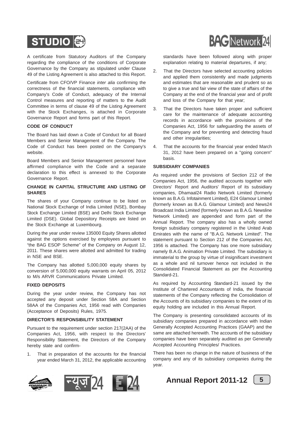

A certificate from Statutory Auditors of the Company regarding the compliance of the conditions of Corporate Governance by the Company as stipulated under Clause 49 of the Listing Agreement is also attached to this Report.

Certificate from CFO/VP Finance *inter alia* confirming the correctness of the financial statements, compliance with Company's Code of Conduct, adequacy of the Internal Control measures and reporting of matters to the Audit Committee in terms of clause 49 of the Listing Agreement with the Stock Exchanges, is attached in Corporate Governance Report and forms part of this Report.

### **CODE OF CONDUCT**

The Board has laid down a Code of Conduct for all Board Members and Senior Management of the Company. The Code of Conduct has been posted on the Company's website.

Board Members and Senior Management personnel have affirmed compliance with the Code and a separate declaration to this effect is annexed to the Corporate Governance Report.

### **CHANGE IN CAPITAL STRUCTURE AND LISTING OF SHARES**

The shares of your Company continue to be listed on National Stock Exchange of India Limited (NSE), Bombay Stock Exchange Limited (BSE) and Delhi Stock Exchange Limited (DSE). Global Depository Receipts are listed on the Stock Exchange at Luxembourg.

During the year under review 135000 Equity Shares allotted against the options exercised by employees pursuant to "the BAG ESOP Scheme" of the Company on August 12, 2011. These shares were allotted and admitted for trading in NSE and BSE.

The Company has allotted 5,000,000 equity shares by conversion of 5,000,000 equity warrants on April 05, 2012 to M/s ARVR Communications Private Limited.

### **FIXED DEPOSITS**

During the year under review, the Company has not accepted any deposit under Section 58A and Section 58AA of the Companies Act, 1956 read with Companies (Acceptance of Deposits) Rules, 1975.

### **DIRECTOR'S RESPONSIBILITY STATEMENT**

Pursuant to the requirement under section 217(2AA) of the Companies Act, 1956, with respect to the Directors' Responsibility Statement, the Directors of the Company hereby state and confirm-

1. That in preparation of the accounts for the financial year ended March 31, 2012, the applicable accounting





standards have been followed along with proper explanation relating to material departures, if any;

- 2. That the Directors have selected accounting policies and applied them consistently and made judgments and estimates that are reasonable and prudent so as to give a true and fair view of the state of affairs of the Company at the end of the financial year and of profit and loss of the Company for that year;
- 3. That the Directors have taken proper and sufficient care for the maintenance of adequate accounting records in accordance with the provisions of the Companies Act, 1956 for safeguarding the assets of the Company and for preventing and detecting fraud and other irregularities;
- 4. That the accounts for the financial year ended March 31, 2012 have been prepared on a "going concern" basis.

### **SUBSIDIARY COMPANIES**

As required under the provisions of Section 212 of the Companies Act, 1956, the audited accounts together with Directors' Report and Auditors' Report of its subsidiary companies, Dhamaal24 Radio Network Limited (formerly known as B.A.G. Infotainment Limited), E24 Glamour Limited (formerly known as B.A.G. Glamour Limited) and News24 Broadcast India Limited (formerly known as B.A.G. Newsline Network Limited) are appended and form part of the Annual Report. The company also has a wholly owned foreign subsidiary company registered in the United Arab Emirates with the name of "B.A.G. Network Limited". The statement pursuant to Section 212 of the Companies Act, 1956 is attached. The Company has one more subsidiary namely B.A.G. Animation Private Limited. The subsidiary is immaterial to the group by virtue of insignificant investment as a whole and nil turnover hence not included in the Consolidated Financial Statement as per the Accounting Standard-21.

As required by Accounting Standard-21 issued by the Institute of Chartered Accountants of India, the financial statements of the Company reflecting the Consolidation of the Accounts of its subsidiary companies to the extent of its equity holding are included in this Annual Report.

The Company is presenting consolidated accounts of its subsidiary companies prepared in accordance with Indian Generally Accepted Accounting Practices (GAAP) and the same are attached herewith. The accounts of the subsidiary companies have been separately audited as per Generally Accepted Accounting Principles/ Practices.

There has been no change in the nature of business of the company and any of its subsidiary companies during the year.

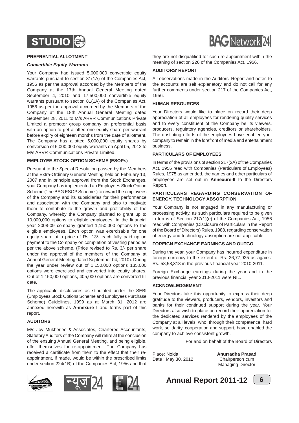

### **PREFRENTIAL ALLOTMENT**

### *Convertible Equity Warrants*

Your Company had issued 5,000,000 convertible equity warrants pursuant to section 81(1A) of the Companies Act, 1956 as per the approval accorded by the Members of the Company at the 17th Annual General Meeting dated September 4, 2010 and 17,500,000 convertible equity warrants pursuant to section 81(1A) of the Companies Act, 1956 as per the approval accorded by the Members of the Company at the 18th Annual General Meeting dated September 28, 2011 to M/s ARVR Communications Private Limited a promoter group company on preferential basis with an option to get allotted one equity share per warrant before expiry of eighteen months from the date of allotment. The Company has allotted 5,000,000 equity shares by conversion of 5,000,000 equity warrants on April 05, 2012 to M/s ARVR Communications Private Limited.

### **EMPLOYEE STOCK OPTION SCHEME (ESOPs)**

Pursuant to the Special Resolution passed by the Members at the Extra-Ordinary General Meeting held on February 13, 2007 and in principle approval from the Stock Exchanges. your Company has implemented an Employees Stock Option Scheme ("the BAG ESOP Scheme") to reward the employees of the Company and its subsidiaries for their performance and association with the Company and also to motivate them to contribute to the growth and profitability of the Company, whereby the Company planned to grant up to 10,000,000 options to eligible employees. In the financial year 2008-09 company granted 1,150,000 options to the eligible employees. Each option was exercisable for one equity share at a price of Rs. 13/- each fully paid up on payment to the Company on completion of vesting period as per the above scheme. (Price revised to Rs. 3/- per share under the approval of the members of the Company at Annual General Meeting dated September 04, 2010). During the year under review out of 1,150,000 options 135,000 options were exercised and converted into equity shares. Out of 1,150,000 options, 405,000 options are converted till date.

The applicable disclosures as stipulated under the SEBI (Employees Stock Options Scheme and Employees Purchase Scheme) Guidelines, 1999 as at March 31, 2012 are annexed herewith as **Annexure I** and forms part of this report.

### **AUDITORS**

M/s Joy Mukherjee & Associates, Chartered Accountants, Statutory Auditors of the Company will retire at the conclusion of the ensuing Annual General Meeting, and being eligible, offer themselves for re-appointment. The Company has received a certificate from them to the effect that their reappointment, if made, would be within the prescribed limits under section 224(1B) of the Companies Act, 1956 and that









they are not disqualified for such re-appointment within the meaning of section 226 of the Companies Act, 1956.

### **AUDITORS' REPORT**

All observations made in the Auditors' Report and notes to the accounts are self explanatory and do not call for any further comments under section 217 of the Companies Act, 1956.

### **HUMAN RESOURCES**

Your Directors would like to place on record their deep appreciation of all employees for rendering quality services and to every constituent of the Company be its viewers, producers, regulatory agencies, creditors or shareholders. The unstinting efforts of the employees have enabled your company to remain in the forefront of media and entertainment business.

### **PARTICULARS OF EMPLOYEES**

In terms of the provisions of section 217(2A) of the Companies Act, 1956 read with Companies (Particulars of Employees) Rules, 1975 as amended, the names and other particulars of employees are set out in **Annexure-II** to the Directors Report.

### **PARTICULARS REGARDING CONSERVATION OF ENERGY, TECHNOLOGY ABSORPTION**

Your Company is not engaged in any manufacturing or processing activity, as such particulars required to be given in terms of Section 217(1)(e) of the Companies Act, 1956 read with Companies (Disclosure of Particulars in the Report of the Board of Directors) Rules, 1988, regarding conservation of energy and technology absorption are not applicable.

### **FOREIGN EXCHANGE EARNINGS AND OUTGO**

During the year, your Company has incurred expenditure in foreign currency to the extent of Rs. 26,77,925 as against Rs. 58,58,318 in the previous financial year 2010-2011.

Foreign Exchange earnings during the year and in the previous financial year 2010-2011 were NIL.

### **ACKNOWLEDGEMENT**

Your Directors take this opportunity to express their deep gratitude to the viewers, producers, vendors, investors and banks for their continued support during the year. Your Directors also wish to place on record their appreciation for the dedicated services rendered by the employees of the Company at all levels, who, through their competence, hard work, solidarity, cooperation and support, have enabled the company to achieve consistent growth.

For and on behalf of the Board of Directors

Date : May 30, 2012 Chairperson cum

Place: Noida **Anurradha Prasad** Managing Director



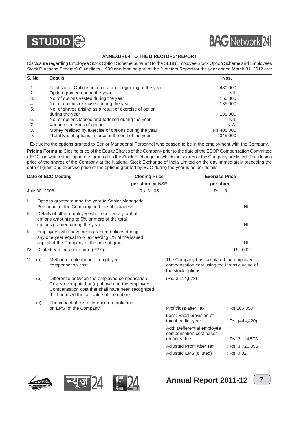



### **ANNEXURE-I TO THE DIRECTORS' REPORT**

Disclosure regarding Employee Stock Option Scheme pursuant to the SEBI (Employee Stock Option Scheme and Employees Stock Purchase Scheme) Guidelines, 1999 and forming part of the Directors Report for the year ended March 31, 2012 are:

| <b>S. No.</b> | <b>Details</b>                                             | Nos.       |  |
|---------------|------------------------------------------------------------|------------|--|
|               | Total No. of Options in force at the beginning of the year | 480,000    |  |
| 2.            | Option granted during the year                             | <b>NIL</b> |  |
| 3.            | No. of options vested during the year                      | 150,000    |  |
| 4.            | No. of options exercised during the year                   | 135,000    |  |
| 5.            | No. of shares arising as a result of exercise of option    |            |  |
|               | during the year                                            | 135,000    |  |
| 6.            | No. of options lapsed and forfeited during the year        | <b>NIL</b> |  |
| 7.            | Variance in terms of option                                | N.A.       |  |
| 8.            | Money realized by exercise of options during the year      | Rs.405,000 |  |
| 9.            | *Total No. of options in force at the end of the year      | 345,000    |  |

\* Excluding the options granted to Senior Managerial Personnel who ceased to be in the employment with the Company.

**Pricing Formula:** Closing price of the Equity Shares of the Company prior to the date of the ESOP Compensation Committee ("ECC") in which stock options is granted on the Stock Exchange on which the shares of the Company are listed. The closing price of the shares of the Company at the National Stock Exchange of India Limited on the day immediately preceding the date of grant and exercise price of the options granted by ECC during the year is as per details:

| Date of ECC Meeting |                                                               |                                                                                                                                                                                                     | <b>Closing Price</b> | <b>Exercise Price</b>                                                                                           |                   |
|---------------------|---------------------------------------------------------------|-----------------------------------------------------------------------------------------------------------------------------------------------------------------------------------------------------|----------------------|-----------------------------------------------------------------------------------------------------------------|-------------------|
|                     |                                                               |                                                                                                                                                                                                     | per share at NSE     | per share                                                                                                       |                   |
|                     | July 30, 2008                                                 |                                                                                                                                                                                                     | Rs. 31.05            | Rs. 13                                                                                                          |                   |
| Ι.                  |                                                               | Options granted during the year to Senior Managerial<br>Personnel of the Company and its subsidiaries*                                                                                              |                      |                                                                                                                 | <b>NIL</b>        |
| Ш.                  |                                                               | Details of other employee who received a grant of<br>options amounting to 5% or more of the total<br>options granted during the year:                                                               |                      |                                                                                                                 | <b>NIL</b>        |
| III.                |                                                               | Employees who have been granted options during<br>any one year equal to or exceeding 1% of the issued<br>capital of the Company at the time of grant:                                               |                      |                                                                                                                 | <b>NIL</b>        |
| IV.                 |                                                               | Diluted earnings per share (EPS):                                                                                                                                                                   |                      |                                                                                                                 | Rs. 0.02          |
| V.                  | Method of calculation of employee<br>(a)<br>compensation cost |                                                                                                                                                                                                     |                      | The Company has calculated the employee<br>compensation cost using the intrinsic value of<br>the stock options. |                   |
|                     | (b)                                                           | Difference between the employee compensation<br>Cost so computed at (a) above and the employee<br>Compensation cost that shall have been recognized<br>If it had used the fair value of the options |                      | (Rs. 3,114,578)                                                                                                 |                   |
|                     | (c)                                                           | The impact of this difference on profit and<br>on EPS of the Company:                                                                                                                               |                      | Profit/loss after Tax                                                                                           | : Rs 166,358      |
|                     |                                                               |                                                                                                                                                                                                     |                      | Less: Short provision of<br>tax of earlier year                                                                 | : Rs. (444,420)   |
|                     |                                                               |                                                                                                                                                                                                     |                      | Add: Defferential employee<br>compensation cost based<br>on fair value:                                         | : Rs. $3,114,578$ |
|                     |                                                               |                                                                                                                                                                                                     |                      | Adjusted Profit After Tax                                                                                       | : Rs. $3,725,356$ |
|                     |                                                               |                                                                                                                                                                                                     |                      | Adjusted EPS (diluted)                                                                                          | $:$ Rs. 0.02      |







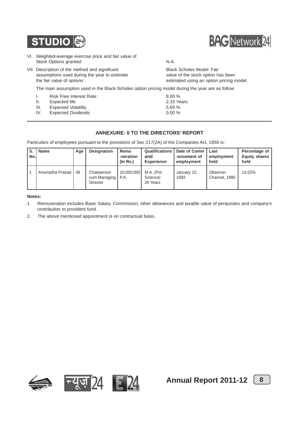

- VI. Weighted-average exercise price and fair value of Stock Options granted: N.A.
- VII. Description of the method and significant Black Scholes Model: Fair assumptions used during the year to estimate value of the stock option has been the fair value of options : estimated using an option pricing model.

The main assumption used in the Black-Scholes option pricing model during the year are as follow:

- I. Risk Free Interest Rate: 8.00 % II. Expected life 2.33 Years III. Expected Volatility 5.69 %
- 
- IV. Expected Dividends 0.00 %

### **ANNEXURE- II TO THE DIRECTORS' REPORT**

Particulars of employees pursuant to the provisions of Sec 217(2A) of the Companies Act, 1956 is:

| S.<br>No.l | <b>Name</b>      | Age | <b>Designation</b>                      | Remu<br>-neration<br>$($ ln Rs. $)$ | and<br><b>Experience</b>           | <b>Qualifications   Date of Comm</b><br>-encement of<br>employment | l Last<br>employment<br>held | Percentage of<br><b>Equity shares</b><br>held |
|------------|------------------|-----|-----------------------------------------|-------------------------------------|------------------------------------|--------------------------------------------------------------------|------------------------------|-----------------------------------------------|
|            | Anurradha Prasad | 49  | Chairperson<br>cum Managing<br>Director | 10,000,000<br>P.A.                  | M.A. (Pol.<br>Science)<br>26 Years | January 22,<br>1993                                                | Observer<br>Channel, 1990    | 13.02%                                        |

### **Notes:**

- 1. Remuneration includes Basic Salary, Commission, other allowances and taxable value of perquisites and company's contribution to provident fund.
- 2. The above mentioned appointment is on contractual basis.









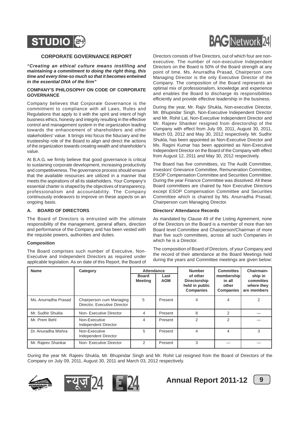

### **CORPORATE GOVERNANCE REPORT**

*"Creating an ethical culture means instilling and maintaining a commitment to doing the right thing, this time and every time-so much so that it becomes entwined in the essential DNA of the firm"*

### **COMPANY'S PHILOSOPHY ON CODE OF CORPORATE GOVERNANCE**

Company believes that Corporate Governance is the commitment to compliance with all Laws, Rules and Regulations that apply to it with the spirit and intent of high business ethics, honesty and integrity resulting in the effective control and management system in the organization leading towards the enhancement of shareholders and other stakeholders' value. It brings into focus the fiduciary and the trusteeship role of the Board to align and direct the actions of the organization towards creating wealth and shareholder's value.

At B.A.G, we firmly believe that good governance is critical to sustaining corporate development, increasing productivity and competitiveness. The governance process should ensure that the available resources are utilized in a manner that meets the aspirations of all its stakeholders. Your Company's essential charter is shaped by the objectives of transparency, professionalism and accountability. The Company continuously endeavors to improve on these aspects on an ongoing basis.

### **A. BOARD OF DIRECTORS**

The Board of Directors is entrusted with the ultimate responsibility of the management, general affairs, direction and performance of the Company and has been vested with the requisite powers, authorities and duties.

### **Composition**

The Board comprises such number of Executive, Non-Executive and Independent Directors as required under applicable legislation. As on date of this Report, the Board of



Directors consists of five Directors, out of which four are nonexecutive. The number of non-executive Independent Directors on the Board is 50% of the Board strength at any point of time. Ms. Anurradha Prasad, Chairperson cum Managing Director is the only Executive Director of the Company. The composition of the Board represents an optimal mix of professionalism, knowledge and experience and enables the Board to discharge its responsibilities efficiently and provide effective leadership in the business.

During the year, Mr. Rajiv Shukla, Non-executive Director, Mr. Bhupindar Singh, Non-Executive Independent Director and Mr. Rohit Lal, Non-Executive Independent Director and Mr. Rajeev Shanker resigned from directorship of the Company with effect from July 09, 2011, August 30, 2011, March 03, 2012 and May 30, 2012 respectively. Mr. Sudhir Shukla, has been appointed as Non-Executive Director and Ms. Ragini Kumar has been appointed as Non-Executive Independent Director on the Board of the Company with effect from August 12, 2011 and May 30, 2012 respectively.

The Board has five committees, viz The Audit Committee, Investors' Grievance Committee, Remuneration Committee, ESOP Compensation Committee and Securities Committee. During the year Finance Committee was dissolved. All these Board committees are chaired by Non Executive Directors except ESOP Compensation Committee and Securities Committee which is chaired by Ms. Anurradha Prasad, Chairperson cum Managing Director.

### **Directors' Attendance Records**

As mandated by Clause 49 of the Listing Agreement, none of the Directors on the Board is a member of more than ten Board level Committee and Chairperson/Chairman of more than five such committees, across all such Companies in which he is a Director.

The composition of Board of Directors, of your Company and the record of their attendance at the Board Meetings held during the years and Committee meetings are given below:

| <b>Name</b>          | Category                                                 | <b>Attendance</b>              |                    | <b>Number</b>                                                  | <b>Committes</b>                                  | Chairmain-                                        |
|----------------------|----------------------------------------------------------|--------------------------------|--------------------|----------------------------------------------------------------|---------------------------------------------------|---------------------------------------------------|
|                      |                                                          | <b>Board</b><br><b>Meeting</b> | Last<br><b>AGM</b> | of other<br>Directorship<br>held in public<br><b>Companies</b> | membership<br>in all<br>other<br><b>Companies</b> | ship in<br>committes<br>where they<br>are members |
| Ms. Anurradha Prasad | Chairperson cum Managing<br>Director, Executive Director | 5                              | Present            | 4                                                              | 4                                                 | 2                                                 |
| Mr. Sudhir Shukla    | Non-Executive Director                                   | 4                              | Present            | 8                                                              | 2                                                 |                                                   |
| Mr. Prem Behl        | Non-Executive<br>Independent Director                    | 4                              | Present            | 2                                                              | $\mathcal{P}$                                     |                                                   |
| Dr. Anuradha Mishra  | Non-Executive<br>Independent Director                    | 5                              | Present            | 4                                                              | 4                                                 | 3                                                 |
| Mr. Rajeev Shankar   | Non-Executive Director                                   | 2                              | Present            | 3                                                              |                                                   |                                                   |

During the year Mr. Rajeev Shukla, Mr. Bhupindar Singh and Mr. Rohit Lal resigned from the Board of Directors of the Company on July 09, 2011, August 30, 2011 and March 03, 2012 respectively.







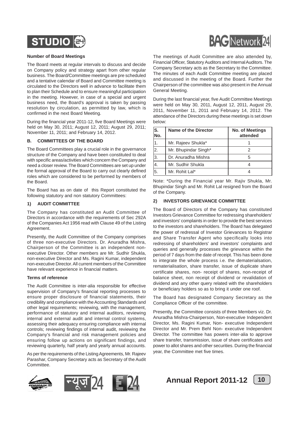

### **Number of Board Meetings**

The Board meets at regular intervals to discuss and decide on Company policy and strategy apart from other regular business. The Board/Committee meetings are pre scheduled and a tentative calendar of Board and Committee meeting is circulated to the Directors well in advance to facilitate them to plan their Schedule and to ensure meaningful participation in the meeting. However, in case of a special and urgent business need, the Board's approval is taken by passing resolution by circulation, as permitted by law, which is confirmed in the next Board Meeting.

During the financial year 2011-12, five Board Meetings were held on May 30, 2011; August 12, 2011; August 29, 2011; November 11, 2011; and February 14, 2012.

### **B. COMMITTEES OF THE BOARD**

The Board Committees play a crucial role in the governance structure of the Company and have been constituted to deal with specific areas/activities which concern the Company and need a closer review. The Board Committees are set up under the formal approval of the Board to carry out clearly defined roles which are considered to be performed by members of the Board.

The Board has as on date of this Report constituted the following statutory and non statutory Committees:

### **1) AUDIT COMMITTEE**

The Company has constituted an Audit Committee of Directors in accordance with the requirements of Sec 292A of the Companies Act 1956 read with Clause 49 of the Listing Agreement.

Presently, the Audit Committee of the Company comprises of three non-executive Directors. Dr. Anuradha Mishra, Chairperson of the Committee is an independent nonexecutive Director. Other members are Mr. Sudhir Shukla, non-executive Director and Ms. Ragini Kumar, independent non-executive Director. All current members of the Committee have relevant experience in financial matters.

### **Terms of reference**

The Audit Committee is inter-alia responsible for effective supervision of Company's financial reporting processes to ensure proper disclosure of financial statements, their credibility and compliance with the Accounting Standards and other legal requirements; reviewing, with the management, performance of statutory and internal auditors, reviewing internal and external audit and internal control systems, assessing their adequacy ensuring compliance with internal controls; reviewing findings of internal audit, reviewing the Company's financial and risk management policies and ensuring follow up actions on significant findings, and reviewing quarterly, half yearly and yearly annual accounts.

As per the requirements of the Listing Agreements, Mr. Rajeev Parashar, Company Secretary acts as Secretary of the Audit Committee.









The meetings of Audit Committee are also attended by, Financial Officer, Statutory Auditors and Internal Auditors. The Company Secretary acts as the Secretary to the Committee. The minutes of each Audit Committee meeting are placed and discussed in the meeting of the Board. Further the Chairperson of the committee was also present in the Annual General Meeting.

During the last financial year, five Audit Committee Meetings were held on May 30, 2011, August 12, 2011, August 29, 2011, November 11, 2011 and February 14, 2012. The attendance of the Directors during these meetings is set down below:

| $\overline{\mathsf{s}}$ .<br>No. | <b>Name of the Director</b> | <b>No. of Meetings</b><br>attended |
|----------------------------------|-----------------------------|------------------------------------|
|                                  | Mr. Rajeev Shukla*          |                                    |
| $\overline{2}$ .                 | Mr. Bhupindar Singh*        |                                    |
| 3.                               | Dr. Anuradha Mishra         |                                    |
| 4.                               | Mr. Sudhir Shukla           |                                    |
| 5.                               | Mr. Rohit Lal*              |                                    |

Note: \*During the Financial year Mr. Rajiv Shukla, Mr. Bhupindar Singh and Mr. Rohit Lal resigned from the Board of the Company.

### **2) INVESTORS GRIEVANCE COMMITTEE**

The Board of Directors of the Company has constituted Investors Grievance Committee for redressing shareholders' and investors' complaints in order to provide the best services to the investors and shareholders. The Board has delegated the power of redressal of Investor Grievances to Registrar and Share Transfer Agent who specifically looks into redressing of shareholders' and investors' complaints and queries and generally processes the grievance within the period of 7 days from the date of receipt. This has been done to integrate the whole process i.e. the dematerialsation, rematerialisation, share transfer, issue of duplicate share certificate shares, non- receipt of shares, non-receipt of balance sheet, non receipt of dividend or revalidation of dividend and any other query related with the shareholders or beneficiary holders so as to bring it under one roof.

The Board has designated Company Secretary as the Compliance Officer of the committee.

Presently, the Committee consists of three Members viz. Dr. Anuradha Mishra-Chairperson, Non-executive Independent Director, Ms. Ragini Kumar, Non- executive Independent Director and Mr. Prem Behl Non- executive Independent Director. The committee has powers inter-alia to approve share transfer, transmission, issue of share certificates and power to allot shares and other securities. During the financial year, the Committee met five times.

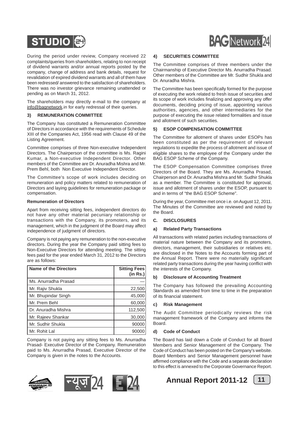

During the period under review, Company received 22 complaints/queries from shareholders, relating to non receipt of dividend warrants and/or annual reports posted by the company, change of address and bank details, request for revalidation of expired dividend warrants and all of them have been redressed/ answered to the satisfaction of shareholders. There was no investor grievance remaining unattended or pending as on March 31, 2012.

The shareholders may directly e-mail to the company at info@bagnetwork.in for early redressal of their queries.

### **3) REMUNERATION COMMITTEE**

The Company has constituted a Remuneration Committee of Directors in accordance with the requirements of Schedule XIII of the Companies Act, 1956 read with Clause 49 of the Listing Agreement.

Committee comprises of three Non-executive Independent Directors. The Chairperson of the committee is Ms. Ragini Kumar, a Non-executive Independent Director. Other members of the Committee are Dr. Anuradha Mishra and Mr. Prem Behl, both Non Executive Independent Director.

The Committee's scope of work includes deciding on remuneration and policy matters related to remuneration of Directors and laying guidelines for remuneration package or compensation.

### **Remuneration of Directors**

Apart from receiving sitting fees, independent directors do not have any other material pecuniary relationship or transactions with the Company, its promoters, and its management, which in the judgment of the Board may affect independence of judgment of directors.

Company is not paying any remuneration to the non-executive directors. During the year the Company paid sitting fees to Non-Executive Directors for attending meeting. The sitting fees paid for the year ended March 31, 2012 to the Directors are as follows:

| Name of the Directors | <b>Sitting Fees</b><br>(in Rs.) |
|-----------------------|---------------------------------|
| Ms. Anurradha Prasad  |                                 |
| Mr. Rajiv Shukla      | 22,500                          |
| Mr. Bhupindar Singh   | 45,000                          |
| Mr. Prem Behl         | 60,000                          |
| Dr. Anuradha Mishra   | 112,500                         |
| Mr. Rajeev Shankar    | 30,000                          |
| Mr. Sudhir Shukla     | 90000                           |
| Mr. Rohit Lal         | 9000                            |

Company is not paying any sitting fees to Ms. Anurradha Prasad- Executive Director of the Company. Remuneration paid to Ms. Anurradha Prasad, Executive Director of the Company is given in the notes to the Accounts.







# **BAG** Network 24

### **4) SECURITIES COMMITTEE**

The Committee comprises of three members under the Chairmanship of Executive Director Ms. Anurradha Prasad. Other members of the Committee are Mr. Sudhir Shukla and Dr. Anuradha Mishra.

The Committee has been specifically formed for the purpose of executing the work related to fresh issue of securities and its scope of work includes finalizing and approving any offer documents, deciding pricing of issue, appointing various authorities, agencies, and other intermediaries for the purpose of executing the issue related formalities and issue and allotment of such securities.

### **5) ESOP COMPENSATION COMMITTEE**

The Committee for allotment of shares under ESOPs has been constituted as per the requirement of relevant regulations to expedite the process of allotment and issue of eligible shares to the employee of the Company under the BAG ESOP Scheme of the Company.

The ESOP Compensation Committee comprises three Directors of the Board. They are Ms. Anurradha Prasad, Chairperson and Dr. Anuradha Mishra and Mr. Sudhir Shukla as a member. The Committee is constituted for approval, issue and allotment of shares under the ESOP, pursuant to and in terms of "the BAG ESOP Scheme".

During the year, Committee met once i.e. on August 12, 2011. The Minutes of the Committee are reviewed and noted by the Board.

### **C. DISCLOSURES**

### **a) Related Party Transactions**

All transactions with related parties including transactions of material nature between the Company and its promoters, directors, management, their subsidiaries or relatives etc. are disclosed in the Notes to the Accounts forming part of the Annual Report. There were no materially significant related party transactions during the year having conflict with the interests of the Company.

### **b) Disclosure of Accounting Treatment**

The Company has followed the prevailing Accounting Standards as amended from time to time in the preparation of its financial statement.

### **c) Risk Management**

The Audit Committee periodically reviews the risk management framework of the Company and informs the Board.

### **d) Code of Conduct**

The Board has laid down a Code of Conduct for all Board Members and Senior Management of the Company. The Code of Conduct has been posted on the Company's website. Board Members and Senior Management personnel have affirmed compliance with the Code and a separate declaration to this effect is annexed to the Corporate Governance Report.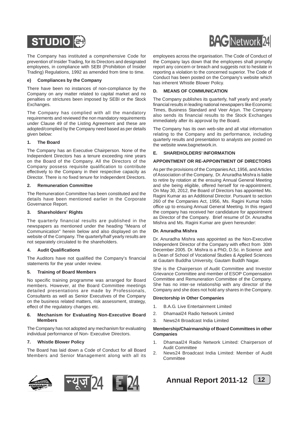

The Company has instituted a comprehensive Code for prevention of Insider Trading, for its Directors and designated employees, in compliance with SEBI (Prohibition of Insider Trading) Regulations, 1992 as amended from time to time.

### **e) Compliances by the Company**

There have been no instances of non-compliance by the Company on any matter related to capital market and no penalties or strictures been imposed by SEBI or the Stock Exchanges.

The Company has complied with all the mandatory requirements and reviewed the non mandatory requirements under Clause 49 of the Listing Agreement and these are adopted/complied by the Company need based as per details given below:

### **1. The Board**

The Company has an Executive Chairperson. None of the Independent Directors has a tenure exceeding nine years on the Board of the Company. All the Directors of the Company possess requisite qualification to contribute effectively to the Company in their respective capacity as Director. There is no fixed tenure for Independent Directors.

### **2. Remuneration Committee**

The Remuneration Committee has been constituted and the details have been mentioned earlier in the Corporate Governance Report.

### **3. Shareholders' Rights**

The quarterly financial results are published in the newspapers as mentioned under the heading "Means of Communication" herein below and also displayed on the website of the Company. The quarterly/half yearly results are not separately circulated to the shareholders.

### **4. Audit Qualifications**

The Auditors have not qualified the Company's financial statements for the year under review.

### **5. Training of Board Members**

No specific training programme was arranged for Board members. However, at the Board Committee meetings detailed presentations are made by Professionals, Consultants as well as Senior Executives of the Company on the business related matters, risk assessment, strategy, effect of the regulatory changes etc.

### **6. Mechanism for Evaluating Non-Executive Board Members**

The Company has not adopted any mechanism for evaluating individual performance of Non- Executive Directors.

### **7. Whistle Blower Policy**

The Board has laid down a Code of Conduct for all Board Members and Senior Management along with all its





employees across the organisation. The Code of Conduct of the Company lays down that the employees shall promptly report any concern or breach and suggests not to hesitate in reporting a violation to the concerned superior. The Code of Conduct has been posted on the Company's website which has inherent Whistle Blower Policy.

### **D. MEANS OF COMMUNICATION**

The Company publishes its quarterly, half yearly and yearly financial results in leading national newspapers like Economic Times, Business Standard and Veer Arjun. The Company also sends its financial results to the Stock Exchanges immediately after its approval by the Board.

The Company has its own web-site and all vital information relating to the Company and its performance, including quarterly results and presentation to analysts are posted on the website www.bagnetwork.in.

### **E. SHAREHOLDERS' INFORMATION**

### **APPOINTMENT OR RE-APPOINTMENT OF DIRECTORS**

As per the provisions of the Companies Act, 1956, and Articles of Association of the Company, Dr. Anuradha Mishra is liable to retire by rotation at the ensuing Annual General Meeting and she being eligible, offered herself for re-appointment. On May 30, 2012, the Board of Directors has appointed Ms. Ragini Kumar as an Additional Director. Pursuant to section 260 of the Companies Act, 1956, Ms. Ragini Kumar holds office up to ensuing Annual General Meeting. In this regard the company has received her candidature for appointment as Director of the Company. Brief resume of Dr. Anuradha Mishra and Ms. Ragini Kumar are given hereunder:

### **Dr. Anuradha Mishra**

Dr. Anuradha Mishra was appointed as the Non-Executive Independent Director of the Company with effect from 30th December 2005. Dr. Mishra is a PhD, D.Sc. in Science and is Dean of School of Vocational Studies & Applied Sciences at Gautam Buddha University, Gautam Buddh Nagar.

She is the Chairperson of Audit Committee and Investor Grievance Committee and member of ESOP Compensation Committee and Remuneration Committee of the Company. She has no inter-se relationship with any director of the Company and she does not hold any shares in the Company.

### **Directorship in Other Companies**

- 1. B.A.G. Live Entertainment Limited
- 2. Dhamaal24 Radio Network Limited
- 3. News24 Broadcast India Limited

### **Membership/Chairmanship of Board Committees in other Companies**

- 1. Dhamaal24 Radio Network Limited: Chairperson of Audit Committee
- 2. News24 Broadcast India Limited: Member of Audit **Committee**

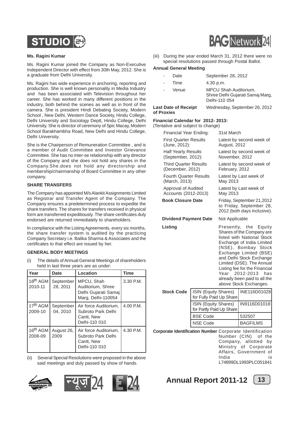

### **Ms. Ragini Kumar**

Ms. Ragini Kumar joined the Company as Non-Executive Independent Director with effect from 30th May, 2012. She is a graduate from Delhi University.

Ms. Ragini has wide experience in anchoring, reporting and production. She is well known personality in Media Industry and has been associated with Television throughout her career. She has worked in many different positions in the industry, both behind the scenes as well as in front of the camera. She is president Hindi Debating Society, Modern School , New Delhi, Western Dance Society, Hindu College, Delhi University and Sociology Deptt, Hindu College, Delhi University. She is director of ceremony of Spic Macay, Modern School Barakhambha Road, New Delhi and Hindu College, Delhi University.

She is the Chairperson of Remuneration Committee , and is a member of Audit Committee and Investor Grievance Committee. She has no inter-se relationship with any director of the Company and she does not hold any shares in the Company.She.does not hold any directorship and membership/chairmanship of Board Committee in any other company.

### **SHARE TRANSFERS**

The Company has appointed M/s Alankit Assignments Limited as Registrar and Transfer Agent of the Company. The Company ensures a predetermined process to expedite the share transfers. The shares for transfers received in physical form are transferred expeditiously. The share certificates duly endorsed are returned immediately to shareholders.

In compliance with the Listing Agreements, every six months, the share transfer system is audited by the practicing Company Secretary i.e. Balika Sharma & Associates and the certificates to that effect are issued by her.

### **GENERAL BODY MEETINGS**

(i) The details of Annual General Meetings of shareholders held in last three years are as under:

| Year                            | <b>Date</b>           | Location                                                                      | <b>Time</b> |
|---------------------------------|-----------------------|-------------------------------------------------------------------------------|-------------|
| 18 <sup>th</sup> AGM<br>2010-11 | September<br>28, 2011 | MPCU, Shah<br>Auditorium, Shree<br>Delhi Gujarati Samaj<br>Marg, Delhi-110054 | 3.30 P.M.   |
| 17 <sup>th</sup> AGM<br>2009-10 | September<br>04, 2010 | Air force Auditorium.<br>Subroto Park Delhi<br>Cantt, New<br>Delhi-110 010    | 4.00 P.M.   |
| 16 <sup>th</sup> AGM<br>2008-09 | August 26,<br>2009    | Air force Auditorium.<br>Subroto Park Delhi<br>Cantt, New<br>Delhi-110 010    | 4.30 P.M.   |

(ii) Several Special Resolutions were proposed in the above said meetings and duly passed by show of hands.









(iii) During the year ended March 31, 2012 there were no special resolutions passed through Postal Ballot.

### **Annual General Meeting**

| Date<br>Time                              | September 28, 2012<br>4.30 p.m.                                                   |
|-------------------------------------------|-----------------------------------------------------------------------------------|
| Venue                                     | <b>MPCU Shah Auditorium,</b><br>Shree Delhi Gujarati Samaj Marg,<br>Delhi-110 054 |
| <b>Last Date of Receipt</b><br>of Proxies | Wednesday, September 26, 2012                                                     |

### **Financial Calendar for 2012- 2013:**

(Tentative and subject to change)

| Financial Year Ending:                                   |                                                  | 31st March                              |                                                                                                                                                                                                                                                                                                                                        |  |  |
|----------------------------------------------------------|--------------------------------------------------|-----------------------------------------|----------------------------------------------------------------------------------------------------------------------------------------------------------------------------------------------------------------------------------------------------------------------------------------------------------------------------------------|--|--|
| <b>First Quarter Results</b><br>(June, 2012):            |                                                  | August, 2012                            | Latest by second week of                                                                                                                                                                                                                                                                                                               |  |  |
|                                                          | <b>Half Yearly Results</b><br>(September, 2012): |                                         | Latest by second week of<br>November, 2012                                                                                                                                                                                                                                                                                             |  |  |
| <b>Third Quarter Results</b><br>(December, 2012)         |                                                  | February, 2012                          | Latest by second week of                                                                                                                                                                                                                                                                                                               |  |  |
| <b>Fourth Quarter Results</b><br>(March, 2013)           |                                                  | May 2013                                | Latest by Last week of                                                                                                                                                                                                                                                                                                                 |  |  |
| Approval of Audited<br>Accounts (2012-2013)              |                                                  | May 2013                                | Latest by Last week of                                                                                                                                                                                                                                                                                                                 |  |  |
|                                                          | <b>Book Closure Date</b>                         |                                         | Friday, September 21,2012<br>to Friday, September 28,<br>2012 (both days inclusive).                                                                                                                                                                                                                                                   |  |  |
| <b>Dividend Payment Date</b>                             |                                                  | Not Applicable                          |                                                                                                                                                                                                                                                                                                                                        |  |  |
| Listing                                                  |                                                  | Year                                    | Presently, the Equity<br>Shares of the Company are<br>listed with National Stock<br>Exchange of India Limited<br>(NSE), Bombay Stock<br>Exchange Limited (BSE)<br>and Delhi Stock Exchange<br>Limited (DSE). The Annual<br>Listing fee for the Financial<br>2012-2013<br>has<br>already been paid to all the<br>above Stock Exchanges. |  |  |
| <b>Stock Code</b>                                        | ISIN (Equity Shares)<br>for Fully Paid Up Share  |                                         | INE116D01028                                                                                                                                                                                                                                                                                                                           |  |  |
|                                                          | ISIN (Equity Shares)<br>for Partly Paid Up Share |                                         | IN9116D01018                                                                                                                                                                                                                                                                                                                           |  |  |
|                                                          | <b>BSE Code</b>                                  |                                         | 532507                                                                                                                                                                                                                                                                                                                                 |  |  |
|                                                          | <b>NSE Code</b>                                  |                                         | <b>BAGFILMS</b>                                                                                                                                                                                                                                                                                                                        |  |  |
| Corporate Identification Number Corporate Identification |                                                  | Number (CIN)<br>Company,<br>Ministry of | of the<br>allotted<br>bγ<br>Corporate                                                                                                                                                                                                                                                                                                  |  |  |

India is L74899DL1993PLC051841

Affairs, Government of

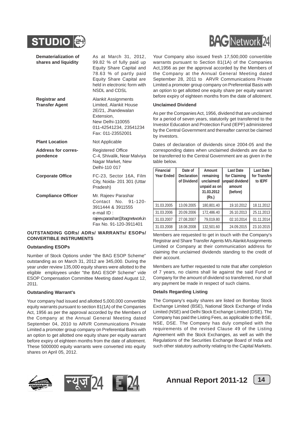

| Dematerialization of<br>shares and liquidity  | As at March 31, 2012,<br>99.82 % of fully paid up<br>Equity Share Capital and<br>78.63 % of partly paid<br>Equity Share Capital are<br>held in electronic form with<br>NSDL and CDSL |
|-----------------------------------------------|--------------------------------------------------------------------------------------------------------------------------------------------------------------------------------------|
| <b>Registrar and</b><br><b>Transfer Agent</b> | <b>Alankit Assignments</b><br>Limited, Alankit House<br>2E/21, Jhandewalan<br>Extension,<br>New Delhi-110055<br>011-42541234, 23541234<br>Fax: 011-23552001                          |
| <b>Plant Location</b>                         | Not Applicable                                                                                                                                                                       |
| <b>Address for corres-</b><br>pondence        | <b>Registered Office</b><br>C-4, Shivalik, Near Malviya<br>Nagar Market, New<br>Delhi-110 017                                                                                        |
| <b>Corporate Office</b>                       | FC-23, Sector 16A, Film<br>City, Noida- 201 301 (Uttar<br>Pradesh)                                                                                                                   |
| <b>Compliance Officer</b>                     | Mr. Rajeev Parashar<br>Contact No. 91-120-<br>3911444 & 3911555<br>e-mail ID:<br>rajeev.parashar@bagnetwork.in<br>Fax No. 91-120-3911401                                             |

### **OUTSTANDING GDRs/ ADRs/ WARRANTs/ ESOPs/ CONVERTIBLE INSTRUMENTS**

### **Outstanding ESOPs**

Number of Stock Options under "the BAG ESOP Scheme" outstanding as on March 31, 2012 are 345,000. During the year under review 135,000 equity shares were allotted to the eligible employees under "the BAG ESOP Scheme" vide ESOP Compensation Committee Meeting dated August 12, 2011.

### **Outstanding Warrant's**

Your company had issued and allotted 5,000,000 convertible equity warrants pursuant to section 81(1A) of the Companies Act, 1956 as per the approval accorded by the Members of the Company at the Annual General Meeting dated September 04, 2010 to ARVR Communications Private Limited a promoter group company on Preferential Basis with an option to get allotted one equity share per equity warrant before expiry of eighteen months from the date of allotment. These 5000000 equity warrants were converted into equity shares on April 05, 2012.



Your Company also issued fresh 17,500,000 convertible warrants pursuant to Section 81(1A) of the Companies Act,1956 as per the approval accorded by the Members of the Company at the Annual General Meeting dated September 28, 2011 to ARVR Communications Private Limited a promoter group company on Preferential Basis with an option to get allotted one equity share per equity warrant before expiry of eighteen months from the date of allotment.

### **Unclaimed Dividend**

As per the Companies Act, 1956, dividend that are unclaimed for a period of seven years, statutorily get transferred to the Investor Education and Protection Fund (IEPF) administered by the Central Government and thereafter cannot be claimed by investors.

Dates of declaration of dividends since 2004-05 and the corresponding dates when unclaimed dividends are due to be transferred to the Central Government are as given in the table below.

| Financial  | Date of            | Amount       | Last Date       | Last Date    |
|------------|--------------------|--------------|-----------------|--------------|
| Year Ended | <b>Declaration</b> | remaining    | for Claiming    | for Transfer |
|            | of Dividend        | unclaimed/   | unpaid dividend | to IEPF      |
|            |                    | unpaid as on | amount          |              |
|            |                    | 31.03.2012   | (before)        |              |
|            |                    | (Rs.)        |                 |              |
| 31.03.2005 | 13.09.2005         | 180.801.40   | 19.10.2012      | 18.11.2012   |
| 31.03.2006 | 20.09.2006         | 172,486.40   | 26.10.2013      | 25.11.2013   |
| 31.03.2007 | 27.08.2007         | 79,019.80    | 02.10.2014      | 01.11.2014   |
| 31.03.2008 | 18.08.2008         | 132.501.60   | 24.09.2015      | 23.10.2015   |

Members are requested to get in touch with the Company's Registrar and Share Transfer Agents M/s Alankit Assignments Limited or Company at their communication address for claiming the unclaimed dividends standing to the credit of their account.

Members are further requested to note that after completion of 7 years, no claims shall lie against the said Fund or Company for the amount of dividend so transferred, nor shall any payment be made in respect of such claims.

### **Details Regarding Listing**

The Company's equity shares are listed on Bombay Stock Exchange Limited (BSE), National Stock Exchange of India Limited (NSE) and Delhi Stock Exchange Limited (DSE). The Company has paid the Listing Fees, as applicable to the BSE, NSE, DSE. The Company has duly complied with the requirements of the revised Clause 49 of the Listing Agreement with the Stock Exchanges, as well as with the Regulations of the Securities Exchange Board of India and such other statutory authority relating to the Capital Markets.







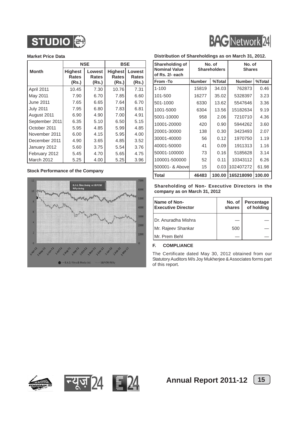



### **Market Price Data**

|                  | <b>NSE</b>                              |                                 | <b>BSE</b>                              |                                 |
|------------------|-----------------------------------------|---------------------------------|-----------------------------------------|---------------------------------|
| <b>Month</b>     | <b>Highest</b><br><b>Rates</b><br>(Rs.) | Lowest<br><b>Rates</b><br>(Rs.) | <b>Highest</b><br><b>Rates</b><br>(Rs.) | Lowest<br><b>Rates</b><br>(Rs.) |
| April 2011       | 10.45                                   | 7.30                            | 10.76                                   | 7.31                            |
| May 2011         | 7.90                                    | 6.70                            | 7.85                                    | 6.60                            |
| June 2011        | 7.65                                    | 6.65                            | 7.64                                    | 6.70                            |
| <b>July 2011</b> | 7.95                                    | 6.80                            | 7.83                                    | 6.81                            |
| August 2011      | 6.90                                    | 4.90                            | 7.00                                    | 4.91                            |
| September 2011   | 6.35                                    | 5.10                            | 6.50                                    | 5.15                            |
| October 2011     | 5.95                                    | 4.85                            | 5.99                                    | 4.85                            |
| November 2011    | 6.00                                    | 4.15                            | 5.95                                    | 4.00                            |
| December 2011    | 4.90                                    | 3.65                            | 4.85                                    | 3.52                            |
| January 2012     | 5.60                                    | 3.75                            | 5.54                                    | 3.76                            |
| February 2012    | 5.45                                    | 4.70                            | 5.65                                    | 4.75                            |
| March 2012       | 5.25                                    | 4.00                            | 5.25                                    | 3.96                            |

### **Stock Performance of the Company**



### **Distribution of Shareholdings as on March 31, 2012.**

| <b>Shareholding of</b><br><b>Nominal Value</b><br>of Rs. 2/- each |               | No. of<br><b>Shareholders</b> | No. of<br><b>Shares</b> |        |
|-------------------------------------------------------------------|---------------|-------------------------------|-------------------------|--------|
| <b>From -To</b>                                                   | <b>Number</b> | %Total                        | <b>Number</b>           | %Total |
| $1 - 100$                                                         | 15819         | 34.03                         | 762873                  | 0.46   |
| 101-500                                                           | 16277         | 35.02                         | 5328397                 | 3.23   |
| 501-1000                                                          | 6330          | 13.62                         | 5547646                 | 3.36   |
| 1001-5000                                                         | 6304          | 13.56                         | 15182634                | 9.19   |
| 5001-10000                                                        | 958           | 2.06                          | 7210710                 | 4.36   |
| 10001-20000                                                       | 420           | 0.90                          | 5944262                 | 3.60   |
| 20001-30000                                                       | 138           | 0.30                          | 3423493                 | 2.07   |
| 30001-40000                                                       | 56            | 0.12                          | 1970750                 | 1.19   |
| 40001-50000                                                       | 41            | 0.09                          | 1911313                 | 1.16   |
| 50001-100000                                                      | 73            | 0.16                          | 5185628                 | 3.14   |
| 100001-500000                                                     | 52            | 0.11                          | 10343112                | 6.26   |
| 500001- & Abovel                                                  | 15            | 0.03                          | 102407272               | 61.98  |
| l Total                                                           | 46483         | 100.00                        | 165218090               | 100.00 |

**Shareholding of Non- Executive Directors in the company as on March 31, 2012**

| <b>Name of Non-</b><br><b>Executive Director</b> | No. of<br>shares | Percentage<br>of holding |
|--------------------------------------------------|------------------|--------------------------|
| IDr. Anuradha Mishra                             |                  |                          |
| Mr. Rajeev Shankar                               | 500              |                          |
| IMr. Prem Behl                                   |                  |                          |

### **F. COMPLIANCE**

The Certificate dated May 30, 2012 obtained from our Statutory Auditors M/s Joy Mukherjee & Associates forms part of this report.





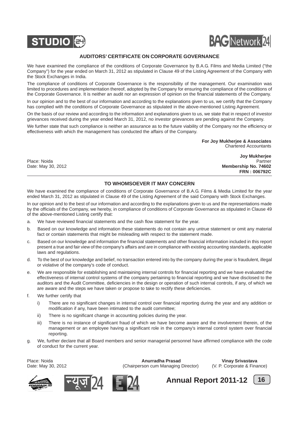



### **AUDITORS' CERTIFICATE ON CORPORATE GOVERNANCE**

We have examined the compliance of the conditions of Corporate Governance by B.A.G. Films and Media Limited ("the Company") for the year ended on March 31, 2012 as stipulated in Clause 49 of the Listing Agreement of the Company with the Stock Exchanges in India.

The compliance of conditions of Corporate Governance is the responsibility of the management. Our examination was limited to procedures and implementation thereof, adopted by the Company for ensuring the compliance of the conditions of the Corporate Governance. It is neither an audit nor an expression of opinion on the financial statements of the Company.

In our opinion and to the best of our information and according to the explanations given to us, we certify that the Company has complied with the conditions of Corporate Governance as stipulated in the above-mentioned Listing Agreement.

On the basis of our review and according to the information and explanations given to us, we state that in respect of investor grievances received during the year ended March 31, 2012, no investor grievances are pending against the Company.

We further state that such compliance is neither an assurance as to the future viability of the Company nor the efficiency or effectiveness with which the management has conducted the affairs of the Company.

> **For Joy Mukherjee & Associates** Chartered Accountants

**Joy Mukherjee** Place: Noida Partner Date: May 30, 2012 **Membership No. 74602 FRN : 006792C**

### **TO WHOMSOEVER IT MAY CONCERN**

We have examined the compliance of conditions of Corporate Governance of B.A.G. Films & Media Limited for the year ended March 31, 2012 as stipulated in Clause 49 of the Listing Agreement of the said Company with Stock Exchanges.

In our opinion and to the best of our information and according to the explanations given to us and the representations made by the officials of the Company, we hereby, in compliance of conditions of Corporate Governance as stipulated in Clause 49 of the above-mentioned Listing certify that:

- a. We have reviewed financial statements and the cash flow statement for the year.
- b. Based on our knowledge and information these statements do not contain any untrue statement or omit any material fact or contain statements that might be misleading with respect to the statement made.
- c. Based on our knowledge and information the financial statements and other financial information included in this report present a true and fair view of the company's affairs and are in compliance with existing accounting standards, applicable laws and regulations.
- d. To the best of our knowledge and belief, no transaction entered into by the company during the year is fraudulent, illegal or violative of the company's code of conduct.
- e. We are responsible for establishing and maintaining internal controls for financial reporting and we have evaluated the effectiveness of internal control systems of the company pertaining to financial reporting and we have disclosed to the auditors and the Audit Committee, deficiencies in the design or operation of such internal controls, if any, of which we are aware and the steps we have taken or propose to take to rectify these deficiencies.
- f. We further certify that
	- i) There are no significant changes in internal control over financial reporting during the year and any addition or modification if any, have been intimated to the audit committee;
	- ii) There is no significant change in accounting policies during the year.
	- iii) There is no instance of significant fraud of which we have become aware and the involvement therein, of the management or an employee having a significant role in the company's internal control system over financial reporting.
- g. We, further declare that all Board members and senior managerial personnel have affirmed compliance with the code of conduct for the current year.

Place: Noida **Anurradha Prasad Vinay Srivastava** Date: May 30, 2012 (Chairperson cum Managing Director) (V. P. Corporate & Finance)







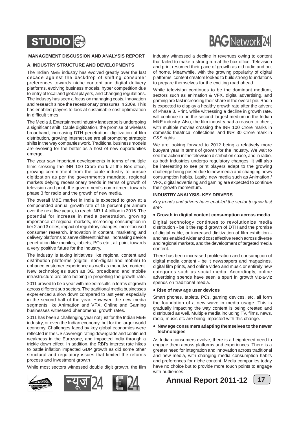

### **MANAGEMENT DISCUSSION AND ANALYSIS REPORT**

### **A. INDUSTRY STRUCTURE AND DEVELOPMENTS**

The Indian M&E industry has evolved greatly over the last decade against the backdrop of shifting consumer preferences towards niche content and digital delivery platforms, evolving business models, hyper competition due to entry of local and global players, and changing regulations. The industry has seen a focus on managing costs, innovation and research since the recessionary pressures in 2009. This has enabled players to look at sustainable cost optimization in difficult times.

The Media & Entertainment industry landscape is undergoing a significant shift. Cable digitization, the promise of wireless broadband, increasing DTH penetration, digitization of film distribution, growing internet use are all prompting strategic shifts in the way companies work. Traditional business models are evolving for the better as a host of new opportunities emerge.

The year saw important developments in terms of multiple films crossing the INR 100 Crore mark at the Box office, growing commitment from the cable industry to pursue digitization as per the government's mandate, regional markets defying recessionary trends in terms of growth of television and print, the government's commitment towards phase 3 for radio and the growth of new media.

The overall M&E market in India is expected to grow at a compounded annual growth rate of 15 percent per annum over the next five years, to reach INR 1.4 trillion in 2016. The potential for increase in media penetration, growing importance of regional markets, increasing consumption in tier 2 and 3 cities, impact of regulatory changes, more focused consumer research, innovation in content, marketing and delivery platforms to serve different niches, increasing device penetration like mobiles, tablets, PCs etc., all point towards a very positive future for the industry.

The industry is taking initiatives like regional content and distribution platforms (digital, non-digital and mobile) to enhance customer experience as well as monetize content. New technologies such as 3G, broadband and mobile infrastructure are also helping in propelling the growth rate.

2011 proved to be a year with mixed results in terms of growth across different sub sectors. The traditional media businesses experienced a slow down compared to last year, especially in the second half of the year. However, the new media segments like Animation and VFX, Online and Gaming businesses witnessed phenomenal growth rates.

2011 has been a challenging year not just for the Indian M&E industry, or even the Indian economy, but for the larger world economy. Challenges faced by key global economies were reflected in the US sovereign rating downgrade and continued weakness in the Eurozone, and impacted India through a trickle down effect. In addition, the RBI's interest rate hikes to battle inflation impacted GDP growth as did some other structural and regulatory issues that limited the reforms process and investment growth

While most sectors witnessed double digit growth, the film





industry witnessed a decline in revenues owing to content that failed to make a strong run at the box office. Television and print resumed their pace of growth as did radio and out of home. Meanwhile, with the growing popularity of digital platforms, content creators looked to build strong foundations to prepare themselves for the exciting road ahead.

While television continues to be the dominant medium, sectors such as animation & VFX, digital advertising, and gaming are fast increasing their share in the overall pie. Radio is expected to display a healthy growth rate after the advent of Phase 3. Print, while witnessing a decline in growth rate, will continue to be the second largest medium in the Indian M&E industry. Also, the film industry had a reason to cheer, with multiple movies crossing the INR 100 Crore marks in domestic theatrical collections, and INR 30 Crore mark in C&S rights.

We are looking forward to 2012 being a relatively more buoyant year in terms of growth for the industry. We wait to see the action in the television distribution space, and in radio, as both industries undergo regulatory changes. It will also be interesting to see print players adapt to the growing challenge being posed due to new media and changing news consumption habits. Lastly, new media such as Animation / VFX, digital advertising and gaming are expected to continue their growth momentum.

### **INDUSTRY ANALYSIS- KEY DRIVERS**

*Key trends and drivers have enabled the sector to grow fast are:-*

### • **Growth in digital content consumption across media**

Digital technology continues to revolutionize media distribution - be it the rapid growth of DTH and the promise of digital cable, or increased digitization of film exhibition and has enabled wider and cost effective reach across diverse and regional markets, and the development of targeted media content.

There has been increased proliferation and consumption of digital media content - be it newspapers and magazines, digital film prints, and online video and music or entirely new categories such as social media. Accordingly, online advertising spends have seen a spurt in growth viz-a-viz spends on traditional media.

### • **Rise of new age user devices**

Smart phones, tablets, PCs, gaming devices, etc. all form the foundation of a new wave in media usage. This is gradually impacting the way content is being created and distributed as well. Multiple media including TV, films, news, radio, music etc are being impacted with this change.

### • **New age consumers adapting themselves to the newer technologies**

As Indian consumers evolve, there is a heightened need to engage them across platforms and experiences. There is a greater need for integration and innovation across traditional and new media, with changing media consumption habits and preferences for niche content. Media companies today have no choice but to provide more touch points to engage with audiences.

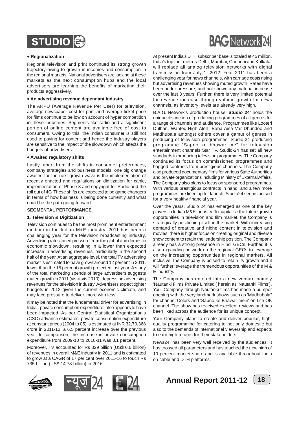

### • **Regionalization**

Regional television and print continued its strong growth trajectory owing to growth in incomes and consumption in the regional markets. National advertisers are looking at these markets as the next consumption hubs and the local advertisers are learning the benefits of marketing their products aggressively.

### • **An advertising revenue dependant industry**

The ARPU (Average Revenue Per User) for television, average newspaper cost for print and average ticket price for films continue to be low on account of hyper competition in these industries. Segments like radio and a significant portion of online content are available free of cost to consumers. Owing to this, the Indian consumer is still not used to paying for content and hence the industry players are sensitive to the impact of the slowdown which affects the budgets of advertisers.

### • **Awaited regulatory shifts**

Lastly, apart from the shifts in consumer preferences, company strategies and business models, one big change awaited for the next growth wave is the implementation of recently enacted and regulations on digitization for cable, implementation of Phase 3 and copyright for Radio and the roll out of 4G. These shifts are expected to be game changers in terms of how business is being done currently and what could be the path going forward

### **SEGMENTAL PERFORMANCE**

### **1. Television & Digitization**

Television continues to be the most prominent entertainment medium in the Indian M&E industry. 2011 has been a challenging year for the television broadcasting industry. Advertising rates faced pressure from the global and domestic economic slowdown, resulting in a lower than expected increase in advertising revenues, particularly in the second half of the year. At an aggregate level, the total TV advertising market is estimated to have grown around 12 percent in 2011, lower than the 15 percent growth projected last year. A study of the total marketing spends of large advertisers suggests muted growth in 2011 (vis-à-vis 2010), depressing advertising revenues for the television industry. Advertisers expect tighter budgets in 2012 given the current economic climate, and may face pressure to deliver 'more with less'.

It may be noted that the fundamental driver for advertising in India - private consumption expenditure -also appears to have been impacted. As per Central Statistical Organization's (CSO) advance estimates, private consumption expenditure at constant prices (2004 to 05) is estimated at INR 32,70,368 crore in 2011-12, a 6.5 percent increase over the previous year. In comparison, the increase in private consumption expenditure from 2009-10 to 2010-11 was 8.1 percent.

Moreover, TV accounted for Rs 329 billion (US\$ 6.6 billion) of revenues in overall M&E industry in 2011 and is estimated to grow at a CAGR of 17 per cent over 2011-16 to touch Rs 735 billion (US\$ 14.73 billion) in 2016.



At present India's DTH subscriber base is totaled at 45 million. India's top four metros-Delhi, Mumbai, Chennai and Kolkatawill replace all analog television networks with digital transmission from July 1, 2012. Year 2011 has been a challenging year for news channels, with carriage costs rising but advertising revenues showing muted growth. Rates have been under pressure, and not shown any material increase over the last 3 years. Further, there is very limited potential for revenue increase through volume growth for news channels, as inventory levels are already very high.

B.A.G. Network's production house **'Studio 24'** holds the unique distinction of producing programmes of all genres for a range of channels and audience. Programmes like Looteri Dulhan, Wanted-High Alert, Baba Aisa Var Dhundoo and Madhubala amongst others cover a gamut of genres in producing of television programmes. Studio-24 producing programme "Sapno ke bhawar me" for television entertainment channels Star TV. Studio-24 has set all new standards in producing television programmes. The Company continued its focus on commissioned programmes and bagged contracts from prestigious channels. The Company also produced documentary films for various State Authorities and private organizations including Ministry of External Affairs. The Company also plans to focus on sponsored programmes. With various prestigious contracts in hand, and a few more programmes are lined up for launch, Studio24 seems poised for a very healthy financial year.

Over the years, Studio 24 has emerged as one of the key players in Indian M&E industry. To capitalise the future growth opportunities in television and film market, the Company is strategically positioning itself in the market. With increasing demand of creative and niche content in television and movies, there is higher focus on creating original and diverse show content to retain the leadership position. The Company already has a strong presence in Hindi GECs. Further, it is also expanding network on the regional GECs to leverage on the increasing opportunities in regional markets. All inclusive, the Company is poised to retain its growth and it will further leverage the tremendous opportunities of the M & E industry.

The Company has entered into a new venture namely 'Nautanki Films Private Limited'( herein as 'Nautanki Films'). Your Company through Nautanki films has made a bumper opening with the very landmark shows such as 'Madhubala" for channel Colors and 'Sapno ke Bhawar mein' on Life OK channel. The show has received excellent reviews and has been liked across the audience for its unique concept.

Your Company plans to create and deliver popular, highquality programming for catering to not only domestic but also to the demands of international viewership and expects to earn high returns for their stakeholders.

News24, has been very well received by the audiences. It has crossed all parameters and has touched the new high of 10 percent market share and is available throughout India on cable and DTH platforms.









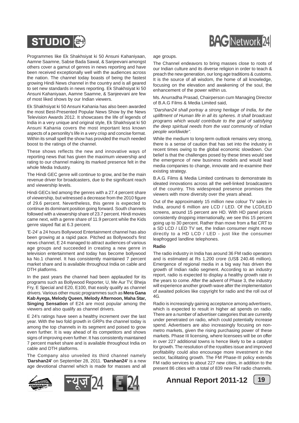

Programmes like Ek Shakhsiyat ki 50 Ansuni Kahaniyaan, Aamne Saamne, Sabse Bada Sawal, & Sanjeevani amongst others cover a gamut of genres in news reporting and have been received exceptionally well with the audiences across the nation. The channel today boasts of being the fastest growing Hindi News channel in the country and is all geared to set new standards in news reporting. Ek Shakhsiyat ki 50 Ansuni Kahaniyaan, Aamne Saamne, & Sanjeevani are few of most liked shows by our Indian viewers.

Ek Shakhsiyat ki 50 Ansuni Kahania has also been awarded the most Best-Presented Popular News Show by the News Television Awards 2012. It showcases the life of legends of India in a very unique and original style, Ek Shakhsiyat ki 50 Ansuni Kahania covers the most important less known aspects of a personlity's life in a very crisp and concise format. Within its small spell the show has provided the much needed boost to the ratings of the channel.

These shows reflects the new and innovative ways of reporting news that has given the maximum viewership and rating to our channel making its marked presence felt in the whole Media Industry.

The Hindi GEC genre will continue to grow, and be the main revenue driver for broadcasters, due to the significant reach and viewership levels.

Hindi GECs led among the genres with a 27.4 percent share of viewership, but witnessed a decrease from the 2010 figure of 29.6 percent. Nevertheless, this genre is expected to continue its dominant position going forward. South channels followed with a viewership share of 23.7 percent. Hindi movies came next, with a genre share of 11.9 percent while the Kids genre stayed flat at 6.3 percent.

'E-24' a 24 hours Bollywood Entertainment channel has also been growing at a rapid pace. Pitched as Bollywood's first news channel, E 24 managed to attract audiences of various age groups and succeeded in creating a new genre in television entertainment and today has become bollywood ka No.1 channel. It has consistently maintained 7 percent market share and is available throughout India on cable and DTH platforms.

In the past years the channel had been applauded for its programs such as Bollywood Reporter, U, Me Aur TV, Bheja Fry, E Special and E20, E100, that easily qualify as channel drivers. Various other music programmes such as **Mera Gana Kab Ayega, Melody Queen, Melody Afternoon, Maha Star, Singing Sensation** of E24 are most popular among the viewers and also qualify as channel drivers.

E 24's ratings have seen a healthy increment over the last year. With the two fold growth in GRPs the channel today is among the top channels in its segment and poised to grow even further. It is way ahead of its competitors and shows signs of improving even further. It has consistently maintained 7 percent market share and is available throughout India on cable and DTH platforms.

The Company also unveiled its third channel namely '**Darshan24'** on September 28, 2011. **'Darshan24'** is a new age devotional channel which is made for masses and all



### age groups.

The Channel endeavors to bring masses close to roots of our Indian culture and its diverse religion in order to teach & preach the new generation, our long age traditions & customs. It is the source of all wisdom, the home of all knowledge, focusing on the elevation and awakening of the soul, the enhancement of the power within us.

Ms. Anurradha Prasad, Chairperson cum Managing Director of B.A.G Films & Media Limited said,

*"Darshan24 shall portray a strong heritage of India, for the upliftment of Human life in all its spheres. It shall broadcast programs which would contribute to the goal of satisfying the deep spiritual needs from the vast community of Indian people worldwide".*

While the medium to long-term outlook remains very strong, there is a sense of caution that has set into the industry in recent times owing to the global economic slowdown. Our belief is that the challenges posed by these times would see the emergence of new business models and would lead media companies to change, innovate and re-examine their existing strategy.

B.A.G. Films & Media Limited continues to demonstrate its ideated innovations across all the well-linked broadcasters of the country. This widespread presence promises the viewers with more diversity over the years ahead.

Out of the approximately 15 million new colour TV sales in India, around 6 million are LCD / LED. Of the LCD/LED screens, around 15 percent are HD. With HD panel prices consistently dropping internationally, we see this 15 percent going up to 30 percent. Rather than move from a flat CRT to a SD LCD / LED TV set, the Indian consumer might move directly to a HD LCD / LED - just like the consumer leapfrogged landline telephones.

### **Radio**

The radio industry in India has around 36 FM radio operators and is estimated at Rs 1,200 crore (US\$ 240.46 million). Emergence of regional media in a big way has driven the growth of Indian radio segment. According to an industry report, radio is expected to display a healthy growth rate in the years to come. After the advent of Phase 3, the industry will experience another growth wave after the implementation of awaited policies like copyright for radio and the roll out of  $4G$ 

Radio is increasingly gaining acceptance among advertisers, which is expected to result in higher ad spends on radio. There are a number of advertiser categories that are currently under penetrated on radio, which could potentially increase spend. Advertisers are also increasingly focusing on nonmetro markets, given the rising purchasing power of these markets. Phase III licensing, where licensees will be on offer in over 227 additional towns is hence likely to be a catalyst for growth. The resolution of the royalties issue and improved profitability could also encourage more investment in the sector, facilitating growth. The FM Phase-III policy extends FM radio services to about 227 new cities, in addition to the present 86 cities with a total of 839 new FM radio channels.



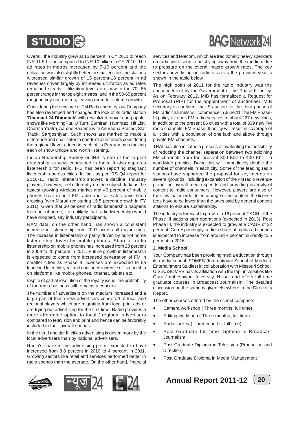



remained steady. Utilization levels are now in the 70- 85 percent range in the top eight metros, and in the 50-65 percent range in key non metros, leaving room for volume growth. Considering the new age of FM Radio industry, our Company has also revamped and changed the look of its radio station

**'Dhamaal-24 Dhinchak'** with revitalized, novel and popular shows like MorningPur, U Turn, Sumiran, Humraaz, Hit List, Dharma Yaatra, Aamne Saamne with Anuradha Prasad, Star Track, Sargoshiyan. Such shows are marked to make a difference and shall cater to needs of all listeners considering the regional flavor added in each of its Programmes making each of show unique and worth listening.

Indian Readership Survey or IRS is one of the largest readership surveys conducted in India. It also captures listenership for radio. IRS has been reporting stagnant listenership across cities. In fact, as per IRS Q4 report for 2010-11, radio listenership showed a decline. Industry players, however, feel differently on the subject. India is the fastest growing wireless market and 40 percent of mobile phones have in-built FM radio and car sales have been growing (with Maruti registering 15.5 percent growth in FY 2011). Given that 30 percent of radio listenership happens from out-of-home, it is unlikely that radio listenership would have dropped, say industry participants.

RAM data, on the other hand, has shown a consistent increase in listenership from 2007 across all major cities. The increase in listenership is partly driven by out-of home listenership driven by mobile phones. Share of radio listenership on mobile phones has increased from 20 percent in 2009 to 25 percent in 2011. Future growth in listenership is expected to come from increased penetration of FM in smaller cities as Phase III licenses are expected to be launched later this year and continued increase of listenership on platforms like mobile phones, internet, tablets etc.

Inspite of partial resolution of the royalty issue, the profitability of the radio business still remains a concern.

The number of advertisers on the medium increased and a large part of these new advertisers consisted of local and regional players which are migrating from local print ads or are trying out advertising for the first time. Radio provides a more affordable option to local / regional advertisers compared to television and print and hence can be favorably included in their overall spends.

In the tier II and tier III cities advertising is driven more by the local advertisers than by national advertisers.

Radio's share in the advertising pie is expected to have increased from 3.8 percent in 2010 to 4 percent in 2011. Growing sectors like retail and services performed better in radio spends than the average. On the other hand, financial









services and telecom, which are traditionally heavy spenders on radio were seen to be shying away from the medium due to pressure on the overall macro growth rates. The key sectors advertising on radio vis-à-vis the previous year is shown in the table below.

The high point of 2011 for the radio industry was the announcement by the Government of the Phase III policy. As on February 2012, MIB has formalized a Request for Proposal (RfP) for the appointment of auctioneer. MIB secretary is confident that E-auction for the third phase of FM radio channels will commence in June.11 The FM Phase-III policy extends FM radio services to about 227 new cities, in addition to the present 86 cities with a total of 839 new FM radio channels. FM Phase III policy will result in coverage of all cities with a population of one lakh and above through private FM channels.

TRAI has also initiated a process of evaluating the possibility of reducing the channel separation between two adjoining FM channels from the present 800 Khz to 400 Khz - a worldwide practice. Doing this will immediately double the number of channels in each city. Some of the leading radio stations have supported the proposal for key metros on several grounds, including expansion of the FM radio revenue pie in the overall media spends and providing diversity of content to radio consumers. However, players are also of the view that in order to encourage niche content, the license fees have to be lower than the ones paid by general content stations to ensure sustainability.

The industry is forecast to grow at a 16 percent CAGR till the Phase III stations start operations (expected in 2013). Post Phase III, the industry is expected to grow at a CAGR of 22 percent. Correspondingly, radio's share of media ad spends is expected to increase from around 4 percent currently to 5 percent in 2016.

### **2. Media School**

Your Company has been providing media education through its media school iSOMES (International School of Media & Entertainment Studies) in collaboration with Missouri School, U.S.A. iSOMES has its affiliation with the top universities like Guru Jambeshwar University, Hissar and offers full time graduate courses in Broadcast Journalism. The detailed discussion on the same is given elsewhere in the Director's Report.

The other courses offered by the school comprise:

- Camera workshop ( Three months, full time)
- Editing workshop ( Three months, full time)
- Radio jockey ( Three months, full time)
- Post Graduate full time Diploma in Broadcast Journalism
- Post Graduate Diploma in Television (Production and Direction)
- Post Graduate Diploma in Media Management



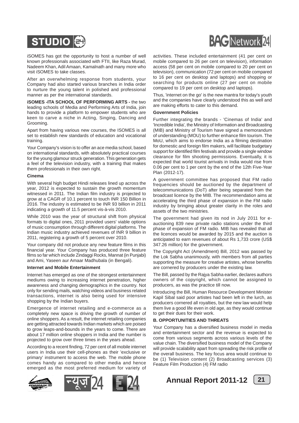

iSOMES has got the opportunity to host a number of well known professionals associated with FTII, like Raza Murad, Nadeem Khan, Adil Amaan, Kamalnath and many more who visit iSOMES to take classes.

After an overwhelming response from students, your Company had also started various branches in India order to nurture the young talent in polished and professional manner as per the international standards.

**iSOMES -ITA SCHOOL OF PERFORMING ARTS -** the two leading schools of Media and Performing Arts of India, join hands to provide a platform to empower students who are keen to carve a niche in Acting, Singing, Dancing and Grooming.

Apart from having various new courses, the ISOMES is all set to establish new standards of education and vocational training.

Your Company's vision is to offer an ace media school, based on international standards, with absolutely practical courses for the young glamour struck generation. This generation gets a feel of the television industry, with a training that makes them professionals in their own right.

### **Cinema**

With several high budget Hindi releases lined up across the year, 2012 is expected to sustain the growth momentum witnessed in 2011. The Indian film industry is projected to grow at a CAGR of 10.1 percent to touch INR 150 Billion in 2016. The industry is estimated to be INR 93 billion in 2011 indicating a growth of 11.5 percent vis-à-vis 2010.

While 2010 was the year of structural shift from physical formats to digital ones, 2011 provided users' viable options of music consumption through different digital platforms. The Indian music industry achieved revenues of INR 9 billion in 2011, registering a growth of 5 percent over 2010.

Your company did not produce any new feature films in this financial year. Your Company has produced three feature films so far which include Zindaggi Rocks, Mannat (in Punjabi) and Ami, Yaseen aur Amaar Madhubala (in Bengali).

### **Internet and Mobile Entertainment**

Internet has emerged as one of the strongest entertainment mediums owing to increasing internet penetration, higher awareness and changing demographics in the country. Not only for sending mails, watching videos and business related transactions, internet is also being used for intensive shopping by the Indian buyers.

Emergence of internet retailing and e-commerce as a completely new space is driving the growth of number of online shoppers. As a result, the internet retailing companies are getting attracted towards Indian markets which are poised to grow leaps-and-bounds in the years to come. There are about 17 million online shoppers in India and the number is projected to grow over three times in the years ahead.

According to a recent finding, 72 per cent of all mobile internet users in India use their cell-phones as their 'exclusive or primary' instrument to access the web. The mobile phone comes handy as compared to other media and hence emerged as the most preferred medium for variety of









activities. These included entertainment (41 per cent on mobile compared to 26 per cent on television), information access (58 per cent on mobile compared to 20 per cent on television), communication (72 per cent on mobile compared to 16 per cent on desktop and laptops) and shopping or searching for products online (27 per cent on mobile compared to 19 per cent on desktop and laptops).

Thus, 'internet on the go' is the new mantra for today's youth and the companies have clearly understood this as well and are making efforts to cater to this demand.

### **Government Policies**

Further integrating the brands - 'Cinemas of India' and 'Incredible India', the Ministry of Information and Broadcasting (MIB) and Ministry of Tourism have signed a memorandum of understanding (MOU) to further enhance film tourism. The MoU, which aims to endorse India as a filming destination for domestic and foreign film makers, will facilitate budgetary support for identified film festivals and provide a single window clearance for film shooting permissions. Eventually, it is expected that world tourist arrivals in India would rise from 0.06 per cent to 1 per cent by the end of the 12th Five-Year Plan (2012-17).

A government committee has proposed that FM radio frequencies should be auctioned by the department of telecommunications (DoT) after being separated from the broadcast licence by the MIB. The recommendation aims at accelerating the third phase of expansion in the FM radio industry by bringing about greater clarity in the roles and assets of the two ministries.

The government had given its nod in July 2011 for eauctioning 839 new private radio stations under the third phase of expansion of FM radio. MIB has revealed that all the licences would be awarded by 2015 and the auction is anticipated to earn revenues of about Rs 1,733 crore (US\$ 347.26 million) for the government.

The Copyright Act (Amendment) Bill, 2012 was passed by the Lok Sabha unanimously, with members from all parties supporting the measure for creative artistes, whose benefits are cornered by producers under the existing law.

The Bill, passed by the Rajya Sabha earlier, declares authors owners of the copyright, which cannot be assigned to producers, as was the practice till now.

Introducing the Bill, Human Resource Development Minister Kapil Sibal said poor artistes had been left in the lurch, as producers cornered all royalties, but the new law would help them live a good life even in old age, as they would continue to get their dues for their work.

### **B. OPPORTUNITIES AND THREATS**

Your Company has a diversified business model in media and entertainment sector and the revenue is expected to come from various segments across various levels of the value chain. The diversified business model of the Company will provide scalability apart from spreading the risk profile of the overall business. The key focus area would continue to be (1) Television content (2) Broadcasting services (3) Feature Film Production (4) FM radio



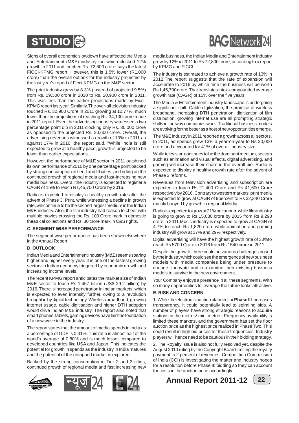

Signs of overall economic slowdown have affected the Media and Entertainment (M&E) industry too which clocked 12% growth in 2011 and touched Rs. 72,800 crore, says the latest FICCI-KPMG report. However, this is 1.5% lower (R1,000 crore) than the overall outlook for the industry projected by the last year's report of Ficci-KPMG on the M&E sector.

The print industry grew by 8.3% (instead of projected 9.5%) from Rs. 19,300 crore in 2010 to Rs. 20,900 crore in 2011. This was less than the earlier projections made by Ficci-KPMG report last year. Similarly, The over-all television industry touched Rs. 32,900 Crore in 2011 growing at 10.77%, much lower than the projections of reaching Rs. 34,100 crore made in 2011 report. Even the advertising industry witnessed a two percentage point dip in 2011 clocking only Rs. 30,000 crore as opposed to the projected Rs. 30,600 crore. Overall, the advertising revenues witnessed a growth of 13% in 2011 as against 17% in 2010, the report said. "While India is still expected to grow at a healthy pace, growth is projected to be lower than earlier expectations.

However, the performance of M&E sector in 2011 outshined its own performance of 2010 by one percentage point backed by strong consumption in tier II and III cities, and riding on the continued growth of regional media and fast-increasing new media business. Overall the industry is expected to register a CAGR of 15% to reach R1,45,700 Crore by 2016.

Radio is expected to display a healthy growth rate after the advent of Phase 3. Print, while witnessing a decline in growth rate, will continue to be the second largest medium in the Indian M&E industry. Also, the film industry had reason to cheer with multiple movies crossing the Rs. 100 Crore mark in domestic theatrical collections and Rs. 30 crore mark in C&S rights.

### **C. SEGMENT WISE PERFORMANCE**

The segment wise performance has been shown elsewhere in the Annual Report.

### **D. OUTLOOK**

Indian Media and Entertainment Industry (M&E) seems soaring higher and higher every year. It is one of the fastest growing sectors in Indian economy triggered by economic growth and increasing income levels.

The recent KPMG report anticipates the market size of Indian M&E sector to touch Rs 1,457 billion (US\$ 29.2 billion) by 2016. There is increased penetration in Indian markets, which is expected to even intensify further, owing to a revolution brought in by digital technology. Wireless broadband, growing internet usage, cable digitisation and higher DTH adoption would drive Indian M&E industry. The report also noted that smart phones, tablets, gaming devices have laid the foundation of a new wave in the industry.

The report states that the amount of media spends in India as a percentage of GDP is 0.41%. This ratio is almost half of the world's average of 0.80% and is much lesser compared to developed countries like USA and Japan. This indicates the potential for growth in spends as the industry in India matures and the potential of the untapped market is explored.

Backed by the strong consumption in Tier 2 and 3 cities, continued growth of regional media and fast increasing new





media business, the Indian Media and Entertainment industry grew by 12% in 2011 to Rs 72,800 crore, according to a report by KPMG and FICCI.

The industry is estimated to achieve a growth rate of 13% in 2012.The report suggests that the rate of expansion will accelerate to 2016 by which time the business will be worth Rs 1,45,700 crore. That translates into a compounded average growth rate (CAGR) of 15% over the five years.

The Media & Entertainment industry landscape is undergoing a significant shift. Cable digitization, the promise of wireless broadband, increasing DTH penetration, digitization of film distribution, growing internet use are all prompting strategic shifts in the way companies work. Traditional business models are evolving for the better as a host of new opportunities emerge.

The M&E industry in 2011 reported a growth across all sectors. In 2011, ad spends grew 13% a year-on-year to Rs 30,000 crore and accounted for 41% of overall industry size.

While television continues to be the dominant medium, sectors such as animation and visual effects, digital advertising, and gaming will increase their share in the overall pie. Radio is expected to display a healthy growth rate after the advent of Phase 3 reforms.

Revenues from television advertising and subscription are expected to touch Rs 21,400 Crore and Rs 41,600 Crore respectively by 2016. Contrary to western markets, print media is expected to grow at CAGR of 9percent to Rs 32,340 Crore mainly buoyed by growth in regional Media.

Radio is expected to grow at 21% per annum while film industry is going to grow to Rs 15,030 crore by 2015 from Rs 9,290 crore in 2011.Music industry is expected to grow at CAGR of 4.7% to reach Rs 1,820 crore while animation and gaming industry will grow at 17% and 29% respectively.

Digital advertising will have the highest growth rate of 30%to reach Rs 5700 Crore in 2016 from Rs 1540 crore in 2011.

Despite the growth, there could be various challenges posed by the industry which could see the emergence of new business models with media companies being under pressure to change, innovate and re-examine their existing business models to survive in the new environment.

Your Company enjoys a presence in all these segments. With so many opportunities to leverage the future looks attractive.

### **E. RISK AND CONCERN**

1. While the electronic auction planned for **Phase III** increases transparency, it could potentially lead to spiraling bids. A number of players have strong strategic reasons to acquire stations in the metros/ mini metros. Frequency availability is limited these markets, and the government has set the floor auction price as the highest price realized in Phase Two. This could result in high bid prices for these frequencies. Industry players will hence need to be cautious in their bidding strategy.

2. The Royalty issue is also not fully resolved yet, despite the August 2010 ruling by the Copyright Board limiting the royalty payment to 2 percent of revenues. Competition Commission of India (CCI) is investigating the matter and industry hopes for a resolution before Phase III bidding so they can account for costs in the auction price accordingly.



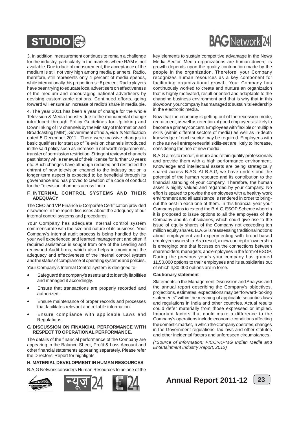

3. In addition, measurement continues to remain a challenge for the industry, particularly in the markets where RAM is not available. Due to lack of measurement, the acceptance of the medium is still not very high among media planners. Radio, therefore, still represents only 4 percent of media spends, while internationally this proportion is ~8 percent. Radio players have been trying to educate local advertisers on effectiveness of the medium and encouraging national advertisers by devising customizable options. Continued efforts, going forward will ensure an increase of radio's share in media pie.

4. The year 2011 has been a year of change for the whole Television & Media Industry due to the monumental change introduced through Policy Guidelines for Uplinking and Downlinking of TV channels by the Ministry of Information and Broadcasting ('MIB'), Government of India, vide its Notification dated 5 December 2011.. There were massive changes in basic qualifiers for start up of Television channels introduced in the said policy such as increase in net worth requirements, transfer of permission restriction, Stringent review of channels past history while renewal of their license for further 10 years etc. Such changes have although reduced and restricted the entrant of new television channel to the industry but on a longer term aspect is expected to be beneficial through its governance and has proved to creation of a code of conduct for the Television channels across India.

### F. **INTERNAL CONTROL SYSTEMS AND THEIR ADEQUACY**

The CEO and VP Finance & Corporate Certification provided elsewhere in the report discusses about the adequacy of our internal control systems and procedures.

Your Company has adequate internal control system commensurate with the size and nature of its business. Your Company's internal audit process is being handled by the your well experienced and learned management and often if required assistance is sought from one of the Leading and renowned Audit firms, which also helps in monitoring the adequacy and effectiveness of the internal control system and the status of compliance of operating systems and policies.

Your Company's Internal Control system is designed to:

- Safeguard the company's assets and to identify liabilities and managed it accordingly.
- Ensure that transactions are properly recorded and authorized.
- Ensure maintenance of proper records and processes that facilitates relevant and reliable information.
- Ensure compliance with applicable Laws and Regulations.

### **G. DISCUSSION ON FINANCIAL PERFORMANCE WITH RESPECT TO OPERATIONAL PERFORMANCE.**

The details of the financial performance of the Company are appearing in the Balance Sheet, Profit & Loss Account and other financial statements appearing separately. Please refer the Directors' Report for highlights.

### **H. MATERIAL DEVELOPMENT IN HUMAN RESOURCES**

B.A.G Network considers Human Resources to be one of the









key elements to sustain competitive advantage in the News Media Sector. Media organizations are human driven; its growth depends upon the quality contribution made by the people in the organization. Therefore, your Company recognizes human resources as a key component for facilitating organizational growth. Your Company has continuously worked to create and nurture an organization that is highly motivated, result oriented and adaptable to the changing business environment and that is why that in this slowdown your company has managed to sustain its leadership in the electronic media.

Now that the economy is getting out of the recession mode, recruitment, as well as retention of good employees is likely to become a primary concern. Employees with flexible or multiple skills (within different sectors of media) as well as in-depth knowledge of each sector may be required. Employees with niche as well entrepreneurial skills-set are likely to increase, considering the rise of new media.

B.A.G aims to recruit, nurture and retain quality professionals and provide them with a high performance environment. Knowledge and intellectual assets are being strategically shared across B.AG. At B.A.G, we have understood the potential of the human resource and its contribution to the financial standing of your company. Therefore, the human asset is highly valued and regarded by your company. No effort is spared to provide the employees with a healthy work environment and all assistance is rendered in order to bringout the best in each one of them. In this financial year your Company plans to extend the B.A.G. ESOP Scheme wherein it is proposed to issue options to all the employees of the Company and its subsidiaries, which could give rise to the issue of equity shares of the Company not exceeding ten million equity shares. B.A.G. is reassessing traditional notions about employment and experimenting with broad-based employee ownership. As a result, a new concept of ownership is emerging: one that focuses on the connections between shareholders, managers, and employees in the form of ESOP. During the previous year's your company has granted 11,50,000 options to their employees and its subsidiaries out of which 4,80,000 options are in force.

### **Cautionary statement**

Statements in the Management Discussion and Analysis and the annual report describing the Company's objectives, projections, estimates, expectations may be "forward-looking statements" within the meaning of applicable securities laws and regulations in India and other countries. Actual results could defer materially from those expressed or implied. Important factors that could make a difference to the Company's operations include economic conditions affecting the domestic market, in which the Company operates, changes in the Government regulations, tax laws and other statutes and other incidental factors and unforeseen circumstances.

*(\*Source of information: FICCI-KPMG Indian Media and Entertainment Industry Report, 2012)*

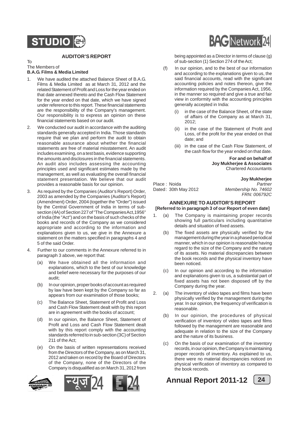## **STUDIO**

### **AUDITOR'S REPORT**

### To The Members of

### **B.A.G. Films & Media Limited**

- 1. We have audited the attached Balance Sheet of B.A.G. Films & Media Limited as at March 31, 2012 and the related Statement of Profit and Loss for the year ended on that date annexed thereto and the Cash Flow Statement for the year ended on that date, which we have signed under reference to this report. These financial statements are the responsibility of the Company's management. Our responsibility is to express an opinion on these financial statements based on our audit.
- 2. We conducted our audit in accordance with the auditing standards generally accepted in India. Those standards require that we plan and perform the audit to obtain reasonable assurance about whether the financial statements are free of material misstatement. An audit includes examining, on a test basis, evidence supporting the amounts and disclosures in the financial statements. An audit also includes assessing the accounting principles used and significant estimates made by the management, as well as evaluating the overall financial statement presentation. We believe that our audit provides a reasonable basis for our opinion.
- 3. As required by the Companies (Auditor's Report) Order, 2003 as amended by the Companies (Auditor's Report) (Amendment) Order, 2004 (together the "Order") issued by the Central Government of India in terms of subsection (4A) of Section 227 of "The Companies Act,1956" of India (the "Act") and on the basis of such checks of the books and records of the Company as we considered appropriate and according to the information and explanations given to us, we give in the Annexure a statement on the matters specified in paragraphs 4 and 5 of the said Order.
- 4. Further to our comments in the Annexure referred to in paragraph 3 above, we report that:
	- (a) We have obtained all the information and explanations, which to the best of our knowledge and belief were necessary for the purposes of our audit;
	- (b) In our opinion, proper books of account as required by law have been kept by the Company so far as appears from our examination of those books;
	- (c) The Balance Sheet, Statement of Profit and Loss and Cash Flow Statement dealt with by this report are in agreement with the books of account;
	- (d) In our opinion, the Balance Sheet, Statement of Profit and Loss and Cash Flow Statement dealt with by this report comply with the accounting standards referred to in sub-section (3C) of Section 211 of the Act;
	- (e) On the basis of written representations received from the Directors of the Company, as on March 31, 2012 and taken on record by the Board of Directors of the Company, none of the Directors of the Company is disqualified as on March 31, 2012 from









being appointed as a Director in terms of clause (g) of sub-section (1) Section 274 of the Act;

- (f) In our opinion, and to the best of our information and according to the explanations given to us, the said financial accounts, read with the significant accounting policies and notes thereon, give the information required by the Companies Act, 1956, in the manner so required and give a true and fair view in conformity with the accounting principles generally accepted in India:
	- (i) in the case of the Balance Sheet, of the state of affairs of the Company as at March 31, 2012;
	- (ii) in the case of the Statement of Profit and Loss, of the profit for the year ended on that date; and
	- (iii) in the case of the Cash Flow Statement, of the cash flow for the year ended on that date.

**For and on behalf of Joy Mukherjee & Associates** Chartered Accountants

Place : Noida *Partner* Dated: 30th May 2012

**Joy Mukherjee** *FRN: 006792C*

### **ANNEXURE TO AUDITOR'S REPORT**

### **[Referred to in paragraph 3 of our Report of even date]**

- 1. (a) The Company is maintaining proper records showing full particulars including quantitative details and situation of fixed assets.
	- (b) The fixed assets are physically verified by the management during the year in a phased periodical manner, which in our opinion is reasonable having regard to the size of the Company and the nature of its assets. No material discrepancies between the book records and the physical inventory have been noticed.
	- (c) In our opinion and according to the information and explanations given to us, a substantial part of fixed assets has not been disposed off by the Company during the year.
- 2. (a) The inventory of video tapes and films have been physically verified by the management during the year. In our opinion, the frequency of verification is reasonable.
	- (b) In our opinion, the procedures of physical verification of inventory of video tapes and films followed by the management are reasonable and adequate in relation to the size of the Company and the nature of its business.
	- (c) On the basis of our examination of the inventory records, in our opinion, the Company is maintaining proper records of inventory. As explained to us, there were no material discrepancies noticed on physical verification of inventory as compared to the book records.



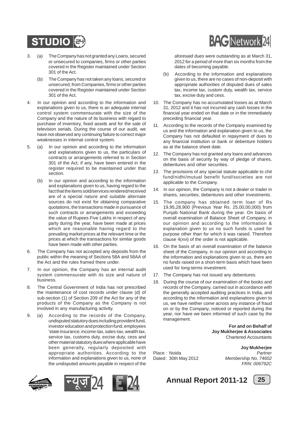

- 3. (a) The Company has not granted any Loans, secured or unsecured to companies, firms or other parties covered in the Register maintained under Section 301 of the Act.
	- (b) The Company has not taken any loans, secured or unsecured, from Companies, firms or other parties covered in the Register maintained under Section 301 of the Act.
- 4. In our opinion and according to the information and explanations given to us, there is an adequate internal control system commensurate with the size of the Company and the nature of its business with regard to purchase of inventory, fixed assets and for the sale of television serials. During the course of our audit, we have not observed any continuing failure to correct major weaknesses in internal control system.
- 5. (a) In our opinion and according to the information and explanations given to us, the particulars of contracts or arrangements referred to in Section 301 of the Act, if any, have been entered in the register required to be maintained under that section.
	- (b) In our opinion and according to the information and explanations given to us, having regard to the fact that the items sold/services rendered/received are of a special nature and suitable alternate sources do not exist for obtaining comparative quotations, the transactions made in pursuance of such contracts or arrangements and exceeding the value of Rupees Five Lakhs in respect of any party during the year, have been made at prices which are reasonable having regard to the prevailing market prices at the relevant time or the prices at which the transactions for similar goods have been made with other parties.
- 6. The Company has not accepted any deposits from the public within the meaning of Sections 58A and 58AA of the Act and the rules framed there under.
- 7. In our opinion, the Company has an internal audit system commensurate with its size and nature of business.
- 8. The Central Government of India has not prescribed the maintenance of cost records under clause (d) of sub-section (1) of Section 209 of the Act for any of the products of the Company as the Company is not involved in any manufacturing activity.
- 9. (a) According to the records of the Company, undisputed statutory dues including provident fund, investor education and protection fund, employees 'state insurance, income-tax, sales-tax, wealth tax, service tax, customs duty, excise duty, cess and other material statutory dues where applicable have been generally, regularly deposited with appropriate authorities. According to the information and explanations given to us, none of the undisputed amounts payable in respect of the









aforesaid dues were outstanding as at March 31, 2012 for a period of more than six months from the dates of becoming payable.

- (b) According to the information and explanations given to us, there are no cases of non-deposit with appropriate authorities of disputed dues of sales tax, income tax, custom duty, wealth tax, service tax, excise duty and cess.
- 10. The Company has no accumulated losses as at March 31, 2012 and it has not incurred any cash losses in the financial year ended on that date or in the immediately preceding financial year.
- 11. According to the records of the Company examined by us and the information and explanation given to us, the Company has not defaulted in repayment of dues to any financial institution or bank or debenture holders as at the balance sheet date.
- 12. The Company has not granted any loans and advances on the basis of security by way of pledge of shares, debentures and other securities.
- 13. The provisions of any special statute applicable to chit fund/nidhi/mutual benefit fund/societies are not applicable to the Company.
- 14. In our opinion, the Company is not a dealer or trader in shares, securities, debentures and other investments.
- 15. The company has obtained term loan of Rs 19,95,28,900 (Previous Year Rs. 25,00,00,000) from Punjab National Bank during the year. On basis of overall examination of Balance Sheet of Company, in our opinion and according to the information & explanation given to us no such funds is used for purpose other than for which it was raised. Therefore clause 4(xvi) of the order is not applicable.
- 16. On the basis of an overall examination of the balance sheet of the Company, in our opinion and according to the information and explanations given to us, there are no funds raised on a short-term basis which have been used for long-terms investment.
- 17. The Company has not issued any debentures.
- 18. During the course of our examination of the books and records of the Company, carried out in accordance with the generally accepted auditing practices in India, and according to the information and explanations given to us, we have neither come across any instance of fraud on or by the Company, noticed or reported during the year, nor have we been informed of such case by the management.

**For and on Behalf of Joy Mukherjee & Associates** Chartered Accountants

**Joy Mukherjee** Place : Noida *Partner* Dated: 30th May 2012 *Membership No. 74602 FRN: 006792C*



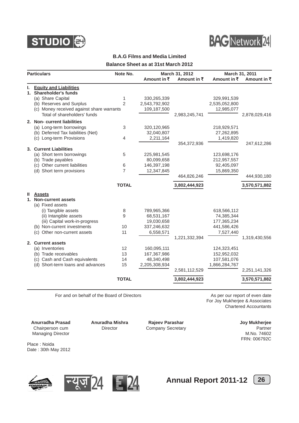



### **B.A.G Films and Media Limited Balance Sheet as at 31st March 2012**

|    | <b>Particulars</b>                        | Note No.       |                        | March 31, 2012 |                        | March 31, 2011      |
|----|-------------------------------------------|----------------|------------------------|----------------|------------------------|---------------------|
|    |                                           |                | Amount in $\bar{\tau}$ | Amount in ₹    | Amount in $\bar{\tau}$ | Amount in $\bar{x}$ |
| ı. | <b>Equity and Liabilities</b>             |                |                        |                |                        |                     |
|    | 1. Shareholder's funds                    |                |                        |                |                        |                     |
|    | (a) Share Capital                         | 1              | 330,265,339            |                | 329,991,539            |                     |
|    | (b) Reserves and Surplus                  | $\overline{2}$ | 2,543,792,902          |                | 2,535,052,800          |                     |
|    | (c) Money received against share warrants |                | 109,187,500            |                | 12,985,077             |                     |
|    | Total of shareholders' funds              |                |                        | 2,983,245,741  |                        | 2,878,029,416       |
|    | 2. Non-current liabilities                |                |                        |                |                        |                     |
|    | (a) Long-term borrowings                  | 3              | 320,120,965            |                | 218,929,571            |                     |
|    | (b) Deferred Tax liabilities (Net)        |                | 32,040,807             |                | 27,262,895             |                     |
|    | (c) Long-term Provisions                  | $\overline{4}$ | 2,211,164              |                | 1,419,820              |                     |
|    |                                           |                |                        | 354,372,936    |                        | 247,612,286         |
|    | 3. Current Liabilities                    |                |                        |                |                        |                     |
|    | (a) Short term borrowings                 | 5              | 225,981,545            |                | 123,698,176            |                     |
|    | (b) Trade payables                        |                | 80,099,658             |                | 212,957,557            |                     |
|    | (c) Other current liabilities             | 6              | 146,397,198            |                | 92,405,097             |                     |
|    | (d) Short term provisions                 | $\overline{7}$ | 12,347,845             |                | 15,869,350             |                     |
|    |                                           |                |                        | 464,826,246    |                        | 444,930,180         |
|    |                                           | <b>TOTAL</b>   |                        | 3,802,444,923  |                        | 3,570,571,882       |
| Ш  | <b>Assets</b>                             |                |                        |                |                        |                     |
| 1. | <b>Non-current assets</b>                 |                |                        |                |                        |                     |
|    | (a) Fixed assets                          |                |                        |                |                        |                     |
|    | (i) Tangible assets                       | 8              | 789,965,366            |                | 618,566,112            |                     |
|    | (ii) Intangible assets                    | 9              | 68,531,167             |                | 74,385,344             |                     |
|    | (iii) Capital work-in-progress            |                | 19,030,658             |                | 177,365,234            |                     |
|    | (b) Non-current investments               | 10             | 337,246,632            |                | 441,586,426            |                     |
|    | (c) Other non-current assets              | 11             | 6,558,571              |                | 7,527,440              |                     |
|    |                                           |                |                        | 1,221,332,394  |                        | 1,319,430,556       |
|    | 2. Current assets                         |                |                        |                |                        |                     |
|    | (a) Inventories                           | 12             | 160,095,111            |                | 124,323,451            |                     |
|    | (b) Trade receivables                     | 13             | 167,367,986            |                | 152,952,032            |                     |
|    | (c) Cash and Cash equivalents             | 14             | 48,340,498             |                | 107,581,076            |                     |
|    | (d) Short-term loans and advances         | 15             | 2,205,308,934          |                | 1,866,284,767          |                     |
|    |                                           |                |                        | 2,581,112,529  |                        | 2,251,141,326       |
|    |                                           | <b>TOTAL</b>   |                        | 3,802,444,923  |                        | 3,570,571,882       |
|    |                                           |                |                        |                |                        |                     |

For and on behalf of the Board of Directors **As per our report of even date** As per our report of even date

For Joy Mukherjee & Associates Chartered Accountants

**Anurradha Prasad Anuradha Mishra Rajeev Parashar Chairperson cum Chairperson Cum**<br>Chairperson cum Director Company Secretary Chairperson Cum Partner Chairperson cum **Director** Company Secretary **Company Company Secretary** Partner<br>Managing Director Managing Director Managing Director

FRN: 006792C

Place : Noida Date : 30th May 2012







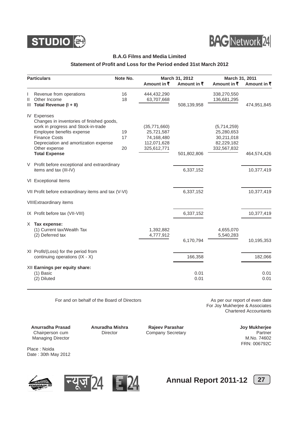



### **B.A.G Films and Media Limited**

### **Statement of Profit and Loss for the Period ended 31st March 2012**

|   | <b>Particulars</b>                                   | Note No. |                           | March 31, 2012 |                            | March 31, 2011 |  |
|---|------------------------------------------------------|----------|---------------------------|----------------|----------------------------|----------------|--|
|   |                                                      |          | Amount in ₹               | Amount in ₹    | Amount in ₹                | Amount in ₹    |  |
| Ш | Revenue from operations<br>Other Income              | 16<br>18 | 444,432,290<br>63,707,668 |                | 338,270,550<br>136,681,295 |                |  |
|   | III Total Revenue (I + II)                           |          |                           | 508,139,958    |                            | 474,951,845    |  |
|   | <b>IV Expenses</b>                                   |          |                           |                |                            |                |  |
|   | Changes in inventories of finished goods,            |          |                           |                |                            |                |  |
|   | work in progress and Stock-in-trade                  |          | (35,771,660)              |                | (5,714,259)                |                |  |
|   | Employee benefits expense                            | 19       | 25,721,587                |                | 25,280,653                 |                |  |
|   | <b>Finance Costs</b>                                 | 17       | 74,168,480                |                | 30,211,018                 |                |  |
|   | Depreciation and amortization expense                |          | 112,071,628               |                | 82,229,182                 |                |  |
|   | Other expense                                        | 20       | 325,612,771               |                | 332,567,832                |                |  |
|   | <b>Total Expense</b>                                 |          |                           | 501,802,806    |                            | 464,574,426    |  |
|   | V Profit before exceptional and extraordinary        |          |                           |                |                            |                |  |
|   | items and tax (III-IV)                               |          |                           | 6,337,152      |                            | 10,377,419     |  |
|   | VI Exceptional Items                                 |          |                           |                |                            |                |  |
|   | VII Profit before extraordinary items and tax (V-VI) |          |                           | 6,337,152      |                            | 10,377,419     |  |
|   | <b>VIIIExtraordinary items</b>                       |          |                           |                |                            |                |  |
|   | IX Profit before tax (VII-VIII)                      |          |                           | 6,337,152      |                            | 10,377,419     |  |
|   | $X$ Tax expense:                                     |          |                           |                |                            |                |  |
|   | (1) Current tax/Wealth Tax                           |          | 1,392,882                 |                | 4,655,070                  |                |  |
|   | (2) Deferred tax                                     |          | 4,777,912                 |                | 5,540,283                  |                |  |
|   |                                                      |          |                           | 6,170,794      |                            | 10,195,353     |  |
|   | XI Profit/(Loss) for the period from                 |          |                           |                |                            |                |  |
|   | continuing operations (IX - X)                       |          |                           | 166,358        |                            | 182,066        |  |
|   | XII Earnings per equity share:                       |          |                           |                |                            |                |  |
|   | (1) Basic                                            |          |                           | 0.01           |                            | 0.01           |  |
|   | (2) Diluted                                          |          |                           | 0.01           |                            | 0.01           |  |
|   |                                                      |          |                           |                |                            |                |  |

For and on behalf of the Board of Directors **As per our report of even date** 

For Joy Mukherjee & Associates Chartered Accountants

**Anurradha Prasad Anuradha Mishra Rajeev Parashar Chairperson cum Director Chairperson cum Director Company Secretary Chairperson Chairperson Chairperson Chairperson Chairperson Chairperson Chairperson Chairperson Chairper** Chairperson cum **Director** Company Secretary **Company Company Secretary** Partner<br>Managing Director Managing Director Managing Director

FRN: 006792C

Place : Noida Date : 30th May 2012







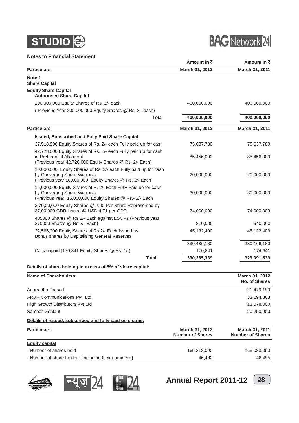

### **Notes to Financial Statement**



| Notes to Financial Statement                                                                                                                               | Amount in ₹    | Amount in ₹                     |
|------------------------------------------------------------------------------------------------------------------------------------------------------------|----------------|---------------------------------|
| <b>Particulars</b>                                                                                                                                         | March 31, 2012 | March 31, 2011                  |
| Note-1                                                                                                                                                     |                |                                 |
| <b>Share Capital</b>                                                                                                                                       |                |                                 |
| <b>Equity Share Capital</b><br><b>Authorised Share Capital</b>                                                                                             |                |                                 |
| 200,000,000 Equity Shares of Rs. 2/- each                                                                                                                  | 400,000,000    | 400,000,000                     |
| (Previous Year 200,000,000 Equity Shares @ Rs. 2/- each)                                                                                                   |                |                                 |
| <b>Total</b>                                                                                                                                               | 400,000,000    | 400,000,000                     |
| <b>Particulars</b>                                                                                                                                         | March 31, 2012 | March 31, 2011                  |
| Issued, Subscribed and Fully Paid Share Capital                                                                                                            |                |                                 |
| 37,518,890 Equity Shares of Rs. 2/- each Fully paid up for cash                                                                                            | 75,037,780     | 75,037,780                      |
| 42,728,000 Equity Shares of Rs. 2/- each Fully paid up for cash<br>in Preferential Allotment<br>(Previous Year 42,728,000 Equity Shares @ Rs. 2/- Each)    | 85,456,000     | 85,456,000                      |
| 10,000,000 Equity Shares of Rs. 2/- each Fully paid up for cash<br>by Converting Share Warrants<br>(Previous year 100,00,000 Equity Shares @ Rs. 2/- Each) | 20,000,000     | 20,000,000                      |
| 15,000,000 Equity Shares of R. 2/- Each Fully Paid up for cash<br>by Converting Share Warrants<br>(Previous Year 15,000,000 Equity Shares @ Rs.- 2/- Each  | 30,000,000     | 30,000,000                      |
| 3,70,00,000 Equity Shares @ 2.00 Per Share Represented by<br>37,00,000 GDR issued @ USD 4.71 per GDR                                                       | 74,000,000     | 74,000,000                      |
| 405000 Shares @ Rs.2/- Each against ESOPs (Previous year<br>270000 Shares @ Rs.2/- Each)                                                                   | 810,000        | 540,000                         |
| 22,566,200 Equity Shares of Rs.2/- Each Issued as<br>Bonus shares by Capitalising General Reserves                                                         | 45,132,400     | 45,132,400                      |
|                                                                                                                                                            | 330,436,180    | 330,166,180                     |
| Calls unpaid (170,841 Equity Shares @ Rs. 1/-)                                                                                                             | 170,841        | 174,641                         |
| <b>Total</b>                                                                                                                                               | 330,265,339    | 329,991,539                     |
| Details of share holding in excess of 5% of share capital:                                                                                                 |                |                                 |
| <b>Name of Shareholders</b>                                                                                                                                |                | March 31, 2012<br>No. of Shares |
| Anurradha Prasad                                                                                                                                           |                | 21,479,190                      |
| <b>ARVR Communications Pvt. Ltd.</b>                                                                                                                       |                | 33,194,868                      |
| High Growth Distributors Pvt Ltd                                                                                                                           |                | 13,078,000                      |
| Sameer Gehlaut                                                                                                                                             |                | 20,250,900                      |
| Details of issued, subscribed and fully paid up shares:                                                                                                    |                |                                 |

**Particulars March 31, 2012 March 31, 2012 March 31, 2011 Number of Shares Number of Shares Equity capital** - Number of shares held 165,218,090 165,218,090 165,083,090 165,083,090 165,083,090 165,083,090 165,083,090 165,083,090 166,083,090 166,083,090 166,083,090 166,083,090 166,083,090 166,083,090 166,083,090 167,083,090 167,08 - Number of share holders [including their nominees] 46,482 46,495



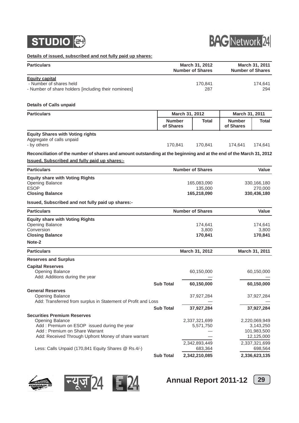



**Details of issued, subscribed and not fully paid up shares:**

| <u>Details of Issued, subscribed and not fully paid up shares:</u>                                                                                                                                                                                          |                            |                |                                                        |                            |                                                                                     |
|-------------------------------------------------------------------------------------------------------------------------------------------------------------------------------------------------------------------------------------------------------------|----------------------------|----------------|--------------------------------------------------------|----------------------------|-------------------------------------------------------------------------------------|
| <b>Particulars</b>                                                                                                                                                                                                                                          |                            |                | March 31, 2012<br><b>Number of Shares</b>              |                            | March 31, 2011<br><b>Number of Shares</b>                                           |
| <b>Equity capital</b><br>- Number of shares held<br>- Number of share holders [including their nominees]                                                                                                                                                    |                            |                | 170,841<br>287                                         |                            | 174,641<br>294                                                                      |
| <b>Details of Calls unpaid</b>                                                                                                                                                                                                                              |                            |                |                                                        |                            |                                                                                     |
| <b>Particulars</b>                                                                                                                                                                                                                                          |                            | March 31, 2012 |                                                        | March 31, 2011             |                                                                                     |
|                                                                                                                                                                                                                                                             | <b>Number</b><br>of Shares |                | <b>Total</b>                                           | <b>Number</b><br>of Shares | <b>Total</b>                                                                        |
| <b>Equity Shares with Voting rights</b><br>Aggregate of calls unpaid<br>- by others                                                                                                                                                                         | 170,841                    |                | 170,841                                                | 174,641                    | 174,641                                                                             |
| Reconciliation of the number of shares and amount outstanding at the beginning and at the end of the March 31, 2012                                                                                                                                         |                            |                |                                                        |                            |                                                                                     |
| <b>Issued, Subscribed and fully paid up shares:-</b>                                                                                                                                                                                                        |                            |                |                                                        |                            |                                                                                     |
| <b>Particulars</b>                                                                                                                                                                                                                                          |                            |                | <b>Number of Shares</b>                                |                            | Value                                                                               |
| <b>Equity share with Voting Rights</b><br>Opening Balance<br><b>ESOP</b><br><b>Closing Balance</b>                                                                                                                                                          |                            |                | 165,083,090<br>135,000<br>165,218,090                  |                            | 330, 166, 180<br>270,000<br>330,436,180                                             |
| Issued, Subscribed and not fully paid up shares:-                                                                                                                                                                                                           |                            |                |                                                        |                            |                                                                                     |
| <b>Particulars</b>                                                                                                                                                                                                                                          |                            |                | <b>Number of Shares</b>                                |                            | Value                                                                               |
| <b>Equity share with Voting Rights</b><br><b>Opening Balance</b><br>Conversion<br><b>Closing Balance</b><br>Note-2                                                                                                                                          |                            |                | 174,641<br>3,800<br>170,841                            |                            | 174,641<br>3,800<br>170,841                                                         |
| <b>Particulars</b>                                                                                                                                                                                                                                          |                            |                | March 31, 2012                                         |                            | March 31, 2011                                                                      |
| <b>Reserves and Surplus</b>                                                                                                                                                                                                                                 |                            |                |                                                        |                            |                                                                                     |
| <b>Capital Reserves</b><br><b>Opening Balance</b><br>Add: Additions during the year                                                                                                                                                                         | <b>Sub Total</b>           |                | 60,150,000<br>60,150,000                               |                            | 60,150,000<br>60,150,000                                                            |
| <b>General Reserves</b><br><b>Opening Balance</b><br>Add: Transferred from surplus in Statement of Profit and Loss                                                                                                                                          |                            |                | 37,927,284                                             |                            | 37,927,284                                                                          |
|                                                                                                                                                                                                                                                             | <b>Sub Total</b>           |                | 37,927,284                                             |                            | 37,927,284                                                                          |
| <b>Securities Premium Reserves</b><br><b>Opening Balance</b><br>Add: Premium on ESOP issued during the year<br>Add: Premium on Share Warrant<br>Add: Received Through Upfront Money of share warrant<br>Less: Calls Unpaid (170,841 Equity Shares @ Rs.4/-) |                            |                | 2,337,321,699<br>5,571,750<br>2,342,893,449<br>683,364 |                            | 2,220,069,949<br>3,143,250<br>101,983,500<br>12,125,000<br>2,337,321,699<br>698,564 |
|                                                                                                                                                                                                                                                             | <b>Sub Total</b>           |                | 2,342,210,085                                          |                            | 2,336,623,135                                                                       |





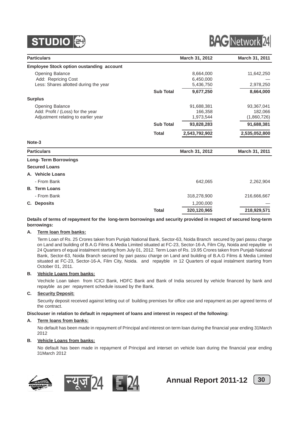



| <b>Particulars</b>                              |                  | March 31, 2012 | March 31, 2011 |
|-------------------------------------------------|------------------|----------------|----------------|
| <b>Employee Stock option oustanding account</b> |                  |                |                |
| <b>Opening Balance</b>                          |                  | 8,664,000      | 11,642,250     |
| Add: Repricing Cost                             |                  | 6,450,000      |                |
| Less: Shares allotted during the year           |                  | 5,436,750      | 2,978,250      |
|                                                 | <b>Sub Total</b> | 9,677,250      | 8,664,000      |
| <b>Surplus</b>                                  |                  |                |                |
| <b>Opening Balance</b>                          |                  | 91,688,381     | 93,367,041     |
| Add: Profit / (Loss) for the year               |                  | 166,358        | 182,066        |
| Adjustment relating to earlier year             |                  | 1,973,544      | (1,860,726)    |
|                                                 | <b>Sub Total</b> | 93,828,283     | 91,688,381     |
|                                                 | <b>Total</b>     | 2,543,792,902  | 2,535,052,800  |
| Note-3                                          |                  |                |                |
| <b>Particulars</b>                              |                  | March 31, 2012 | March 31, 2011 |
| <b>Long-Term Borrowings</b>                     |                  |                |                |
| <b>Secured Loans</b>                            |                  |                |                |
| A. Vehicle Loans                                |                  |                |                |
| - From Bank                                     |                  | 642,065        | 2,262,904      |
| <b>B.</b> Term Loans                            |                  |                |                |
| - From Bank                                     |                  | 318,278,900    | 216,666,667    |
| <b>Deposits</b><br>C.                           |                  | 1,200,000      |                |
|                                                 | <b>Total</b>     | 320,120,965    | 218,929,571    |

### **Details of terms of repayment for the long-term borrowings and security provided in respect of secured long-term borrowings:**

### **A. Term loan from banks:**

Term Loan of Rs. 25 Crores taken from Punjab National Bank, Sector-63, Noida Branch secured by pari passu charge on Land and building of B.A.G Films & Media Limited situated at FC-23, Sector-16-A, Film City, Noida and repayble in 24 Quarters of equal instalment starting from July 01, 2012. Term Loan of Rs. 19.95 Crores taken from Punjab National Bank, Sector-63, Noida Branch secured by pari passu charge on Land and building of B.A.G Films & Media Limited situated at FC-23, Sector-16-A, Film City, Noida. and repayble in 12 Quarters of equal instalment starting from October 01, 2011.

### **B. Vehicle Loans from banks:**

Vechicle Loan taken from ICICI Bank, HDFC Bank and Bank of India secured by vehicle financed by bank and repayble as per repayment schedule issued by the Bank.

### **C. Security Deposit:**

Security deposit received against letting out of building premises for office use and repayment as per agreed terms of the contract.

### **Disclouser in relation to default in repayment of loans and interest in respect of the following:**

### **A. Term loans from banks:**

No default has been made in repayment of Principal and interest on term loan during the financial year ending 31March 2012

### **B. Vehicle Loans from banks:**

No default has been made in repayment of Principal and interset on vehicle loan during the financial year ending 31March 2012









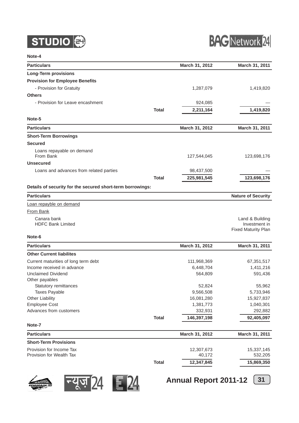



### **Note-4**

| <b>Particulars</b>                                         |              | March 31, 2012          | March 31, 2011                   |
|------------------------------------------------------------|--------------|-------------------------|----------------------------------|
| <b>Long-Term provisions</b>                                |              |                         |                                  |
| <b>Provision for Employee Benefits</b>                     |              |                         |                                  |
| - Provision for Gratuity                                   |              | 1,287,079               | 1,419,820                        |
| <b>Others</b>                                              |              |                         |                                  |
| - Provision for Leave encashment                           |              | 924,085                 |                                  |
|                                                            | <b>Total</b> | 2,211,164               | 1,419,820                        |
| Note-5                                                     |              |                         |                                  |
| <b>Particulars</b>                                         |              | March 31, 2012          | March 31, 2011                   |
| <b>Short-Term Borrowings</b>                               |              |                         |                                  |
| <b>Secured</b>                                             |              |                         |                                  |
| Loans repayable on demand<br>From Bank                     |              | 127,544,045             | 123,698,176                      |
| <b>Unsecured</b>                                           |              |                         |                                  |
| Loans and advances from related parties                    |              | 98,437,500              |                                  |
|                                                            | <b>Total</b> | 225,981,545             | 123,698,176                      |
|                                                            |              |                         |                                  |
| Details of security for the secured short-term borrowings: |              |                         |                                  |
| <b>Particulars</b>                                         |              |                         | <b>Nature of Security</b>        |
| Loan repayble on demand                                    |              |                         |                                  |
| <b>From Bank</b>                                           |              |                         |                                  |
| Canara bank<br><b>HDFC Bank Limited</b>                    |              |                         | Land & Building<br>Investment in |
| Note-6                                                     |              |                         | <b>Fixed Maturity Plan</b>       |
| <b>Particulars</b>                                         |              | March 31, 2012          | March 31, 2011                   |
| <b>Other Current liabilites</b>                            |              |                         |                                  |
| Current maturities of long term debt                       |              | 111,968,369             | 67,351,517                       |
| Income received in advance                                 |              | 6,448,704               | 1,411,216                        |
| <b>Unclaimed Dividend</b>                                  |              | 564,809                 | 591,436                          |
| Other payables                                             |              |                         |                                  |
| Statutory remittances                                      |              | 52,824                  | 55.962                           |
| <b>Taxes Payable</b><br><b>Other Liability</b>             |              | 9,566,508<br>16,081,280 | 5,733,946<br>15,927,837          |
| <b>Employee Cost</b>                                       |              | 1,381,773               | 1,040,301                        |
| Advances from customers                                    |              | 332,931                 | 292,882                          |
|                                                            | <b>Total</b> | 146,397,198             | 92,405,097                       |
| Note-7                                                     |              |                         |                                  |
| <b>Particulars</b>                                         |              | March 31, 2012          | March 31, 2011                   |
| <b>Short-Term Provisions</b>                               |              |                         |                                  |
| Provision for Income Tax                                   |              | 12,307,673              | 15,337,145                       |
| Provision for Wealth Tax                                   |              | 40,172                  | 532,205                          |
|                                                            | <b>Total</b> | 12,347,845              | 15,869,350                       |
|                                                            |              |                         |                                  |







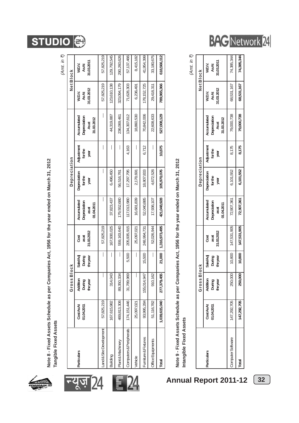

न्यूज़ 24

24

Note 8 - Fixed Assets Schedule as per Companies Act, 1956 for the year ended on March 31, 2012 **Note 8 - Fixed Assets Schedule as per Companies Act, 1956 for the year ended on March 31, 2012** Tangible Fixed Assets **Tangible Fixed Assets**

**STUDIO** 

|                         |                        |                               |                               |                            |                                                   |                                |                              |                                                   |                              | (Amt. in ₹)                  |
|-------------------------|------------------------|-------------------------------|-------------------------------|----------------------------|---------------------------------------------------|--------------------------------|------------------------------|---------------------------------------------------|------------------------------|------------------------------|
|                         |                        | GrossBlock                    |                               |                            |                                                   | Depreciation                   |                              |                                                   |                              | Net Block                    |
| Particulars             | CostAsAt<br>01.04.2011 | Addition<br>During<br>theyear | Sale/Adj<br>During<br>theyear | 31.03.2012<br>Cost<br>asat | Accumulated<br>Depreciation<br>01.04.2011<br>asat | depreciation<br>forthe<br>year | Adjustment<br>forthe<br>year | Accumulated<br>Depreciation<br>31.03.2012<br>Asat | 31.03.2012<br>AsAt<br>W.D.V. | 31.03.2011<br>W.D.V.<br>AsAt |
| and & Site Development  | 57,825,219             | I                             |                               | 57,825,219                 | I                                                 |                                |                              | I                                                 | 57,825,219                   | 57,825,219                   |
| Building                | 167,615,982            | 043<br>314,                   |                               | 167,930,025                | 37,823,437                                        | 6,496,450                      |                              | 44,319,887                                        | 123,610,138                  | 129,792,545                  |
| Plant & Machinery       | 469,813,306            | 334<br>89,350,                |                               | 559,163,640                | 179,552,680                                       | 56,516,781                     |                              | 236,069,461                                       | 323,094,179                  | 290,260,626                  |
| Computers & Peripherals | 174, 151, 446          | ,969<br>31,789,               | 5,500                         | 205,935,915                | 17,013,980                                        | 17,297,795                     | 4,163                        | 134,307,612                                       | 71,628,303                   | 57,137,466                   |
| Vehicle                 | 25,097,021             | I                             | I                             | 25,097,021                 | 16,681,839                                        | 2,178,691                      |                              | 18,860,530                                        | 6,236,491                    | 8,415,182                    |
| Furniture & Fixtures    | 93,995,284             | ,947<br>155,014,              | 15,500                        | 248,994,731                | 52,040,885                                        | 18,807,833                     | 6,712                        | 70,842,006                                        | 178, 152, 725                | 41,954,399                   |
| Office Equipments       | 51, 116, 782           | 910,162                       | I                             | 52,026,944                 | 17,936,107                                        | 4,672,526                      | I                            | 22,608,633                                        | 29,418,311                   | 33,180,675                   |
| Total                   | 1,039,615,040          | 277,379,455                   | 21,000                        | 1,316,973,495              | 421,048,928                                       | 105,970,076                    | 10,875                       | 527,008,129                                       | 789,965,366                  | 618,566,112                  |
|                         |                        |                               |                               |                            |                                                   |                                |                              |                                                   |                              |                              |

# Note 9 - Fixed Assets Schedule as per Companies Act, 1956 for the year ended on March 31, 2012 **Note 9 - Fixed Assets Schedule as per Companies Act, 1956 for the year ended on March 31, 2012**

Intangible Fixed Assets **Intangible Fixed Assets** *(Amt. in* `*)*

|                           |                       | GrossE                         | 31ock                          |                           |                                                   | Depreciation                   |                               |                                                          | Net Block                   |                              |
|---------------------------|-----------------------|--------------------------------|--------------------------------|---------------------------|---------------------------------------------------|--------------------------------|-------------------------------|----------------------------------------------------------|-----------------------------|------------------------------|
| <b>Particulars</b>        | CostAsAt<br>1.04.2011 | Addition<br>During<br>the year | Sale/Adj<br>During<br>the year | 1.03.2012<br>Cost<br>asat | Accumulated<br>depreciation<br>01.04.2011<br>asat | Depreciation<br>forthe<br>year | Adjustment<br>for the<br>year | Accumulated<br><b>Jepreciation</b><br>11.03.2012<br>Asat | 1.03.2012<br>AsAt<br>W.D.V. | 1.03.2011<br>W.D.V.<br>As At |
| Computer Software         | 147,292,705           | 250,000                        |                                | 10,800   147,531,905      | 72,907,361                                        | 6,101,552                      | 8,175                         | 79,000,738                                               | 68,531,167                  | 74,385,344                   |
| $\overline{\text{total}}$ | 47,292,705            | 250,000                        |                                | $10,800$   $147,531,905$  | 72,907,361                                        | 6,101,552                      | 8,175                         | 79,000,738                                               | 68,531,167                  | 74,385,344                   |

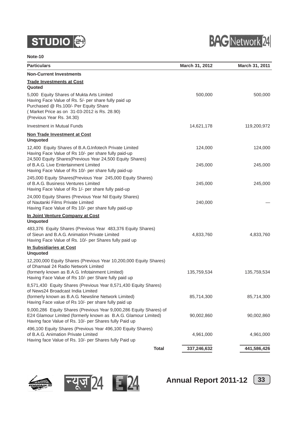# **STUDIO**



### **Note-10**

| <b>Particulars</b>                                                                                                                                                                                                      | March 31, 2012 | March 31, 2011 |
|-------------------------------------------------------------------------------------------------------------------------------------------------------------------------------------------------------------------------|----------------|----------------|
| <b>Non-Current Investments</b>                                                                                                                                                                                          |                |                |
| <b>Trade Investments at Cost</b><br>Quoted                                                                                                                                                                              |                |                |
| 5,000 Equity Shares of Mukta Arts Limited<br>Having Face Value of Rs. 5/- per share fully paid up<br>Purchased @ Rs.100/- Per Equity Share<br>(Market Price as on 31-03-2012 is Rs. 28.90)<br>(Previous Year Rs. 34.30) | 500,000        | 500,000        |
| Investment in Mutual Funds                                                                                                                                                                                              | 14,621,178     | 119,200,972    |
| <b>Non Trade Investment at Cost</b><br><b>Unquoted</b>                                                                                                                                                                  |                |                |
| 12,400 Equity Shares of B.A.G.Infotech Private Limited<br>Having Face Value of Rs 10/- per share fully paid-up<br>24,500 Equity Shares(Previous Year 24,500 Equity Shares)                                              | 124,000        | 124,000        |
| of B.A.G. Live Entertainment Limited<br>Having Face Value of Rs 10/- per share fully paid-up                                                                                                                            | 245,000        | 245,000        |
| 245,000 Equity Shares(Previous Year 245,000 Equity Shares)<br>of B.A.G. Business Ventures Limited<br>Having Face Value of Rs 1/- per share fully paid-up                                                                | 245,000        | 245,000        |
| 24,000 Equity Shares (Previous Year Nil Equity Shares)<br>of Nautanki Films Private Limited<br>Having Face Value of Rs 10/- per share fully paid-up                                                                     | 240,000        |                |
| In Joint Venture Company at Cost<br><b>Unquoted</b>                                                                                                                                                                     |                |                |
| 483,376 Equity Shares (Previous Year 483,376 Equity Shares)<br>of Sieun and B.A.G. Animation Private Limited<br>Having Face Value of Rs. 10/- per Shares fully paid up                                                  | 4,833,760      | 4,833,760      |
| In Subsidiaries at Cost<br><b>Unquoted</b>                                                                                                                                                                              |                |                |
| 12,200,000 Equity Shares (Previous Year 10,200,000 Equity Shares)<br>of Dhamaal 24 Radio Network Limited                                                                                                                |                |                |
| (formerly known as B.A.G. Infotainment Limited)<br>Having Face Value of Rs 10/- per Share fully paid up                                                                                                                 | 135,759,534    | 135,759,534    |
| 8,571,430 Equity Shares (Previous Year 8,571,430 Equity Shares)<br>of News24 Broadcast India Limited                                                                                                                    |                |                |
| (formerly known as B.A.G. Newsline Network Limited)<br>Having Face value of Rs 10/- per share fully paid up                                                                                                             | 85,714,300     | 85,714,300     |
| 9,000,286 Equity Shares (Previous Year 9,000,286 Equity Shares) of<br>E24 Glamour Limited (formerly known as B.A.G. Glamour Limited)<br>Having face Value of Rs. 10/- per Shares fully Paid up                          | 90,002,860     | 90,002,860     |
| 496,100 Equity Shares (Previous Year 496,100 Equity Shares)<br>of B.A.G. Animation Private Limited<br>Having face Value of Rs. 10/- per Shares fully Paid up                                                            | 4,961,000      | 4,961,000      |
| <b>Total</b>                                                                                                                                                                                                            | 337,246,632    | 441,586,426    |





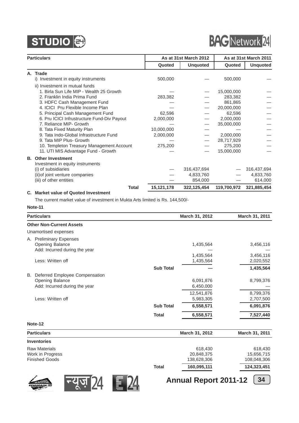

# **BAG** Network 24

|    | <b>Particulars</b>                          |            | As at 31st March 2012 |             | As at 31st March 2011 |
|----|---------------------------------------------|------------|-----------------------|-------------|-----------------------|
|    |                                             | Quoted     | <b>Unquoted</b>       | Quoted      | <b>Unquoted</b>       |
| А. | <b>Trade</b>                                |            |                       |             |                       |
|    | i) Investment in equity instruments         | 500,000    |                       | 500,000     |                       |
|    | ii) Investment in mutual funds              |            |                       |             |                       |
|    | 1. Birla Sun Life MIP - Wealth 25 Growth    |            |                       | 15,000,000  |                       |
|    | 2. Franklin India Prima Fund                | 283,382    |                       | 283,382     |                       |
|    | 3. HDFC Cash Management Fund                |            |                       | 861,865     |                       |
|    | 4. ICICI Pru Flexible Income Plan           |            |                       | 20,000,000  |                       |
|    | 5. Principal Cash Management Fund           | 62,596     |                       | 62,596      |                       |
|    | 6. Pru ICICI Infrustructure Fund-Div Payout | 2,000,000  |                       | 2,000,000   |                       |
|    | 7. Reliance MIP- Growth                     |            |                       | 35,000,000  |                       |
|    | 8. Tata Fixed Maturity Plan                 | 10,000,000 |                       |             |                       |
|    | 9. Tata Indo-Global Infrastructure Fund     | 2,000,000  |                       | 2,000,000   |                       |
|    | 9. Tata MIP Plus- Growth                    |            |                       | 28,717,929  |                       |
|    | 10. Templeton Treasury Management Account   | 275,200    |                       | 275,200     |                       |
|    | 11. UTI MIS Advantage Fund - Growth         |            |                       | 15,000,000  |                       |
|    | <b>B.</b> Other Investment                  |            |                       |             |                       |
|    | Investment in equity instruments            |            |                       |             |                       |
|    | (i) of subsidiaries                         |            | 316,437,694           |             | 316,437,694           |
|    | (ii) of joint venture companies             |            | 4,833,760             |             | 4,833,760             |
|    | (iii) of other entities                     |            | 854,000               |             | 614,000               |
|    | <b>Total</b>                                | 15,121,178 | 322,125,454           | 119,700,972 | 321,885,454           |
|    | C. Market value of Quoted Investment        |            |                       |             |                       |

The current market value of investment in Mukta Arts limited is Rs. 144,500/-

### **Note-11**

| <b>Particulars</b>                                                                              |                  | March 31, 2012          | March 31, 2011         |
|-------------------------------------------------------------------------------------------------|------------------|-------------------------|------------------------|
| <b>Other Non-Current Assets</b>                                                                 |                  |                         |                        |
| Unamortised expenses                                                                            |                  |                         |                        |
| <b>Preliminary Expenses</b><br>А.<br><b>Opening Balance</b><br>Add: Incurred during the year    |                  | 1,435,564               | 3,456,116              |
| Less: Written off                                                                               |                  | 1,435,564<br>1,435,564  | 3,456,116<br>2,020,552 |
|                                                                                                 | <b>Sub Total</b> |                         | 1,435,564              |
| Deferred Employee Compensation<br>В.<br><b>Opening Balance</b><br>Add: Incurred during the year |                  | 6,091,876<br>6,450,000  | 8,799,376              |
| Less: Written off                                                                               |                  | 12,541,876<br>5,983,305 | 8,799,376<br>2,707,500 |
|                                                                                                 | <b>Sub Total</b> | 6,558,571               | 6,091,876              |
|                                                                                                 | <b>Total</b>     | 6,558,571               | 7,527,440              |
| Note-12                                                                                         |                  |                         |                        |

|              | March 31, 2012 | March 31, 2011 |
|--------------|----------------|----------------|
|              |                |                |
|              | 618,430        | 618,430        |
|              | 20,848,375     | 15,656,715     |
|              | 138,628,306    | 108,048,306    |
| <b>Total</b> | 160,095,111    | 124,323,451    |
|              |                |                |





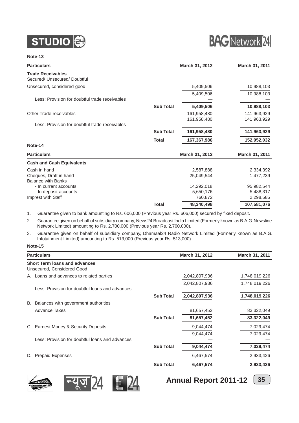



#### **Note-13**

| <b>Particulars</b>                                       |                  | March 31, 2012             | March 31, 2011             |
|----------------------------------------------------------|------------------|----------------------------|----------------------------|
| <b>Trade Receivables</b><br>Secured/ Unsecured/ Doubtful |                  |                            |                            |
| Unsecured, considered good                               |                  | 5,409,506                  | 10,988,103                 |
|                                                          |                  | 5,409,506                  | 10,988,103                 |
| Less: Provision for doubtful trade receivables           |                  |                            |                            |
|                                                          | <b>Sub Total</b> | 5,409,506                  | 10,988,103                 |
| Other Trade receivables                                  |                  | 161,958,480<br>161,958,480 | 141,963,929<br>141,963,929 |
| Less: Provision for doubtful trade receivables           |                  |                            |                            |
|                                                          | <b>Sub Total</b> | 161,958,480                | 141,963,929                |
|                                                          | <b>Total</b>     | 167,367,986                | 152,952,032                |
| Note-14                                                  |                  |                            |                            |
| <b>Particulars</b>                                       |                  | March 31, 2012             | March 31, 2011             |
| <b>Cash and Cash Equivalents</b>                         |                  |                            |                            |
| Cash in hand                                             |                  | 2,587,888                  | 2,334,392                  |
| Cheques, Draft in hand<br><b>Balance with Banks</b>      |                  | 25,049,544                 | 1,477,239                  |
| - In current accounts                                    |                  | 14,292,018                 | 95,982,544                 |
| - In deposit accounts                                    |                  | 5,650,176                  | 5,488,317                  |
| Imprest with Staff                                       |                  | 760,872                    | 2,298,585                  |
|                                                          | <b>Total</b>     | 48,340,498                 | 107,581,076                |

1. Guarantee given to bank amounting to Rs. 606,000 (Previous year Rs. 606,000) secured by fixed deposit.

2. Guarantee given on behalf of subsidiary company, News24 Broadcast India Limited (Formerly known as B.A.G. Newsline Network Limited) amounting to Rs. 2,700,000 (Previous year Rs. 2,700,000).

3. Guarantee given on behalf of subsidiary company, Dhamaal24 Radio Network Limited (Formerly known as B.A.G. Infotainment Limited) amounting to Rs. 513,000 (Previous year Rs. 513,000).

#### **Note-15**

| <b>Particulars</b>                                                 |                  | March 31, 2012 | <b>March 31, 2011</b> |
|--------------------------------------------------------------------|------------------|----------------|-----------------------|
| <b>Short Term loans and advances</b><br>Unsecured, Considered Good |                  |                |                       |
| A. Loans and advances to related parties                           |                  | 2,042,807,936  | 1,748,019,226         |
| Less: Provision for doubtful loans and advances                    |                  | 2,042,807,936  | 1,748,019,226         |
|                                                                    | <b>Sub Total</b> | 2,042,807,936  | 1,748,019,226         |
| Balances with government authorities<br>В.                         |                  |                |                       |
| Advance Taxes                                                      |                  | 81,657,452     | 83,322,049            |
|                                                                    | <b>Sub Total</b> | 81,657,452     | 83,322,049            |
| C. Earnest Money & Security Deposits                               |                  | 9,044,474      | 7,029,474             |
|                                                                    |                  | 9,044,474      | 7,029,474             |
| Less: Provision for doubtful loans and advances                    |                  |                |                       |
|                                                                    | <b>Sub Total</b> | 9,044,474      | 7,029,474             |
| <b>Prepaid Expenses</b><br>D.                                      |                  | 6,467,574      | 2,933,426             |
|                                                                    | <b>Sub Total</b> | 6,467,574      | 2,933,426             |





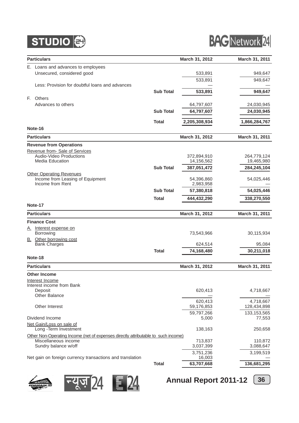



|    | <b>Particulars</b>                                                                |                  | March 31, 2012       | March 31, 2011 |
|----|-----------------------------------------------------------------------------------|------------------|----------------------|----------------|
|    | E. Loans and advances to employees                                                |                  |                      |                |
|    | Unsecured, considered good                                                        |                  | 533,891              | 949,647        |
|    |                                                                                   |                  | 533,891              | 949,647        |
|    | Less: Provision for doubtful loans and advances                                   |                  |                      |                |
|    |                                                                                   | <b>Sub Total</b> | 533,891              | 949,647        |
| E. | Others                                                                            |                  |                      |                |
|    | Advances to others                                                                |                  | 64,797,607           | 24,030,945     |
|    |                                                                                   | <b>Sub Total</b> | 64,797,607           | 24,030,945     |
|    |                                                                                   | <b>Total</b>     | 2,205,308,934        | 1,866,284,767  |
|    | Note-16                                                                           |                  |                      |                |
|    | <b>Particulars</b>                                                                |                  | March 31, 2012       | March 31, 2011 |
|    | <b>Revenue from Operations</b>                                                    |                  |                      |                |
|    | Revenue from-Sale of Services                                                     |                  |                      |                |
|    | Audio-Video Productions                                                           |                  | 372,894,910          | 264,779,124    |
|    | Media Education                                                                   |                  | 14,156,562           | 19,465,980     |
|    |                                                                                   | <b>Sub Total</b> | 387,051,472          | 284,245,104    |
|    | <b>Other Operating Revenues</b><br>Income from Leasing of Equipment               |                  | 54,396,860           | 54,025,446     |
|    | Income from Rent                                                                  |                  | 2,983,958            |                |
|    |                                                                                   | <b>Sub Total</b> | 57,380,818           | 54,025,446     |
|    |                                                                                   | <b>Total</b>     | 444,432,290          | 338,270,550    |
|    | Note-17                                                                           |                  |                      |                |
|    | <b>Particulars</b>                                                                |                  | March 31, 2012       | March 31, 2011 |
|    | <b>Finance Cost</b>                                                               |                  |                      |                |
| А. | Interest expense on                                                               |                  |                      |                |
|    | Borrowing                                                                         |                  | 73,543,966           | 30,115,934     |
|    | <b>B.</b> Other borrowing cost                                                    |                  |                      |                |
|    | <b>Bank Charges</b>                                                               |                  | 624,514              | 95,084         |
|    |                                                                                   | <b>Total</b>     | 74,168,480           | 30,211,018     |
|    | Note-18                                                                           |                  |                      |                |
|    | <b>Particulars</b>                                                                |                  | March 31, 2012       | March 31, 2011 |
|    | <b>Other Income</b>                                                               |                  |                      |                |
|    | Interest Income                                                                   |                  |                      |                |
|    | Interest income from Bank<br>Deposit                                              |                  | 620,413              | 4,718,667      |
|    | Other Balance                                                                     |                  |                      |                |
|    |                                                                                   |                  | 620,413              | 4,718,667      |
|    | Other Interest                                                                    |                  | 59,176,853           | 128,434,898    |
|    |                                                                                   |                  | 59,797,266           | 133, 153, 565  |
|    | Dividend Income                                                                   |                  | 5,000                | 77,553         |
|    | Net Gain/Loss on sale of<br>Long - Term Investment                                |                  | 138,163              | 250,658        |
|    | Other Non-Operating Income (net of expenses directly attributable to such income) |                  |                      |                |
|    | Miscellaneous income                                                              |                  | 713,837              | 110,872        |
|    | Sundry balance w/off                                                              |                  | 3,037,399            | 3,088,647      |
|    |                                                                                   |                  | 3,751,236            | 3,199,519      |
|    | Net gain on foreign currency transactions and translation                         | <b>Total</b>     | 16,003<br>63,707,668 | 136,681,295    |
|    |                                                                                   |                  |                      |                |







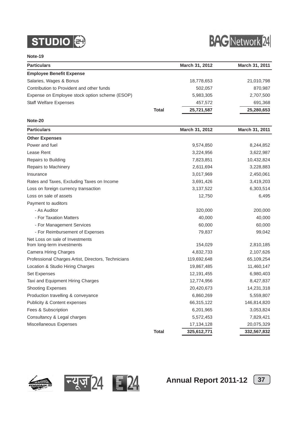



**Note-19**

| <b>Particulars</b>                                  |              | March 31, 2012 | March 31, 2011 |
|-----------------------------------------------------|--------------|----------------|----------------|
| <b>Employee Benefit Expense</b>                     |              |                |                |
| Salaries, Wages & Bonus                             |              | 18,778,653     | 21,010,798     |
| Contribution to Provident and other funds           |              | 502,057        | 870,987        |
| Expense on Employee stock option scheme (ESOP)      |              | 5,983,305      | 2,707,500      |
| <b>Staff Welfare Expenses</b>                       |              | 457,572        | 691,368        |
|                                                     | <b>Total</b> | 25,721,587     | 25,280,653     |
| Note-20                                             |              |                |                |
| <b>Particulars</b>                                  |              | March 31, 2012 | March 31, 2011 |
| <b>Other Expenses</b>                               |              |                |                |
| Power and fuel                                      |              | 9,574,850      | 8,244,852      |
| Lease Rent                                          |              | 3,224,956      | 3,622,987      |
| Repairs to Building                                 |              | 7,823,851      | 10,432,824     |
| Repairs to Machinery                                |              | 2,611,694      | 3,228,883      |
| Insurance                                           |              | 3,017,969      | 2,450,061      |
| Rates and Taxes, Excluding Taxes on Income          |              | 3,691,426      | 3,419,203      |
| Loss on foreign currency transaction                |              | 3,137,522      | 6,303,514      |
| Loss on sale of assets                              |              | 12,750         | 6,495          |
| Payment to auditors                                 |              |                |                |
| - As Auditor                                        |              | 320,000        | 200,000        |
| - For Taxation Matters                              |              | 40,000         | 40,000         |
| - For Management Services                           |              | 60,000         | 60,000         |
| - For Reimbursement of Expenses                     |              | 79,837         | 99,042         |
| Net Loss on sale of Investments                     |              |                |                |
| from long-term investments                          |              | 154,029        | 2,810,185      |
| <b>Camera Hiring Charges</b>                        |              | 4,832,733      | 2,107,626      |
| Professional Charges Artist, Directors, Technicians |              | 119,692,648    | 65,109,254     |
| Location & Studio Hiring Charges                    |              | 19,867,485     | 11,460,147     |
| Set Expenses                                        |              | 12,191,455     | 6,980,403      |
| Taxi and Equipment Hiring Charges                   |              | 12,774,956     | 8,427,837      |
| <b>Shooting Expenses</b>                            |              | 20,420,673     | 14,231,318     |
| Production travelling & conveyance                  |              | 6,860,269      | 5,559,807      |
| Publicity & Content expenses                        |              | 66,315,122     | 146,814,820    |
| Fees & Subscription                                 |              | 6,201,965      | 3,053,824      |
| Consultancy & Legal charges                         |              | 5,572,453      | 7,829,421      |
| Miscellaneous Expenses                              |              | 17,134,128     | 20,075,329     |
|                                                     | <b>Total</b> | 325,612,771    | 332,567,832    |





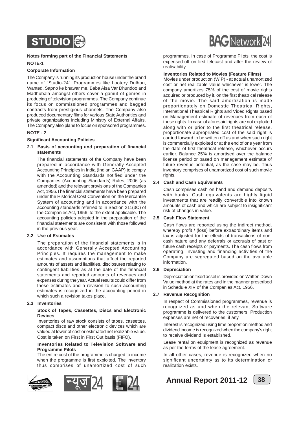

#### **Notes forming part of the Financial Statements NOTE-1**

#### **Corporate Information**

The Company is running its production house under the brand name of "Studio-24". Programmes like Lootery Dulhan, Wanted, Sapno ke bhawar me, Baba Aisa Var Dhundoo and Madhubala amongst others cover a gamut of genres in producing of television programmes. The Company continue its focus on commissioned programmes and bagged contracts from prestigious channels. The Company also produced documentary films for various State Authorities and private organizations including Ministry of External Affairs. The Company also plans to focus on sponsored programmes.

#### **NOTE - 2**

#### **Significant Accounting Policies**

#### **2.1 Basis of accounting and preparation of financial statements**

The financial statements of the Company have been prepared in accordance with Generally Accepted Accounting Principles in India (Indian GAAP) to comply with the Accounting Standards notified under the Companies (Accounting Standards) Rules, 2006 (as amended) and the relevant provisions of the Companies Act, 1956.The financial statements have been prepared under the Historical Cost Convention on the Mercantile System of accounting and in accordance with the accounting standards referred to in Section 211(3C) of the Companies Act, 1956, to the extent applicable. The accounting policies adopted in the preparation of the financial statements are consistent with those followed in the previous year.

#### **2.2 Use of Estimates**

The preparation of the financial statements is in accordance with Generally Accepted Accounting Principles. It requires the management to make estimates and assumptions that affect the reported amounts of assets and liabilities, disclosures relating to contingent liabilities as at the date of the financial statements and reported amounts of revenues and expenses during the year. Actual results could differ from these estimates and a revision to such accounting estimates is recognized in the accounting period in which such a revision takes place.

#### **2.3 Inventories**

#### **Stock of Tapes, Cassettes, Discs and Electronic Devices**

Inventories of raw stock consists of tapes, cassettes, compact discs and other electronic devices which are valued at lower of cost or estimated net realizable value. Cost is taken on First in First Out basis (FIFO).

#### **Inventories Related to Television Software and Programme Pilots**

The entire cost of the programme is charged to income when the programme is first exploited. The inventory thus comprises of unamortized cost of such









programmes. In case of Programme Pilots, the cost is expensed-off on first telecast and after the review of realisability.

#### **Inventories Related to Movies (Feature Films)**

Movies under production (WIP) - at actual unamortized cost or net realizable value whichever is lower. The company amortizes 75% of the cost of movie rights acquired or produced by it, on the first theatrical release of the movie. The said amortization is made proportionately on Domestic Theatrical Rights, International Theatrical Rights and Video Rights based on Management estimate of revenues from each of these rights. In case of aforesaid rights are not exploited along with or prior to the first theatrical release, proportionate appropriated cost of the said right is carried forward to be written off as and when such right is commercially exploited or at the end of one year from the date of first theatrical release, whichever occurs earlier. Balance 25% is amortised over the balance license period or based on management estimate of future revenue potential, as the case may be. Thus inventory comprises of unamortized cost of such movie rights.

#### **2.4 Cash and Cash Equivalents**

Cash comprises cash on hand and demand deposits with banks. Cash equivalents are highly liquid investments that are readily convertible into known amounts of cash and which are subject to insignificant risk of changes in value.

#### **2.5 Cash Flow Statement**

Cash flows are reported using the indirect method, whereby profit / (loss) before extraordinary items and tax is adjusted for the effects of transactions of noncash nature and any deferrals or accruals of past or future cash receipts or payments. The cash flows from operating, investing and financing activities of the Company are segregated based on the available information.

#### **2.6 Depreciation**

Depreciation on fixed asset is provided on Written Down Value method at the rates and in the manner prescribed in Schedule XIV of the Companies Act, 1956.

#### **2.7 Revenue Recognition**

In respect of Commissioned programmes, revenue is recognized as and when the relevant Software programme is delivered to the customers. Production expenses are net of recoveries, if any.

Interest is recognized using time proportion method and dividend income is recognized when the company's right to receive dividend is established.

Lease rental on equipment is recognized as revenue as per the terms of the lease agreement.

In all other cases, revenue is recognized when no significant uncertainty as to its determination or realization exists.

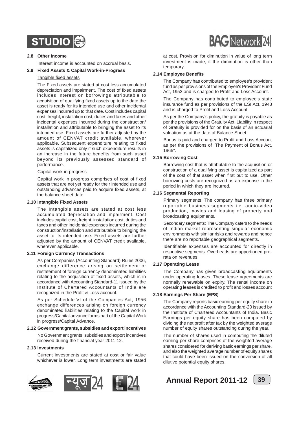

#### **2.8 Other Income**

Interest income is accounted on accrual basis.

#### **2.9 Fixed Assets & Capital Work-in-Progress**

#### Tangible fixed assets

The Fixed assets are stated at cost less accumulated depreciation and impairment. The cost of fixed assets includes interest on borrowings attributable to acquisition of qualifying fixed assets up to the date the asset is ready for its intended use and other incidental expenses incurred up to that date. Cost includes capital cost, freight, installation cost, duties and taxes and other incidental expenses incurred during the construction/ installation and attributable to bringing the asset to its intended use. Fixed assets are further adjusted by the amount of CENVAT credit available, wherever applicable. Subsequent expenditure relating to fixed assets is capitalized only if such expenditure results in an increase in the future benefits from such asset beyond its previously assessed standard of performance.

#### Capital work-in-progress

Capital work in progress comprises of cost of fixed assets that are not yet ready for their intended use and outstanding advances paid to acquire fixed assets, at the balance sheet date.

#### **2.10 Intangible Fixed Assets**

The Intangible assets are stated at cost less accumulated depreciation and impairment. Cost includes capital cost, freight, installation cost, duties and taxes and other incidental expenses incurred during the construction/installation and attributable to bringing the asset to its intended use. Fixed assets are further adjusted by the amount of CENVAT credit available, wherever applicable.

#### **2.11 Foreign Currency Transactions**

As per Companies (Accounting Standard) Rules 2006, exchange difference arising on settlement or restatement of foreign currency denominated liabilities relating to the acquisition of fixed assets, which is in accordance with Accounting Standard-11 issued by the Institute of Chartered Accountants of India are recognized in the Profit & Loss account.

As per Schedule-VI of the Companies Act, 1956 exchange differences arising on foreign currency denominated liabilities relating to the Capital work in progress/Capital advance forms part of the Capital Work in progress/Capital Advance.

#### **2.12 Government grants, subsidies and export incentives**

No Government grants, subsidies and export incentives received during the financial year 2011-12.

#### **2.13 Investments**

Current investments are stated at cost or fair value whichever is lower. Long term investments are stated





at cost. Provision for diminution in value of long term investment is made, if the diminution is other than temporary.

#### **2.14 Employee Benefits**

The Company has contributed to employee's provident fund as per provisions of the Employee's Provident Fund Act, 1952 and is charged to Profit and Loss Account.

The Company has contributed to employee's state insurance fund as per provisions of the ESI Act, 1948 and is charged to Profit and Loss Account.

As per the Company's policy, the gratuity is payable as per the provisions of the Gratuity Act. Liability in respect of Gratuity is provided for on the basis of an actuarial valuation as at the date of Balance Sheet.

Bonus is paid and charged to Profit and Loss Account as per the provisions of "The Payment of Bonus Act, 1965".

#### **2.15 Borrowing Cost**

Borrowing cost that is attributable to the acquisition or construction of a qualifying asset is capitalized as part of the cost of that asset when first put to use. Other borrowing costs are recognized as an expense in the period in which they are incurred.

#### **2.16 Segmental Reporting**

Primary segments: The company has three primary reportable business segments i.e. audio-video production, movies and leasing of property and broadcasting equipments.

Secondary segments: The Company caters to the needs of Indian market representing singular economic environments with similar risks and rewards and hence there are no reportable geographical segments.

Identifiable expenses are accounted for directly in respective segments. Overheads are apportioned prorata on revenues.

#### **2.17 Operating Lease**

The Company has given broadcasting equipments under operating leases. These lease agreements are normally renewable on expiry. The rental income on operating leases is credited to profit and losses account

#### **2.18 Earnings Per Share (EPS)**

The Company reports basic earning per equity share in accordance with the Accounting Standard-20 issued by the Institute of Chartered Accountants of India. Basic Earnings per equity share has been computed by dividing the net profit after tax by the weighted average number of equity shares outstanding during the year.

The number of shares used in computing the diluted earning per share comprises of the weighted average shares considered for deriving basic earnings per share, and also the weighted average number of equity shares that could have been issued on the conversion of all dilutive potential equity shares.

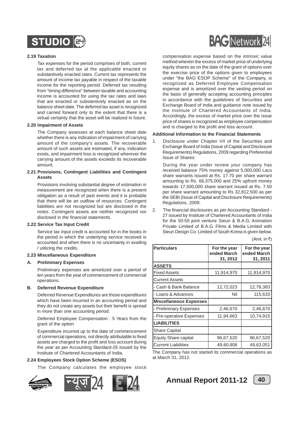

#### **2.19 Taxation**

Tax expenses for the period comprises of both, current tax and deferred tax at the applicable enacted or substantively enacted rates. Current tax represents the amount of income tax payable in respect of the taxable income for the reporting period. Deferred tax resulting from "timing difference" between taxable and accounting income is accounted for using the tax rates and laws that are enacted or substantively enacted as on the balance sheet date. The deferred tax asset is recognized and carried forward only to the extent that there is a virtual certainty that the asset will be realized in future.

#### **2.20 Impairment of Assets**

The Company assesses at each balance sheet date whether there is any indication of impairment of carrying amount of the company's assets. The recoverable amount of such assets are estimated, if any, indication exists, and impairment loss is recognized wherever the carrying amount of the assets exceeds its recoverable amount.

#### **2.21 Provisions, Contingent Liabilities and Contingent Assets**

Provisions involving substantial degree of estimation in measurement are recognized when there is a present obligation as a result of past events and it is probable that there will be an outflow of resources. Contingent liabilities are not recognized but are disclosed in the notes. Contingent assets are neither recognized nor disclosed in the financial statements.

#### **2.22 Service Tax Input Credit**

Service tax input credit is accounted for in the books in the period in which the underlying service received is accounted and when there is no uncertainty in availing / utilizing the credits.

#### **2.23 Miscellaneous Expenditure**

#### **A. Preliminary Expenses**

Preliminary expenses are amortized over a period of ten years from the year of commencement of commercial operations.

#### **B. Deferred Revenue Expenditure**

Deferred Revenue Expenditures are those expenditures which have been incurred in an accounting period and they do not create any assets but their benefit is spread in more than one accounting period.

Deferred Employee Compensation : 5 Years from the grant of the option

Expenditure incurred up to the date of commencement of commercial operations, not directly attributable to fixed assets are charged to the profit and loss account during the year as per Accounting Standard-26 issued by the Institute of Chartered Accountants of India.

#### **2.24 Employees Stock Option Scheme (ESOS)**

The Company calculates the employee stock







compensation expense based on the intrinsic value method wherein the excess of market price of underlying equity shares as on the date of the grant of options over the exercise price of the options given to employees under "the BAG ESOP Scheme" of the Company, is recognized as Deferred Employee Compensation expense and is amortized over the vesting period on the basis of generally accepting accounting principles in accordance with the guidelines of Securities and Exchange Board of India and guidance note issued by the Institute of Chartered Accountants of India. Accordingly, the excess of market price over the issue price of shares is recognized as employee compensation and is charged to the profit and loss account.

#### **Additional Information to the Financial Statements**

1. Disclosure under Chapter VII of the Securities and Exchange Board of India (Issue of Capital and Disclosure Requirements) Regulations, 2009 regarding Preferential Issue of Shares:

During the year under review your company has received balance 75% money against 5,000,000 Lacs share warrants issued at Rs. 17.70 per share warrant amounting to Rs. 66,375,000 and 25% upfront money towards 17,500,000 share warrant issued at Rs. 7.50 per share warrant amounting to Rs 32,812,500 as per the SEBI (Issue of Capital and Disclosure Requirements) Regulations, 2009.

2. The financial disclosures as per Accounting Standard - 27 issued by Institute of Chartered Accountants of India for the 50:50 joint venture Sieun & B.A.G. Animation Private Limited of B.A.G. Films & Media Limited with Sieun Design Co. Limited of South Korea is given below.

 $(Amt. in ₹)$ 

| <b>Particulars</b>            | For the year<br>ended March<br>31, 2012 | For the year<br>ended March<br>31, 2011 |
|-------------------------------|-----------------------------------------|-----------------------------------------|
| <b>ASSETS</b>                 |                                         |                                         |
| Fixed Assets                  | 11,914,970                              | 11,914,970                              |
| <b>Current Assets</b>         |                                         |                                         |
| - Cash & Bank Balance         | 12,72,023                               | 12,78,383                               |
| - Loans & Advances            | Nil                                     | 115,633                                 |
| <b>Miscellaneous Expenses</b> |                                         |                                         |
| - Preliminary Expenses        | 2,46,670                                | 2,46,670                                |
| - Pre-operative Expenses      | 11,94,663                               | 10,74,915                               |
| <b>LIABILITIES</b>            |                                         |                                         |
| <b>Share Capital</b>          |                                         |                                         |
| <b>Equity Share capital</b>   | 96,67,520                               | 96,67,520                               |
| <b>Current Liabilities</b>    | 49,60,806                               | 49,63,051                               |

The Company has not started its commercial operations as at March 31, 2012.

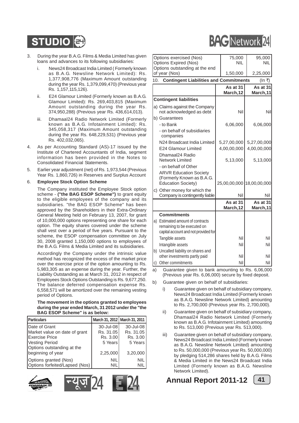### **STUDIO**

- 3. During the year B.A.G. Films & Media Limited has given loans and advances to its following subsidiaries:
	- i. News24 Broadcast India Limited ( Formerly known as B.A.G. Newsline Network Limited): Rs. 1,377,908,776 (Maximum Amount outstanding during the year Rs. 1,379,099,470) (Previous year Rs. 1,157,115,126).
	- ii. E24 Glamour Limited (Formerly known as B.A.G. Glamour Limited): Rs. 269,403,815 (Maximum Amount outstanding during the year Rs. 374,950,288) (Previous year Rs. 436,614,013).
	- iii. Dhamaal24 Radio Network Limited (Formerly known as B.A.G. Infotainment Limited): Rs. 345,058,317 (Maximum Amount outstanding during the year Rs. 648,229,531) (Previous year Rs. 402,032,065).
- 4. As per Accounting Standard (AS)-17 issued by the Institute of Chartered Accountants of India, segment information has been provided in the Notes to Consolidated Financial Statements.
- 5. Earlier year adjustment (net) of Rs. 1,973,544 (Previous Year Rs. 1,860,726) in Reserves and Surplus Account

#### 6. **Employee Stock Option Scheme**

The Company instituted the Employee Stock option scheme - **("the BAG ESOP Scheme")** to grant equity to the eligible employees of the company and its subsidiaries. "the BAG ESOP Scheme" has been approved by the Shareholders in their Extra-Ordinary General Meeting held on February 13, 2007, for grant of 10,000,000 options representing one share for each option. The equity shares covered under the scheme shall vest over a period of five years. Pursuant to the scheme, the ESOP compensation committee on July 30, 2008 granted 1,150,000 options to employees of the B.A.G. Films & Media Limited and its subsidiaries.

Accordingly the Company under the intrinsic value method has recognized the excess of the market price over the exercise price of the option amounting to Rs. 5,983,305 as an expense during the year. Further, the Liability Outstanding as at March 31, 2012 in respect of Employees Stock Options Outstanding is Rs. 9,677,250. The balance deferred compensation expense Rs. 6,558,571 will be amortized over the remaining vesting period of Options.

#### **The movement in the options granted to employees during the year ended March, 31 2012 under the "the BAG ESOP Scheme" is as below:**

| Particulars                    | March 31, 2012 March 31, 2011 |            |
|--------------------------------|-------------------------------|------------|
| Date of Grant                  | 30-Jul-08                     | 30-Jul-08  |
| Market value on date of grant  | Rs. 31.05                     | Rs. 31.05  |
| Exercise Price                 | Rs. 3.00                      | Rs. 3.00   |
| Vesting Period                 | 5 Years                       | 5 Years    |
| Options outstanding at the     |                               |            |
| beginning of year              | 2,25,000                      | 3,20,000   |
| Options granted (Nos)          | <b>NIL</b>                    | <b>NIL</b> |
| Options forfeited/Lapsed (Nos) | ΝIΙ                           |            |







|     | Options exercised (Nos)                                        |  | 75,000                | 95,000                    |
|-----|----------------------------------------------------------------|--|-----------------------|---------------------------|
|     | <b>Options Expired (Nos)</b>                                   |  | <b>NIL</b>            | NIL                       |
|     | Options outstanding at the end                                 |  |                       |                           |
|     | of year (Nos)                                                  |  | 1,50,000              | 2,25,000                  |
| 10. | <b>Contingent Liabilities and Commitments</b>                  |  |                       | (In ₹)                    |
|     |                                                                |  | As at 31<br>March, 12 | As at 31<br>March,11      |
|     | <b>Contingent liabilities</b>                                  |  |                       |                           |
|     |                                                                |  |                       |                           |
|     | a) Claims against the Company<br>not acknowledged as debt      |  | Nil                   | Nil                       |
|     | b) Guarantees                                                  |  |                       |                           |
|     | - to Bank                                                      |  | 6,06,000              | 6,06,000                  |
|     | - on behalf of subsidiaries<br>companies                       |  |                       |                           |
|     | N24 Broadcast India Limited                                    |  | 5,27,00,000           | 5,27,00,000               |
|     | E24 Glamour Limited                                            |  | 4,00,00,000           | 4,00,00,000               |
|     | Dhamaal24 Radio                                                |  |                       |                           |
|     | <b>Network Limited</b>                                         |  | 5,13,000              | 5,13,000                  |
|     | - on behalf of Other                                           |  |                       |                           |
|     | <b>ARVR Education Society</b>                                  |  |                       |                           |
|     | (Formerly Known as B.A.G.<br><b>Education Society)</b>         |  |                       | 25,00,00,000 18,00,00,000 |
|     |                                                                |  |                       |                           |
|     | c) Other money for which the<br>Company is contingently liable |  | Nil                   | Nil                       |
|     |                                                                |  | As at 31              | As at 31                  |
|     |                                                                |  | March, 12             | March,11                  |
|     | <b>Commitments</b>                                             |  |                       |                           |
|     | a) Estimated amount of contracts                               |  |                       |                           |
|     | remaining to be executed on                                    |  |                       |                           |
|     | capital account and not provided for                           |  |                       |                           |
|     | Tangible assets                                                |  | Nil                   | Nil                       |
|     | Intangible assets                                              |  | Nil                   | Nil                       |
|     | b) Uncalled liability on shares and                            |  |                       |                           |
|     | other investments partly paid                                  |  | Nil                   | Nil                       |
| C)  | Other commitments                                              |  | Nil                   | Nil                       |

**BAC** Network 24

a) Guarantee given to bank amounting to Rs. 6,06,000 (Previous year Rs. 6,06,000) secure by fixed deposit.

- b) Guarantee given on behalf of subsidiaries:
	- i) Guarantee given on behalf of subsidiary company, News24 Broadcast India Limited (Formerly known as B.A.G. Newsline Network Limited) amounting to Rs. 2,700,000 (Previous year Rs. 2,700,000).
	- ii) Guarantee given on behalf of subsidiary company, Dhamaal24 Radio Network Limited (Formerly known as B.A.G. Infotainment Limited) amounting to Rs. 513,000 (Previous year Rs. 513,000).
	- iii) Guarantee given on behalf of subsidiary company, News24 Broadcast India Limited (Formerly known as B.A.G. Newsline Network Limited) amounting to Rs. 50,000,000 (Previous year Rs. 50,000,000) by pledging 514,286 shares held by B.A.G. Films & Media Limited in the News24 Broadcast India Limited (Formerly known as B.A.G. Newsline Network Limited).

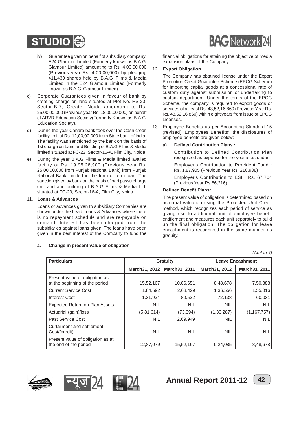

- iv) Guarantee given on behalf of subsidiary company, E24 Glamour Limited (Formerly known as B.A.G. Glamour Limited) amounting to Rs. 4,00,00,000 (Previous year Rs. 4,00,00,000) by pledging 411,430 shares held by B.A.G. Films & Media Limited in the E24 Glamour Limited (Formerly known as B.A.G. Glamour Limited).
- c) Corporate Guarantees given in favour of bank by creating charge on land situated at Plot No. HS-20, Sector-B-7, Greater Noida amounting to Rs. 25,00,00,000 (Previous year Rs. 18,00,00,000) on behalf of ARVR Education Society(Formerly Known as B.A.G. Education Society).
- d) During the year Canara bank took over the Cash credit facility limit of Rs. 12,00,00,000 from State bank of India. The facility was sanctioned by the bank on the basis of 1st charge on Land and Building of B.A.G Films & Media limited situated at FC-23, Sector-16-A, Film City, Noida.
- e) During the year B.A.G Films & Media limited availed facility of Rs. 19,95,28,900 (Previous Year Rs. 25,00,00,000 from Punjab National Bank) from Punjab National Bank Limited in the form of term loan. The sanction given by bank on the basis of pari passu charge on Land and building of B.A.G Films & Media Ltd. situated at FC-23, Sector-16-A, Film City, Noida.

#### 11. **Loans & Advances**

Loans or advances given to subsidiary Companies are shown under the head Loans & Advances where there is no repayment schedule and are re-payable on demand. Interest has been charged from the subsidiaries against loans given. The loans have been given in the best interest of the Company to fund the

#### **a. Change in present value of obligation**



financial obligations for attaining the objective of media expansion plans of the Company.

#### 12. **Export Obligation**

The Company has obtained license under the Export Promotion Credit Guarantee Scheme (EPCG Scheme) for importing capital goods at a concessional rate of custom duty against submission of undertaking to custom department. Under the terms of the EPCG Scheme, the company is required to export goods or services of at least Rs. 43,52,16,860 (Previous Year Rs. Rs. 43,52,16,860) within eight years from issue of EPCG Licenses.

13. Employee Benefits as per Accounting Standard 15 (revised) 'Employees Benefits', the disclosures of employee benefits are given below:

#### **a) Defined Contribution Plans :**

Contribution to Defined Contribution Plan recognized as expense for the year is as under:

Employer's Contribution to Provident Fund : Rs. 1,87,905 (Previous Year Rs. 210,938)

Employer's Contribution to ESI : Rs. 67,704 (Previous Year Rs.86,216)

#### **Defined Benefit Plans:**

The present value of obligation is determined based on actuarial valuation using the Projected Unit Credit method, which recognizes each period of service as giving rise to additional unit of employee benefit entitlement and measures each unit separately to build up the final obligation. The obligation for leave encashment is recognized in the same manner as gratuity.

 $(Amt in ₹)$ 

| <b>Particulars</b>                                               | <b>Gratuity</b> |               |               | <b>Leave Encashment</b> |
|------------------------------------------------------------------|-----------------|---------------|---------------|-------------------------|
|                                                                  | March31, 2012   | March31, 2011 | March31, 2012 | March31, 2011           |
| Present value of obligation as<br>at the beginning of the period | 15,52,167       | 10,06,651     | 8,48,678      | 7,50,388                |
| <b>Current Service Cost</b>                                      | 1,84,592        | 2,68,429      | 1,36,556      | 1,55,016                |
| Interest Cost                                                    | 1,31,934        | 80,532        | 72,138        | 60,031                  |
| <b>Expected Return on Plan Assets</b>                            | <b>NIL</b>      | <b>NIL</b>    | <b>NIL</b>    | <b>NIL</b>              |
| Actuarial (gain)/loss                                            | (5,81,614)      | (73, 394)     | (1, 33, 287)  | (1,167,757)             |
| Past Service Cost                                                | <b>NIL</b>      | 2,69,949      | <b>NIL</b>    | <b>NIL</b>              |
| Curtailment and settlement<br>Cost/(credit)                      | <b>NIL</b>      | <b>NIL</b>    | <b>NIL</b>    | <b>NIL</b>              |
| Present value of obligation as at<br>the end of the period       | 12,87,079       | 15,52,167     | 9,24,085      | 8,48,678                |





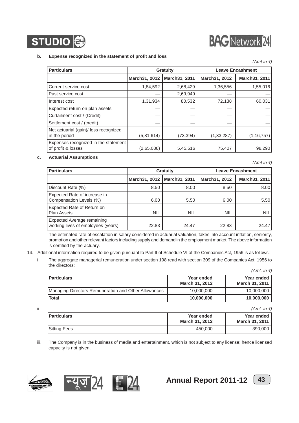

## **BAG** Network 24

#### **b. Expense recognized in the statement of profit and loss**

|                                                            |                 |               |               | (Amt in ₹)              |
|------------------------------------------------------------|-----------------|---------------|---------------|-------------------------|
| <b>Particulars</b>                                         | <b>Gratuity</b> |               |               | <b>Leave Encashment</b> |
|                                                            | March31, 2012   | March31, 2011 | March31, 2012 | March31, 2011           |
| Current service cost                                       | 1,84,592        | 2,68,429      | 1,36,556      | 1,55,016                |
| Past service cost                                          |                 | 2,69,949      |               |                         |
| Interest cost                                              | 1,31,934        | 80,532        | 72,138        | 60,031                  |
| Expected return on plan assets                             |                 |               |               |                         |
| Curtailment cost / (Credit)                                |                 |               |               |                         |
| Settlement cost / (credit)                                 |                 |               |               |                         |
| Net actuarial (gain)/ loss recognized<br>in the period     | (5,81,614)      | (73, 394)     | (1, 33, 287)  | (1, 16, 757)            |
| Expenses recognized in the statement<br>of profit & losses | (2,65,088)      | 5,45,516      | 75,407        | 98,290                  |

#### **c. Actuarial Assumptions**

**Particulars Constanting Enterprise Constanting Cratuity Constanting Leave Encashment March31, 2012 March31, 2011 March31, 2012 March31, 2011** Discount Rate (%)  $8.50$  8.00 8.00 8.50 8.00 Expected Rate of increase in Compensation Levels (%) 6.00 5.50 6.00 5.50 Expected Rate of Return on Plan Assets | NIL | NIL | NIL | NIL Expected Average remaining working lives of employees (years) 22.83 24.47 22.83 24.47

The estimated rate of escalation in salary considered in actuarial valuation, takes into account inflation, seniority, promotion and other relevant factors including supply and demand in the employment market. The above information is certified by the actuary.

- 14. Additional information required to be given pursuant to Part II of Schedule VI of the Companies Act, 1956 is as follows:
	- i. The aggregate managerial remuneration under section 198 read with section 309 of the Companies Act, 1956 to the directors:  $(Amt \in \bar{\tau})$

| <b>Particulars</b>                                   | Year ended     | Year ended     |
|------------------------------------------------------|----------------|----------------|
|                                                      | March 31, 2012 | March 31, 2011 |
| Managing Directors Remuneration and Other Allowances | 10,000,000     | 10,000,000     |
| <b>Total</b>                                         | 10,000,000     | 10,000,000     |

| н. |                     |                                     | (Amt, in ₹)                         |
|----|---------------------|-------------------------------------|-------------------------------------|
|    | <b>IParticulars</b> | Year ended<br><b>March 31, 2012</b> | Year ended<br><b>March 31, 2011</b> |
|    | Sitting Fees        | 450,000                             | 390,000                             |

iii. The Company is in the business of media and entertainment, which is not subject to any license; hence licensed capacity is not given.









 $(Amt in ₹)$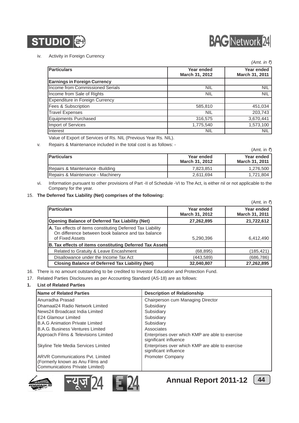



#### iv. Activity in Foreign Currency

|                                        |                              | $(Amt.$ in ₹)                |
|----------------------------------------|------------------------------|------------------------------|
| <b>Particulars</b>                     | Year ended<br>March 31, 2012 | Year ended<br>March 31, 2011 |
| <b>Earnings in Foreign Currency</b>    |                              |                              |
| Income from Commissioned Serials       | <b>NIL</b>                   | <b>NIL</b>                   |
| Income from Sale of Rights             | <b>NIL</b>                   | <b>NIL</b>                   |
| <b>Expenditure in Foreign Currency</b> |                              |                              |
| Fees & Subscription                    | 585,810                      | 451,034                      |
| <b>Travel Expenses</b>                 | <b>NIL</b>                   | 203,743                      |
| <b>Equipments Purchased</b>            | 316,575                      | 3,670,441                    |
| Import of Services                     | 1,775,540                    | 1,573,100                    |
| Interest                               | NIL                          | <b>NIL</b>                   |

Value of Export of Services of Rs. NIL (Previous Year Rs. NIL).

v. Repairs & Maintenance included in the total cost is as follows: -

|                                   |                              | (Amt. in ₹)                                |
|-----------------------------------|------------------------------|--------------------------------------------|
| <b>Particulars</b>                | Year ended<br>March 31, 2012 | <b>Year ended</b><br><b>March 31, 2011</b> |
| Repairs & Maintenance - Building  | 7.823.851                    | 1,276,500                                  |
| Repairs & Maintenance - Machinery | 2.611.694                    | 1.721.804                                  |

vi. Information pursuant to other provisions of Part -II of Schedule -VI to The Act, is either nil or not applicable to the Company for the year.

#### 15. **The Deferred Tax Liability (Net) comprises of the following:**

|                                                                                                                                      |                              | (Amt. in ₹)                  |
|--------------------------------------------------------------------------------------------------------------------------------------|------------------------------|------------------------------|
| <b>Particulars</b>                                                                                                                   | Year ended<br>March 31, 2012 | Year ended<br>March 31, 2011 |
| <b>Opening Balance of Deferred Tax Liability (Net)</b>                                                                               | 27,262,895                   | 21,722,612                   |
| A. Tax effects of items constituting Deferred Tax Liability<br>On difference between book balance and tax balance<br>of Fixed Assets | 5,290,396                    | 6,412,490                    |
| B. Tax effects of items constituting Deferred Tax Assets                                                                             |                              |                              |
| Related to Gratuity & Leave Encashment                                                                                               | (68, 895)                    | (185,421)                    |
| Disallowance under the Income Tax Act                                                                                                | (443,589)                    | (686,786)                    |
| <b>Closing Balance of Deferred Tax Liability (Net)</b>                                                                               | 32,040,807                   | 27,262,895                   |

- 16. There is no amount outstanding to be credited to Investor Education and Protection Fund.
- 17. Related Parties Disclosures as per Accounting Standard (AS-18) are as follows:

#### **1. List of Related Parties**

| Name of Related Parties                                                                                        | <b>Description of Relationship</b>                                       |
|----------------------------------------------------------------------------------------------------------------|--------------------------------------------------------------------------|
| Anurradha Prasad                                                                                               | Chairperson cum Managing Director                                        |
| Dhamaal24 Radio Network Limited                                                                                | Subsidiary                                                               |
| News24 Broadcast India Limited                                                                                 | Subsidiary                                                               |
| <b>E24 Glamour Limited</b>                                                                                     | Subsidiary                                                               |
| <b>B.A.G Animation Private Limited</b>                                                                         | Subsidiary                                                               |
| <b>B.A.G. Business Ventures Limited</b>                                                                        | Associates                                                               |
| Approach Films & Televisions Limited                                                                           | Enterprises over which KMP are able to exercise<br>significant influence |
| Skyline Tele Media Services Limited                                                                            | Enterprises over which KMP are able to exercise<br>significant influence |
| <b>ARVR Communications Pyt. Limited</b><br>(Formerly known as Anu Films and<br>Communications Private Limited) | <b>Promoter Company</b>                                                  |









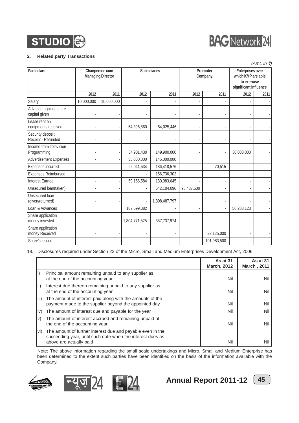



#### **2. Related party Transactions**

|                                        | (Amt. in ₹) |                                             |               |               |                     |             |                                                                                |      |
|----------------------------------------|-------------|---------------------------------------------|---------------|---------------|---------------------|-------------|--------------------------------------------------------------------------------|------|
| Particulars                            |             | Chairperson cum<br><b>Managing Director</b> |               | Subsidiaries  | Promoter<br>Company |             | Enterprises over<br>which KMP are able<br>to exercise<br>significant influence |      |
|                                        | 2012        | 2011                                        | 2012          | 2011          | 2012                | 2011        | 2012                                                                           | 2011 |
| Salary                                 | 10,000,000  | 10,000,000                                  |               |               |                     |             |                                                                                |      |
| Advance against share<br>capital given |             |                                             |               |               |                     |             |                                                                                |      |
| Lease rent on<br>equipments received   |             |                                             | 54,396,860    | 54,025,446    |                     |             |                                                                                |      |
| Security deposit<br>Receipt - Refunded |             |                                             |               |               |                     |             |                                                                                |      |
| Income from Television<br>Programming  |             |                                             | 34,901,430    | 149,900,000   |                     | ÷,          | 30,000,000                                                                     |      |
| <b>Advertisement Expenses</b>          |             |                                             | 35,000,000    | 145,000,000   |                     |             |                                                                                |      |
| Expenses incurred                      |             |                                             | 92,041,534    | 186,418,576   |                     | 70,515      |                                                                                |      |
| <b>Expenses Reimbursed</b>             |             |                                             |               | 156,736,302   |                     |             |                                                                                |      |
| <b>Interest Earned</b>                 |             |                                             | 59,156,584    | 130,983,645   |                     |             |                                                                                |      |
| Unsecured loan(taken)                  |             |                                             |               | 642,104,096   | 98,437,500          |             |                                                                                |      |
| Unsecured Ioan<br>(given/returned)     |             |                                             |               | 1,398,487,797 |                     |             |                                                                                |      |
| Loan & Advances                        |             |                                             | 187,599,382   |               |                     |             | 50,288,123                                                                     |      |
| Share application<br>money invested    |             |                                             | 1,804,771,525 | 357,737,974   |                     |             |                                                                                |      |
| Share application<br>money Received    |             |                                             |               |               |                     | 22,125,000  |                                                                                |      |
| Share's issued                         |             |                                             |               |               |                     | 101,983,500 |                                                                                |      |

18. Disclosures required under Section 22 of the Micro, Small and Medium Enterprises Development Act, 2006

|        |                                                                                                                                                     | As at 31<br><b>March, 2012</b> | As at 31<br><b>March, 2011</b> |
|--------|-----------------------------------------------------------------------------------------------------------------------------------------------------|--------------------------------|--------------------------------|
|        | Principal amount remaining unpaid to any supplier as<br>at the end of the accounting year                                                           | Nil                            | Nil                            |
| lii)   | Interest due thereon remaining unpaid to any supplier as<br>at the end of the accounting year                                                       | Nil                            | Nil                            |
| l iii) | The amount of interest paid along with the amounts of the<br>payment made to the supplier beyond the appointed day                                  | Nil                            | Nil                            |
| , iv)  | The amount of interest due and payable for the year                                                                                                 | Nil                            | Nil                            |
| V)     | The amount of interest accrued and remaining unpaid at<br>the end of the accounting year                                                            | Nil                            | Nil                            |
| Vİ)    | The amount of further interest due and payable even in the<br>succeeding year, until such date when the interest dues as<br>above are actually paid | Nil                            | Nil                            |

Note: The above information regarding the small scale undertakings and Micro, Small and Medium Enterprise has been determined to the extent such parties have been identified on the basis of the information available with the Company.







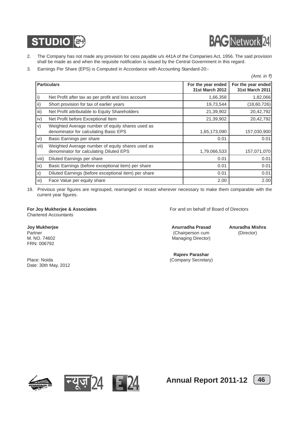



- 2. The Company has not made any provision for cess payable u/s 441A of the Companies Act, 1956. The said provision shall be made as and when the requisite notification is issued by the Central Government in this regard.
- 3. Earnings Per Share (EPS) is Computed in Accordance with Accounting Standard-20:-

|       |                                                                                             |                                              | (Amt. in ₹)                           |
|-------|---------------------------------------------------------------------------------------------|----------------------------------------------|---------------------------------------|
|       | <b>Particulars</b>                                                                          | For the year ended<br><b>31st March 2012</b> | For the year ended<br>31st March 2011 |
| i)    | Net Profit after tax as per profit and loss account                                         | 1,66,358                                     | 1,82,066                              |
| ii)   | Short provision for tax of earlier years                                                    | 19,73,544                                    | (18,60,726)                           |
| iii)  | Net Profit attributable to Equity Shareholders                                              | 21,39,902                                    | 20,42,792                             |
| iv)   | Net Profit before Exceptional Item                                                          | 21,39,902                                    | 20,42,792                             |
| V)    | Weighted Average number of equity shares used as<br>denominator for calculating Basic EPS   | 1,65,173,090                                 | 157,030,900                           |
| vi)   | Basic Earnings per share                                                                    | 0.01                                         | 0.01                                  |
| vii)  | Weighted Average number of equity shares used as<br>denominator for calculating Diluted EPS | 1,79,066,533                                 | 157,071,070                           |
| viii) | Diluted Earnings per share                                                                  | 0.01                                         | 0.01                                  |
| ix)   | Basic Earnings (before exceptional item) per share                                          | 0.01                                         | 0.01                                  |
| X)    | Diluted Earnings (before exceptional item) per share                                        | 0.01                                         | 0.01                                  |
| xi)   | Face Value per equity share                                                                 | 2.00                                         | 2.00                                  |

19. Previous year figures are regrouped, rearranged or recast wherever necessary to make them comparable with the current year figures.

Chartered Accountants

FRN: 006792

Place: Noida (Company Secretary) Date: 30th May, 2012

**For Joy Mukherjee & Associates** For and on behalf of Board of Directors

**Joy Mukherjee Anurradha Prasad Anuradha Mishra** Partner (Director) **Partner (Proportional Chairperson cum** (Director) M. NO. 74602 Managing Director)

**Rajeev Parashar**







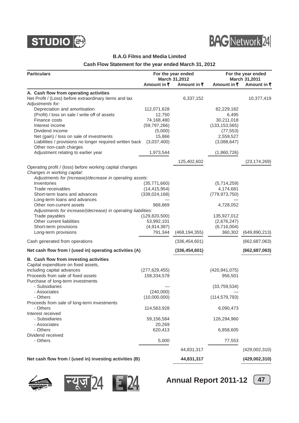



#### **B.A.G Films and Media Limited**

#### **Cash Flow Statement for the year ended March 31, 2012**

| <b>Particulars</b>                                            |                 | For the year ended<br>March 31,2012 | For the year ended<br><b>March 31,2011</b> |                 |  |
|---------------------------------------------------------------|-----------------|-------------------------------------|--------------------------------------------|-----------------|--|
|                                                               | Amount in ₹     | Amount in ₹                         | Amount in ₹                                | Amount in ₹     |  |
| A. Cash flow from operating activities                        |                 |                                     |                                            |                 |  |
| Net Profit / (Loss) before extraordinary items and tax        |                 | 6,337,152                           |                                            | 10,377,419      |  |
| Adjustments for:                                              |                 |                                     |                                            |                 |  |
| Depreciation and amortisation                                 | 112,071,628     |                                     | 82,229,182                                 |                 |  |
| (Profit) / loss on sale / write off of assets                 | 12,750          |                                     | 6,495                                      |                 |  |
| Finance costs                                                 | 74,168,480      |                                     | 30,211,018                                 |                 |  |
| Interest income                                               | (59, 797, 266)  |                                     | (133, 153, 565)                            |                 |  |
| Dividend income                                               | (5,000)         |                                     | (77, 553)                                  |                 |  |
| Net (gain) / loss on sale of investments                      | 15,866          |                                     | 2,559,527                                  |                 |  |
| Liabilities / provisions no longer required written back      | (3,037,400)     |                                     | (3,088,647)                                |                 |  |
| Other non-cash charges<br>Adjustment relating to earlier year | 1,973,544       |                                     | (1,860,726)                                |                 |  |
|                                                               |                 |                                     |                                            |                 |  |
| Operating profit / (loss) before working capital changes      |                 | 125,402,602                         |                                            | (23, 174, 269)  |  |
| Changes in working capital:                                   |                 |                                     |                                            |                 |  |
| Adjustments for (increase)/decrease in operating assets:      |                 |                                     |                                            |                 |  |
| Inventories                                                   | (35,771,660)    |                                     | (5,714,259)                                |                 |  |
| Trade receivables                                             | (14, 415, 954)  |                                     | 4,174,681                                  |                 |  |
| Short-term loans and advances                                 | (339, 024, 168) |                                     | (779, 973, 750)                            |                 |  |
| Long-term loans and advances                                  |                 |                                     |                                            |                 |  |
| Other non-current assets                                      | 968,869         |                                     | 4,728,052                                  |                 |  |
| Adjustments for increase/(decrease) in operating liabilities: |                 |                                     |                                            |                 |  |
| Trade payables                                                | (129, 820, 500) |                                     | 135,927,012                                |                 |  |
| Other current liabilities                                     | 53,992,101      |                                     | (2,676,247)                                |                 |  |
| Short-term provisions                                         | (4,914,387)     |                                     | (6,716,004)                                |                 |  |
| Long-term provisions                                          | 791,344         | (468, 194, 355)                     | 360,302                                    | (649, 890, 213) |  |
|                                                               |                 |                                     |                                            |                 |  |
| Cash generated from operations                                |                 | (336, 454, 601)                     |                                            | (662, 687, 063) |  |
| Net cash flow from / (used in) operating activities (A)       |                 | (336, 454, 601)                     |                                            | (662, 687, 063) |  |
| B. Cash flow from investing activities                        |                 |                                     |                                            |                 |  |
| Capital expenditure on fixed assets,                          |                 |                                     |                                            |                 |  |
| including capital advances                                    | (277, 629, 455) |                                     | (420, 941, 075)                            |                 |  |
| Proceeds from sale of fixed assets                            | 158,334,578     |                                     | 956,501                                    |                 |  |
| Purchase of long-term investments                             |                 |                                     |                                            |                 |  |
| - Subsidiaries                                                |                 |                                     | (33,759,534)                               |                 |  |
| - Associates                                                  | (240,000)       |                                     |                                            |                 |  |
| - Others                                                      | (10,000,000)    |                                     | (114, 579, 793)                            |                 |  |
| Proceeds from sale of long-term investments                   |                 |                                     |                                            |                 |  |
| - Others                                                      | 114,563,928     |                                     | 6,090,473                                  |                 |  |
| Interest received                                             |                 |                                     |                                            |                 |  |
| - Subsidiaries                                                | 59,156,584      |                                     | 126,294,960                                |                 |  |
| - Associates                                                  | 20,269          |                                     |                                            |                 |  |
| - Others                                                      | 620,413         |                                     | 6,858,605                                  |                 |  |
| Dividend received                                             |                 |                                     |                                            |                 |  |
| - Others                                                      | 5,000           |                                     | 77,553                                     |                 |  |
|                                                               |                 | 44,831,317                          |                                            | (429,002,310)   |  |
| Net cash flow from / (used in) investing activities (B)       |                 | 44,831,317                          |                                            | (429, 002, 310) |  |





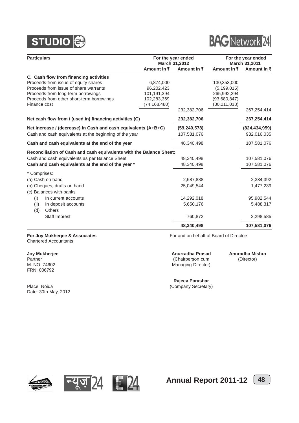



| <b>Particulars</b>                                                  |                        | For the year ended<br>March 31,2012 | For the year ended<br>March 31,2011 |                     |
|---------------------------------------------------------------------|------------------------|-------------------------------------|-------------------------------------|---------------------|
|                                                                     | Amount in $\bar{\tau}$ | Amount in $\bar{z}$                 | Amount in $\bar{z}$                 | Amount in $\bar{z}$ |
| C. Cash flow from financing activities                              |                        |                                     |                                     |                     |
| Proceeds from issue of equity shares                                | 6,874,000              |                                     | 130,353,000                         |                     |
| Proceeds from issue of share warrants                               | 96,202,423             |                                     | (5, 199, 015)                       |                     |
| Proceeds from long-term borrowings                                  | 101,191,394            |                                     | 265,992,294                         |                     |
| Proceeds from other short-term borrowings                           | 102,283,369            |                                     | (93,680,847)                        |                     |
| Finance cost                                                        | (74, 168, 480)         |                                     | (30, 211, 018)                      |                     |
|                                                                     |                        | 232,382,706                         |                                     | 267,254,414         |
| Net cash flow from / (used in) financing activities (C)             |                        | 232,382,706                         |                                     | 267,254,414         |
| Net increase / (decrease) in Cash and cash equivalents (A+B+C)      |                        | (59, 240, 578)                      |                                     | (824, 434, 959)     |
| Cash and cash equivalents at the beginning of the year              |                        | 107,581,076                         |                                     | 932,016,035         |
| Cash and cash equivalents at the end of the year                    |                        | 48,340,498                          |                                     | 107,581,076         |
| Reconciliation of Cash and cash equivalents with the Balance Sheet: |                        |                                     |                                     |                     |
| Cash and cash equivalents as per Balance Sheet                      |                        | 48,340,498                          |                                     | 107,581,076         |
| Cash and cash equivalents at the end of the year *                  |                        | 48,340,498                          |                                     | 107,581,076         |
| * Comprises:                                                        |                        |                                     |                                     |                     |
| (a) Cash on hand                                                    |                        | 2,587,888                           |                                     | 2,334,392           |
| (b) Cheques, drafts on hand                                         |                        | 25,049,544                          |                                     | 1,477,239           |
| (c) Balances with banks                                             |                        |                                     |                                     |                     |
| In current accounts<br>(i)                                          |                        | 14,292,018                          |                                     | 95,982,544          |
| (ii)<br>In deposit accounts                                         |                        | 5,650,176                           |                                     | 5,488,317           |
| (d)<br><b>Others</b>                                                |                        |                                     |                                     |                     |
| Staff Imprest                                                       |                        | 760,872                             |                                     | 2,298,585           |
|                                                                     |                        | 48,340,498                          |                                     | 107,581,076         |

#### Chartered Accountants

FRN: 006792

Place: Noida (Company Secretary) Date: 30th May, 2012

**For Joy Mukherjee & Associates For and on behalf of Board of Directors** 

**Joy Mukherjee Anurradha Prasad Anuradha Mishra** Partner (Chairperson cum (Director)<br>
M. NO. 74602 (M. No. 74602 Managing Director) Managing Director)

**Rajeev Parashar**



![](_page_49_Picture_11.jpeg)

![](_page_49_Picture_12.jpeg)

![](_page_49_Picture_13.jpeg)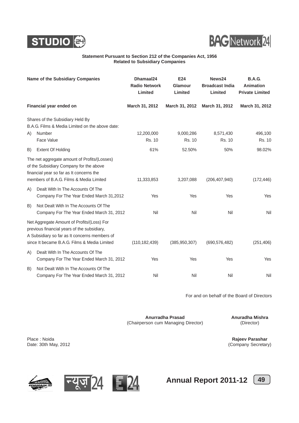![](_page_50_Picture_0.jpeg)

![](_page_50_Picture_1.jpeg)

#### **Statement Pursuant to Section 212 of the Companies Act, 1956 Related to Subsidiary Companies**

| Name of the Subsidiary Companies |                                                                                                                                                                                            | Dhamaal24<br><b>Radio Network</b><br>Limited | E24<br>Glamour<br>Limited  | News24<br><b>Broadcast India</b><br>Limited | <b>B.A.G.</b><br><b>Animation</b><br><b>Private Limited</b> |
|----------------------------------|--------------------------------------------------------------------------------------------------------------------------------------------------------------------------------------------|----------------------------------------------|----------------------------|---------------------------------------------|-------------------------------------------------------------|
|                                  | Financial year ended on                                                                                                                                                                    | March 31, 2012                               | March 31, 2012             | March 31, 2012                              | March 31, 2012                                              |
|                                  | Shares of the Subsidiary Held By<br>B.A.G. Films & Media Limited on the above date:                                                                                                        |                                              |                            |                                             |                                                             |
| A)                               | Number<br>Face Value                                                                                                                                                                       | 12,200,000<br>Rs. 10                         | 9,000,286<br><b>Rs. 10</b> | 8,571,430<br>Rs. 10                         | 496,100<br>Rs. 10                                           |
| B)                               | <b>Extent Of Holding</b>                                                                                                                                                                   | 61%                                          | 52.50%                     | 50%                                         | 98.02%                                                      |
|                                  | The net aggregate amount of Profits/(Losses)<br>of the Subsidiary Company for the above<br>financial year so far as It concerns the<br>members of B.A.G. Films & Media Limited             | 11,333,853                                   | 3,207,088                  | (206, 407, 940)                             | (172, 446)                                                  |
| A)                               | Dealt With In The Accounts Of The<br>Company For The Year Ended March 31,2012                                                                                                              | Yes                                          | Yes                        | Yes                                         | Yes                                                         |
| B)                               | Not Dealt With In The Accounts Of The<br>Company For The Year Ended March 31, 2012                                                                                                         | Nil                                          | Nil                        | Nil                                         | Nil                                                         |
|                                  | Net Aggregate Amount of Profits/(Loss) For<br>previous financial years of the subsidiary,<br>A Subsidiary so far as It concerns members of<br>since It became B.A.G. Films & Media Limited | (110, 182, 439)                              | (385, 950, 307)            | (690, 576, 482)                             | (251, 406)                                                  |
| A)                               | Dealt With In The Accounts Of The<br>Company For The Year Ended March 31, 2012                                                                                                             | Yes                                          | Yes                        | Yes                                         | Yes                                                         |
| B)                               | Not Dealt With In The Accounts Of The<br>Company For The Year Ended March 31, 2012                                                                                                         | Nil                                          | Nil                        | Nil                                         | Nil                                                         |

For and on behalf of the Board of Directors

**Anurradha Prasad Anuradha Mishra**<br> **Anuradha Mishra** (Director) (Director) (Chairperson cum Managing Director)

Place : Noida<br>
Date: 30th May, 2012<br> **Place : 30th May, 2012** 

(Company Secretary)

![](_page_50_Picture_9.jpeg)

![](_page_50_Picture_10.jpeg)

![](_page_50_Picture_11.jpeg)

![](_page_50_Picture_12.jpeg)

![](_page_50_Picture_13.jpeg)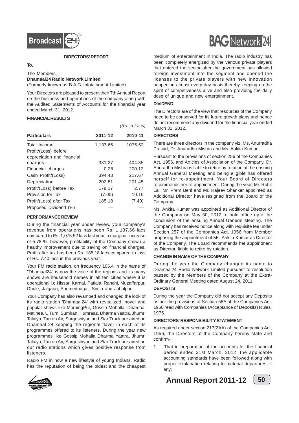![](_page_51_Picture_0.jpeg)

#### **DIRECTORS' REPORT**

#### **To,**

The Members, **Dhamaal24 Radio Network Limited**

(Formerly known as B.A.G. Infotainment Limited)

Your Directors are pleased to present their 7th Annual Report on the business and operations of the company along with the Audited Statements of Accounts for the financial year ended March 31, 2012.

#### **FINANCIAL RESULTS**

|                            |          | (Rs. in Lacs) |
|----------------------------|----------|---------------|
| <b>Particulars</b>         | 2011-12  | 2010-11       |
| Total Income               | 1,137.66 | 1075.52       |
| Profit/(Loss) before       |          |               |
| depreciation and financial |          |               |
| charges                    | 381.27   | 404.35        |
| Financial charges          | 0.28     | 200.12        |
| Cash Profit/(Loss)         | 394.43   | 217.67        |
| Depreciation               | 202.81   | 201.45        |
| Profit/(Loss) before Tax   | 178.17   | 2.77          |
| Provision for Tax          | (7.00)   | 10.16         |
| Profit/(Loss) after Tax    | 185.18   | (7.40)        |
| Proposed Dividend (%)      |          |               |

#### **PERFORMANCE REVIEW**

During the financial year under review, your company's revenue from operations has been Rs. 1,137.66 lacs compared to Rs. 1,075.52 lacs last year, a marginal increase of 5.78 %, however, profitability of the Company shown a healthy improvement due to saving on financial charges. Profit after tax has been Rs. 185.18 lacs compared to loss of Rs. 7.40 lacs in the previous year.

Your FM radio station, on frequency 106.4 in the name of "Dhamaal24" is now the voice of the regions and its many shows are household names in all ten cities where it is operational i.e.Hissar, Karnal, Patiala, Ranchi, Muzaffarpur, Dhule, Jalgaon, Ahemednagar, Simla and Jabalpur.

Your Company has also revamped and changed the look of its radio station 'Dhamaal24' with revitalized, novel and popular shows like MorningPur, Gossip Mohalla, Dhamaal Matinee, U Turn, Sumiran, Humraaz, Dharma Yaatra, Jhumri Talaiya, Tau on Air, Sargoshiyan and Star Track are aired on Dhamaal 24 keeping the regional flavor in each of its programmes offered to its listeners. During the year new programmes like Gossip Mohalla Dharma Yaatra, Jhumri Talaiya, Tau on Air, Sargoshiyan and Star Track are aired on our radio stations which gives positive response from listeners.

Radio FM in now a new lifestyle of young Indians. Radio has the reputation of being the oldest and the cheapest

![](_page_51_Picture_13.jpeg)

medium of entertainment in India. The radio industry has been completely energized by the various private players that entered the sector after the government has allowed foreign investment into the segment and opened the licenses to the private players with new innovation happening almost every day basis thereby keeping up the spirit of competiveness alive and also providing the daily dose of unique and new entertainment.

#### **DIVIDEND**

The Directors are of the view that resources of the Company need to be conserved for its future growth plans and hence do not recommend any dividend for the financial year ended March 31, 2012.

#### **DIRECTORS**

There are three directors in the company viz. Ms. Anurradha Prasad, Dr. Anuradha Mishra and Ms. Ankita Kumar.

Pursuant to the provisions of section 256 of the Companies Act, 1956, and Articles of Association of the Company, Dr. Anuradha Mishra is liable to retire by rotation at the ensuing Annual General Meeting and being eligible has offered herself for re-appointment. Your Board of Directors recommends her re-appointment. During the year, Mr. Rohit Lal, Mr. Prem Behl and Mr. Rajeev Shanker appointed as Additional Director have resigned from the Board of the Company.

Ms. Ankita Kumar was appointed as Additional Director of the Company on May 30, 2012 to hold office upto the conclusion of the ensuing Annual General Meeting. The Company has received notice along with requisite fee under Section 257 of the Companies Act, 1956 from Member proposing the appointment of Ms. Ankita Kumar as Director of the Company. The Board recommends her appointment as Director, liable to retire by rotation.

#### **CHANGE IN NAME OF THE COMPANY**

During the year the Company changed its name to Dhamaal24 Radio Network Limited pursuant to resolution passed by the Members of the Company at the Extra-Ordinary General Meeting dated August 24, 2011.

#### **DEPOSITS**

During the year the Company did not accept any Deposits as per the provisions of Section-58A of the Companies Act, 1956 read with Companies (Acceptance of Deposits) Rules, 1975.

#### **DIRECTORS' RESPONSIBILITY STATEMENT**

As required under section 217(2AA) of the Companies Act, 1956, the Directors of the Company hereby state and confirm-

1. That in preparation of the accounts for the financial period ended 31st March, 2012, the applicable accounting standards have been followed along with proper explanation relating to material departures, if any;

![](_page_51_Picture_28.jpeg)

![](_page_51_Picture_29.jpeg)

![](_page_51_Picture_30.jpeg)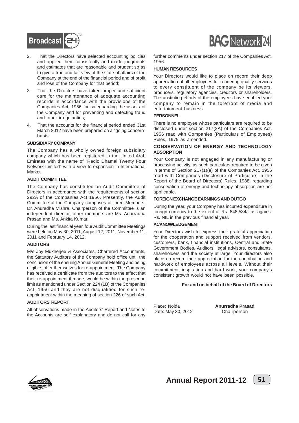![](_page_52_Picture_0.jpeg)

- 2. That the Directors have selected accounting policies and applied them consistently and made judgments and estimates that are reasonable and prudent so as to give a true and fair view of the state of affairs of the Company at the end of the financial period and of profit and loss of the Company for that period;
- 3. That the Directors have taken proper and sufficient care for the maintenance of adequate accounting records in accordance with the provisions of the Companies Act, 1956 for safeguarding the assets of the Company and for preventing and detecting fraud and other irregularities;
- 4. That the accounts for the financial period ended 31st March 2012 have been prepared on a "going concern" basis.

#### **SUBSIDIARY COMPANY**

The Company has a wholly owned foreign subsidiary company which has been registered in the United Arab Emirates with the name of "Radio Dhamal Twenty Four Network Limited" with a view to expansion in International Market.

#### **AUDIT COMMITTEE**

The Company has constituted an Audit Committee of Directors in accordance with the requirements of section 292A of the Companies Act 1956. Presently, the Audit Committee of the Company comprises of three Members, Dr. Anuradha Mishra, Chairperson of the Committee is an independent director, other members are Ms. Anurradha Prasad and Ms. Ankita Kumar.

During the last financial year, four Audit Committee Meetings were held on May 30, 2011, August 12, 2011, November 11, 2011 and February 14, 2012.

#### **AUDITORS**

M/s Joy Mukherjee & Associates, Chartered Accountants, the Statutory Auditors of the Company hold office until the conclusion of the ensuing Annual General Meeting and being eligible, offer themselves for re-appointment. The Company has received a certificate from the auditors to the effect that their re-appointment if made, would be within the prescribe limit as mentioned under Section 224 (1B) of the Companies Act, 1956 and they are not disqualified for such reappointment within the meaning of section 226 of such Act.

#### **AUDITORS' REPORT**

All observations made in the Auditors' Report and Notes to the Accounts are self explanatory and do not call for any

![](_page_52_Picture_13.jpeg)

further comments under section 217 of the Companies Act, 1956.

#### **HUMAN RESOURCES**

Your Directors would like to place on record their deep appreciation of all employees for rendering quality services to every constituent of the company be its viewers, producers, regulatory agencies, creditors or shareholders. The unstinting efforts of the employees have enabled your company to remain in the forefront of media and entertainment business.

#### **PERSONNEL**

There is no employee whose particulars are required to be disclosed under section 217(2A) of the Companies Act, 1956 read with Companies (Particulars of Employees) Rules, 1975 as amended.

#### **CONSERVATION OF ENERGY AND TECHNOLOGY ABSORPTION**

Your Company is not engaged in any manufacturing or processing activity, as such particulars required to be given in terms of Section 217(1)(e) of the Companies Act, 1956 read with Companies (Disclosure of Particulars in the Report of the Board of Directors) Rules, 1988, regarding conservation of energy and technology absorption are not applicable.

#### **FOREIGN EXCHANGE EARNINGS AND OUTGO**

During the year, your Company has incurred expenditure in foreign currency to the extent of Rs. 848,534/- as against Rs. NIL in the previous financial year.

#### **ACKNOWLEDGEMENT**

Your Directors wish to express their grateful appreciation for the cooperation and support received from vendors, customers, bank, financial institutions, Central and State Government Bodies, Auditors, legal advisors, consultants, shareholders and the society at large. Your directors also place on record their appreciation for the contribution and hardwork of employees across all levels. Without their commitment, inspiration and hard work, your company's consistent growth would not have been possible.

#### **For and on behalf of the Board of Directors**

Date: May 30, 2012 Chairperson

Place: Noida **Anurradha Prasad**

![](_page_52_Picture_28.jpeg)

![](_page_52_Figure_30.jpeg)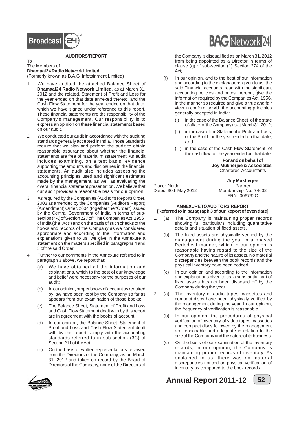![](_page_53_Picture_0.jpeg)

#### **AUDITORS' REPORT**

#### To The Members of **Dhamaal24 Radio Network Limited** (Formerly known as B.A.G. Infotainment Limited)

- We have audited the attached Balance Sheet of **Dhamaal24 Radio Network Limited**, as at March 31, 2012 and the related, Statement of Profit and Loss for the year ended on that date annexed thereto, and the Cash Flow Statement for the year ended on that date, which we have signed under reference to this report. These financial statements are the responsibility of the Company's management. Our responsibility is to express an opinion on these financial statements based
- on our audit. 2. We conducted our audit in accordance with the auditing standards generally accepted in India. Those Standards require that we plan and perform the audit to obtain reasonable assurance about whether the financial statements are free of material misstatement. An audit includes examining, on a test basis, evidence supporting the amounts and disclosures in the financial statements. An audit also includes assessing the accounting principles used and significant estimates made by the management, as well as evaluating the overall financial statement presentation. We believe that our audit provides a reasonable basis for our opinion.
- 3. As required by the Companies (Auditor's Report) Order, 2003 as amended by the Companies (Auditor's Report) (Amendment) Order, 2004 (together the "Order") issued by the Central Government of India in terms of subsection (4A) of Section 227 of "The Companies Act, 1956" of India (the "Act") and on the basis of such checks of the books and records of the Company as we considered appropriate and according to the information and explanations given to us, we give in the Annexure a statement on the matters specified in paragraphs 4 and 5 of the said Order.
- Further to our comments in the Annexure referred to in paragraph 3 above, we report that:
	- (a) We have obtained all the information and explanations, which to the best of our knowledge and belief were necessary for the purposes of our audit;
	- (b) In our opinion, proper books of account as required by law have been kept by the Company so far as appears from our examination of those books;
	- (c) The Balance Sheet, Statement of Profit and Loss and Cash Flow Statement dealt with by this report are in agreement with the books of account;
	- (d) In our opinion, the Balance Sheet, Statement of Profit and Loss and Cash Flow Statement dealt with by this report comply with the accounting standards referred to in sub-section (3C) of Section 211 of the Act;
	- (e) On the basis of written representations received from the Directors of the Company, as on March 31, 2012 and taken on record by the Board of Directors of the Company, none of the Directors of

![](_page_53_Picture_12.jpeg)

the Company is disqualified as on March 31, 2012 from being appointed as a Director in terms of clause (g) of sub-section (1) Section 274 of the Act;

- (f) In our opinion, and to the best of our information and according to the explanations given to us, the said Financial accounts, read with the significant accounting policies and notes thereon, give the information required by the Companies Act, 1956, in the manner so required and give a true and fair view in conformity with the accounting principles generally accepted in India:
	- (i) in the case of the Balance Sheet, of the state of affairs of the Company as at March 31, 2012;
	- (ii) in the case of the Statement of Profit and Loss, of the Profit for the year ended on that date; and
	- (iii) in the case of the Cash Flow Statement, of the cash flow for the year ended on that date.

**For and on behalf of Joy Mukherjee & Associates** Chartered Accountants

Place: Noida Partner Dated: 30th May 2012

**Joy Mukherjee** FRN: 006792C

#### **ANNEXURE TO AUDITORS' REPORT [Referred to in paragraph 3 of our Report of even date]**

- 1. (a) The Company is maintaining proper records showing full particulars including quantitative details and situation of fixed assets.
	- (b) The fixed assets are physically verified by the management during the year in a phased Periodical manner, which in our opinion is reasonable having regard to the size of the Company and the nature of its assets. No material discrepancies between the book records and the physical inventory have been noticed.
	- (c) In our opinion and according to the information and explanations given to us, a substantial part of fixed assets has not been disposed off by the Company during the year.
- 2. (a) The inventory of audio tapes, cassettes and compact discs have been physically verified by the management during the year. In our opinion, the frequency of verification is reasonable.
	- (b) In our opinion, the procedures of physical verification of inventory of video tapes, cassettes and compact discs followed by the management are reasonable and adequate in relation to the size of the Company and the nature of its business.
	- (c) On the basis of our examination of the inventory records, in our opinion, the Company is maintaining proper records of inventory. As explained to us, there was no material discrepancies noticed on physical verification of inventory as compared to the book records

![](_page_53_Picture_28.jpeg)

![](_page_53_Picture_29.jpeg)

![](_page_53_Picture_30.jpeg)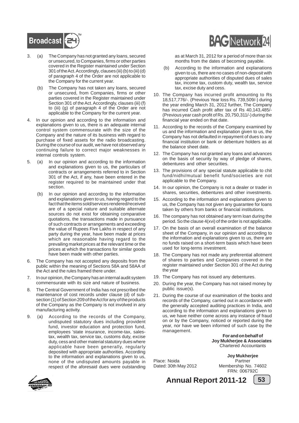![](_page_54_Picture_0.jpeg)

- 3. (a) The Company has not granted any loans, secured or unsecured, to Companies, firms or other parties covered in the Register maintained under Section 301 of the Act. Accordingly, clauses (iii) (b) to (iii) (d) of paragraph 4 of the Order are not applicable to the Company for the current year.
	- (b) The Company has not taken any loans, secured or unsecured, from Companies, firms or other parties covered in the Register maintained under Section 301 of the Act. Accordingly, clauses (iii) (f) to (iii) (g) of paragraph 4 of the Order are not applicable to the Company for the current year.
- 4. In our opinion and according to the information and explanations given to us, there is an adequate internal control system commensurate with the size of the Company and the nature of its business with regard to purchase of fixed assets for the radio broadcasting. During the course of our audit, we have not observed any continuing failure to correct major weaknesses in internal controls system.
- 5. (a) In our opinion and according to the information and explanations given to us, the particulars of contracts or arrangements referred to in Section 301 of the Act, if any, have been entered in the register required to be maintained under that section.
	- (b) In our opinion and according to the information and explanations given to us, having regard to the fact that the items sold/services rendered/received are of a special nature and suitable alternate sources do not exist for obtaining comparative quotations, the transactions made in pursuance of such contracts or arrangements and exceeding the value of Rupees Five Lakhs in respect of any party during the year, have been made at prices which are reasonable having regard to the prevailing market prices at the relevant time or the prices at which the transactions for similar goods have been made with other parties.
- 6. The Company has not accepted any deposits from the public within the meaning of Sections 58A and 58AA of the Act and the rules framed there under.
- 7. In our opinion, the Company has an internal audit system commensurate with its size and nature of business.
- 8. The Central Government of India has not prescribed the maintenance of cost records under clause (d) of subsection (1) of Section 209 of the Act for any of the products of the Company as the Company is not involved in any manufacturing activity.
- 9. (a) According to the records of the Company, undisputed statutory dues including provident fund, investor education and protection fund, employees 'state insurance, income-tax, salestax, wealth tax, service tax, customs duty, excise duty, cess and other material statutory dues where applicable have been generally, regularly deposited with appropriate authorities. According to the information and explanations given to us, none of the undisputed amounts payable in respect of the aforesaid dues were outstanding

![](_page_54_Picture_10.jpeg)

as at March 31, 2012 for a period of more than six months from the dates of becoming payable.

- (b) According to the information and explanations given to us, there are no cases of non-deposit with appropriate authorities of disputed dues of sales tax, income tax, custom duty, wealth tax, service tax, excise duty and cess.
- 10. The Company has incurred profit amounting to Rs 18,517,776/-. (Previous Year loss Rs. 739,509/-) during the year ending March 31, 2012 further, The Company has incurred Cash profit after tax of Rs 40,143,485/- (Previous year cash profit of Rs. 20,750,311/-) during the financial year ended on that date.
- 11. According to the records of the Company examined by us and the information and explanation given to us, the Company has not defaulted in repayment of dues to any financial institution or bank or debenture holders as at the balance sheet date.
- 12. The Company has not granted any loans and advances on the basis of security by way of pledge of shares, debentures and other securities.
- 13. The provisions of any special statute applicable to chit fund/nidhi/mutual benefit fund/societies are not applicable to the Company.
- 14. In our opinion, the Company is not a dealer or trader in shares, securities, debentures and other investments.
- 15. According to the information and explanations given to us, the Company has not given any guarantee for loans taken by others from banks or financial institutions.
- 16. The company has not obtained any term loan during the period. So the clause 4(xvi) of the order is not applicable.
- 17. On the basis of an overall examination of the balance sheet of the Company, in our opinion and according to the information and explanations given to us, there are no funds raised on a short-term basis which have been used for long-terms investment.
- 18. The Company has not made any preferential allotment of shares to parties and Companies covered in the register maintained under Section 301 of the Act during the year
- 19. The Company has not issued any debentures.
- 20. During the year, the Company has not raised money by public issue(s).
- 21. During the course of our examination of the books and records of the Company, carried out in accordance with the generally accepted auditing practices in India, and according to the information and explanations given to us, we have neither come across any instance of fraud on or by the Company, noticed or reported during the year, nor have we been informed of such case by the management.

**For and on behalf of Joy Mukherjee & Associates** Chartered Accountants

Place: Noida **Partner** 

**Joy Mukherjee** Dated: 30th May 2012 Membership No. 74602 FRN: 006792C

![](_page_54_Picture_28.jpeg)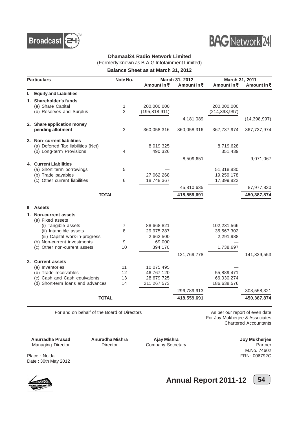![](_page_55_Picture_0.jpeg)

![](_page_55_Picture_1.jpeg)

#### **Dhamaal24 Radio Network Limited**

(Formerly known as B.A.G Infotainment Limited)

**Balance Sheet as at March 31, 2012**

| <b>Particulars</b>                                  | Note No.       |                          | March 31, 2012      | March 31, 2011           |                |
|-----------------------------------------------------|----------------|--------------------------|---------------------|--------------------------|----------------|
|                                                     |                | Amount in $\bar{x}$      | Amount in $\bar{x}$ | Amount in $\bar{z}$      | Amount in ₹    |
| <b>Equity and Liabilities</b><br>ı.                 |                |                          |                     |                          |                |
| 1. Shareholder's funds                              |                |                          |                     |                          |                |
| (a) Share Capital                                   | 1              | 200,000,000              |                     | 200,000,000              |                |
| (b) Reserves and Surplus                            | $\overline{2}$ | (195, 818, 911)          |                     | (214, 398, 997)          |                |
|                                                     |                |                          | 4,181,089           |                          | (14, 398, 997) |
| 2. Share application money                          |                |                          |                     |                          |                |
| pending allotment                                   | 3              | 360,058,316              | 360,058,316         | 367,737,974              | 367,737,974    |
| 3. Non-current liabilities                          |                |                          |                     |                          |                |
| (a) Deferred Tax liabilities (Net)                  |                | 8,019,325                |                     | 8,719,628                |                |
| (b) Long-term Provisions                            | 4              | 490,326                  |                     | 351,439                  |                |
|                                                     |                |                          | 8,509,651           |                          | 9,071,067      |
| 4. Current Liabilities                              |                |                          |                     |                          |                |
| (a) Short term borrowings                           | 5              |                          |                     | 51,318,830               |                |
| (b) Trade payables<br>(c) Other current liabilities | 6              | 27,062,268<br>18,748,367 |                     | 19,259,178<br>17,399,822 |                |
|                                                     |                |                          |                     |                          |                |
|                                                     |                |                          | 45,810,635          |                          | 87,977,830     |
|                                                     | <b>TOTAL</b>   |                          | 418,559,691         |                          | 450,387,874    |
| <b>Assets</b>                                       |                |                          |                     |                          |                |
| <b>Non-current assets</b><br>1.                     |                |                          |                     |                          |                |
| (a) Fixed assets                                    |                |                          |                     |                          |                |
| (i) Tangible assets                                 | 7              | 88,668,821               |                     | 102,231,566              |                |
| (ii) Intangible assets                              | 8              | 29,975,287               |                     | 35,567,302               |                |
| (iii) Capital work-in-progress                      |                | 2,662,500                |                     | 2,291,988                |                |
| (b) Non-current investments                         | 9              | 69,000                   |                     |                          |                |
| (c) Other non-current assets                        | 10             | 394,170                  |                     | 1,738,697                |                |
|                                                     |                |                          | 121,769,778         |                          | 141,829,553    |
| 2. Current assets                                   |                |                          |                     |                          |                |
| (a) Inventories                                     | 11             | 10,075,495               |                     |                          |                |
| (b) Trade receivables                               | 12             | 46,767,120               |                     | 55,889,471               |                |
| (c) Cash and Cash equivalents                       | 13             | 28,679,725               |                     | 66,030,274               |                |
| (d) Short-term loans and advances                   | 14             | 211,267,573              |                     | 186,638,576              |                |
|                                                     |                |                          | 296,789,913         |                          | 308,558,321    |
|                                                     | <b>TOTAL</b>   |                          | 418,559,691         |                          | 450,387,874    |

For and on behalf of the Board of Directors **As per our report of even date** As per our report of even date

For Joy Mukherjee & Associates Chartered Accountants

**Anurradha Prasad Anuradha Mishra Ajay Mishra Ajay Anuradha Ajay Mishra Ajay Mishra Ajay Mishra Ajay Mishra Ajay Mishra Ajay Mishra Ajay Mishra Ajay Mishra Ajay Mishra Ajay Mishra Ajay Mishra Ajay Mishra Ajay Mishra Ajay M** Managing Director **Director** Director Company Secretary

Date : 30th May 2012

M.No. 74602 Place : Noida FRN: 006792C

**Annual Report 2011-12** [54]

![](_page_55_Picture_14.jpeg)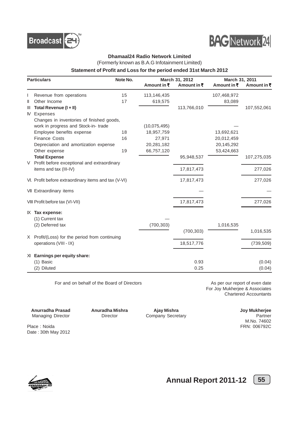![](_page_56_Picture_0.jpeg)

![](_page_56_Picture_1.jpeg)

#### **Dhamaal24 Radio Network Limited**

(Formerly known as B.A.G Infotainment Limited)

#### **Statement of Profit and Loss for the period ended 31st March 2012**

| <b>Particulars</b> |                                                      | Note No. |                     | March 31, 2012      |             | March 31, 2011 |  |
|--------------------|------------------------------------------------------|----------|---------------------|---------------------|-------------|----------------|--|
|                    |                                                      |          | Amount in $\bar{x}$ | Amount in $\bar{x}$ | Amount in ₹ | Amount in ₹    |  |
|                    | Revenue from operations                              | 15       | 113,146,435         |                     | 107,468,972 |                |  |
| $\mathbf{I}$       | Other Income                                         | 17       | 619,575             |                     | 83,089      |                |  |
| $\mathbf{III}$     | Total Revenue (I + II)                               |          |                     | 113,766,010         |             | 107,552,061    |  |
| M                  | <b>Expenses</b>                                      |          |                     |                     |             |                |  |
|                    | Changes in inventories of finished goods,            |          |                     |                     |             |                |  |
|                    | work in progress and Stock-in-trade                  |          | (10,075,495)        |                     |             |                |  |
|                    | Employee benefits expense                            | 18       | 18,957,759          |                     | 13,692,621  |                |  |
|                    | <b>Finance Costs</b>                                 | 16       | 27,971              |                     | 20,012,459  |                |  |
|                    | Depreciation and amortization expense                |          | 20,281,182          |                     | 20,145,292  |                |  |
|                    | Other expense                                        | 19       | 66,757,120          |                     | 53,424,663  |                |  |
|                    | <b>Total Expense</b>                                 |          |                     | 95,948,537          |             | 107,275,035    |  |
| V                  | Profit before exceptional and extraordinary          |          |                     |                     |             |                |  |
|                    | items and tax (III-IV)                               |          |                     | 17,817,473          |             | 277,026        |  |
|                    | VI. Profit before extraordinary items and tax (V-VI) |          |                     | 17,817,473          |             | 277,026        |  |
|                    | VII Extraordinary items                              |          |                     |                     |             |                |  |
|                    | VIII Profit before tax (VI-VII)                      |          |                     | 17,817,473          |             | 277,026        |  |
|                    | $K$ Tax expense:                                     |          |                     |                     |             |                |  |
|                    | (1) Current tax                                      |          |                     |                     |             |                |  |
|                    | (2) Deferred tax                                     |          | (700, 303)          |                     | 1,016,535   |                |  |
|                    |                                                      |          |                     | (700, 303)          |             | 1,016,535      |  |
|                    | X Profit/(Loss) for the period from continuing       |          |                     |                     |             |                |  |
|                    | operations (VIII - IX)                               |          |                     | 18,517,776          |             | (739, 509)     |  |
| XI.                | Earnings per equity share:                           |          |                     |                     |             |                |  |
|                    | (1) Basic                                            |          |                     | 0.93                |             | (0.04)         |  |
|                    | (2) Diluted                                          |          |                     | 0.25                |             | (0.04)         |  |

For and on behalf of the Board of Directors **As per our report of even date** As per our report of even date

For Joy Mukherjee & Associates Chartered Accountants

**Anurradha Prasad Anuradha Mishra Ajay Mishra Agamaging Director Company Secretary Anuradha Director Company Secretary Partner** Managing Director **Director** Director Company Secretary

M.No. 74602

Place : Noida FRN: 006792C Date : 30th May 2012

![](_page_56_Picture_13.jpeg)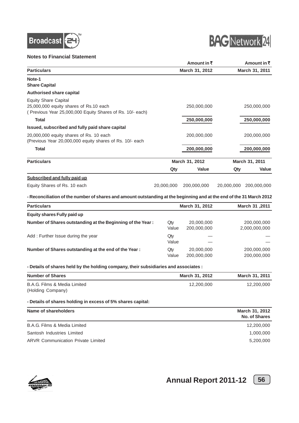![](_page_57_Picture_0.jpeg)

#### **Notes to Financial Statement**

![](_page_57_Picture_2.jpeg)

|                                                                                                                                    |            | Amount in $\bar{z}$ |            | Amount in ₹    |
|------------------------------------------------------------------------------------------------------------------------------------|------------|---------------------|------------|----------------|
| <b>Particulars</b>                                                                                                                 |            | March 31, 2012      |            | March 31, 2011 |
| Note-1<br><b>Share Capital</b>                                                                                                     |            |                     |            |                |
| <b>Authorised share capital</b>                                                                                                    |            |                     |            |                |
| <b>Equity Share Capital</b><br>25,000,000 equity shares of Rs.10 each<br>(Previous Year 25,000,000 Equity Shares of Rs. 10/- each) |            | 250,000,000         |            | 250,000,000    |
| <b>Total</b>                                                                                                                       |            | 250,000,000         |            | 250,000,000    |
| Issued, subscribed and fully paid share capital                                                                                    |            |                     |            |                |
| 20,000,000 equity shares of Rs. 10 each<br>(Previous Year 20,000,000 equity shares of Rs. 10/- each                                |            | 200,000,000         |            | 200,000,000    |
| <b>Total</b>                                                                                                                       |            | 200,000,000         |            | 200,000,000    |
| <b>Particulars</b>                                                                                                                 |            | March 31, 2012      |            | March 31, 2011 |
|                                                                                                                                    | Qty        | Value               | Qty        | <b>Value</b>   |
| <b>Subscribed and fully paid up</b>                                                                                                |            |                     |            |                |
| Equity Shares of Rs. 10 each                                                                                                       | 20,000,000 | 200,000,000         | 20,000,000 | 200,000,000    |

**- Reconciliation of the number of shares and amount outstanding at the beginning and at the end of the 31 March 2012**

| <b>Particulars</b>                                         |              | March 31, 2012            | March 31, 2011               |
|------------------------------------------------------------|--------------|---------------------------|------------------------------|
| Equity shares Fully paid up                                |              |                           |                              |
| Number of Shares outstanding at the Beginning of the Year: | Qty<br>Value | 20,000,000<br>200,000,000 | 200,000,000<br>2,000,000,000 |
| Add: Further Issue during the year                         | Qty<br>Value |                           |                              |
| Number of Shares outstanding at the end of the Year:       | Qty<br>Value | 20,000,000<br>200,000,000 | 200,000,000<br>200,000,000   |

#### **- Details of shares held by the holding company, their subsidiaries and associates :**

| <b>Number of Shares</b>                                     | March 31, 2012 | March 31, 2011 |
|-------------------------------------------------------------|----------------|----------------|
| B.A.G. Films & Media Limited<br>(Holding Company)           | 12,200,000     | 12,200,000     |
| - Details of shares holding in excess of 5% shares capital: |                |                |
| Name of shareholders                                        |                | March 31, 2012 |

|                                           | No. of Shares |
|-------------------------------------------|---------------|
| B.A.G. Films & Media Limited              | 12,200,000    |
| Santosh Industries Limited                | 1,000,000     |
| <b>ARVR Communication Private Limited</b> | 5,200,000     |
|                                           |               |

![](_page_57_Picture_9.jpeg)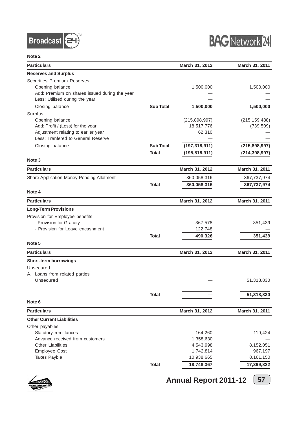![](_page_58_Picture_0.jpeg)

![](_page_58_Picture_1.jpeg)

| <b>Particulars</b>                            |                  | March 31, 2012  | March 31, 2011  |
|-----------------------------------------------|------------------|-----------------|-----------------|
| <b>Reserves and Surplus</b>                   |                  |                 |                 |
| <b>Securities Premium Reserves</b>            |                  |                 |                 |
| Opening balance                               |                  | 1,500,000       | 1,500,000       |
| Add: Premium on shares issued during the year |                  |                 |                 |
| Less: Utilised during the year                |                  |                 |                 |
| Closing balance                               | <b>Sub Total</b> | 1,500,000       | 1,500,000       |
| Surplus                                       |                  |                 |                 |
| Opening balance                               |                  | (215, 898, 997) | (215, 159, 488) |
| Add: Profit / (Loss) for the year             |                  | 18,517,776      | (739, 509)      |
| Adjustment relating to earlier year           |                  | 62,310          |                 |
| Less: Tranfered to General Reserve            |                  |                 |                 |
| Closing balance                               | <b>Sub Total</b> | (197, 318, 911) | (215, 898, 997) |
|                                               | Total            | (195, 818, 911) | (214, 398, 997) |
| Note 3                                        |                  |                 |                 |
| <b>Particulars</b>                            |                  | March 31, 2012  | March 31, 2011  |
| Share Application Money Pending Allotment     |                  | 360,058,316     | 367,737,974     |
|                                               | <b>Total</b>     | 360,058,316     | 367,737,974     |
| Note 4                                        |                  |                 |                 |
| <b>Particulars</b>                            |                  |                 |                 |
|                                               |                  | March 31, 2012  | March 31, 2011  |
| <b>Long-Term Provisions</b>                   |                  |                 |                 |
| Provision for Employee benefits               |                  |                 |                 |
| - Provision for Gratuity                      |                  | 367,578         | 351,439         |
| - Provision for Leave encashment              |                  | 122,748         |                 |
|                                               | <b>Total</b>     | 490,326         | 351,439         |
| Note 5                                        |                  |                 |                 |
| <b>Particulars</b>                            |                  | March 31, 2012  | March 31, 2011  |
| Short-term borrowings                         |                  |                 |                 |
| Unsecured                                     |                  |                 |                 |
| A Loans from related parties                  |                  |                 |                 |
| Unsecured                                     |                  |                 | 51,318,830      |
|                                               |                  |                 |                 |
|                                               | Total            |                 | 51,318,830      |
| Note <sub>6</sub>                             |                  |                 |                 |
| <b>Particulars</b>                            |                  | March 31, 2012  | March 31, 2011  |
| <b>Other Current Liabilities</b>              |                  |                 |                 |
| Other payables                                |                  |                 |                 |
| Statutory remittances                         |                  | 164,260         | 119,424         |
| Advance received from customers               |                  | 1,358,630       |                 |
| <b>Other Liabilities</b>                      |                  | 4,543,998       | 8,152,051       |
| Employee Cost                                 |                  | 1,742,814       | 967,197         |
| <b>Taxes Payble</b>                           |                  | 10,938,665      | 8,161,150       |
|                                               | <b>Total</b>     | 18,748,367      | 17,399,822      |

![](_page_58_Picture_4.jpeg)

![](_page_58_Figure_6.jpeg)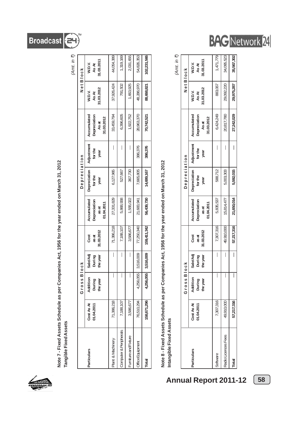![](_page_59_Picture_0.jpeg)

Note 7 - Fixed Assets Schedule as per Companies Act, 1956 for the year ended on March 31, 2012<br>Tangible Fixed Assets **Note 7 - Fixed Assets Schedule as per Companies Act, 1956 for the year ended on March 31, 2012 Tangible Fixed Assets**

|                       |                          |                                |                                |                             |                                                    |                                 |                               |                                                    |                              | (Amt. in ₹)                   |
|-----------------------|--------------------------|--------------------------------|--------------------------------|-----------------------------|----------------------------------------------------|---------------------------------|-------------------------------|----------------------------------------------------|------------------------------|-------------------------------|
|                       |                          | Gross                          | <b>Block</b>                   |                             |                                                    | Depreciation                    |                               |                                                    |                              | Net Block                     |
| articulars            | Cost As At<br>01.04.2011 | Addition<br>During<br>the year | Sale/Adj<br>the year<br>During | 31.03.2012<br>as at<br>Cost | Accumulated<br>Depreciation<br>11.04.2011<br>as at | Depreciation<br>for the<br>year | Adjustment<br>for the<br>year | Accumulated<br>Depreciation<br>31.03.2012<br>As at | 1.03.2012<br>W.D.V.<br>As At | 11.03.2011<br>W.D.V.<br>As At |
| 'lant & Machinery     | 71,386,218               |                                |                                | 71,386,218                  | 27,331,829                                         | 6,127,965                       |                               | 33,459,794                                         | 37,926,424                   | 44,054,389                    |
| omputer & Peripherals | 7,188,107                |                                |                                | 7,188,107                   | 5,868,938                                          | 527,667                         |                               | 6,396,605                                          | 791,502                      | 1,319,169                     |
| urniture and Fixture  | 3,586,677                |                                | I                              | 3,586,677                   | 1,555,022                                          | 367,730                         |                               | 1,922,752                                          | 1,663,925                    | 2,031,655                     |
| ffice Equipment       | 76,510,294               | 55<br>4,256,0                  | 3,516,009                      | 77,250,340                  | 21,683,941                                         | 7,665,805                       | 386,376                       | 28,963,370                                         | 48,286,970                   | 54,826,353                    |
| ital                  | 158,671,296              | 4,256,055                      | 3,516,009                      | 159,411,342                 | 56,439,730                                         | 14,689,167                      | 386,376                       | 70,742,521                                         | 88,668,821                   | 102,231,566                   |
|                       |                          |                                |                                |                             |                                                    |                                 |                               |                                                    |                              |                               |

# Note 8 - Fixed Assets Schedule as per Companies Act, 1956 for the year ended on March 31, 2012<br>Intangible Fixed Assets **Note 8 - Fixed Assets Schedule as per Companies Act, 1956 for the year ended on March 31, 2012**

# **Intangible Fixed Assets**

|                     |                            |                                |                                |                             |                                                    |                                 |                    |                                                    |                               | (Amt. in ₹)                   |
|---------------------|----------------------------|--------------------------------|--------------------------------|-----------------------------|----------------------------------------------------|---------------------------------|--------------------|----------------------------------------------------|-------------------------------|-------------------------------|
|                     |                            | Gross B                        | lo c k                         |                             |                                                    | Depreciation                    |                    |                                                    |                               | Net Block                     |
| <b>Particulars</b>  | $Cost As At$<br>01.04.2011 | Addition<br>During<br>the year | Sale/Adj<br>the year<br>During | 31.03.2012<br>as at<br>Cost | Accumulated<br>Depreciation<br>01.04.2011<br>as at | Depreciation<br>for the<br>year | Adjustment<br>year | Accumulated<br>Depreciation<br>31.03.2012<br>As at | 11.03.2012<br>W.D.V.<br>As At | 31.03.2011<br>W.D.V.<br>As At |
| Software            | 7,307,316                  |                                | I                              | 7,307,316                   | 5,835,537                                          | 588,712                         |                    | 6,424,249                                          | 883,067                       | 1,471,779                     |
| Radio Licences Fees | 49,910,000                 |                                |                                | 49,910,000                  | 15,814,477                                         | 5,003,303                       |                    | 20,817,780                                         | 29,092,220                    | 34,095,523                    |
| Total               | 57,217,316                 |                                | I                              | 57,217,316                  | 21,650,014                                         | 5,592,015                       |                    | 27,242,029                                         | 29,975,287                    | 35,567,302                    |

**Annual Report 2011-12 58**

![](_page_59_Picture_7.jpeg)

Broadcast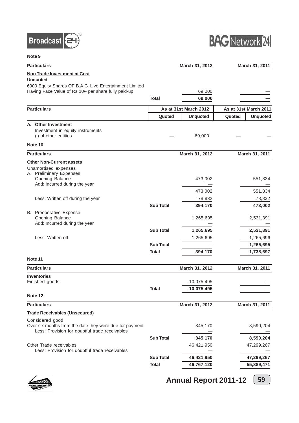![](_page_60_Picture_0.jpeg)

![](_page_60_Picture_1.jpeg)

| <b>Particulars</b>                                                                                              |                  | March 31, 2012        |        | March 31, 2011        |
|-----------------------------------------------------------------------------------------------------------------|------------------|-----------------------|--------|-----------------------|
| <b>Non Trade Investment at Cost</b>                                                                             |                  |                       |        |                       |
| <b>Unquoted</b>                                                                                                 |                  |                       |        |                       |
| 6900 Equity Shares OF B.A.G. Live Entertainment Limited<br>Having Face Value of Rs 10/- per share fully paid-up |                  | 69,000                |        |                       |
|                                                                                                                 | <b>Total</b>     | 69,000                |        |                       |
|                                                                                                                 |                  |                       |        |                       |
| <b>Particulars</b>                                                                                              |                  | As at 31st March 2012 |        | As at 31st March 2011 |
|                                                                                                                 | Quoted           | <b>Unquoted</b>       | Quoted | <b>Unquoted</b>       |
| A. Other Investment                                                                                             |                  |                       |        |                       |
| Investment in equity instruments<br>(i) of other entities                                                       |                  | 69,000                |        |                       |
| Note 10                                                                                                         |                  |                       |        |                       |
| <b>Particulars</b>                                                                                              |                  | March 31, 2012        |        | March 31, 2011        |
|                                                                                                                 |                  |                       |        |                       |
| <b>Other Non-Current assets</b><br>Unamortised expenses                                                         |                  |                       |        |                       |
| A Preliminary Expenses                                                                                          |                  |                       |        |                       |
| Opening Balance                                                                                                 |                  | 473,002               |        | 551,834               |
| Add: Incurred during the year                                                                                   |                  |                       |        |                       |
| Less: Written off during the year                                                                               |                  | 473,002               |        | 551,834               |
|                                                                                                                 | <b>Sub Total</b> | 78,832<br>394,170     |        | 78,832<br>473,002     |
| B. Preoperative Expense                                                                                         |                  |                       |        |                       |
| Opening Balance                                                                                                 |                  | 1,265,695             |        | 2,531,391             |
| Add: Incurred during the year                                                                                   |                  |                       |        |                       |
|                                                                                                                 | <b>Sub Total</b> | 1,265,695             |        | 2,531,391             |
| Less: Written off                                                                                               |                  | 1,265,695             |        | 1,265,696             |
|                                                                                                                 | <b>Sub Total</b> |                       |        | 1,265,695             |
|                                                                                                                 | <b>Total</b>     | 394,170               |        | 1,738,697             |
| Note 11                                                                                                         |                  |                       |        |                       |
| <b>Particulars</b>                                                                                              |                  | March 31, 2012        |        | March 31, 2011        |
| <b>Inventories</b>                                                                                              |                  |                       |        |                       |
| Finished goods                                                                                                  |                  | 10,075,495            |        |                       |
|                                                                                                                 | Total            | 10,075,495            |        |                       |
| Note 12                                                                                                         |                  |                       |        |                       |
| <b>Particulars</b>                                                                                              |                  | March 31, 2012        |        | March 31, 2011        |
| <b>Trade Receivables (Unsecured)</b>                                                                            |                  |                       |        |                       |
| Considered good                                                                                                 |                  |                       |        |                       |
| Over six months from the date they were due for payment<br>Less: Provision for doubtful trade receivables       |                  | 345,170               |        | 8,590,204             |
|                                                                                                                 | <b>Sub Total</b> | 345,170               |        | 8,590,204             |
| Other Trade receivables                                                                                         |                  | 46,421,950            |        | 47,299,267            |
| Less: Provision for doubtful trade receivables                                                                  |                  |                       |        |                       |
|                                                                                                                 | <b>Sub Total</b> | 46,421,950            |        | 47,299,267            |
|                                                                                                                 | <b>Total</b>     | 46,767,120            |        | 55,889,471            |

![](_page_60_Picture_4.jpeg)

![](_page_60_Figure_6.jpeg)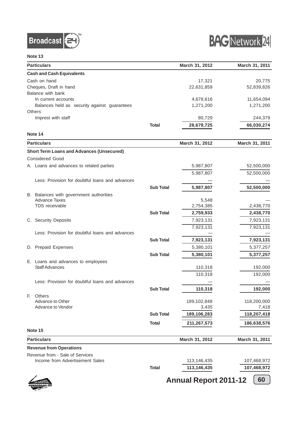![](_page_61_Picture_0.jpeg)

![](_page_61_Picture_1.jpeg)

| <b>Particulars</b>                                              |                  | March 31, 2012 | March 31, 2011 |
|-----------------------------------------------------------------|------------------|----------------|----------------|
| <b>Cash and Cash Equivalents</b>                                |                  |                |                |
| Cash on hand                                                    |                  | 17,321         | 20,775         |
| Cheques, Draft in hand                                          |                  | 22,631,859     | 52,839,826     |
| Balance with bank                                               |                  |                |                |
| In current accounts                                             |                  | 4,678,616      | 11,654,094     |
| Balances held as security against guarantees                    |                  | 1,271,200      | 1,271,200      |
| Others                                                          |                  |                |                |
| Imprest with staff                                              |                  | 80,729         | 244,379        |
|                                                                 | <b>Total</b>     | 28,679,725     | 66,030,274     |
| Note 14                                                         |                  |                |                |
| <b>Particulars</b>                                              |                  | March 31, 2012 | March 31, 2011 |
| <b>Short Term Loans and Advances (Unsecured)</b>                |                  |                |                |
| <b>Considered Good</b>                                          |                  |                |                |
| A Loans and advances to related parties                         |                  | 5,987,807      | 52,500,000     |
|                                                                 |                  | 5,987,807      | 52,500,000     |
| Less: Provision for doubtful loans and advances                 |                  |                |                |
|                                                                 | <b>Sub Total</b> | 5,987,807      |                |
|                                                                 |                  |                | 52,500,000     |
| B. Balances with government authorities<br><b>Advance Taxes</b> |                  | 5,548          |                |
| TDS receivable                                                  |                  | 2,754,385      | 2,438,770      |
|                                                                 | <b>Sub Total</b> | 2,759,933      | 2,438,770      |
| C. Security Deposits                                            |                  | 7,923,131      | 7,923,131      |
|                                                                 |                  |                |                |
| Less: Provision for doubtful loans and advances                 |                  | 7,923,131      | 7,923,131      |
|                                                                 | <b>Sub Total</b> | 7,923,131      | 7,923,131      |
| D. Prepaid Expenses                                             |                  | 5,380,101      |                |
|                                                                 |                  |                | 5,377,257      |
|                                                                 | <b>Sub Total</b> | 5,380,101      | 5,377,257      |
| E. Loans and advances to employees<br><b>Staff Advances</b>     |                  |                | 192,000        |
|                                                                 |                  | 110,318        |                |
|                                                                 |                  | 110,318        | 192,000        |
| Less: Provision for doubtful loans and advances                 |                  |                |                |
|                                                                 | <b>Sub Total</b> | 110,318        | 192,000        |
| E.<br><b>Others</b>                                             |                  |                |                |
| Advance to Other<br>Advance to Vendor                           |                  | 189,102,848    | 118,200,000    |
|                                                                 |                  | 3,435          | 7,418          |
|                                                                 | <b>Sub Total</b> | 189,106,283    | 118,207,418    |
|                                                                 | <b>Total</b>     | 211,267,573    | 186,638,576    |
| Note 15                                                         |                  |                |                |
| <b>Particulars</b>                                              |                  | March 31, 2012 | March 31, 2011 |
| <b>Revenue from Operations</b>                                  |                  |                |                |
| Revenue from - Sale of Services                                 |                  |                |                |
| Income from Advertisement Sales                                 |                  | 113,146,435    | 107,468,972    |
|                                                                 | <b>Total</b>     | 113,146,435    | 107,468,972    |

![](_page_61_Picture_4.jpeg)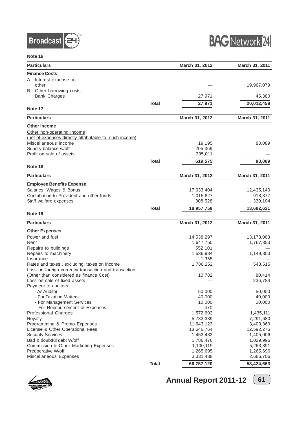![](_page_62_Picture_0.jpeg)

![](_page_62_Picture_1.jpeg)

| <b>Particulars</b>                                     |              | March 31, 2012 | March 31, 2011 |
|--------------------------------------------------------|--------------|----------------|----------------|
| <b>Finance Costs</b>                                   |              |                |                |
| Interest expense on<br>A.                              |              |                |                |
| other                                                  |              |                | 19,967,079     |
| B. Other borrowing costs                               |              |                |                |
| <b>Bank Charges</b>                                    |              | 27,971         | 45,380         |
|                                                        | <b>Total</b> | 27,971         | 20,012,459     |
| Note 17                                                |              |                |                |
| <b>Particulars</b>                                     |              | March 31, 2012 | March 31, 2011 |
| <b>Other Income</b>                                    |              |                |                |
| Other non-operating income                             |              |                |                |
| (net of expenses directly attributable to such income) |              |                |                |
| Miscellaneous income                                   |              | 19,195         | 83,089         |
| Sundry balance w/off                                   |              | 205,369        |                |
| Profit on sale of assets                               |              | 395,011        |                |
|                                                        | <b>Total</b> | 619,575        | 83,089         |
| Note 18                                                |              |                |                |
| <b>Particulars</b>                                     |              | March 31, 2012 | March 31, 2011 |
| <b>Employee Benefits Expense</b>                       |              |                |                |
| Salaries, Wages & Bonus                                |              | 17,633,404     | 12,435,140     |
| Contribution to Provident and other funds              |              | 1,015,827      | 918,377        |
| Staff welfare expenses                                 |              | 308,528        | 339,104        |
|                                                        | <b>Total</b> | 18,957,759     | 13,692,621     |
| Note 19                                                |              |                |                |
| <b>Particulars</b>                                     |              | March 31, 2012 | March 31, 2011 |
| <b>Other Expenses</b>                                  |              |                |                |
| Power and fuel                                         |              | 14,538,297     | 13,173,063     |
| Rent                                                   |              | 1,647,750      | 1,767,353      |
| Repairs to buildings                                   |              | 552,101        |                |
| Repairs to machinery                                   |              | 1,536,984      | 1,149,803      |
| Insurance                                              |              | 1,355          |                |
| Rates and taxes, excluding, taxes on income            |              | 1,786,252      | 543,515        |
| Loss on foreign currency transaction and transaction   |              |                |                |
| (Other than considered as finance Cost)                |              | 10,782         | 80,414         |
| Loss on sale of fixed assets                           |              |                | 236,784        |
| Payment to auditors<br>- As Auditor                    |              | 50,000         | 50,000         |
| - For Taxation Matters                                 |              | 40,000         | 40,000         |
| - For Management Services                              |              | 10,000         | 10,000         |
| - For Reimbursement of Expenses                        |              | 470            |                |
| <b>Professional Charges</b>                            |              | 1,572,692      | 1,435,111      |
| Royalty                                                |              | 5,783,339      | 7,291,680      |
| Programming & Promo Expenses                           |              | 11,643,123     | 3,403,369      |
| License & Other Operational Fees                       |              | 18,646,764     | 12,592,276     |
| <b>Security Services</b>                               |              | 1,453,483      | 1,405,006      |
| Bad & doubtful debt W/off                              |              | 1,786,476      | 1,029,996      |
| Commission & Other Marketing Expenses                  |              | 1,100,119      | 5,263,891      |
| Preoperative W/off                                     |              | 1,265,695      | 1,265,696      |
| Miscellaneous Expenses                                 |              | 3,331,438      | 2,686,706      |
|                                                        | <b>Total</b> | 66,757,120     | 53,424,663     |

![](_page_62_Picture_4.jpeg)

![](_page_62_Figure_6.jpeg)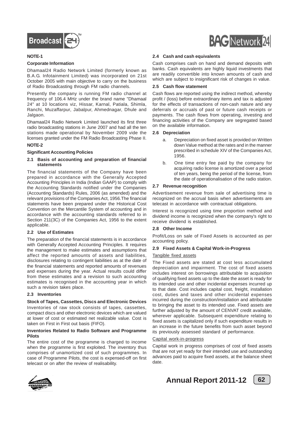![](_page_63_Picture_0.jpeg)

#### **NOTE-1**

#### **Corporate Information**

Dhamaal24 Radio Network Limited (formerly known as B.A.G. Infotainment Limited) was incorporated on 21st October 2005 with main objective to carry on the business of Radio Broadcasting through FM radio channels.

Presently the company is running FM radio channel at frequency of 106.4 MHz under the brand name "Dhamaal 24" at 10 locations viz, Hissar, Karnal, Patiala, Shimla, Ranchi, Muzaffarpur, Jabalpur, Ahmednagar, Dhule and Jalgaon.

Dhamaal24 Radio Network Limited launched its first three radio broadcasting stations in June 2007 and had all the ten stations made operational by November 2009 vide the licenses granted under the FM Radio Broadcasting Phase II.

#### **NOTE-2**

#### **Significant Accounting Policies**

#### **2.1 Basis of accounting and preparation of financial statements**

The financial statements of the Company have been prepared in accordance with the Generally Accepted Accounting Principles in India (Indian GAAP) to comply with the Accounting Standards notified under the Companies (Accounting Standards) Rules, 2006 (as amended) and the relevant provisions of the Companies Act, 1956.The financial statements have been prepared under the Historical Cost Convention on the Mercantile System of accounting and in accordance with the accounting standards referred to in Section 211(3C) of the Companies Act, 1956 to the extent applicable.

#### **2.2 Use of Estimates**

The preparation of the financial statements is in accordance with Generally Accepted Accounting Principles. It requires the management to make estimates and assumptions that affect the reported amounts of assets and liabilities, disclosures relating to contingent liabilities as at the date of the financial statements and reported amounts of revenues and expenses during the year. Actual results could differ from these estimates and a revision to such accounting estimates is recognised in the accounting year in which such a revision takes place.

#### **2.3 Inventories**

#### **Stock of Tapes, Cassettes, Discs and Electronic Devices**

Inventories of raw stock consists of tapes, cassettes, compact discs and other electronic devices which are valued at lower of cost or estimated net realizable value. Cost is taken on First in First out basis (FIFO).

#### **Inventories Related to Radio Software and Programme Pilots**

The entire cost of the programme is charged to income when the programme is first exploited. The inventory thus comprises of unamortized cost of such programmes. In case of Programme Pilots, the cost is expensed-off on first telecast or on after the review of realisability.

![](_page_63_Picture_17.jpeg)

Cash comprises cash on hand and demand deposits with banks. Cash equivalents are highly liquid investments that are readily convertible into known amounts of cash and which are subject to insignificant risk of changes in value.

#### **2.5 Cash flow statement**

Cash flows are reported using the indirect method, whereby profit / (loss) before extraordinary items and tax is adjusted for the effects of transactions of non-cash nature and any deferrals or accruals of past or future cash receipts or payments. The cash flows from operating, investing and financing activities of the Company are segregated based on the available information.

#### **2.6 Depreciation**

- a. Depreciation on fixed asset is provided on Written down Value method at the rates and in the manner prescribed in schedule XIV of the Companies Act, 1956.
- b. One time entry fee paid by the company for acquiring radio license is amortized over a period of ten years, being the period of the license, from the date of operationalisation of the radio station.

#### **2.7 Revenue recognition**

Advertisement revenue from sale of advertising time is recognized on the accrual basis when advertisements are telecast in accordance with contractual obligations.

Interest is recognized using time proportion method and dividend income is recognized when the company's right to receive dividend is established.

#### **2.8 Other Income**

Profit/Loss on sale of Fixed Assets is accounted as per accounting policy.

#### **2.9 Fixed Assets & Capital Work-in-Progress**

#### Tangible fixed assets

The Fixed assets are stated at cost less accumulated depreciation and impairment. The cost of fixed assets includes interest on borrowings attributable to acquisition of qualifying fixed assets up to the date the asset is ready for its intended use and other incidental expenses incurred up to that date. Cost includes capital cost, freight, installation cost, duties and taxes and other incidental expenses incurred during the construction/installation and attributable to bringing the asset to its intended use. Fixed assets are further adjusted by the amount of CENVAT credit available, wherever applicable. Subsequent expenditure relating to fixed assets is capitalized only if such expenditure results in an increase in the future benefits from such asset beyond its previously assessed standard of performance.

#### Capital work-in-progress

Capital work in progress comprises of cost of fixed assets that are not yet ready for their intended use and outstanding advances paid to acquire fixed assets, at the balance sheet date.

![](_page_63_Picture_34.jpeg)

![](_page_63_Picture_35.jpeg)

![](_page_63_Picture_37.jpeg)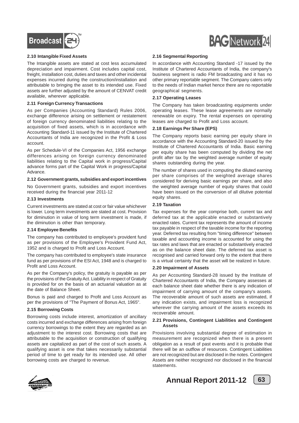![](_page_64_Picture_0.jpeg)

#### **2.10 Intangible Fixed Assets**

The Intangible assets are stated at cost less accumulated depreciation and impairment. Cost includes capital cost, freight, installation cost, duties and taxes and other incidental expenses incurred during the construction/installation and attributable to bringing the asset to its intended use. Fixed assets are further adjusted by the amount of CENVAT credit available, wherever applicable.

#### **2.11 Foreign Currency Transactions**

As per Companies (Accounting Standard) Rules 2006, exchange difference arising on settlement or restatement of foreign currency denominated liabilities relating to the acquisition of fixed assets, which is in accordance with Accounting Standard-11 issued by the Institute of Chartered Accountants of India are recognized in the Profit & Loss account.

As per Schedule-VI of the Companies Act, 1956 exchange differences arising on foreign currency denominated liabilities relating to the Capital work in progress/Capital advance forms part of the Capital Work in progress/Capital Advance.

#### **2.12 Government grants, subsidies and export incentives**

No Government grants, subsidies and export incentives received during the financial year 2011-12

#### **2.13 Investments**

Current investments are stated at cost or fair value whichever is lower. Long term investments are stated at cost. Provision for diminution in value of long term investment is made, if the diminution is other than temporary.

#### **2.14 Employee Benefits**

The company has contributed to employee's provident fund as per provisions of the Employee's Provident Fund Act, 1952 and is charged to Profit and Loss Account.

The company has contributed to employee's state insurance fund as per provisions of the ESI Act, 1948 and is charged to Profit and Loss Account.

As per the Company's policy, the gratuity is payable as per the provisions of the Gratuity Act. Liability in respect of Gratuity is provided for on the basis of an actuarial valuation as at the date of Balance Sheet.

Bonus is paid and charged to Profit and Loss Account as per the provisions of "The Payment of Bonus Act, 1965".

#### **2.15 Borrowing Costs**

Borrowing costs include interest, amortization of ancillary costs incurred and exchange differences arising from foreign currency borrowings to the extent they are regarded as an adjustment to the interest cost. Borrowing costs that are attributable to the acquisition or construction of qualifying assets are capitalized as part of the cost of such assets. A qualifying asset is one that takes necessarily substantial period of time to get ready for its intended use. All other borrowing costs are charged to revenue.

![](_page_64_Picture_17.jpeg)

#### **2.16 Segmental Reporting**

In accordance with Accounting Standard -17 issued by the Institute of Chartered Accountants of India, the company's business segment is radio FM broadcasting and it has no other primary reportable segment. The Company caters only to the needs of Indian market hence there are no reportable geographical segments.

#### **2.17 Operating Leases**

The Company has taken broadcasting equipments under operating leases. These lease agreements are normally renewable on expiry. The rental expenses on operating leases are charged to Profit and Loss account.

#### **2.18 Earnings Per Share (EPS)**

The Company reports basic earning per equity share in accordance with the Accounting Standard-20 issued by the Institute of Chartered Accountants of India. Basic earning per equity share has been computed by dividing the net profit after tax by the weighted average number of equity shares outstanding during the year.

The number of shares used in computing the diluted earning per share comprises of the weighted average shares considered for deriving basic earnings per share, and also the weighted average number of equity shares that could have been issued on the conversion of all dilutive potential equity shares.

#### **2.19 Taxation**

Tax expenses for the year comprise both, current tax and deferred tax at the applicable enacted or substantively enacted rates. Current tax represents the amount of income tax payable in respect of the taxable income for the reporting year. Deferred tax resulting from "timing difference" between taxable and accounting income is accounted for using the tax rates and laws that are enacted or substantively enacted as on the balance sheet date. The deferred tax asset is recognised and carried forward only to the extent that there is a virtual certainty that the asset will be realized in future.

#### **2.20 Impairment of Assets**

As per Accounting Standard-28 issued by the Institute of Chartered Accountants of India, the Company assesses at each balance sheet date whether there is any indication of impairment of carrying amount of the company's assets. The recoverable amount of such assets are estimated, if any indication exists, and impairment loss is recognized wherever the carrying amount of the assets exceeds its recoverable amount.

#### **2.21 Provisions, Contingent Liabilities and Contingent Assets**

Provisions involving substantial degree of estimation in measurement are recognized when there is a present obligation as a result of past events and it is probable that there will be an outflow of resources. Contingent Liabilities are not recognized but are disclosed in the notes. Contingent Assets are neither recognized nor disclosed in the financial statements.

![](_page_64_Picture_31.jpeg)

![](_page_64_Picture_33.jpeg)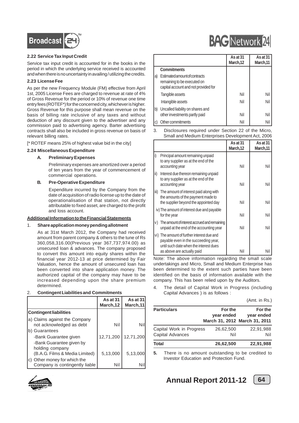![](_page_65_Picture_0.jpeg)

#### **2.22 Service Tax Input Credit**

Service tax input credit is accounted for in the books in the period in which the underlying service received is accounted and when there is no uncertainty in availing / utilizing the credits.

#### **2.23 License Fee**

As per the new Frequency Module (FM) effective from April 1st, 2005 License Fees are charged to revenue at rate of 4% of Gross Revenue for the period or 10% of revenue one time entry fees (ROTEF\*) for the concerned city, whichever is higher. Gross Revenue for this purpose shall mean revenue on the basis of billing rate inclusive of any taxes and without deduction of any discount given to the advertiser and any commission paid to advertising agency. Barter advertising contracts shall also be included in gross revenue on basis of relevant billing rates.

[\* ROTEF means 25% of highest value bid in the city]

#### **2.24 Miscellaneous Expenditure**

#### **A. Preliminary Expenses**

Preliminary expenses are amortized over a period of ten years from the year of commencement of commercial operations.

#### **B. Pre-Operative Expenditure**

Expenditure incurred by the Company from the date of acquisition of radio license up to the date of operationalisation of that station, not directly attributable to fixed asset, are charged to the profit and loss account.

#### **Additional Information to the Financial Statements**

#### 1. **Share application money pending allotment**

As at 31st March 2012, the Company had received amount from parent company & others to the tune of Rs 360,058,316.00(Previous year 367,737,974.00) as unsecured loan & advances. The company proposed to convert this amount into equity shares within the financial year 2012-13 at price determined by Fair Valuation, hence the amount of unsecured loan has been converted into share application money. The authorized capital of the company may have to be increased depending upon the share premium determined.

#### 2. **Contingent Liabilities and Commitments**

|                                                                    | As at 31<br>March, 12 | As at 31<br>March, 11 |
|--------------------------------------------------------------------|-----------------------|-----------------------|
| <b>Contingent liabilities</b>                                      |                       |                       |
| a) Claims against the Company<br>not acknowledged as debt          | Nil                   | Nil                   |
| b) Guarantees<br>-Bank Guarantee given<br>-Bank Guarantee given by | 12,71,200             | 12,71,200             |
| holding company<br>(B.A.G. Films & Media Limited)                  | 5,13,000              | 5,13,000              |
| Other money for which the<br>C)<br>Company is contingently liable  | Nil                   |                       |

![](_page_65_Picture_16.jpeg)

|    |                                                                                                             | As at 31<br>March, 12 | As at 31<br>March,11 |
|----|-------------------------------------------------------------------------------------------------------------|-----------------------|----------------------|
|    | Commitments                                                                                                 |                       |                      |
| a) | <b>Estimated amount of contracts</b><br>remaining to be executed on<br>capital account and not provided for |                       |                      |
|    | Tangible assets                                                                                             | Nil                   | Nil                  |
|    | Intangible assets                                                                                           | Nil                   | Nil                  |
| b) | Uncalled liability on shares and<br>other investments partly paid                                           | Nil                   |                      |

c) Other commitments Nil Nil

3. Disclosures required under Section 22 of the Micro, Small and Medium Enterprises Development Act, 2006

|                                                                                                                                                            | As at $31$<br>March, 12 | As at 31<br>March, 11 |
|------------------------------------------------------------------------------------------------------------------------------------------------------------|-------------------------|-----------------------|
| l i)<br>Principal amount remaining unpaid<br>to any supplier as at the end of the<br>accounting year                                                       | Nil                     | Nil                   |
| l ii)<br>Interest due thereon remaining unpaid<br>to any supplier as at the end of the<br>accounting year                                                  | Nil                     | Nil                   |
| iii) The amount of interest paid along with<br>the amounts of the payment made to<br>the supplier beyond the appointed day                                 | Nil                     | Nil                   |
| iv) The amount of interest due and payable<br>for the year                                                                                                 | Nil                     | Nil                   |
| The amount of interest accrued and remaining<br>$ v\rangle$<br>unpaid at the end of the accounting year                                                    | Nil                     | Nil                   |
| vi) The amount of further interest due and<br>payable even in the succeeding year,<br>until such date when the interest dues<br>as above are actually paid | Nil                     | Nil                   |

Note: The above information regarding the small scale undertakings and Micro, Small and Medium Enterprise has been determined to the extent such parties have been identified on the basis of information available with the company. This has been relied upon by the Auditors.

4. The detail of Capital Work in Progress (including Capital Advances ) is as follows :

|  | (Amt. in Rs.) |
|--|---------------|
|  |               |
|  |               |
|  |               |

| <b>Particulars</b>                           | For the<br>year ended | For the<br>year ended<br>March 31, 2012 March 31, 2011 |  |
|----------------------------------------------|-----------------------|--------------------------------------------------------|--|
| Capital Work in Progress<br>Capital Advances | 26,62,500<br>Nil      | 22,91,988<br>Nil                                       |  |
| Total                                        | 26,62,500             | 22,91,988                                              |  |

**5.** There is no amount outstanding to be credited to Investor Education and Protection Fund.

**BAC** Network 24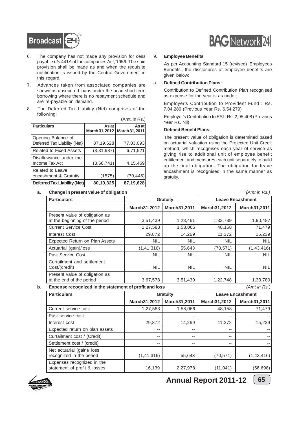![](_page_66_Picture_0.jpeg)

- 6. The company has not made any provision for cess payable u/s 441A of the companies Act, 1956. The said provision shall be made as and when the requisite notification is issued by the Central Government in this regard.
- 7. Advances taken from associated companies are shown as unsecured loans under the head short term borrowing where there is no repayment schedule and are re-payable on demand.
- 8. The Deferred Tax Liability (Net) comprises of the following:  $(Amt. in  $Da$ )$

|                                                    |                         | (AIIII. III KS.)        |
|----------------------------------------------------|-------------------------|-------------------------|
| <b>Particulars</b>                                 | As at<br>March 31, 2012 | As at<br>March 31, 2011 |
| Opening Balance of<br>Deferred Tax Liability (Net) | 87,19,628               | 77,03,093               |
| Related to Fixed Assets                            | (3,31,987)              | 6,71,521                |
| Disallowance under the<br>Income Tax Act           | (3,66,741)              | 4,15,459                |
| <b>Related to Leave</b><br>encashment & Gratuity   | (1575)                  | (70, 445)               |
| Deferred Tax Liability (Net)                       | 80,19,325               | 87,19,628               |

# **BAG** Network 24

#### 9. **Employee Benefits**

As per Accounting Standard 15 (revised) 'Employees Benefits', the disclosures of employee benefits are given below:

#### a. **Defined Contribution Plans :**

Contribution to Defined Contribution Plan recognised as expense for the year is as under:

Employer's Contribution to Provident Fund : Rs. 7,04,280 (Previous Year Rs. 6,54,279)

Employer's Contribution to ESI : Rs. 2,95,408 (Previous Year Rs. Nil)

#### **Defined Benefit Plans:**

The present value of obligation is determined based on actuarial valuation using the Projected Unit Credit method, which recognises each year of service as giving rise to additional unit of employee benefit entitlement and measures each unit separately to build up the final obligation. The obligation for leave encashment is recognised in the same manner as gratuity.

| a. | Change in present value of obligation                            |              | (Amt in Rs.)    |                         |              |  |
|----|------------------------------------------------------------------|--------------|-----------------|-------------------------|--------------|--|
|    | <b>Particulars</b>                                               |              | <b>Gratuity</b> | <b>Leave Encashment</b> |              |  |
|    |                                                                  | March31,2012 | March31,2011    | March31,2012            | March31,2011 |  |
|    | Present value of obligation as<br>at the beginning of the period | 3,51,439     | 1,23,461        | 1,33,789                | 1,90,487     |  |
|    | <b>Current Service Cost</b>                                      | 1,27,583     | 1,58,066        | 48,158                  | 71,479       |  |
|    | Interest Cost                                                    | 29,872       | 14,269          | 11,372                  | 15,239       |  |
|    | Expected Return on Plan Assets                                   | <b>NIL</b>   | <b>NIL</b>      | <b>NIL</b>              | <b>NIL</b>   |  |
|    | Actuarial (gain)/loss                                            | (1, 41, 316) | 55,643          | (70, 571)               | (1,43,416)   |  |
|    | Past Service Cost                                                | <b>NIL</b>   | NIL.            | <b>NIL</b>              | <b>NIL</b>   |  |
|    | Curtailment and settlement<br>Cost/(credit)                      | <b>NIL</b>   | NIL.            | NIL.                    | <b>NIL</b>   |  |
|    | Present value of obligation as<br>at the end of the period       | 3,67,578     | 3,51,439        | 1,22,748                | 1,33,789     |  |

**b. Expense recognized in the statement of profit and loss** *(Amt in Rs.)*

| <b>Particulars</b>                                         |              | <b>Leave Encashment</b><br>Gratuity |              |              |  |  |
|------------------------------------------------------------|--------------|-------------------------------------|--------------|--------------|--|--|
|                                                            | March31,2012 | March31,2011                        | March31,2012 | March31,2011 |  |  |
| Current service cost                                       | 1,27,583     | 1,58,066                            | 48,158       | 71,479       |  |  |
| Past service cost                                          | --           | $- -$                               | $- -$        |              |  |  |
| Interest cost                                              | 29,872       | 14,269                              | 11,372       | 15,239       |  |  |
| Expected return on plan assets                             | --           | $- -$                               | --           |              |  |  |
| Curtailment cost / (Credit)                                | --           | $-$                                 | $- -$        |              |  |  |
| Settlement cost / (credit)                                 | --           | $- -$                               | $- -$        |              |  |  |
| Net actuarial (gain)/ loss<br>recognized in the period     | (1, 41, 316) | 55,643                              | (70, 571)    | (1,43,416)   |  |  |
| Expenses recognized in the<br>statement of profit & losses | 16,139       | 2,27,978                            | (11, 041)    | (56, 698)    |  |  |

![](_page_66_Picture_17.jpeg)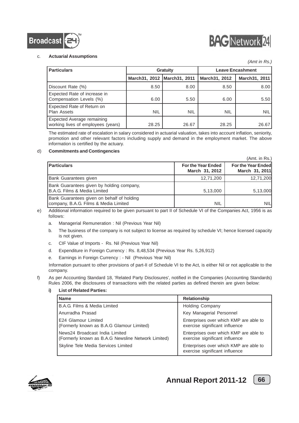![](_page_67_Picture_0.jpeg)

![](_page_67_Picture_1.jpeg)

 $(Amt$  in  $Den$ )

#### c. **Actuarial Assumptions**

|                                                                         |               |                 |                         | (Amt in Rs.)  |
|-------------------------------------------------------------------------|---------------|-----------------|-------------------------|---------------|
| <b>Particulars</b>                                                      |               | <b>Gratuity</b> | <b>Leave Encashment</b> |               |
|                                                                         | March31, 2012 | March31, 2011   | March31, 2012           | March31, 2011 |
| Discount Rate (%)                                                       | 8.50          | 8.00            | 8.50                    | 8.00          |
| Expected Rate of increase in<br>Compensation Levels (%)                 | 6.00          | 5.50            | 6.00                    | 5.501         |
| Expected Rate of Return on<br><b>Plan Assets</b>                        | <b>NIL</b>    | <b>NIL</b>      | <b>NIL</b>              | <b>NIL</b>    |
| <b>Expected Average remaining</b><br>working lives of employees (years) | 28.25         | 26.67           | 28.25                   | 26.67         |

The estimated rate of escalation in salary considered in actuarial valuation, takes into account inflation, seniority, promotion and other relevant factors including supply and demand in the employment market. The above information is certified by the actuary.

#### d) **Commitments and Contingencies**

|                                                                                     |                                             | , ה-ט ו ווי ווי ווי ווי <i>ו</i>            |
|-------------------------------------------------------------------------------------|---------------------------------------------|---------------------------------------------|
| <b>Particulars</b>                                                                  | <b>For the Year Ended</b><br>March 31, 2012 | <b>For the Year Ended</b><br>March 31, 2011 |
| Bank Guarantees given                                                               | 12,71,200                                   | 12,71,200                                   |
| Bank Guarantees given by holding company,<br>IB.A.G. Films & Media Limited          | 5,13,000                                    | 5,13,000                                    |
| Bank Guarantees given on behalf of holding<br>company, B.A.G. Films & Media Limited | NIL                                         | <b>NIL</b>                                  |

e) Additional information required to be given pursuant to part II of Schedule VI of the Companies Act, 1956 is as follows:

a. Managerial Remuneration : Nil (Previous Year Nil)

- b. The business of the company is not subject to license as required by schedule VI; hence licensed capacity is not given.
- c. CIF Value of Imports Rs. Nil (Previous Year Nil)
- d. Expenditure in Foreign Currency : Rs. 8,48,534 (Previous Year Rs. 5,26,912)
- e. Earnings in Foreign Currency : Nil (Previous Year Nil)

Information pursuant to other provisions of part-II of Schedule VI to the Act, is either Nil or not applicable to the company.

f) As per Accounting Standard 18, 'Related Party Disclosures', notified in the Companies (Accounting Standards) Rules 2006, the disclosures of transactions with the related parties as defined therein are given below:

| <b>Name</b>                                                                          | <b>Relationship</b>                                                      |
|--------------------------------------------------------------------------------------|--------------------------------------------------------------------------|
| B.A.G. Films & Media Limited                                                         | Holding Company                                                          |
| Anurradha Prasad                                                                     | Key Managerial Personnel                                                 |
| E24 Glamour Limited<br>(Formerly known as B.A.G Glamour Limited)                     | Enterprises over which KMP are able to<br>exercise significant influence |
| News24 Broadcast India Limited<br>(Formerly known as B.A.G Newsline Network Limited) | Enterprises over which KMP are able to<br>exercise significant influence |
| Skyline Tele Media Services Limited                                                  | Enterprises over which KMP are able to<br>exercise significant influence |

#### **i) List of Related Parties:**

![](_page_67_Picture_17.jpeg)

![](_page_67_Figure_19.jpeg)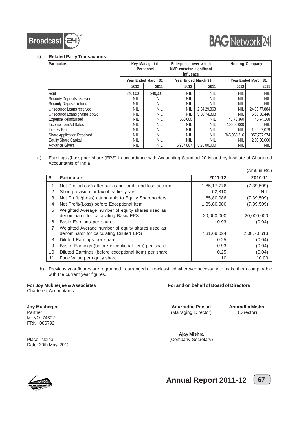![](_page_68_Picture_0.jpeg)

![](_page_68_Picture_1.jpeg)

#### **ii) Related Party Transactions:**

| Particulars                  | Key Managerial<br>Personnel |            | Enterprises over which<br>KMP exercise significant<br>influence |             |             | <b>Holding Company</b> |
|------------------------------|-----------------------------|------------|-----------------------------------------------------------------|-------------|-------------|------------------------|
|                              | Year Ended March 31         |            | Year Ended March 31                                             |             |             | Year Ended March 31    |
|                              | 2012                        | 2011       | 2012                                                            | 2011        | 2012        | 2011                   |
| Rent                         | 240,000                     | 240,000    | <b>NIL</b>                                                      | <b>NIL</b>  | NIL         | <b>NIL</b>             |
| Security Deposits received   | NIL                         | NIL        | <b>NIL</b>                                                      | <b>NIL</b>  | <b>NIL</b>  | NIL                    |
| Security Deposits refund     | <b>NIL</b>                  | <b>NIL</b> | <b>NIL</b>                                                      | NIL         | NIL         | NIL                    |
| Unsecured Loans received     | <b>NIL</b>                  | <b>NIL</b> | NIL                                                             | 2,34,29,868 | <b>NIL</b>  | 24,83,77,884           |
| Unsecured Loans given/Repaid | <b>NIL</b>                  | <b>NIL</b> | <b>NIL</b>                                                      | 5,38,74,303 | NIL         | 6,08,38,446            |
| <b>Expense Reimbursed</b>    | NIL                         | <b>NIL</b> | 550,000                                                         | NIL         | 48,76,360   | 45,74,168              |
| Income from Ad Sales         | NIL                         | <b>NIL</b> | NIL                                                             | <b>NIL</b>  | 100,00,000  | NIL                    |
| Interest Paid                | NIL                         | <b>NIL</b> | NIL                                                             | <b>NIL</b>  | <b>NIL</b>  | 1,99,67,079            |
| Share Application Received   | <b>NIL</b>                  | <b>NIL</b> | <b>NIL</b>                                                      | <b>NIL</b>  | 345,058,316 | 357.737.974            |
| Equity Share Capital         | NIL                         | <b>NIL</b> | <b>NIL</b>                                                      | NIL         | NIL         | 2.00.00.000            |
| Advance Given                | <b>NIL</b>                  | NIL        | 5.987.807                                                       | 5.25.00.000 | NIL         | NIL                    |

g) Earnings /(Loss) per share (EPS) in accordance with Accounting Standard-20 issued by Institute of Chartered Accountants of India

|           |                                                            |             | (Amt. in Rs.) |
|-----------|------------------------------------------------------------|-------------|---------------|
| <b>SL</b> | <b>Particulars</b>                                         | 2011-12     | 2010-11       |
|           | Net Profit/(Loss) after tax as per profit and loss account | 1,85,17,776 | (7, 39, 509)  |
| 2         | Short provision for tax of earlier years                   | 62,310      | <b>NIL</b>    |
| 3         | Net Profit /(Loss) attributable to Equity Shareholders     | 1,85,80,086 | (7, 39, 509)  |
| 4         | Net Profit/(Loss) before Exceptional Item                  | 1,85,80,086 | (7, 39, 509)  |
| 5         | Weighted Average number of equity shares used as           |             |               |
|           | denominator for calculating Basic EPS                      | 20,000,000  | 20,000,000    |
| 6         | Basic Earnings per share                                   | 0.93        | (0.04)        |
| 7         | Weighted Average number of equity shares used as           |             |               |
|           | denominator for calculating Diluted EPS                    | 7,31,69,024 | 2,00,70,613   |
| 8         | Diluted Earnings per share                                 | 0.25        | (0.04)        |
| 9         | Basic Earnings (before exceptional item) per share         | 0.93        | (0.04)        |
| 10        | Diluted Earnings (before exceptional item) per share       | 0.25        | (0.04)        |
| 11        | Face Value per equity share                                | 10          | 10.00         |

h) Previous year figures are regrouped, rearranged or re-classified wherever necessary to make them comparable with the current year figures.

Chartered Accountants

#### **For Joy Mukherjee & Associates For and on behalf of Board of Directors**

**Joy Mukherjee <b>Anuradha Prasad** Anuradha Mishra<br>Partner (Managing Director) (Director) (Director) (Managing Director)

**Ajay Mishra** Place: Noida (Company Secretary)

M. NO. 74602 FRN: 006792

Date: 30th May, 2012

![](_page_68_Picture_15.jpeg)

![](_page_68_Figure_17.jpeg)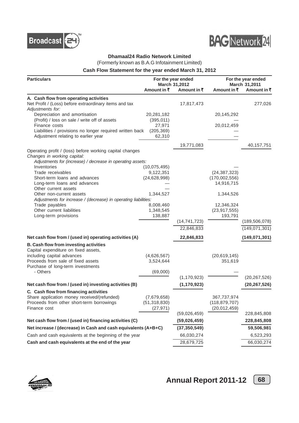![](_page_69_Picture_0.jpeg)

![](_page_69_Picture_1.jpeg)

#### **Dhamaal24 Radio Network Limited**

(Formerly known as B.A.G Infotainment Limited)

#### **Cash Flow Statement for the year ended March 31, 2012**

| <b>Particulars</b>                                                                              |                             | For the year ended           |                                   | For the year ended           |  |
|-------------------------------------------------------------------------------------------------|-----------------------------|------------------------------|-----------------------------------|------------------------------|--|
|                                                                                                 | Amount in $\bar{z}$         | March 31,2012<br>Amount in ₹ | Amount in ₹                       | March 31,2011<br>Amount in ₹ |  |
| A. Cash flow from operating activities                                                          |                             |                              |                                   |                              |  |
| Net Profit / (Loss) before extraordinary items and tax                                          |                             | 17,817,473                   |                                   | 277,026                      |  |
| Adjustments for:                                                                                |                             |                              |                                   |                              |  |
| Depreciation and amortisation                                                                   | 20,281,182                  |                              | 20,145,292                        |                              |  |
| (Profit) / loss on sale / write off of assets                                                   | (395, 011)                  |                              |                                   |                              |  |
| Finance costs                                                                                   | 27,971                      |                              | 20,012,459                        |                              |  |
| Liabilities / provisions no longer required written back<br>Adjustment relating to earlier year | (205, 369)<br>62,310        |                              |                                   |                              |  |
|                                                                                                 |                             |                              |                                   |                              |  |
|                                                                                                 |                             | 19,771,083                   |                                   | 40,157,751                   |  |
| Operating profit / (loss) before working capital changes<br>Changes in working capital:         |                             |                              |                                   |                              |  |
| Adjustments for (increase) / decrease in operating assets:                                      |                             |                              |                                   |                              |  |
| Inventories                                                                                     | (10, 075, 495)              |                              |                                   |                              |  |
| Trade receivables                                                                               | 9,122,351                   |                              | (24, 387, 323)                    |                              |  |
| Short-term loans and advances                                                                   | (24, 628, 998)              |                              | (170,002,556)                     |                              |  |
| Long-term loans and advances<br>Other current assets                                            |                             |                              | 14,916,715                        |                              |  |
| Other non-current assets                                                                        | 1,344,527                   |                              | 1,344,526                         |                              |  |
| Adjustments for increase / (decrease) in operating liabilities:                                 |                             |                              |                                   |                              |  |
| Trade payables                                                                                  | 8,008,460                   |                              | 12,346,324                        |                              |  |
| Other current liabilities                                                                       | 1,348,545                   |                              | (23, 917, 555)                    |                              |  |
| Long-term provisions                                                                            | 138,887                     | (14, 741, 723)               | 193,791                           | (189, 506, 078)              |  |
|                                                                                                 |                             |                              |                                   |                              |  |
|                                                                                                 |                             | 22,846,833                   |                                   | (149,071,301)                |  |
| Net cash flow from / (used in) operating activities (A)                                         |                             | 22,846,833                   |                                   | (149, 071, 301)              |  |
| B. Cash flow from investing activities                                                          |                             |                              |                                   |                              |  |
| Capital expenditure on fixed assets,                                                            |                             |                              |                                   |                              |  |
| including capital advances<br>Proceeds from sale of fixed assets                                | (4,626,567)<br>3,524,644    |                              | (20, 619, 145)<br>351,619         |                              |  |
| Purchase of long-term investments                                                               |                             |                              |                                   |                              |  |
| - Others                                                                                        | (69,000)                    |                              |                                   |                              |  |
|                                                                                                 |                             | (1, 170, 923)                |                                   | (20, 267, 526)               |  |
| Net cash flow from / (used in) investing activities (B)                                         |                             | (1, 170, 923)                |                                   | (20, 267, 526)               |  |
| C. Cash flow from financing activities                                                          |                             |                              |                                   |                              |  |
| Share application money received/(refunded)                                                     | (7,679,658)                 |                              | 367,737,974                       |                              |  |
| Proceeds from other short-term borrowings<br>Finance cost                                       | (51, 318, 830)<br>(27, 971) |                              | (118, 879, 707)<br>(20, 012, 459) |                              |  |
|                                                                                                 |                             | (59,026,459)                 |                                   | 228,845,808                  |  |
| Net cash flow from / (used in) financing activities (C)                                         |                             | (59,026,459)                 |                                   | 228,845,808                  |  |
| Net increase / (decrease) in Cash and cash equivalents (A+B+C)                                  |                             | (37, 350, 549)               |                                   | 59,506,981                   |  |
| Cash and cash equivalents at the beginning of the year                                          |                             | 66,030,274                   |                                   | 6,523,293                    |  |
| Cash and cash equivalents at the end of the year                                                |                             | 28,679,725                   |                                   | 66,030,274                   |  |
|                                                                                                 |                             |                              |                                   |                              |  |

![](_page_69_Picture_6.jpeg)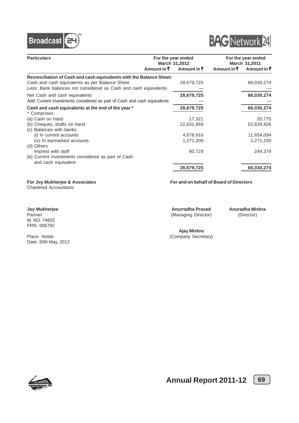![](_page_70_Picture_0.jpeg)

![](_page_70_Picture_1.jpeg)

| <b>Particulars</b>                                                                                                                                                                       |             | For the year ended<br>March 31,2012 |             | For the year ended<br>March 31,2011 |  |
|------------------------------------------------------------------------------------------------------------------------------------------------------------------------------------------|-------------|-------------------------------------|-------------|-------------------------------------|--|
|                                                                                                                                                                                          | Amount in ₹ | Amount in ₹                         | Amount in ₹ | Amount in ₹                         |  |
| Reconciliation of Cash and cash equivalents with the Balance Sheet:<br>Cash and cash equivalents as per Balance Sheet<br>Less: Bank balances not considered as Cash and cash equivalents |             | 28,679,725                          |             | 66,030,274                          |  |
| Net Cash and cash equivalents<br>Add: Current investments considered as part of Cash and cash equivalents                                                                                |             | 28,679,725                          |             | 66,030,274                          |  |
| Cash and cash equivalents at the end of the year *<br>* Comprises:                                                                                                                       |             | 28,679,725                          |             | 66,030,274                          |  |
| (a) Cash on hand                                                                                                                                                                         |             | 17,321                              |             | 20,775                              |  |
| (b) Cheques, drafts on hand<br>(c) Balances with banks                                                                                                                                   |             | 22,631,859                          |             | 52,839,826                          |  |
| (i) In current accounts                                                                                                                                                                  |             | 4,678,616                           |             | 11,654,094                          |  |
| (iv) In earmarked accounts<br>(d) Others                                                                                                                                                 |             | 1,271,200                           |             | 1,271,200                           |  |
| Imprest with staff                                                                                                                                                                       |             | 80,729                              |             | 244,379                             |  |
| (e) Current investments considered as part of Cash<br>and cash equivalent                                                                                                                |             |                                     |             |                                     |  |
|                                                                                                                                                                                          |             | 28,679,725                          |             | 66,030,274                          |  |

Chartered Accountants

M. NO. 74602 FRN: 006792

Date: 30th May, 2012

**For Joy Mukherjee & Associates For and on behalf of Board of Directors**

**Joy Mukherjee <b>Anuradha Prasad** Anuradha Mishra<br>
Partner (Managing Director) (Director) (Managing Director)

**Ajay Mishra** Place: Noida (Company Secretary)

![](_page_70_Picture_11.jpeg)

![](_page_70_Figure_13.jpeg)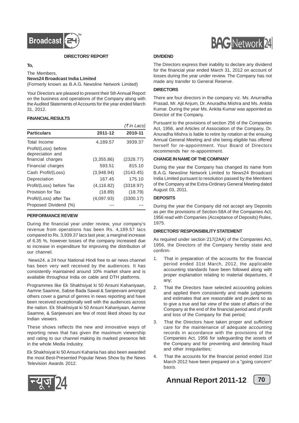![](_page_71_Picture_0.jpeg)

**DIRECTORS' REPORT**

#### **To,**

The Members, **News24 Broadcast India Limited** (Formerly known as B.A.G. Newsline Network Limited)

Your Directors are pleased to present their 5th Annual Report on the business and operations of the Company along with the Audited Statements of Accounts for the year ended March 31, 2012.

#### **FINANCIAL RESULTS**

|                                          |             | (₹ in Lacs) |
|------------------------------------------|-------------|-------------|
| <b>Particulars</b>                       | 2011-12     | 2010-11     |
| Total Income                             | 4,189.57    | 3939.37     |
| Profit/(Loss) before<br>depreciation and |             |             |
| financial charges                        | (3,355.86)  | (2328.77)   |
| Financial charges                        | 593.51      | 815.10      |
| Cash Profit/(Loss)                       | (3,948.94)  | (3143.45)   |
| Depreciation                             | 167.45      | 175.10      |
| Profit/(Loss) before Tax                 | (4, 116.82) | (3318.97)   |
| Provision for Tax                        | (18.89)     | (18.79)     |
| Profit/(Loss) after Tax                  | (4,097.93)  | (3300.17)   |
| Proposed Dividend (%)                    |             |             |

#### **PERFORMANCE REVIEW**

During the financial year under review, your company's revenue from operations has been Rs. 4,189.57 lacs compared to Rs. 3,939.37 lacs last year, a marginal increase of 6.35 %, however losses of the company increased due to increase in expenditure for improving the distribution of our channel.

 News24, a 24 hour National Hindi free to air news channel has been very well received by the audiences. It has consistently maintained around 10% market share and is available throughout India on cable and DTH platforms.

Programmes like Ek Shakhsiyat ki 50 Ansuni Kahaniyaan, Aamne Saamne, Sabse Bada Sawal & Sanjeevani amongst others cover a gamut of genres in news reporting and have been received exceptionally well with the audiences across the nation. Ek Shakhsiyat ki 50 Ansuni Kahaniyaan, Aamne Saamne, & Sanjeevani are few of most liked shows by our Indian viewers.

These shows reflects the new and innovative ways of reporting news that has given the maximum viewership and rating to our channel making its marked presence felt in the whole Media Industry.

Ek Shakhsiyat ki 50 Ansuni Kahania has also been awarded the most Best-Presented Popular News Show by the News Television Awards 2012.

![](_page_71_Picture_13.jpeg)

#### **DIVIDEND**

The Directors express their inability to declare any dividend for the financial year ended March 31, 2012 on account of losses during the year under review. The Company has not made any transfer to General Reserve.

#### **DIRECTORS**

There are four directors in the company viz. Ms. Anurradha Prasad, Mr. Ajit Anjum, Dr. Anuradha Mishra and Ms. Ankita Kumar. During the year Ms. Ankita Kumar was appointed as Director of the Company.

Pursuant to the provisions of section 256 of the Companies Act, 1956, and Articles of Association of the Company, Dr. Anuradha Mishra is liable to retire by rotation at the ensuing Annual General Meeting and she being eligible has offered herself for re-appointment. Your Board of Directors recommends her re-appointment.

#### **CHANGE IN NAME OF THE COMPANY**

During the year the Company has changed its name from B.A.G. Newsline Network Limited to News24 Broadcast India Limited pursuant to resolution passed by the Members of the Company at the Extra-Ordinary General Meeting dated August 03, 2011.

#### **DEPOSITS**

During the year the Company did not accept any Deposits as per the provisions of Section-58A of the Companies Act, 1956 read with Companies (Acceptance of Deposits) Rules, 1975.

#### **DIRECTORS' RESPONSIBILITY STATEMENT**

As required under section 217(2AA) of the Companies Act, 1956, the Directors of the Company hereby state and confirm-

- 1. That in preparation of the accounts for the financial period ended 31st March, 2012, the applicable accounting standards have been followed along with proper explanation relating to material departures, if any;
- 2. That the Directors have selected accounting policies and applied them consistently and made judgments and estimates that are reasonable and prudent so as to give a true and fair view of the state of affairs of the Company at the end of the financial period and of profit and loss of the Company for that period;
- 3. That the Directors have taken proper and sufficient care for the maintenance of adequate accounting records in accordance with the provisions of the Companies Act, 1956 for safeguarding the assets of the Company and for preventing and detecting fraud and other irregularities;
- 4. That the accounts for the financial period ended 31st March 2012 have been prepared on a "going concern" basis.

![](_page_71_Picture_29.jpeg)

![](_page_71_Picture_31.jpeg)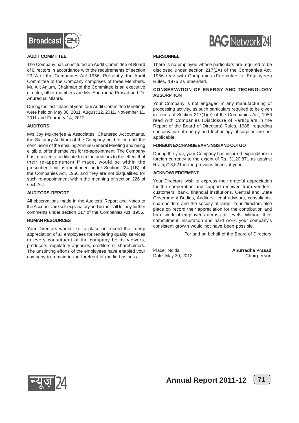



#### **AUDIT COMMITTEE**

The Company has constituted an Audit Committee of Board of Directors in accordance with the requirements of section 292A of the Companies Act 1956. Presently, the Audit Committee of the Company comprises of three Members. Mr. Ajit Anjum, Chairman of the Committee is an executive director, other members are Ms. Anurradha Prasad and Dr. Anuradha Mishra.

During the last financial year, four Audit Committee Meetings were held on May 30, 2011, August 12, 2011, November 11, 2011 and February 14, 2012.

#### **AUDITORS**

M/s Joy Mukherjee & Associates, Chartered Accountants, the Statutory Auditors of the Company hold office until the conclusion of the ensuing Annual General Meeting and being eligible, offer themselves for re-appointment. The Company has received a certificate from the auditors to the effect that their re-appointment if made, would be within the prescribed limit as mentioned under Section 224 (1B) of the Companies Act, 1956 and they are not disqualified for such re-appointment within the meaning of section 226 of such Act.

#### **AUDITORS' REPORT**

All observations made in the Auditors' Report and Notes to the Accounts are self explanatory and do not call for any further comments under section 217 of the Companies Act, 1956.

#### **HUMAN RESOURCES**

Your Directors would like to place on record their deep appreciation of all employees for rendering quality services to every constituent of the company be its viewers, producers, regulatory agencies, creditors or shareholders. The unstinting efforts of the employees have enabled your company to remain in the forefront of media business.

#### **PERSONNEL**

There is no employee whose particulars are required to be disclosed under section 217(2A) of the Companies Act, 1956 read with Companies (Particulars of Employees) Rules, 1975 as amended.

#### **CONSERVATION OF ENERGY AND TECHNOLOGY ABSORPTION**

Your Company is not engaged in any manufacturing or processing activity, as such particulars required to be given in terms of Section 217(1)(e) of the Companies Act, 1956 read with Companies (Disclosure of Particulars in the Report of the Board of Directors) Rules, 1988, regarding conservation of energy and technology absorption are not applicable

#### **FOREIGN EXCHANGE EARNINGS AND OUTGO**

During the year, your Company has incurred expenditure in foreign currency to the extent of Rs. 31,20,871 as against Rs. 5,718,521 in the previous financial year.

#### **ACKNOWLEDGEMENT**

Your Directors wish to express their grateful appreciation for the cooperation and support received from vendors, customers, bank, financial institutions, Central and State Government Bodies, Auditors, legal advisors, consultants, shareholders and the society at large. Your directors also place on record their appreciation for the contribution and hard work of employees across all levels. Without their commitment, inspiration and hard work, your company's consistent growth would not have been possible.

For and on behalf of the Board of Directors

Place: Noida **Anurradha Prasad** Date: May 30, 2012



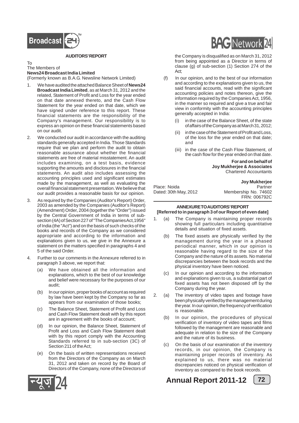

#### **AUDITORS' REPORT**

#### To The Members of **News24 Broadcast India Limited**

(Formerly known as B.A.G. Newsline Network Limited)

- 1. We have audited the attached Balance Sheet of **News24 Broadcast India Limited**, as at March 31, 2012 and the related, Statement of Profit and Loss for the year ended on that date annexed thereto, and the Cash Flow Statement for the year ended on that date, which we have signed under reference to this report. These financial statements are the responsibility of the Company's management. Our responsibility is to express an opinion on these financial statements based on our audit.
- 2. We conducted our audit in accordance with the auditing standards generally accepted in India. Those Standards require that we plan and perform the audit to obtain reasonable assurance about whether the financial statements are free of material misstatement. An audit includes examining, on a test basis, evidence supporting the amounts and disclosures in the financial statements. An audit also includes assessing the accounting principles used and significant estimates made by the management, as well as evaluating the overall financial statement presentation. We believe that our audit provides a reasonable basis for our opinion.
- 3. As required by the Companies (Auditor's Report) Order, 2003 as amended by the Companies (Auditor's Report) (Amendment) Order, 2004 (together the "Order") issued by the Central Government of India in terms of subsection (4A) of Section 227 of "The Companies Act,1956" of India (the "Act") and on the basis of such checks of the books and records of the Company as we considered appropriate and according to the information and explanations given to us, we give in the Annexure a statement on the matters specified in paragraphs 4 and 5 of the said Order.
- Further to our comments in the Annexure referred to in paragraph 3 above, we report that:
	- (a) We have obtained all the information and explanations, which to the best of our knowledge and belief were necessary for the purposes of our audit;
	- (b) In our opinion, proper books of account as required by law have been kept by the Company so far as appears from our examination of those books;
	- (c) The Balance Sheet, Statement of Profit and Loss and Cash Flow Statement dealt with by this report are in agreement with the books of account;
	- (d) In our opinion, the Balance Sheet, Statement of Profit and Loss and Cash Flow Statement dealt with by this report comply with the Accounting Standards referred to in sub-section (3C) of Section 211 of the Act;
	- (e) On the basis of written representations received from the Directors of the Company as on March 31, 2012 and taken on record by the Board of Directors of the Company, none of the Directors of



the Company is disqualified as on March 31, 2012 from being appointed as a Director in terms of clause (g) of sub-section (1) Section 274 of the Act;

- (f) In our opinion, and to the best of our information and according to the explanations given to us, the said financial accounts, read with the significant accounting policies and notes thereon, give the information required by the Companies Act, 1956, in the manner so required and give a true and fair view in conformity with the accounting principles generally accepted in India:
	- (i) in the case of the Balance Sheet, of the state of affairs of the Company as at March 31, 2012;
	- (ii) in the case of the Statement of Profit and Loss, of the loss for the year ended on that date; and
	- (iii) in the case of the Cash Flow Statement, of the cash flow for the year ended on that date.

**For and on behalf of Joy Mukherjee & Associates** Chartered Accountants

**Joy Mukherjee** Place: Noida Partner Dated: 30th May, 2012 Membership No. 74602 FRN: 006792C

#### **ANNEXURE TO AUDITORS' REPORT [Referred to in paragraph 3 of our Report of even date]**

- 1. (a) The Company is maintaining proper records showing full particulars including quantitative details and situation of fixed assets.
	- (b) The fixed assets are physically verified by the management during the year in a phased periodical manner, which in our opinion is reasonable having regard to the size of the Company and the nature of its assets. No material discrepancies between the book records and the physical inventory have been noticed.
	- (c) In our opinion and according to the information and explanations given to us, a substantial part of fixed assets has not been disposed off by the Company during the year.
- 2. (a) The inventory of video tapes and footage have been physically verified by the management during the year. In our opinion, the frequency of verification is reasonable.
	- (b) In our opinion, the procedures of physical verification of inventory of video tapes and films followed by the management are reasonable and adequate in relation to the size of the Company and the nature of its business.
	- (c) On the basis of our examination of the inventory records, in our opinion, the Company is maintaining proper records of inventory. As explained to us, there was no material discrepancies noticed on physical verification of inventory as compared to the book records.

**Annual Report 2011-12** [72]



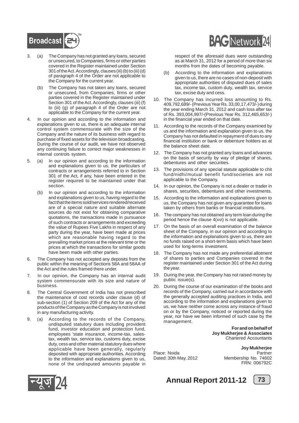

- 3. (a) The Company has not granted any loans, secured or unsecured, to Companies, firms or other parties covered in the Register maintained under Section 301 of the Act. Accordingly, clauses (iii) (b) to (iii) (d) of paragraph 4 of the Order are not applicable to the Company for the current year.
	- (b) The Company has not taken any loans, secured or unsecured, from Companies, firms or other parties covered in the Register maintained under Section 301 of the Act. Accordingly, clauses (iii) (f) to (iii) (g) of paragraph 4 of the Order are not applicable to the Company for the current year.
- 4. In our opinion and according to the information and explanations given to us, there is an adequate internal control system commensurate with the size of the Company and the nature of its business with regard to purchase of fixed assets for the television broadcasting. During the course of our audit, we have not observed any continuing failure to correct major weaknesses in internal controls system.
- 5. (a) In our opinion and according to the information and explanations given to us, the particulars of contracts or arrangements referred to in Section 301 of the Act, if any, have been entered in the register required to be maintained under that section.
	- (b) In our opinion and according to the information and explanations given to us, having regard to the fact that the items sold/services rendered/received are of a special nature and suitable alternate sources do not exist for obtaining comparative quotations, the transactions made in pursuance of such contracts or arrangements and exceeding the value of Rupees Five Lakhs in respect of any party during the year, have been made at prices which are reasonable having regard to the prevailing market prices at the relevant time or the prices at which the transactions for similar goods have been made with other parties.
- 6. The Company has not accepted any deposits from the public within the meaning of Sections 58A and 58AA of the Act and the rules framed there under.
- 7. In our opinion, the Company has an internal audit system commensurate with its size and nature of business.
- 8. The Central Government of India has not prescribed the maintenance of cost records under clause (d) of sub-section (1) of Section 209 of the Act for any of the products of the Company as the Company is not involved in any manufacturing activity.
- 9. (a) According to the records of the Company, undisputed statutory dues including provident fund, investor education and protection fund, employees 'state insurance, income-tax, salestax, wealth tax, service tax, customs duty, excise duty, cess and other material statutory dues where applicable have been generally, regularly deposited with appropriate authorities. According to the information and explanations given to us, none of the undisputed amounts payable in



respect of the aforesaid dues were outstanding as at March 31, 2012 for a period of more than six months from the dates of becoming payable.

- (b) According to the information and explanations given to us, there are no cases of non-deposit with appropriate authorities of disputed dues of sales tax, income tax, custom duty, wealth tax, service tax, excise duty and cess.
- 10. The Company has incurred loss amounting to Rs. 409,792,689/- (Previous Year Rs. 33,00,17,473/-) during the year ending March 31, 2012 and cash loss after tax of Rs. 393,004,997/-(Previous Year Rs. 312,465,653/-) in the financial year ended on that date.
- 11. According to the records of the Company examined by us and the information and explanation given to us, the Company has not defaulted in repayment of dues to any financial institution or bank or debenture holders as at the balance sheet date.
- 12. The Company has not granted any loans and advances on the basis of security by way of pledge of shares, debentures and other securities.
- 13. The provisions of any special statute applicable to chit fund/nidhi/mutual benefit fund/societies are not applicable to the Company.
- 14. In our opinion, the Company is not a dealer or trader in shares, securities, debentures and other investments.
- 15. According to the information and explanations given to us, the Company has not given any guarantee for loans taken by others from banks or financial institutions.
- 16. The company has not obtained any term loan during the period hence the clause 4(xvi) is not applicable.
- 17. On the basis of an overall examination of the balance sheet of the Company, in our opinion and according to the information and explanations given to us, there are no funds raised on a short-term basis which have been used for long-terms investment.
- 18. The Company has not made any preferential allotment of shares to parties and Companies covered in the register maintained under Section 301 of the Act during the year.
- 19. During the year, the Company has not raised money by public issue(s).
- 20. During the course of our examination of the books and records of the Company, carried out in accordance with the generally accepted auditing practices in India, and according to the information and explanations given to us, we have neither come across any instance of fraud on or by the Company, noticed or reported during the year, nor have we been informed of such case by the management.

#### **For and on behalf of Joy Mukherjee & Associates** Chartered Accountants

**Joy Mukherjee** Place: Noida **Partner** Dated: 30th May, 2012 Membership No. 74602 FRN: 006792C



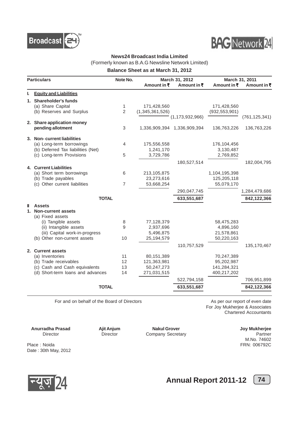



### **News24 Broadcast India Limited**

(Formerly known as B.A.G Newsline Network Limited)

**Balance Sheet as at March 31, 2012**

|    | <b>Particulars</b>                 | Note No.       | Amount in $\bar{z}$ | March 31, 2012<br>Amount in $\bar{z}$ | Amount in $\bar{\tau}$ | March 31, 2011<br>Amount in $\bar{\tau}$ |
|----|------------------------------------|----------------|---------------------|---------------------------------------|------------------------|------------------------------------------|
| L. | <b>Equity and Liabilities</b>      |                |                     |                                       |                        |                                          |
|    | 1. Shareholder's funds             |                |                     |                                       |                        |                                          |
|    | (a) Share Capital                  | 1              | 171,428,560         |                                       | 171,428,560            |                                          |
|    | (b) Reserves and Surplus           | $\overline{2}$ | (1,345,361,526)     |                                       | (932, 553, 901)        |                                          |
|    |                                    |                |                     | (1, 173, 932, 966)                    |                        | (761, 125, 341)                          |
|    | 2. Share application money         |                |                     |                                       |                        |                                          |
|    | pending allotment                  | 3              |                     | 1,336,909,394 1,336,909,394           | 136,763,226            | 136,763,226                              |
|    | 3. Non-current liabilities         |                |                     |                                       |                        |                                          |
|    | (a) Long-term borrowings           | 4              | 175,556,558         |                                       | 176,104,456            |                                          |
|    | (b) Deferred Tax liabilities (Net) |                | 1,241,170           |                                       | 3,130,487              |                                          |
|    | (c) Long-term Provisions           | 5              | 3,729,786           |                                       | 2,769,852              |                                          |
|    |                                    |                |                     | 180,527,514                           |                        | 182,004,795                              |
|    | 4. Current Liabilities             |                |                     |                                       |                        |                                          |
|    | (a) Short term borrowings          | 6              | 213,105,875         |                                       | 1,104,195,398          |                                          |
|    | (b) Trade payables                 |                | 23,273,616          |                                       | 125,205,118            |                                          |
|    | (c) Other current liabilities      | 7              | 53,668,254          |                                       | 55,079,170             |                                          |
|    |                                    |                |                     | 290,047,745                           |                        | 1,284,479,686                            |
|    | <b>TOTAL</b>                       |                |                     | 633,551,687                           |                        | 842,122,366                              |
| ш  | <b>Assets</b>                      |                |                     |                                       |                        |                                          |
| 1. | <b>Non-current assets</b>          |                |                     |                                       |                        |                                          |
|    | (a) Fixed assets                   |                |                     |                                       |                        |                                          |
|    | (i) Tangible assets                | 8              | 77,128,379          |                                       | 58,475,283             |                                          |
|    | (ii) Intangible assets             | 9              | 2,937,696           |                                       | 4,896,160              |                                          |
|    | (iii) Capital work-in-progress     |                | 5,496,875           |                                       | 21,578,861             |                                          |
|    | (b) Other non-current assets       | 10             | 25,194,579          |                                       | 50,220,163             |                                          |
|    |                                    |                |                     | 110,757,529                           |                        | 135, 170, 467                            |
|    | 2. Current assets                  |                |                     |                                       |                        |                                          |
|    | (a) Inventories                    | 11             | 80,151,389          |                                       | 70,247,389             |                                          |
|    | (b) Trade receivables              | 12             | 121,363,981         |                                       | 95,202,987             |                                          |
|    | (c) Cash and Cash equivalents      | 13             | 50.247.273          |                                       | 141,284,321            |                                          |
|    | (d) Short-term loans and advances  | 14             | 271,031,515         |                                       | 400,217,202            |                                          |
|    |                                    |                |                     | 522,794,158                           |                        | 706,951,899                              |
|    | <b>TOTAL</b>                       |                |                     | 633,551,687                           |                        | 842,122,366                              |
|    |                                    |                |                     |                                       |                        |                                          |

For and on behalf of the Board of Directors **As per our report of even date** 

For Joy Mukherjee & Associates Chartered Accountants

**Anurradha Prasad Ajit Anjum Nakul Grover Joy Mukherjee**

Director Director Company Secretary

M.No. 74602

Place : Noida FRN: 006792C Date : 30th May, 2012



**Annual Report 2011-12** [74]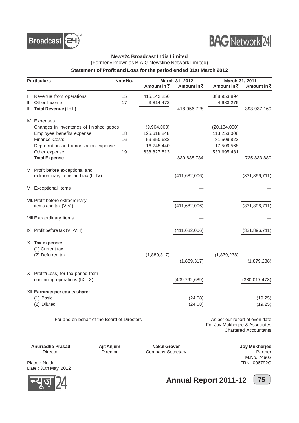



#### **News24 Broadcast India Limited**

(Formerly known as B.A.G Newsline Network Limited)

#### **Statement of Profit and Loss for the period ended 31st March 2012**

|              | <b>Particulars</b>                       | Note No. |             | March 31, 2012  |                | March 31, 2011  |  |
|--------------|------------------------------------------|----------|-------------|-----------------|----------------|-----------------|--|
|              |                                          |          | Amount in ₹ | Amount in ₹     | Amount in ₹    | Amount in ₹     |  |
| L            | Revenue from operations                  | 15       | 415,142,256 |                 | 388,953,894    |                 |  |
| $\mathsf{I}$ | Other Income                             | 17       | 3,814,472   |                 | 4,983,275      |                 |  |
| Ш            | Total Revenue (I + II)                   |          |             | 418,956,728     |                | 393,937,169     |  |
|              | <b>N</b> Expenses                        |          |             |                 |                |                 |  |
|              | Changes in inventories of finished goods |          | (9,904,000) |                 | (20, 134, 000) |                 |  |
|              | Employee benefits expense                | 18       | 125,618,848 |                 | 113,253,008    |                 |  |
|              | <b>Finance Costs</b>                     | 16       | 59,350,633  |                 | 81,509,823     |                 |  |
|              | Depreciation and amortization expense    |          | 16,745,440  |                 | 17,509,568     |                 |  |
|              | Other expense                            | 19       | 638,827,813 |                 | 533,695,481    |                 |  |
|              | <b>Total Expense</b>                     |          |             | 830,638,734     |                | 725,833,880     |  |
|              | V Profit before exceptional and          |          |             |                 |                |                 |  |
|              | extraordinary items and tax (III-IV)     |          |             | (411, 682, 006) |                | (331, 896, 711) |  |
|              | VI Exceptional Items                     |          |             |                 |                |                 |  |
|              | VII. Profit before extraordinary         |          |             |                 |                |                 |  |
|              | items and tax (V-VI)                     |          |             | (411, 682, 006) |                | (331, 896, 711) |  |
|              | VIII Extraordinary items                 |          |             |                 |                |                 |  |
|              | IX Profit before tax (VII-VIII)          |          |             | (411, 682, 006) |                | (331, 896, 711) |  |
|              | X Tax expense:                           |          |             |                 |                |                 |  |
|              | (1) Current tax                          |          |             |                 |                |                 |  |
|              | (2) Deferred tax                         |          | (1,889,317) |                 | (1,879,238)    |                 |  |
|              |                                          |          |             | (1,889,317)     |                | (1,879,238)     |  |
|              | XI Profit/(Loss) for the period from     |          |             |                 |                |                 |  |
|              | continuing operations (IX - X)           |          |             | (409, 792, 689) |                | (330, 017, 473) |  |
|              | XII Earnings per equity share:           |          |             |                 |                |                 |  |
|              | (1) Basic                                |          |             | (24.08)         |                | (19.25)         |  |
|              | (2) Diluted                              |          |             | (24.08)         |                | (19.25)         |  |

For and on behalf of the Board of Directors **As per our report of even date** As per our report of even date

For Joy Mukherjee & Associates Chartered Accountants

**Anurradha Prasad Ajit Anjum Nakul Grover Joy Mukherjee**

Director **Director Director Company Secretary <b>Partner** Partner

M.No. 74602

Place : Noida FRN: 006792C Date : 30th May, 2012



**Annual Report 2011-12** [75]

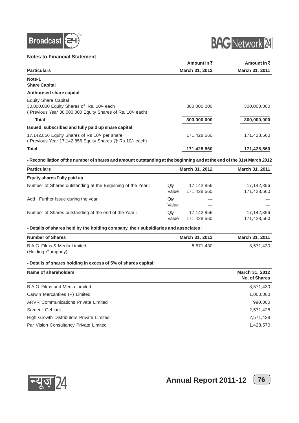

#### **Notes to Financial Statement**



|                                                           | Amount in $\bar{z}$ | Amount in $\bar{z}$ |
|-----------------------------------------------------------|---------------------|---------------------|
| <b>Particulars</b>                                        | March 31, 2012      | March 31, 2011      |
| Note-1                                                    |                     |                     |
| <b>Share Capital</b>                                      |                     |                     |
| <b>Authorised share capital</b>                           |                     |                     |
| <b>Equity Share Capital</b>                               |                     |                     |
| 30,000,000 Equity Shares of Rs. 10/- each                 | 300.000.000         | 300,000,000         |
| (Previous Year 30,000,000 Equity Shares of Rs. 10/- each) |                     |                     |
| <b>Total</b>                                              | 300,000,000         | 300,000,000         |
| Issued, subscribed and fully paid up share capital        |                     |                     |
| 17,142,856 Equity Shares of Rs 10/- per share             | 171.428.560         | 171,428,560         |
| (Previous Year 17,142,856 Equity Shares @ Rs 10/- each)   |                     |                     |
| <b>Total</b>                                              | 171,428,560         | 171,428,560         |
|                                                           |                     |                     |

**- Reconciliation of the number of shares and amount outstanding at the beginning and at the end of the 31st March 2012**

| <b>Particulars</b>                                         |              | March 31, 2012            | March 31, 2011            |  |
|------------------------------------------------------------|--------------|---------------------------|---------------------------|--|
| Equity shares Fully paid up                                |              |                           |                           |  |
| Number of Shares outstanding at the Beginning of the Year: | Qty<br>Value | 17,142,856<br>171,428,560 | 17,142,856<br>171,428,560 |  |
| Add: Further Issue during the year                         | Qty<br>Value |                           |                           |  |
| Number of Shares outstanding at the end of the Year:       | Qty<br>Value | 17,142,856<br>171,428,560 | 17,142,856<br>171,428,560 |  |

**- Details of shares held by the holding company, their subsidiaries and associates :**

| <b>Number of Shares</b>      | March 31, 2012 | March 31, 2011 |
|------------------------------|----------------|----------------|
| B.A.G. Films & Media Limited | 8.571.430      | 8.571.430      |
| (Holding Company)            |                |                |

#### **- Details of shares holding in excess of 5% of shares capital:**

| Name of shareholders                       | March 31, 2012<br>No. of Shares |
|--------------------------------------------|---------------------------------|
| B.A.G. Films and Media Limited             | 8,571,430                       |
| Carwin Mercantiles (P) Limited             | 1,000,000                       |
| <b>ARVR Communications Private Limited</b> | 990,000                         |
| Sameer Gehlaut                             | 2,571,428                       |
| High Growth Distributors Private Limited   | 2,571,428                       |
| Par Vision Consultancy Private Limited     | 1,428,570                       |

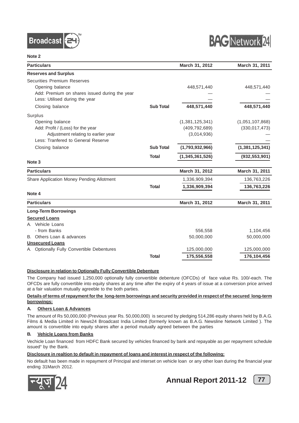



| <b>Particulars</b>                            |                  | March 31, 2012  | March 31, 2011  |
|-----------------------------------------------|------------------|-----------------|-----------------|
| <b>Reserves and Surplus</b>                   |                  |                 |                 |
| <b>Securities Premium Reserves</b>            |                  |                 |                 |
| Opening balance                               |                  | 448,571,440     | 448,571,440     |
| Add: Premium on shares issued during the year |                  |                 |                 |
| Less: Utilised during the year                |                  |                 |                 |
| Closing balance                               | <b>Sub Total</b> | 448,571,440     | 448,571,440     |
| Surplus                                       |                  |                 |                 |
| Opening balance                               |                  | (1,381,125,341) | (1,051,107,868) |
| Add: Profit / (Loss) for the year             |                  | (409, 792, 689) | (330, 017, 473) |
| Adjustment relating to earlier year           |                  | (3,014,936)     |                 |
| Less: Tranfered to General Reserve            |                  |                 |                 |
| Closing balance                               | <b>Sub Total</b> | (1,793,932,966) | (1,381,125,341) |
|                                               | <b>Total</b>     | (1,345,361,526) | (932, 553, 901) |
| Note 3                                        |                  |                 |                 |
| <b>Particulars</b>                            |                  | March 31, 2012  | March 31, 2011  |
| Share Application Money Pending Allotment     |                  | 1,336,909,394   | 136,763,226     |
|                                               | <b>Total</b>     | 1,336,909,394   | 136,763,226     |
| Note 4                                        |                  |                 |                 |
| <b>Particulars</b>                            |                  | March 31, 2012  | March 31, 2011  |
| <b>Long-Term Borrowings</b>                   |                  |                 |                 |
| <b>Secured Loans</b>                          |                  |                 |                 |
| A Vehicle Loans                               |                  |                 |                 |
| - from Banks                                  |                  | 556,558         | 1,104,456       |
| Others Loan & advances<br>В.                  |                  | 50,000,000      | 50,000,000      |
| <b>Unsecured Loans</b>                        |                  |                 |                 |
| A Optionally Fully Convertible Debentures     |                  | 125,000,000     | 125,000,000     |
|                                               | <b>Total</b>     | 175,556,558     | 176,104,456     |

#### **Disclosure in relation to Optionally Fully Convertible Debenture**

The Company had issued 1,250,000 optionally fully convertible debenture (OFCDs) of face value Rs. 100/-each. The OFCDs are fully convertible into equity shares at any time after the expiry of 4 years of issue at a conversion price arrived at a fair valuation mutually agreeble to the both parties.

#### **Details of terms of repayment for the long-term borrowings and security provided in respect of the secured long-term borrowings:**

#### **A. Others Loan & Advances**

The amount of Rs 50,000,000 (Previous year Rs. 50,000,000) is secured by pledging 514,286 equity shares held by B.A.G. Films & Media Limited in News24 Broadcast India Limited (formerly known as B.A.G. Newsline Network Limited ). The amount is convertible into equity shares after a period mutually agreed between the parties

#### **B. Vehicle Loans from Banks**

Vechicle Loan financed from HDFC Bank secured by vehicles financed by bank and repayable as per repayment schedule issued" by the Bank.

#### **Disclosure in realtion to default in repayment of loans and interest in respect of the following:**

No default has been made in repayment of Principal and interset on vehicle loan or any other loan during the financial year ending 31March 2012.





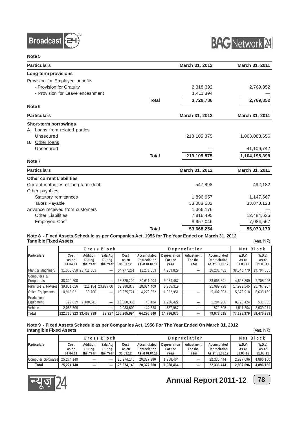



| <b>Particulars</b>                   |              | March 31, 2012 | March 31, 2011 |
|--------------------------------------|--------------|----------------|----------------|
| Long-term provisions                 |              |                |                |
| Provision for Employee benefits      |              |                |                |
| - Provision for Gratuity             |              | 2,318,392      | 2,769,852      |
| - Provision for Leave encashment     |              | 1,411,394      |                |
|                                      | <b>Total</b> | 3,729,786      | 2,769,852      |
| Note 6                               |              |                |                |
| <b>Particulars</b>                   |              | March 31, 2012 | March 31, 2011 |
| <b>Short-term borrowings</b>         |              |                |                |
| A Loans from related parties         |              |                |                |
| Unsecured                            |              | 213, 105, 875  | 1,063,088,656  |
| B. Other loans                       |              |                |                |
| Unsecured                            |              |                | 41,106,742     |
|                                      | <b>Total</b> | 213,105,875    | 1,104,195,398  |
| Note <sub>7</sub>                    |              |                |                |
| <b>Particulars</b>                   |              | March 31, 2012 | March 31, 2011 |
| <b>Other current Liabilities</b>     |              |                |                |
| Current maturities of long term debt |              | 547,898        | 492,182        |
| Other payables                       |              |                |                |
| Statutory remittances                |              | 1,896,957      | 1,147,667      |
| <b>Taxes Payable</b>                 |              | 33,083,682     | 33,870,128     |
| Advance received from customers      |              | 1,366,176      |                |
| <b>Other Liabilities</b>             |              | 7,816,495      | 12,484,626     |
| <b>Employee Cost</b>                 |              | 8,957,046      | 7,084,567      |
|                                      | <b>Total</b> | 53,668,254     | 55,079,170     |

#### **Note 8 - Fixed Assets Schedule as per Companies Act, 1956 for The Year Ended on March 31, 2012 Tangible Fixed Assets** (Amt. in ₹)

| Gross Block                |                           |                                |                                | Depreciation              |                                               |                                 |                               | Block<br>Net                                  |                             |                             |
|----------------------------|---------------------------|--------------------------------|--------------------------------|---------------------------|-----------------------------------------------|---------------------------------|-------------------------------|-----------------------------------------------|-----------------------------|-----------------------------|
| Particulars                | Cost<br>As on<br>01.04.11 | Addition<br>During<br>the Year | Sale/Adj<br>During<br>the Year | Cost<br>As on<br>31.03.12 | Accumulated<br>Depreciation<br>As at 01.04.11 | Depreciation<br>For the<br>year | Adjustment<br>For the<br>Year | Accumulated<br>Depreciation<br>As at 31.03.12 | W.D.V.<br>As at<br>31.03.12 | W.D.V.<br>As at<br>31.03.11 |
| Plant & Machinery          |                           | 31,065,658 23,711,603          |                                | 54,777,261                | 11,271,653                                    | 4,959,829                       |                               | 16,231,482                                    | 38,545,779                  | 19,794,005                  |
| Computers &<br>Peripherals | 38,320,200                | –                              |                                | 38,320,200                | 30,611,904                                    | 3,084,487                       | –                             | 33,696,391                                    | 4,623,809                   | 7,708,296                   |
| Furniture & Fixtures       | 39,801,616                |                                | 211,184 23,927.00              | 39,988,873                | 18,034,409                                    | 3,955,319                       |                               | 21,989,728                                    | 17.999.145                  | 21,767,207                  |
| Office Equipments          | 10.915.021                | 60.700                         |                                | 10.975.721                | 4.279.852                                     | 1.022.951                       |                               | 5,302,803                                     | 5.672.918                   | 6.635.169                   |
| Production<br>Equipment    | 579.819                   | 9,480,511                      | -                              | 10,060,330                | 48,484                                        | 1,236,422                       |                               | 1,284,906                                     | 8,775,424                   | 531,335                     |
| Vehicle                    | 2.083.609                 | —                              |                                | 2.083.609                 | 44,338                                        | 527.967                         | –                             | 572,305                                       | 1,511,304                   | 2,039,271                   |
| Total                      | 122,765,923 33,463,998    |                                | 23.927                         | 156.205.994               | 64,290,640                                    | 14,786,975                      | $\overline{\phantom{0}}$      | 79.077.615                                    | 77,128,379                  | 58,475,283                  |

#### **Note 9 - Fixed Assets Schedule as per Companies Act, 1956 For The Year Ended On March 31, 2012 Intangible Fixed Assets** (Amt. in `)

Gross Block **Depreciation** Net Block **Particulars Cost Addition Sale/Adj Cost Accumulated Depreciation Adjustment Accumulated W.D.V. W.D.V.** As on During During As on **Propertion As on Depreciation For the Form and The Perciation Properties Experiment Conduct As at As at As at As at As at As at As at As at As at As at As at As at As at As at As at \sqrt 01.04.11 the Year the Year 31.03.12 As at 01.04.11 year Year As at 31.03.12 31.03.12 31.03.11** Computer Softwares 25,274,140 — — 25,274,140 20,377,980 1,958,464 — 22,336,444 2,937,696 4,896,160 **Total 25,274,140 — — 25,274,140 20,377,980 1,958,464 — 22,336,444 2,937,696 4,896,160**



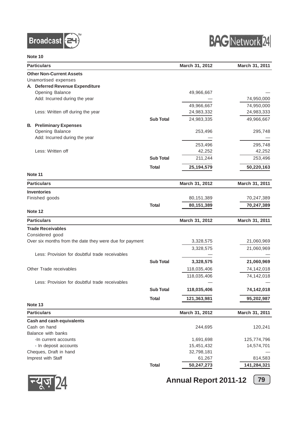



| <b>Particulars</b>                                      |                  | March 31, 2012 | March 31, 2011 |
|---------------------------------------------------------|------------------|----------------|----------------|
| <b>Other Non-Current Assets</b>                         |                  |                |                |
| Unamortised expenses                                    |                  |                |                |
| A. Deferred Revenue Expenditure                         |                  |                |                |
| Opening Balance                                         |                  | 49,966,667     |                |
| Add: Incurred during the year                           |                  |                | 74,950,000     |
|                                                         |                  | 49,966,667     | 74,950,000     |
| Less: Written off during the year                       |                  | 24,983,332     | 24,983,333     |
|                                                         | <b>Sub Total</b> | 24,983,335     | 49,966,667     |
| <b>B.</b> Preliminary Expenses                          |                  |                |                |
| Opening Balance                                         |                  | 253,496        | 295,748        |
| Add: Incurred during the year                           |                  |                |                |
|                                                         |                  | 253,496        | 295,748        |
| Less: Written off                                       |                  | 42,252         | 42,252         |
|                                                         | <b>Sub Total</b> |                |                |
|                                                         |                  | 211,244        | 253,496        |
|                                                         | Total            | 25, 194, 579   | 50,220,163     |
| Note 11                                                 |                  |                |                |
| <b>Particulars</b>                                      |                  | March 31, 2012 | March 31, 2011 |
| <b>Inventories</b>                                      |                  |                |                |
| Finished goods                                          |                  | 80,151,389     | 70,247,389     |
|                                                         |                  |                | 70,247,389     |
| Note 12                                                 | <b>Total</b>     | 80,151,389     |                |
|                                                         |                  |                |                |
| <b>Particulars</b>                                      |                  | March 31, 2012 | March 31, 2011 |
| <b>Trade Receivables</b>                                |                  |                |                |
| Considered good                                         |                  |                |                |
| Over six months from the date they were due for payment |                  | 3,328,575      | 21,060,969     |
|                                                         |                  | 3,328,575      | 21,060,969     |
| Less: Provision for doubtful trade receivables          |                  |                |                |
|                                                         | <b>Sub Total</b> | 3,328,575      | 21,060,969     |
| Other Trade receivables                                 |                  | 118,035,406    | 74,142,018     |
|                                                         |                  | 118,035,406    | 74,142,018     |
| Less: Provision for doubtful trade receivables          |                  |                |                |
|                                                         |                  |                |                |
|                                                         | <b>Sub Total</b> | 118,035,406    | 74,142,018     |
|                                                         | <b>Total</b>     | 121,363,981    | 95,202,987     |
| Note 13                                                 |                  |                |                |
| <b>Particulars</b>                                      |                  | March 31, 2012 | March 31, 2011 |
| <b>Cash and cash equivalents</b>                        |                  |                |                |
| Cash on hand                                            |                  | 244,695        | 120,241        |
| Balance with banks                                      |                  |                |                |
| -In current accounts                                    |                  | 1,691,698      | 125,774,796    |
| - In deposit accounts                                   |                  | 15,451,432     | 14,574,701     |
| Cheques, Draft in hand                                  |                  | 32,798,181     |                |
| Imprest with Staff                                      |                  | 61,267         | 814,583        |
|                                                         | <b>Total</b>     | 50,247,273     | 141,284,321    |
|                                                         |                  |                |                |



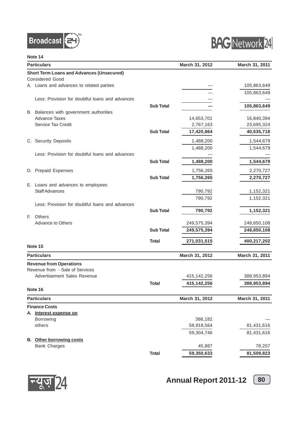



| <b>Particulars</b>                 |                                                  |                  | March 31, 2012 | March 31, 2011 |
|------------------------------------|--------------------------------------------------|------------------|----------------|----------------|
|                                    | <b>Short Term Loans and Advances (Unsecured)</b> |                  |                |                |
| <b>Considered Good</b>             |                                                  |                  |                |                |
|                                    | A Loans and advances to related parties          |                  |                | 105,863,649    |
|                                    |                                                  |                  |                | 105,863,649    |
|                                    | Less: Provision for doubtful loans and advances  |                  |                |                |
|                                    |                                                  | <b>Sub Total</b> |                | 105,863,649    |
|                                    | B. Balances with government authorities          |                  |                |                |
| <b>Advance Taxes</b>               |                                                  |                  | 14,653,701     | 16,840,394     |
| Service Tax Credit                 |                                                  |                  | 2,767,163      | 23,695,324     |
|                                    |                                                  | <b>Sub Total</b> | 17,420,864     | 40,535,718     |
| C. Security Deposits               |                                                  |                  | 1,488,200      | 1,544,679      |
|                                    |                                                  |                  | 1,488,200      | 1,544,679      |
|                                    | Less: Provision for doubtful loans and advances  |                  |                |                |
|                                    |                                                  | <b>Sub Total</b> | 1,488,200      | 1,544,679      |
|                                    |                                                  |                  |                |                |
| D. Prepaid Expenses                |                                                  |                  | 1,756,265      | 2,270,727      |
|                                    |                                                  | <b>Sub Total</b> | 1,756,265      | 2,270,727      |
| E. Loans and advances to employees |                                                  |                  |                |                |
| <b>Staff Advances</b>              |                                                  |                  | 790,792        | 1,152,321      |
|                                    |                                                  |                  | 790,792        | 1,152,321      |
|                                    | Less: Provision for doubtful loans and advances  |                  |                |                |
| Others<br>E.                       |                                                  | <b>Sub Total</b> | 790,792        | 1,152,321      |
| Advance to Others                  |                                                  |                  | 249,575,394    | 248,850,108    |
|                                    |                                                  | <b>Sub Total</b> | 249,575,394    |                |
|                                    |                                                  |                  |                | 248,850,108    |
|                                    |                                                  | <b>Total</b>     | 271,031,515    | 400,217,202    |
| Note 15                            |                                                  |                  |                |                |
| <b>Particulars</b>                 |                                                  |                  | March 31, 2012 | March 31, 2011 |
| <b>Revenue from Operations</b>     |                                                  |                  |                |                |
| Revenue from - Sale of Services    |                                                  |                  |                |                |
| Advertisement Sales Revenue        |                                                  |                  | 415,142,256    | 388,953,894    |
|                                    |                                                  | Total            | 415,142,256    | 388,953,894    |
| Note 16                            |                                                  |                  |                |                |
| <b>Particulars</b>                 |                                                  |                  | March 31, 2012 | March 31, 2011 |
| <b>Finance Costs</b>               |                                                  |                  |                |                |
| A. Interest expense on             |                                                  |                  |                |                |
| Borrowing                          |                                                  |                  | 386,182        |                |
| others                             |                                                  |                  | 58,918,564     | 81,431,616     |
|                                    |                                                  |                  | 59,304,746     | 81,431,616     |
| <b>Other borrowing costs</b><br>В. |                                                  |                  |                |                |
| <b>Bank Charges</b>                |                                                  |                  | 45,887         | 78,207         |
|                                    |                                                  | <b>Total</b>     | 59,350,633     | 81,509,823     |

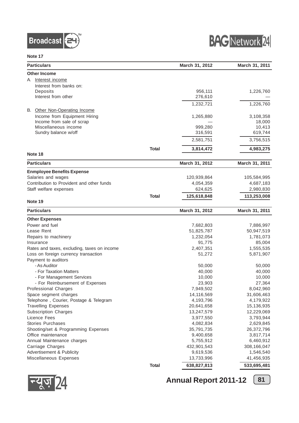



| <b>Particulars</b>                          |              | March 31, 2012 | March 31, 2011 |
|---------------------------------------------|--------------|----------------|----------------|
| <b>Other Income</b>                         |              |                |                |
| Interest income<br>A.                       |              |                |                |
| Interest from banks on:                     |              |                |                |
| Deposits                                    |              | 956,111        | 1,226,760      |
| Interest from other                         |              | 276,610        |                |
|                                             |              | 1,232,721      | 1,226,760      |
| B. Other Non-Operating Income               |              |                |                |
| Income from Equipment Hiring                |              | 1,265,880      | 3,108,358      |
| Income from sale of scrap                   |              |                | 18,000         |
| Miscellaneous income                        |              | 999,280        | 10,413         |
| Sundry balance w/off                        |              | 316,591        | 619,744        |
|                                             |              | 2,581,751      | 3,756,515      |
|                                             | <b>Total</b> | 3,814,472      | 4,983,275      |
| Note 18                                     |              |                |                |
| <b>Particulars</b>                          |              | March 31, 2012 | March 31, 2011 |
|                                             |              |                |                |
| <b>Enmployee Benefits Expense</b>           |              |                |                |
| Salaries and wages                          |              | 120,939,864    | 105,584,995    |
| Contribution to Provident and other funds   |              | 4,054,359      | 4,687,183      |
| Staff welfare expenses                      |              | 624,625        | 2,980,830      |
| Note 19                                     | <b>Total</b> | 125,618,848    | 113,253,008    |
|                                             |              |                |                |
| <b>Particulars</b>                          |              | March 31, 2012 | March 31, 2011 |
| <b>Other Expenses</b>                       |              |                |                |
| Power and fuel                              |              | 7,682,803      | 7,886,997      |
| Lease Rent                                  |              | 51,825,787     | 50,947,519     |
| Repairs to machinery                        |              | 1,232,054      | 1,781,073      |
| Insurance                                   |              | 91,775         | 85,004         |
| Rates and taxes, excluding, taxes on income |              | 2,407,351      | 1,555,535      |
| Loss on foreign currency transaction        |              | 51,272         | 5,871,907      |
| Payment to auditors                         |              |                |                |
| - As Auditor                                |              | 50,000         | 50,000         |
| - For Taxation Matters                      |              | 40,000         | 40,000         |
| - For Management Services                   |              | 10,000         | 10,000         |
| - For Reimbursement of Expenses             |              | 23,903         | 27,364         |
| <b>Professional Charges</b>                 |              | 7,949,502      | 8,042,960      |
| Space segment charges                       |              | 14,116,569     | 31,606,463     |
| Telephone, Courier, Postage & Telegram      |              | 4,193,796      | 4,179,922      |
| <b>Travelling Expenses</b>                  |              | 20,641,658     | 15,136,935     |
| <b>Subscription Charges</b>                 |              | 13,247,579     | 12,229,069     |
| Licence Fees                                |              | 3,977,550      | 3,793,944      |
| Stories Purchases                           |              | 4,082,834      | 2,629,845      |
| Shooting/set & Programming Expenses         |              | 35,791,735     | 26,372,796     |
| Office maintenance                          |              | 9,400,658      | 3,817,714      |
| Annual Maintenance charges                  |              | 5,755,912      | 6,460,912      |
| Carriage Charges                            |              | 432,901,543    | 308,166,047    |
| Advertisement & Publicity                   |              | 9,619,536      | 1,546,540      |
| Miscellaneous Expenses                      |              | 13,733,996     | 41,456,935     |
|                                             | <b>Total</b> | 638,827,813    | 533,695,481    |



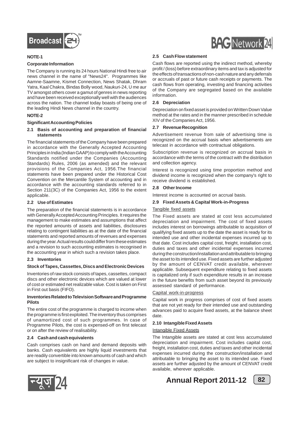

#### **NOTE-1**

#### **Corporate Information**

The Company is running its 24 hours National Hindi free to air news channel in the name of "News24". Programmes like Aamne-Saamne, Kismet Connection, News Shatak, Dhram Yatra, Kaal Chakra, Bindas Bolly wood, Naukuri-24, U me aur TV amongst others cover a gamut of genres in news reporting and have been received exceptionally well with the audiences across the nation. The channel today boasts of being one of the leading Hindi News channel in the country.

#### **NOTE-2**

#### **Significant Accounting Policies**

**2.1 Basis of accounting and preparation of financial statements**

The financial statements of the Company have been prepared in accordance with the Generally Accepted Accounting Principles in India (Indian GAAP) to comply with the Accounting Standards notified under the Companies (Accounting Standards) Rules, 2006 (as amended) and the relevant provisions of the Companies Act, 1956.The financial statements have been prepared under the Historical Cost Convention on the Mercantile System of accounting and in accordance with the accounting standards referred to in Section 211(3C) of the Companies Act, 1956 to the extent applicable.

#### **2.2 Use of Estimates**

The preparation of the financial statements is in accordance with Generally Accepted Accounting Principles. It requires the management to make estimates and assumptions that affect the reported amounts of assets and liabilities, disclosures relating to contingent liabilities as at the date of the financial statements and reported amounts of revenues and expenses during the year. Actual results could differ from these estimates and a revision to such accounting estimates is recognised in the accounting year in which such a revision takes place.

#### **2.3 Inventories**

#### **Stock of Tapes, Cassettes, Discs and Electronic Devices**

Inventories of raw stock consists of tapes, cassettes, compact discs and other electronic devices which are valued at lower of cost or estimated net realizable value. Cost is taken on First in First out basis (FIFO).

#### **Inventories Related to Television Software and Programme Pilots**

The entire cost of the programme is charged to income when the programme is first exploited. The inventory thus comprises of unamortized cost of such programmes. In case of Programme Pilots, the cost is expensed-off on first telecast or on after the review of realisability.

#### **2.4 Cash and cash equivalents**

Cash comprises cash on hand and demand deposits with banks. Cash equivalents are highly liquid investments that are readily convertible into known amounts of cash and which are subject to insignificant risk of changes in value.



#### **2.5 Cash Flow statement**

Cash flows are reported using the indirect method, whereby profit / (loss) before extraordinary items and tax is adjusted for the effects of transactions of non-cash nature and any deferrals or accruals of past or future cash receipts or payments. The cash flows from operating, investing and financing activities of the Company are segregated based on the available information.

#### **2.6 Depreciation**

Depreciation on fixed asset is provided on Written Down Value method at the rates and in the manner prescribed in schedule XIV of the Companies Act, 1956.

#### **2.7 Revenue Recognition**

Advertisement revenue from sale of advertising time is recognized on the accrual basis when advertisements are telecast in accordance with contractual obligations.

Subscription revenue is recognized on accrual basis in accordance with the terms of the contract with the distribution and collection agency.

Interest is recognized using time proportion method and dividend income is recognized when the company's right to receive dividend is established.

#### **2.8 Other Income**

Interest income is accounted on accrual basis.

#### **2.9 Fixed Assets & Capital Work-in-Progress**

#### Tangible fixed assets

The Fixed assets are stated at cost less accumulated depreciation and impairment. The cost of fixed assets includes interest on borrowings attributable to acquisition of qualifying fixed assets up to the date the asset is ready for its intended use and other incidental expenses incurred up to that date. Cost includes capital cost, freight, installation cost, duties and taxes and other incidental expenses incurred during the construction/installation and attributable to bringing the asset to its intended use. Fixed assets are further adjusted by the amount of CENVAT credit available, wherever applicable. Subsequent expenditure relating to fixed assets is capitalized only if such expenditure results in an increase in the future benefits from such asset beyond its previously assessed standard of performance.

#### Capital work-in-progress

Capital work in progress comprises of cost of fixed assets that are not yet ready for their intended use and outstanding advances paid to acquire fixed assets, at the balance sheet date.

#### **2.10 Intangible Fixed Assets**

#### Intangible Fixed Assets

The Intangible assets are stated at cost less accumulated depreciation and impairment. Cost includes capital cost, freight, installation cost, duties and taxes and other incidental expenses incurred during the construction/installation and attributable to bringing the asset to its intended use. Fixed assets are further adjusted by the amount of CENVAT credit available, wherever applicable.



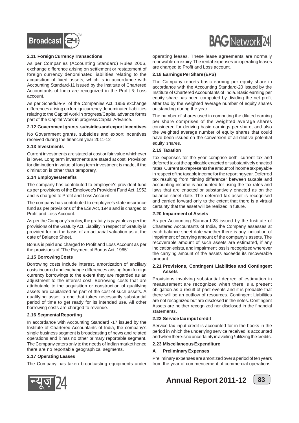

#### **2.11 Foreign Currency Transactions**

As per Companies (Accounting Standard) Rules 2006, exchange difference arising on settlement or restatement of foreign currency denominated liabilities relating to the acquisition of fixed assets, which is in accordance with Accounting Standard-11 issued by the Institute of Chartered Accountants of India are recognized in the Profit & Loss account.

As per Schedule-VI of the Companies Act, 1956 exchange differences arising on foreign currency denominated liabilities relating to the Capital work in progress/Capital advance forms part of the Capital Work in progress/Capital Advance.

#### **2.12 Government grants, subsidies and export incentives**

No Government grants, subsidies and export incentives received during the financial year 2011-12

#### **2.13 Investments**

Current investments are stated at cost or fair value whichever is lower. Long term investments are stated at cost. Provision for diminution in value of long term investment is made, if the diminution is other than temporary.

#### **2.14 Employee Benefits**

The company has contributed to employee's provident fund as per provisions of the Employee's Provident Fund Act, 1952 and is charged to Profit and Loss Account.

The company has contributed to employee's state insurance fund as per provisions of the ESI Act, 1948 and is charged to Profit and Loss Account.

As per the Company's policy, the gratuity is payable as per the provisions of the Gratuity Act. Liability in respect of Gratuity is provided for on the basis of an actuarial valuation as at the date of Balance Sheet.

Bonus is paid and charged to Profit and Loss Account as per the provisions of "The Payment of Bonus Act, 1965".

#### **2.15 Borrowing Costs**

Borrowing costs include interest, amortization of ancillary costs incurred and exchange differences arising from foreign currency borrowings to the extent they are regarded as an adjustment to the interest cost. Borrowing costs that are attributable to the acquisition or construction of qualifying assets are capitalized as part of the cost of such assets. A qualifying asset is one that takes necessarily substantial period of time to get ready for its intended use. All other borrowing costs are charged to revenue.

#### **2.16 Segmental Reporting**

In accordance with Accounting Standard -17 issued by the Institute of Chartered Accountants of India, the company's single business segment is broadcasting of news and related operations and it has no other primary reportable segment. The Company caters only to the needs of Indian market hence there are no reportable geographical segments.

#### **2.17 Operating Leases**

The Company has taken broadcasting equipments under



operating leases. These lease agreements are normally renewable on expiry. The rental expenses on operating leases are charged to Profit and Loss account.

#### **2.18 Earnings Per Share (EPS)**

The Company reports basic earning per equity share in accordance with the Accounting Standard-20 issued by the Institute of Chartered Accountants of India. Basic earning per equity share has been computed by dividing the net profit after tax by the weighted average number of equity shares outstanding during the year.

The number of shares used in computing the diluted earning per share comprises of the weighted average shares considered for deriving basic earnings per share, and also the weighted average number of equity shares that could have been issued on the conversion of all dilutive potential equity shares.

#### **2.19 Taxation**

Tax expenses for the year comprise both, current tax and deferred tax at the applicable enacted or substantively enacted rates. Current tax represents the amount of income tax payable in respect of the taxable income for the reporting year. Deferred tax resulting from "timing difference" between taxable and accounting income is accounted for using the tax rates and laws that are enacted or substantively enacted as on the balance sheet date. The deferred tax asset is recognised and carried forward only to the extent that there is a virtual certainty that the asset will be realized in future.

#### **2.20 Impairment of Assets**

As per Accounting Standard-28 issued by the Institute of Chartered Accountants of India, the Company assesses at each balance sheet date whether there is any indication of impairment of carrying amount of the company's assets. The recoverable amount of such assets are estimated, if any indication exists, and impairment loss is recognized wherever the carrying amount of the assets exceeds its recoverable amount.

#### **2.21 Provisions, Contingent Liabilities and Contingent Assets**

Provisions involving substantial degree of estimation in measurement are recognized when there is a present obligation as a result of past events and it is probable that there will be an outflow of resources. Contingent Liabilities are not recognized but are disclosed in the notes. Contingent Assets are neither recognized nor disclosed in the financial statements.

#### **2.22 Service tax input credit**

Service tax input credit is accounted for in the books in the period in which the underlying service received is accounted and when there is no uncertainty in availing / utilizing the credits.

#### **2.23 Miscellaneous Expenditure**

#### **A. Preliminary Expenses**

Preliminary expenses are amortized over a period of ten years from the year of commencement of commercial operations.



**Annual Report 2011-12** (83)

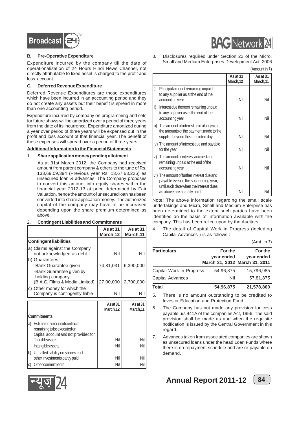

#### **B. Pre-Operative Expenditure**

Expenditure incurred by the company till the date of operationalisation of 24 Hours Hindi News Channel, not directly attributable to fixed asset is charged to the profit and loss account.

#### **C. Deferred Revenue Expenditure**

Deferred Revenue Expenditures are those expenditures which have been incurred in an accounting period and they do not create any assets but their benefit is spread in more than one accounting period.

Expenditure incurred by company on programming and sets for future shows will be amortized over a period of three years from the date of its incurrence. Expenditure amortized during a year over period of three years will be expensed out in the profit and loss account of that financial year. The benefit of these expenses will spread over a period of three years.

#### **Additional Information to the Financial Statements**

#### 1. **Share application money pending allotment**

As at 31st March 2012, the Company had received amount from parent company & others to the tune of Rs. 133,69,09,394 (Previous year Rs. 13,67,63,226) as unsecured loan & advances. The Company proposes to convert this amount into equity shares within the financial year 2012-13 at price determined by Fair Valuation, hence the amount of unsecured loan has been converted into share application money. The authorized capital of the company may have to be increased depending upon the share premium determined as above.

#### 2. **Contingent Liabilities and Commitments**

|                                                                            | As at 31<br>March, 12 | As at 31<br>March, 11 |
|----------------------------------------------------------------------------|-----------------------|-----------------------|
| <b>Contingent liabilities</b>                                              |                       |                       |
| a) Claims against the Company<br>not acknowledged as debt<br>b) Guarantees | Nil                   | Nil                   |
| -Bank Guarantee given<br>-Bank Guarantee given by                          | 74,81,031             | 6,390,000             |
| holding company<br>(B.A.G. Films & Media Limited)                          | 27,00,000             | 2,700,000             |
| c) Other money for which the<br>Company is contingently liable             | Nil                   | Nil                   |
|                                                                            | As at 31<br>March,12  | As at 31<br>March.11  |
| $\cap$ ommitmonte                                                          |                       |                       |

|   | <b>Commitments</b>                                                                                   |     |  |
|---|------------------------------------------------------------------------------------------------------|-----|--|
| a | Estimated amount of contracts<br>remaining to be executed on<br>capital account and not provided for |     |  |
|   | Tangible assets                                                                                      | Nil |  |
|   | Intangible assets                                                                                    | Nil |  |
|   | Uncalled liability on shares and                                                                     |     |  |
|   | other investments partly paid                                                                        | Nil |  |
|   | Other commitments                                                                                    | Nil |  |

3. Disclosures required under Section 22 of the Micro, Small and Medium Enterprises Development Act, 2006  $(A$ mount in ₹)

|      |                                                                                                                              | As at $31$<br>March,12 | As at $31$<br>March, 11 |
|------|------------------------------------------------------------------------------------------------------------------------------|------------------------|-------------------------|
| i)   | Principal amount remaining unpaid<br>to any supplier as at the end of the<br>accounting year                                 | Nil                    | Nil                     |
| ii)  | Interest due thereon remaining unpaid<br>to any supplier as at the end of the<br>accounting year                             | Nil                    | Nil                     |
| iii) | The amount of interest paid along with<br>the amounts of the payment made to the<br>supplier beyond the appointed day        | Nil                    | Nil                     |
|      | iv) The amount of interest due and payable<br>for the year                                                                   | Nil                    | Nil                     |
| V)   | The amount of interest accrued and<br>remaining unpaid at the end of the<br>accounting year                                  | Nil                    | Nil                     |
|      | vi) The amount of further interest due and<br>payable even in the succeeding year,<br>until such date when the interest dues | Nil                    | Nil                     |
|      | as above are actually paid                                                                                                   |                        |                         |

Note: The above information regarding the small scale undertakings and Micro, Small and Medium Enterprise has been determined to the extent such parties have been identified on the basis of information available with the company. This has been relied upon by the Auditors.

4. The detail of Capital Work in Progress (including Capital Advances ) is as follows :

| (Amt. in ₹) |  |
|-------------|--|
|-------------|--|

| <b>Particulars</b>       | For the    | For the                       |
|--------------------------|------------|-------------------------------|
|                          | year ended | year ended                    |
|                          |            | March 31, 2012 March 31, 2011 |
| Capital Work in Progress | 54,96,875  | 15,796,985                    |
| Capital Advances         | Nil        | 57,81,875                     |
| Total                    | 54,96,875  | 21,578,860                    |

5. There is no amount outstanding to be credited to Investor Education and Protection Fund.

- 6. The Company has not made any provision for cess payable u/s 441A of the companies Act, 1956. The said provision shall be made as and when the requisite notification is issued by the Central Government in this regard.
- 7. Advances taken from associated companies are shown as unsecured loans under the head Loan Funds where there is no repayment schedule and are re-payable on demand.





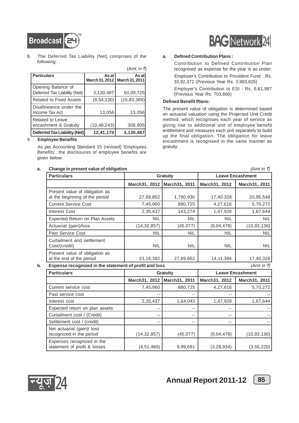

8. The Deferred Tax Liability (Net) comprises of the following:

|                                                    |                         | (Amt. in ₹)             |
|----------------------------------------------------|-------------------------|-------------------------|
| <b>Particulars</b>                                 | As at<br>March 31, 2012 | As at<br>March 31, 2011 |
| Opening Balance of<br>Deferred Tax Liability (Net) | 3,130,487               | 50,09,725               |
| <b>Related to Fixed Assets</b>                     | (8, 54, 130)            | (15, 83, 389)           |
| Disallowance under the<br>Income Tax Act           | 13,056                  | 13,056                  |
| Related to Leave<br>encashment & Gratuity          | (10, 48, 243)           | 308,905                 |
| Deferred Tax Liability (Net)                       | 12.41.170               | 3,130,487               |

#### 9. **Employee Benefits**

As per Accounting Standard 15 (revised) 'Employees Benefits', the disclosures of employee benefits are given below:

#### **a.** Change in present value of obligation **below that the contract of the contract of the contract of the contract of the contract of the contract of the contract of the contract of the contract of the contract of the co**

# **BAG** Network 24

#### **a. Defined Contribution Plans :**

Contribution to Defined Contribution Plan recognised as expense for the year is as under:

Employer's Contribution to Provident Fund : Rs. 33,92,372 (Previous Year Rs. 2,983,826)

Employer's Contribution to ESI : Rs. 6,61,987 (Previous Year Rs. 703,666)

#### **Defined Benefit Plans:**

The present value of obligation is determined based on actuarial valuation using the Projected Unit Credit method, which recognises each year of service as giving rise to additional unit of employee benefit entitlement and measures each unit separately to build up the final obligation. The obligation for leave encashment is recognised in the same manner as gratuity.

**Particulars Gratuity Leave Encashment March31, 2012 March31, 2011 March31, 2012 March31, 2011** Present value of obligation as at the beginning of the period 27,69,852 1,790,930 17,40,328 20,95,548 Current Service Cost 7,45,960 880,725 4,27,616 5,70,272 Interest Cost  $2,35,437$  143,274 147,928 1,67,644 Expected Return on Plan Assets NIL NIL NIL NIL Actuarial (gain)/loss (14,32,857) (45,077) (9,04,478) (10,93,136) Past Service Cost NIL NIL NIL NIL Curtailment and settlement Cost/(credit) NIL NIL NIL NIL Present value of obligation as at the end of the period 23,18,392 27,69,852 14,11,394 17,40,328 **b.** Expense recognized in the statement of profit and loss  $(Amt in \bar{z})$ 

**Particulars Gratuity Leave Encashment March31, 2012 March31, 2011 March31, 2012 March31, 2011** Current service cost 7,45,960 880,725 4,27,616 5,70,272 Past service cost  $\begin{vmatrix} 1 & 1 & 1 \\ 1 & 1 & 1 \end{vmatrix}$  --  $\begin{vmatrix} 1 & 1 & 1 \\ 1 & 1 & 1 \end{vmatrix}$  --Interest cost 1,67,644 1,64,043 1,64,043 1,47,928 1,67,644 Expected return on plan assets -- -- -- -- Curtailment cost / (Credit) -- -- -- -- Settlement cost / (credit) -- -- -- -- Net actuarial (gain)/ loss recognized in the period  $(14.32,857)$   $(45.077)$   $(9.04.478)$   $(10.93.136)$ Expenses recognized in the statement of profit & losses  $(4,51,460)$  9,99,691 (3,28,934) (3,55,220)

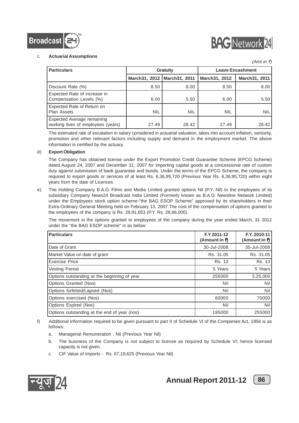



 $(Amt in \; \bar{\tau})$ 

#### c. **Actuarial Assumptions**

| <b>Particulars</b>                                                      |                               | <b>Gratuity</b> | <b>Leave Encashment</b> |                  |  |
|-------------------------------------------------------------------------|-------------------------------|-----------------|-------------------------|------------------|--|
|                                                                         | March31, 2012   March31, 2011 |                 | March31, 2012           | March 31, 2011   |  |
| Discount Rate (%)                                                       | 8.50                          | 8.00            | 8.50                    | 8.00             |  |
| Expected Rate of increase in<br>Compensation Levels (%)                 | 6.00                          | 5.50            | 6.00                    | 5.501            |  |
| Expected Rate of Return on<br><b>Plan Assets</b>                        | <b>NIL</b>                    | <b>NIL</b>      | <b>NIL</b>              | NIL <sup>I</sup> |  |
| <b>Expected Average remaining</b><br>working lives of employees (years) | 27.49                         | 28.42           | 27.49                   | 28.42            |  |

The estimated rate of escalation in salary considered in actuarial valuation, takes into account inflation, seniority, promotion and other relevant factors including supply and demand in the employment market. The above information is certified by the actuary.

#### d) **Export Obligation**

The Company has obtained license under the Export Promotion Credit Guarantee Scheme (EPCG Scheme) dated August 24, 2007 and December 31, 2007 for importing capital goods at a concessional rate of custom duty against submission of bank guarantee and bonds. Under the terms of the EPCG Scheme, the company is required to export goods or services of at least Rs. 6,36,95,720 (Previous Year Rs. 6,36,95,720) within eight years from the date of Licences.

e) The Holding Company B.A.G. Films and Media Limited granted options Nil (P.Y. Nil) to the employees of its subsidiary Company News24 Broadcast India Limited (Formerly known as B.A.G. Newsline Network Limited) under the Employees stock option scheme-"the BAG ESOP Scheme" approved by its shareholders in their Extra-Ordinary General Meeting held on February 13, 2007.The cost of the compensation of options granted to the employees of the company is Rs. 29,91,653 (P.Y. Rs. 28,66,000).

The movement in the options granted to employees of the company during the year ended March, 31 2012 under the "the BAG ESOP scheme" is as below:

| <b>Particulars</b>                           | F.Y 2011-12<br>(Amount in ₹) | F.Y. 2010-11<br>(Amount in ₹) |
|----------------------------------------------|------------------------------|-------------------------------|
| Date of Grant                                | 30-Jul-2008                  | 30-Jul-2008                   |
| Market Value on date of grant                | Rs. 31.05                    | Rs. 31.05                     |
| Exercise Price                               | Rs. 13                       | Rs. 13                        |
| <b>Vesting Period</b>                        | 5 Years                      | 5 Years                       |
| Options outstanding at the beginning of year | 255000                       | 3,25,000                      |
| Options Granted (Nos)                        | Nil                          | Nil                           |
| Options forfeited/Lapsed (Nos)               | Nil                          | Nil                           |
| Options exercised (Nos)                      | 60000                        | 70000                         |
| Options Expired (Nos)                        | Nil                          | Nil                           |
| Options outstanding at the end of year (nos) | 195000                       | 255000                        |

f) Additional information required to be given pursuant to part II of Schedule VI of the Companies Act, 1956 is as follows:

- a. Managerial Remuneration : Nil (Previous Year Nil)
- b. The business of the Company is not subject to license as required by Schedule VI; hence licensed capacity is not given.
- c. CIF Value of Imports Rs. 67,19,625 (Previous Year Nil)



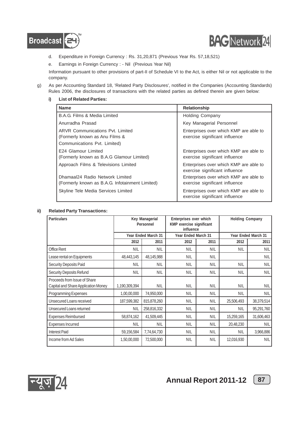



- d. Expenditure in Foreign Currency : Rs. 31,20,871 (Previous Year Rs. 57,18,521)
- e. Earnings in Foreign Currency : Nil (Previous Year Nil)

Information pursuant to other provisions of part-II of Schedule VI to the Act, is either Nil or not applicable to the company.

- g) As per Accounting Standard 18, 'Related Party Disclosures', notified in the Companies (Accounting Standards) Rules 2006, the disclosures of transactions with the related parties as defined therein are given below:
	- **i) List of Related Parties:**

| <b>Name</b>                                                                                               | <b>Relationship</b>                                                      |
|-----------------------------------------------------------------------------------------------------------|--------------------------------------------------------------------------|
| B.A.G. Films & Media Limited                                                                              | <b>Holding Company</b>                                                   |
| Anurradha Prasad                                                                                          | Key Managerial Personnel                                                 |
| <b>ARVR Communications Pvt. Limited</b><br>(Formerly known as Anu Films &<br>Communications Pvt. Limited) | Enterprises over which KMP are able to<br>exercise significant influence |
| E24 Glamour Limited<br>(Formerly known as B.A.G Glamour Limited)                                          | Enterprises over which KMP are able to<br>exercise significant influence |
| Approach Films & Televisions Limited                                                                      | Enterprises over which KMP are able to<br>exercise significant influence |
| Dhamaal24 Radio Network Limited<br>(Formerly known as B.A.G. Infotainment Limited)                        | Enterprises over which KMP are able to<br>exercise significant influence |
| Skyline Tele Media Services Limited                                                                       | Enterprises over which KMP are able to<br>exercise significant influence |

#### **ii) Related Party Transactions:**

| <b>Particulars</b>                                                  | Key Managerial<br>Personnel |                     | Enterprises over which<br>KMP exercise significant<br>influence |            | <b>Holding Company</b> |                     |
|---------------------------------------------------------------------|-----------------------------|---------------------|-----------------------------------------------------------------|------------|------------------------|---------------------|
|                                                                     |                             | Year Ended March 31 | Year Ended March 31                                             |            |                        | Year Ended March 31 |
|                                                                     | 2012                        | 2011                | 2012                                                            | 2011       | 2012                   | 2011                |
| <b>Office Rent</b>                                                  | <b>NIL</b>                  | <b>NIL</b>          | <b>NIL</b>                                                      | <b>NIL</b> | <b>NIL</b>             | <b>NIL</b>          |
| Lease rental on Equipments                                          | 48,443,145                  | 48,145,988          | <b>NIL</b>                                                      | <b>NIL</b> |                        | <b>NIL</b>          |
| Security Deposits Paid                                              | <b>NIL</b>                  | <b>NIL</b>          | <b>NIL</b>                                                      | <b>NIL</b> | <b>NIL</b>             | <b>NIL</b>          |
| <b>Security Deposits Refund</b>                                     | <b>NIL</b>                  | <b>NIL</b>          | NIL                                                             | <b>NIL</b> | <b>NIL</b>             | <b>NIL</b>          |
| Proceeds from Issue of Share<br>Capital and Share Application Money | 1,190,309,394               | <b>NIL</b>          | <b>NIL</b>                                                      | <b>NIL</b> | <b>NIL</b>             | NIL                 |
| Programming Expenses                                                | 1,00,00,000                 | 74,950,000          | <b>NIL</b>                                                      | <b>NIL</b> | <b>NIL</b>             | <b>NIL</b>          |
| Unsecured Loans received                                            | 187,599,382                 | 815,878,260         | <b>NIL</b>                                                      | <b>NIL</b> | 25,506,493             | 38,379,514          |
| Unsecured Loans returned                                            | <b>NIL</b>                  | 258,816,332         | <b>NIL</b>                                                      | <b>NIL</b> | <b>NIL</b>             | 95,291,760          |
| <b>Expenses Reimbursed</b>                                          | 58,874,162                  | 41,509,445          | NIL                                                             | <b>NIL</b> | 15,259,165             | 31,606,463          |
| <b>Expenses Incurred</b>                                            | <b>NIL</b>                  | <b>NIL</b>          | <b>NIL</b>                                                      | <b>NIL</b> | 20,48,230              | <b>NIL</b>          |
| <b>Interest Paid</b>                                                | 59,156,584                  | 7,74,64,730         | <b>NIL</b>                                                      | <b>NIL</b> | <b>NIL</b>             | 3,966,886           |
| Income from Ad Sales                                                | 1,50,00,000                 | 72,500,000          | NIL                                                             | <b>NIL</b> | 12,016,930             | NIL                 |

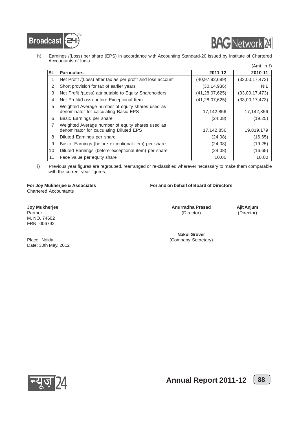



h) Earnings /(Loss) per share (EPS) in accordance with Accounting Standard-20 issued by Institute of Chartered Accountants of India  $(Amt in  $\vec{r}$ )$ 

|           |                                                                                             |                   | (MIII. III.1)  |
|-----------|---------------------------------------------------------------------------------------------|-------------------|----------------|
| <b>SL</b> | <b>Particulars</b>                                                                          | 2011-12           | 2010-11        |
|           | Net Profit /(Loss) after tax as per profit and loss account                                 | (40, 97, 92, 689) | (33,00,17,473) |
| 2         | Short provision for tax of earlier years                                                    | (30, 14, 936)     | <b>NIL</b>     |
| 3         | Net Profit /(Loss) attributable to Equity Shareholders                                      | (41, 28, 07, 625) | (33,00,17,473) |
| 4         | Net Profit/(Loss) before Exceptional Item                                                   | (41, 28, 07, 625) | (33,00,17,473) |
| 5         | Weighted Average number of equity shares used as<br>denominator for calculating Basic EPS   | 17,142,856        | 17,142,856     |
| 6         | Basic Earnings per share                                                                    | (24.08)           | (19.25)        |
| 7         | Weighted Average number of equity shares used as<br>denominator for calculating Diluted EPS | 17,142,856        | 19,819,179     |
| 8         | Diluted Earnings per share                                                                  | (24.08)           | (16.65)        |
| 9         | Basic Earnings (before exceptional item) per share                                          | (24.08)           | (19.25)        |
| 10        | Diluted Earnings (before exceptional item) per share                                        | (24.08)           | (16.65)        |
| 11        | Face Value per equity share                                                                 | 10.00             | 10.00          |

i) Previous year figures are regrouped, rearranged or re-classified wherever necessary to make them comparable with the current year figures.

Chartered Accountants

#### **For Joy Mukherjee & Associates For and on behalf of Board of Directors**

**Joy Mukherjee Anurradha Prasad Ajit Anjum** M. NO. 74602 FRN: 006792

Partner (Director) (Director) (Director) (Director) (Director) (Director) (Director) (Director) (Director) (Director) (Director) (Director) (Director) (Director) (Director) (Director) (Director) (Director) (Director) (Dire

**Nakul Grover** Place: Noida (Company Secretary)

Date: 30th May, 2012

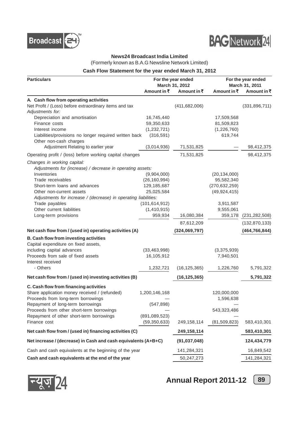



#### **News24 Broadcast India Limited**

(Formerly known as B.A.G Newsline Network Limited)

#### **Cash Flow Statement for the year ended March 31, 2012**

| March 31, 2012<br>March 31, 2011<br>Amount in ₹<br>Amount in ₹<br>Amount in ₹<br>Amount in ₹<br>A. Cash flow from operating activities<br>Net Profit / (Loss) before extraordinary items and tax<br>(411, 682, 006)<br>(331, 896, 711)<br>Adjustments for:<br>Depreciation and amortisation<br>16,745,440<br>17,509,568<br>59,350,633<br>Finance costs<br>81,509,823<br>(1,232,721)<br>(1,226,760)<br>Interest income<br>Liabilities/provisions no longer required written back<br>(316, 591)<br>619,744<br>Other non-cash charges<br>Adjustment Relating to earlier year<br>(3,014,936)<br>71,531,825<br>98,412,375<br>71,531,825<br>Operating profit / (loss) before working capital changes<br>98,412,375 |
|--------------------------------------------------------------------------------------------------------------------------------------------------------------------------------------------------------------------------------------------------------------------------------------------------------------------------------------------------------------------------------------------------------------------------------------------------------------------------------------------------------------------------------------------------------------------------------------------------------------------------------------------------------------------------------------------------------------|
|                                                                                                                                                                                                                                                                                                                                                                                                                                                                                                                                                                                                                                                                                                              |
|                                                                                                                                                                                                                                                                                                                                                                                                                                                                                                                                                                                                                                                                                                              |
|                                                                                                                                                                                                                                                                                                                                                                                                                                                                                                                                                                                                                                                                                                              |
|                                                                                                                                                                                                                                                                                                                                                                                                                                                                                                                                                                                                                                                                                                              |
|                                                                                                                                                                                                                                                                                                                                                                                                                                                                                                                                                                                                                                                                                                              |
|                                                                                                                                                                                                                                                                                                                                                                                                                                                                                                                                                                                                                                                                                                              |
|                                                                                                                                                                                                                                                                                                                                                                                                                                                                                                                                                                                                                                                                                                              |
|                                                                                                                                                                                                                                                                                                                                                                                                                                                                                                                                                                                                                                                                                                              |
|                                                                                                                                                                                                                                                                                                                                                                                                                                                                                                                                                                                                                                                                                                              |
|                                                                                                                                                                                                                                                                                                                                                                                                                                                                                                                                                                                                                                                                                                              |
|                                                                                                                                                                                                                                                                                                                                                                                                                                                                                                                                                                                                                                                                                                              |
| Changes in working capital:                                                                                                                                                                                                                                                                                                                                                                                                                                                                                                                                                                                                                                                                                  |
| Adjustments for (increase) / decrease in operating assets:                                                                                                                                                                                                                                                                                                                                                                                                                                                                                                                                                                                                                                                   |
| Inventories<br>(9,904,000)<br>(20, 134, 000)                                                                                                                                                                                                                                                                                                                                                                                                                                                                                                                                                                                                                                                                 |
| 95,582,340<br>Trade receivables<br>(26, 160, 994)                                                                                                                                                                                                                                                                                                                                                                                                                                                                                                                                                                                                                                                            |
| Short-term loans and advances<br>(270, 632, 259)<br>129, 185, 687                                                                                                                                                                                                                                                                                                                                                                                                                                                                                                                                                                                                                                            |
| 25,025,584<br>(49, 924, 415)<br>Other non-current assets                                                                                                                                                                                                                                                                                                                                                                                                                                                                                                                                                                                                                                                     |
| Adjustments for increase / (decrease) in operating liabilities:                                                                                                                                                                                                                                                                                                                                                                                                                                                                                                                                                                                                                                              |
| Trade payables<br>(101, 614, 912)<br>3,911,587                                                                                                                                                                                                                                                                                                                                                                                                                                                                                                                                                                                                                                                               |
| Other current liabilities<br>9,555,061<br>(1,410,915)                                                                                                                                                                                                                                                                                                                                                                                                                                                                                                                                                                                                                                                        |
| 959,934<br>Long-term provisions<br>16,080,384<br>359,178<br>(231, 282, 508)                                                                                                                                                                                                                                                                                                                                                                                                                                                                                                                                                                                                                                  |
| 87,612,209<br>(132, 870, 133)                                                                                                                                                                                                                                                                                                                                                                                                                                                                                                                                                                                                                                                                                |
| Net cash flow from / (used in) operating activities (A)<br>(324,069,797)<br>(464, 766, 844)                                                                                                                                                                                                                                                                                                                                                                                                                                                                                                                                                                                                                  |
| B. Cash flow from investing activities                                                                                                                                                                                                                                                                                                                                                                                                                                                                                                                                                                                                                                                                       |
| Capital expenditure on fixed assets,                                                                                                                                                                                                                                                                                                                                                                                                                                                                                                                                                                                                                                                                         |
| including capital advances<br>(33, 463, 998)<br>(3,375,939)                                                                                                                                                                                                                                                                                                                                                                                                                                                                                                                                                                                                                                                  |
| Proceeds from sale of fixed assets<br>16,105,912<br>7,940,501                                                                                                                                                                                                                                                                                                                                                                                                                                                                                                                                                                                                                                                |
| Interest received                                                                                                                                                                                                                                                                                                                                                                                                                                                                                                                                                                                                                                                                                            |
| - Others<br>1,232,721<br>(16, 125, 365)<br>1,226,760<br>5,791,322                                                                                                                                                                                                                                                                                                                                                                                                                                                                                                                                                                                                                                            |
| Net cash flow from / (used in) investing activities (B)<br>5,791,322<br>(16, 125, 365)                                                                                                                                                                                                                                                                                                                                                                                                                                                                                                                                                                                                                       |
| C. Cash flow from financing activities                                                                                                                                                                                                                                                                                                                                                                                                                                                                                                                                                                                                                                                                       |
| Share application money received / (refunded)<br>1,200,146,168<br>120,000,000                                                                                                                                                                                                                                                                                                                                                                                                                                                                                                                                                                                                                                |
| Proceeds from long-term borrowings<br>1,596,638                                                                                                                                                                                                                                                                                                                                                                                                                                                                                                                                                                                                                                                              |
| Repayment of long-term borrowings<br>(547, 898)                                                                                                                                                                                                                                                                                                                                                                                                                                                                                                                                                                                                                                                              |
| Proceeds from other short-term borrowings<br>543,323,486                                                                                                                                                                                                                                                                                                                                                                                                                                                                                                                                                                                                                                                     |
| Repayment of other short-term borrowings<br>(891,089,523)                                                                                                                                                                                                                                                                                                                                                                                                                                                                                                                                                                                                                                                    |
| Finance cost<br>(81, 509, 823)<br>583,410,301<br>(59, 350, 633)<br>249,158,114                                                                                                                                                                                                                                                                                                                                                                                                                                                                                                                                                                                                                               |
| Net cash flow from / (used in) financing activities (C)<br>249,158,114<br>583,410,301                                                                                                                                                                                                                                                                                                                                                                                                                                                                                                                                                                                                                        |
| Net increase / (decrease) in Cash and cash equivalents (A+B+C)<br>(91, 037, 048)<br>124,434,779                                                                                                                                                                                                                                                                                                                                                                                                                                                                                                                                                                                                              |
| Cash and cash equivalents at the beginning of the year<br>16,849,542<br>141,284,321                                                                                                                                                                                                                                                                                                                                                                                                                                                                                                                                                                                                                          |
| Cash and cash equivalents at the end of the year<br>50,247,273<br>141,284,321                                                                                                                                                                                                                                                                                                                                                                                                                                                                                                                                                                                                                                |



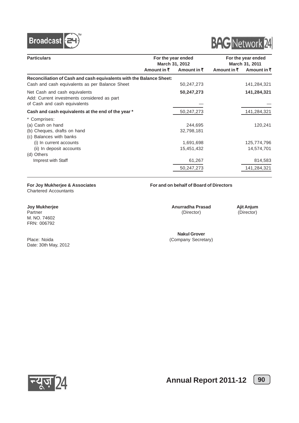



| <b>Particulars</b>                                                                                           |                        | For the year ended<br>March 31, 2012 |             | For the year ended<br>March 31, 2011 |  |
|--------------------------------------------------------------------------------------------------------------|------------------------|--------------------------------------|-------------|--------------------------------------|--|
|                                                                                                              | Amount in $\bar{\tau}$ | Amount in $\bar{z}$                  | Amount in ₹ | Amount in ₹                          |  |
| Reconciliation of Cash and cash equivalents with the Balance Sheet:                                          |                        |                                      |             |                                      |  |
| Cash and cash equivalents as per Balance Sheet                                                               |                        | 50,247,273                           |             | 141,284,321                          |  |
| Net Cash and cash equivalents<br>Add: Current investments considered as part<br>of Cash and cash equivalents |                        | 50,247,273                           |             | 141,284,321                          |  |
| Cash and cash equivalents at the end of the year *                                                           |                        | 50,247,273                           |             | 141,284,321                          |  |
| * Comprises:                                                                                                 |                        |                                      |             |                                      |  |
| (a) Cash on hand                                                                                             |                        | 244,695                              |             | 120,241                              |  |
| (b) Cheques, drafts on hand                                                                                  |                        | 32,798,181                           |             |                                      |  |
| (c) Balances with banks                                                                                      |                        |                                      |             |                                      |  |
| (i) In current accounts                                                                                      |                        | 1,691,698                            |             | 125,774,796                          |  |
| (ii) In deposit accounts                                                                                     |                        | 15,451,432                           |             | 14,574,701                           |  |
| (d) Others                                                                                                   |                        |                                      |             |                                      |  |
| Imprest with Staff                                                                                           |                        | 61,267                               |             | 814,583                              |  |
|                                                                                                              |                        | 50,247,273                           |             | 141,284,321                          |  |

Chartered Accountants

M. NO. 74602 FRN: 006792

Date: 30th May, 2012

#### **For Joy Mukherjee & Associates For and on behalf of Board of Directors**

**Joy Mukherjee Anurradha Prasad Ajit Anjum**<br>Partner (Director) (Director) (Director) (Director) Partner (Director) (Director) (Director) (Director) (Director) (Director) (Director) (Director) (Director) (Director) (Director) (Director) (Director) (Director) (Director) (Director) (Director) (Director) (Director) (Dire

**Nakul Grover** Place: Noida (Company Secretary)



**Annual Report 2011-12**  $\boxed{90}$ 

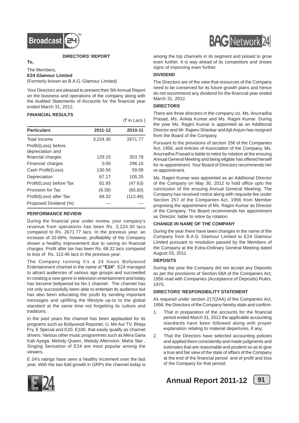

#### **DIRECTORS' REPORT**

#### **To,**

The Members,

#### **E24 Glamour Limited**

(Formerly known as B.A.G. Glamour Limited)

Your Directors are pleased to present their 5th Annual Report on the business and operations of the company along with the Audited Statements of Accounts for the financial year ended March 31, 2012.

#### **FINANCIAL RESULTS**

|                                          |          | $(3\overline{5})$ in Lacs) |
|------------------------------------------|----------|----------------------------|
| <b>Particulars</b>                       | 2011-12  | 2010-11                    |
| Total Income                             | 3,224.30 | 2671.77                    |
| Profit/(Loss) before<br>depreciation and |          |                            |
| financial charges                        | 129.15   | 353.78                     |
| Financial charges                        | 0.05     | 296.15                     |
| Cash Profit/(Loss)                       | 130.56   | 59.08                      |
| Depreciation                             | 67.17    | 105.25                     |
| Profit/(Loss) before Tax                 | 61.93    | (47.63)                    |
| Provision for Tax                        | (6.39)   | (65.83)                    |
| Profit/(Loss) after Tax                  | 68.32    | (113.46)                   |
| Proposed Dividend (%)                    |          |                            |

#### **PERFORMANCE REVIEW**

During the financial year under review, your company's revenue from operations has been Rs. 3,224.30 lacs compared to Rs. 2671.77 lacs. In the previous year, an increase of 20.68%, however, profitability of the Company shown a healthy improvement due to saving on financial charges. Profit after tax has been Rs. 68.32 lacs compared to loss of Rs. 113.46 lacs in the previous year.

The Company running it's a 24 hours Bollywood Entertainment channel in the name of **"E24"**. E24 managed to attract audiences of various age groups and succeeded in creating a new genre in television entertainment and today has become bollywood ka No.1 channel. The channel has not only successfully been able to entertain its audience but has also been educating the youth by sending important messages and uplifting the lifestyle up-to to the global standard at the same time not forgetting its culture and traditions.

In the past years the channel has been applauded for its programs such as Bollywood Reporter, U, Me Aur TV, Bheja Fry, E Special and E20, E100, that easily qualify as channel drivers. Various other music programmes such as Mera Gana Kab Ayega, Melody Queen, Melody Afternoon, Maha Star , Singing Sensation of E24 are most popular among the viewers.

E 24's ratings have seen a healthy increment over the last year. With the two fold growth in GRPs the channel today is



among the top channels in its segment and poised to grow even further. It is way ahead of its competitors and shows signs of improving even further.

#### **DIVIDEND**

The Directors are of the view that resources of the Company need to be conserved for its future growth plans and hence do not recommend any dividend for the financial year ended March 31, 2012.

#### **DIRECTORS**

There are three directors in the company viz. Ms. Anurradha Prasad, Ms. Ankita Kumar and Ms. Ragini Kumar. During the year Ms. Ragini Kumar is appointed as an Additional Director and Mr. Rajeev Shankar and Ajit Anjum has resigned from the Board of the Company.

Pursuant to the provisions of section 256 of the Companies Act, 1956, and Articles of Association of the Company, Ms. Anurradha Prasad is liable to retire by rotation at the ensuing Annual General Meeting and being eligible has offered herself for re-appointment. Your Board of Directors recommends her re-appointment.

Ms. Ragini Kumar was appointed as an Additional Director of the Company on May 30, 2012 to hold office upto the conclusion of the ensuing Annual General Meeting. The Company has received notice along with requisite fee under Section 257 of the Companies Act, 1956 from Member proposing the appointment of Ms. Ragini Kumar as Director of the Company. The Board recommends her appointment as Director, liable to retire by rotation.

#### **CHANGE IN NAME OF THE COMPANY**

During the year there have been changes in the name of the Company from B.A.G. Glamour Limited to E24 Glamour Limited pursuant to resolution passed by the Members of the Company at the Extra-Ordinary General Meeting dated August 03, 2011.

#### **DEPOSITS**

During the year the Company did not accept any Deposits as per the provisions of Section-58A of the Companies Act, 1956 read with Companies (Acceptance of Deposits) Rules, 1975.

#### **DIRECTORS' RESPONSIBILITY STATEMENT**

As required under section 217(2AA) of the Companies Act, 1956, the Directors of the Company hereby state and confirm-

- 1. That in preparation of the accounts for the financial period ended March 31, 2012 the applicable accounting standards have been followed along with proper explanation relating to material departures, if any;
- 2. That the Directors have selected accounting policies and applied them consistently and made judgments and estimates that are reasonable and prudent so as to give a true and fair view of the state of affairs of the Company at the end of the financial period and of profit and loss of the Company for that period;



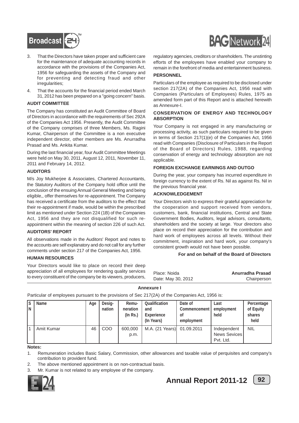

- 3. That the Directors have taken proper and sufficient care for the maintenance of adequate accounting records in accordance with the provisions of the Companies Act, 1956 for safeguarding the assets of the Company and for preventing and detecting fraud and other irregularities;
- 4. That the accounts for the financial period ended March 31, 2012 has been prepared on a "going concern" basis.

#### **AUDIT COMMITTEE**

The Company has constituted an Audit Committee of Board of Directors in accordance with the requirements of Sec 292A of the Companies Act 1956. Presently, the Audit Committee of the Company comprises of three Members, Ms. Ragini Kumar, Chairperson of the Committee is a non executive independent director, other members are Ms. Anurradha Prasad and Ms. Ankita Kumar.

During the last financial year, four Audit Committee Meetings were held on May 30, 2011, August 12, 2011, November 11, 2011 and February 14, 2012.

#### **AUDITORS**

M/s Joy Mukherjee & Associates, Chartered Accountants, the Statutory Auditors of the Company hold office until the conclusion of the ensuing Annual General Meeting and being eligible,, offer themselves for re-appointment. The Company has received a certificate from the auditors to the effect that their re-appointment if made, would be within the prescribed limit as mentioned under Section 224 (1B) of the Companies Act, 1956 and they are not disqualified for such reappointment within the meaning of section 226 of such Act.

#### **AUDITORS' REPORT**

All observations made in the Auditors' Report and notes to the accounts are self explanatory and do not call for any further comments under section 217 of the Companies Act, 1956.

#### **HUMAN RESOURCES**

Your Directors would like to place on record their deep appreciation of all employees for rendering quality services to every constituent of the company be its viewers, producers,



regulatory agencies, creditors or shareholders. The unstinting efforts of the employees have enabled your company to remain in the forefront of media and entertainment business.

#### **PERSONNEL**

Particulars of the employee as required to be disclosed under section 217(2A) of the Companies Act, 1956 read with Companies (Particulars of Employees) Rules, 1975 as amended form part of this Report and is attached herewith as Annexure-I.

#### **CONSERVATION OF ENERGY AND TECHNOLOGY ABSORPTION**

Your Company is not engaged in any manufacturing or processing activity, as such particulars required to be given in terms of Section 217(1)(e) of the Companies Act, 1956 read with Companies (Disclosure of Particulars in the Report of the Board of Directors) Rules, 1988, regarding conservation of energy and technology absorption are not applicable.

#### **FOREIGN EXCHANGE EARNINGS AND OUTGO**

During the year, your company has incurred expenditure in foreign currency to the extent of Rs. Nil as against Rs. Nil in the previous financial year.

#### **ACKNOWLEDGEMENT**

Your Directors wish to express their grateful appreciation for the cooperation and support received from vendors, customers, bank, financial institutions, Central and State Government Bodies, Auditors, legal advisors, consultants, shareholders and the society at large. Your directors also place on record their appreciation for the contribution and hard work of employees across all levels. Without their commitment, inspiration and hard work, your company's consistent growth would not have been possible.

#### **For and on behalf of the Board of Directors**

| Place: Noida       | Anurradha Prasad |
|--------------------|------------------|
| Date: May 30, 2012 | Chairperson      |

#### **Annexure I**

Particular of employees pursuant to the provisions of Sec 217(2A) of the Companies Act, 1956 is:

| Is<br>IΝ | Name       | Age | Desig-<br>nation | Remu-<br>neration<br>$($ ln Rs. $)$ | Qualification<br>and<br>Experience<br>(In Years) | Date of<br>Commencement<br>0f<br>employment | Last<br>employment<br>held                      | Percentage<br>of Equity<br>shares<br>held |
|----------|------------|-----|------------------|-------------------------------------|--------------------------------------------------|---------------------------------------------|-------------------------------------------------|-------------------------------------------|
|          | Amit Kumar | 46  | COO              | 600,000<br>p.m.                     | M.A. (21 Years) 01.09.2011                       |                                             | Independent<br><b>News Sevices</b><br>Pvt. Ltd. | <b>NIL</b>                                |

#### **Notes:**

1. Remuneration includes Basic Salary, Commission, other allowances and taxable value of perquisites and company's contribution to provident fund.

- 2. The above mentioned appointment is on non-contractual basis.
- 3. Mr. Kumar is not related to any employee of the company.



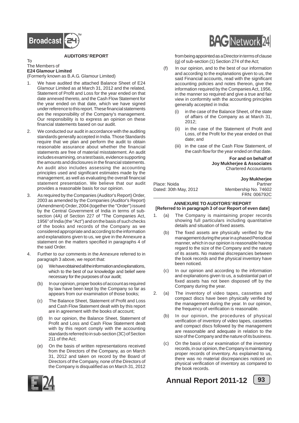

#### **AUDITORS' REPORT**

#### To The Members of **E24 Glamour Limited**

(Formerly known as B.A.G. Glamour Limited)

- We have audited the attached Balance Sheet of E24 Glamour Limited as at March 31, 2012 and the related, Statement of Profit and Loss for the year ended on that date annexed thereto, and the Cash Flow Statement for the year ended on that date, which we have signed under reference to this report. These financial statements are the responsibility of the Company's management. Our responsibility is to express an opinion on these financial statements based on our audit.
- 2. We conducted our audit in accordance with the auditing standards generally accepted in India. Those Standards require that we plan and perform the audit to obtain reasonable assurance about whether the financial statements are free of material misstatement. An audit includes examining, on a test basis, evidence supporting the amounts and disclosures in the financial statements. An audit also includes assessing the accounting principles used and significant estimates made by the management, as well as evaluating the overall financial statement presentation. We believe that our audit provides a reasonable basis for our opinion.
- 3. As required by the Companies (Auditor's Report) Order, 2003 as amended by the Companies (Auditor's Report) (Amendment) Order, 2004 (together the "Order") issued by the Central Government of India in terms of subsection (4A) of Section 227 of "The Companies Act, 1956" of India (the "Act") and on the basis of such checks of the books and records of the Company as we considered appropriate and according to the information and explanations given to us, we give in the Annexure a statement on the matters specified in paragraphs 4 of the said Order.
- 4. Further to our comments in the Annexure referred to in paragraph 3 above, we report that:
	- (a) We have obtained all the information and explanations, which to the best of our knowledge and belief were necessary for the purposes of our audit;
	- (b) In our opinion, proper books of account as required by law have been kept by the Company so far as appears from our examination of those books;
	- (c) The Balance Sheet, Statement of Profit and Loss and Cash Flow Statement dealt with by this report are in agreement with the books of account;
	- (d) In our opinion, the Balance Sheet, Statement of Profit and Loss and Cash Flow Statement dealt with by this report comply with the accounting standards referred to in sub-section (3C) of Section 211 of the Act;
	- (e) On the basis of written representations received from the Directors of the Company, as on March 31, 2012 and taken on record by the Board of Directors of the Company, none of the Directors of the Company is disqualified as on March 31, 2012



from being appointed as a Director in terms of clause (g) of sub-section (1) Section 274 of the Act;

- (f) In our opinion, and to the best of our information and according to the explanations given to us, the said Financial accounts, read with the significant accounting policies and notes thereon, give the information required by the Companies Act, 1956, in the manner so required and give a true and fair view in conformity with the accounting principles generally accepted in India:
	- (i) in the case of the Balance Sheet, of the state of affairs of the Company as at March 31, 2012;
	- (ii) in the case of the Statement of Profit and Loss, of the Profit for the year ended on that date; and
	- (iii) in the case of the Cash Flow Statement, of the cash flow for the year ended on that date.

**For and on behalf of Joy Mukherjee & Associates** Chartered Accountants

|                       | <b>Joy Mukherjee</b> |
|-----------------------|----------------------|
| Place: Noida          | Partner              |
| Dated: 30th May, 2012 | Membership No. 74602 |
|                       | FRN: 006792C         |

#### **ANNEXURE TO AUDITORS' REPORT [Referred to in paragraph 3 of our Report of even date]**

- (a) The Company is maintaining proper records showing full particulars including quantitative details and situation of fixed assets.
	- (b) The fixed assets are physically verified by the management during the year in a phased Periodical manner, which in our opinion is reasonable having regard to the size of the Company and the nature of its assets. No material discrepancies between the book records and the physical inventory have been noticed.
	- (c) In our opinion and according to the information and explanations given to us, a substantial part of fixed assets has not been disposed off by the Company during the year.
- 2. (a) The inventory of video tapes, cassettes and compact discs have been physically verified by the management during the year. In our opinion, the frequency of verification is reasonable.
	- (b) In our opinion, the procedures of physical verification of inventory of video tapes, cassettes and compact discs followed by the management are reasonable and adequate in relation to the size of the Company and the nature of its business.
	- (c) On the basis of our examination of the inventory records, in our opinion, the Company is maintaining proper records of inventory. As explained to us, there was no material discrepancies noticed on physical verification of inventory as compared to the book records.





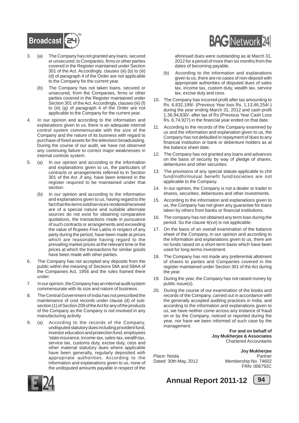

- 3. (a) The Company has not granted any loans, secured or unsecured, to Companies, firms or other parties covered in the Register maintained under Section 301 of the Act. Accordingly, clauses (iii) (b) to (iii) (d) of paragraph 4 of the Order are not applicable to the Company for the current year.
	- (b) The Company has not taken loans, secured or unsecured, from the Companies, firms or other parties covered in the Register maintained under Section 301 of the Act. Accordingly, clauses (iii) (f) to (iii) (g) of paragraph 4 of the Order are not applicable to the Company for the current year.
- 4. In our opinion and according to the information and explanations given to us, there is an adequate internal control system commensurate with the size of the Company and the nature of its business with regard to purchase of fixed assets for the television broadcasting. During the course of our audit, we have not observed any continuing failure to correct major weaknesses in internal controls system.
- 5. (a) In our opinion and according to the information and explanations given to us, the particulars of contracts or arrangements referred to in Section 301 of the Act ,if any, have been entered in the register required to be maintained under that section.
	- (b) In our opinion and according to the information and explanations given to us, having regard to the fact that the items sold/services rendered/received are of a special nature and suitable alternate sources do not exist for obtaining comparative quotations, the transactions made in pursuance of such contracts or arrangements and exceeding the value of Rupees Five Lakhs in respect of any party during the period, have been made at prices which are reasonable having regard to the prevailing market prices at the relevant time or the prices at which the transactions for similar goods have been made with other parties.
- 6. The Company has not accepted any deposits from the public within the meaning of Sections 58A and 58AA of the Companies Act, 1956 and the rules framed there under.
- 7. In our opinion, the Company has an internal audit system commensurate with its size and nature of business.
- 8. The Central Government of India has not prescribed the maintenance of cost records under clause (d) of subsection (1) of Section 209 of the Act for any of the products of the Company as the Company is not involved in any manufacturing activity.
- 9. (a) According to the records of the Company, undisputed statutory dues including provident fund, investor education and protection fund, employees 'state insurance, income-tax, sales-tax, wealth tax, service tax, customs duty, excise duty, cess and other material statutory dues where applicable have been generally, regularly deposited with appropriate authorities. According to the information and explanations given to us, none of the undisputed amounts payable in respect of the



aforesaid dues were outstanding as at March 31, 2012 for a period of more than six months from the dates of becoming payable.

- (b) According to the information and explanations given to us, there are no cases of non-deposit with appropriate authorities of disputed dues of sales tax, income tax, custom duty, wealth tax, service tax, excise duty and cess.
- 10. The Company has incurred profit after tax amounting to Rs. 6,832,199/- (Previous Year loss Rs. 1,13,46,254/-) during the year ending March 31, 2012 and cash profit 1,36,94,830/- after tax of Rs (Previous Year Cash Loss Rs. 6,74,927) in the financial year ended on that date.
- 11. According to the records of the Company examined by us and the information and explanation given to us, the Company has not defaulted in repayment of dues to any financial institution or bank or debenture holders as at the balance sheet date.
- 12. The Company has not granted any loans and advances on the basis of security by way of pledge of shares, debentures and other securities.
- 13. The provisions of any special statute applicable to chit fund/nidhi/mutual benefit fund/societies are not applicable to the Company.
- 14. In our opinion, the Company is not a dealer or trader in shares, securities, debentures and other investments.
- 15. According to the information and explanations given to us, the Company has not given any guarantee for loans taken by others from banks or financial institutions.
- 16. The company has not obtained any term loan during the period. So the clause 4(xvi) is not applicable.
- 17. On the basis of an overall examination of the balance sheet of the Company, in our opinion and according to the information and explanations given to us, there are no funds raised on a short-term basis which have been used for long-terms investment.
- 18. The Company has not made any preferential allotment of shares to parties and Companies covered in the register maintained under Section 301 of the Act during the year.
- 19. During the year, the Company has not raised money by public issue(s).
- 20. During the course of our examination of the books and records of the Company, carried out in accordance with the generally accepted auditing practices in India, and according to the information and explanations given to us, we have neither come across any instance of fraud on or by the Company, noticed or reported during the year, nor have we been informed of such case by the management.

**For and on behalf of Joy Mukherjee & Associates** Chartered Accountants

Dated: 30th May, 2012

**Joy Mukherjee** Place: Noida Partner FRN: 006792C



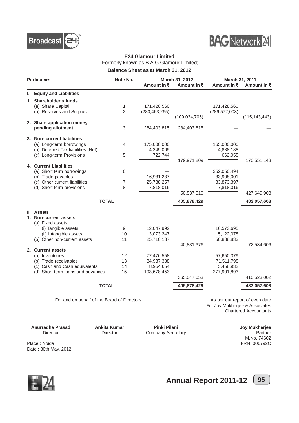



### **E24 Glamour Limited** (Formerly known as B.A.G Glamour Limited)

**Balance Sheet as at March 31, 2012**

| <b>Particulars</b> |                                    | Note No.       |                     | March 31, 2012      |                     | March 31, 2011      |  |
|--------------------|------------------------------------|----------------|---------------------|---------------------|---------------------|---------------------|--|
|                    |                                    |                | Amount in $\bar{z}$ | Amount in $\bar{z}$ | Amount in $\bar{z}$ | Amount in $\bar{x}$ |  |
| ı.                 | <b>Equity and Liabilities</b>      |                |                     |                     |                     |                     |  |
| 1.                 | <b>Shareholder's funds</b>         |                |                     |                     |                     |                     |  |
|                    | (a) Share Capital                  | 1              | 171,428,560         |                     | 171,428,560         |                     |  |
|                    | (b) Reserves and Surplus           | $\overline{2}$ | (280, 463, 265)     |                     | (286, 572, 003)     |                     |  |
|                    |                                    |                |                     | (109, 034, 705)     |                     | (115, 143, 443)     |  |
|                    | 2. Share application money         |                |                     |                     |                     |                     |  |
|                    | pending allotment                  | 3              | 284,403,815         | 284,403,815         |                     |                     |  |
|                    | 3. Non-current liabilities         |                |                     |                     |                     |                     |  |
|                    | (a) Long-term borrowings           | 4              | 175,000,000         |                     | 165,000,000         |                     |  |
|                    | (b) Deferred Tax liabilities (Net) |                | 4,249,065           |                     | 4,888,188           |                     |  |
|                    | (c) Long-term Provisions           | 5              | 722,744             |                     | 662,955             |                     |  |
|                    |                                    |                |                     | 179,971,809         |                     | 170,551,143         |  |
|                    | <b>4. Current Liabilities</b>      |                |                     |                     |                     |                     |  |
|                    | (a) Short term borrowings          | 6              |                     |                     | 352,050,494         |                     |  |
|                    | (b) Trade payables                 |                | 16,931,237          |                     | 33,908,001          |                     |  |
|                    | (c) Other current liabilities      | $\overline{7}$ | 25,788,257          |                     | 33,873,397          |                     |  |
|                    | (d) Short term provisions          | 8              | 7,818,016           | 50,537,510          | 7,818,016           |                     |  |
|                    |                                    |                |                     |                     |                     | 427,649,908         |  |
|                    | <b>TOTAL</b>                       |                |                     | 405,878,429         |                     | 483,057,608         |  |
| Ш                  | <b>Assets</b>                      |                |                     |                     |                     |                     |  |
| 1.                 | <b>Non-current assets</b>          |                |                     |                     |                     |                     |  |
|                    | (a) Fixed assets                   |                |                     |                     |                     |                     |  |
|                    | (i) Tangible assets                | 9              | 12,047,992          |                     | 16,573,695          |                     |  |
|                    | (ii) Intangible assets             | 10             | 3,073,247           |                     | 5,122,078           |                     |  |
|                    | (b) Other non-current assets       | 11             | 25,710,137          |                     | 50,838,833          |                     |  |
|                    | 2. Current assets                  |                |                     | 40,831,376          |                     | 72,534,606          |  |
|                    | (a) Inventories                    | 12             | 77,476,558          |                     | 57,650,379          |                     |  |
|                    | (b) Trade receivables              | 13             | 84,937,388          |                     | 71,511,798          |                     |  |
|                    | (c) Cash and Cash equivalents      | 14             | 8,954,654           |                     | 3,458,932           |                     |  |
|                    | (d) Short-term loans and advances  | 15             | 193,678,453         |                     | 277,901,893         |                     |  |
|                    |                                    |                |                     | 365,047,053         |                     | 410,523,002         |  |
|                    | <b>TOTAL</b>                       |                |                     | 405,878,429         |                     | 483,057,608         |  |
|                    |                                    |                |                     |                     |                     |                     |  |

For and on behalf of the Board of Directors **As per our report of even date** 

For Joy Mukherjee & Associates Chartered Accountants

**Anurradha Prasad Ankita Kumar Pinki Pilani Pilani Phinki Pilani Director Phinki Pilani** Director Director Director Company Secretary Partner

Company Secretary

M.No. 74602 Place : Noida FRN: 006792C

Date : 30th May, 2012

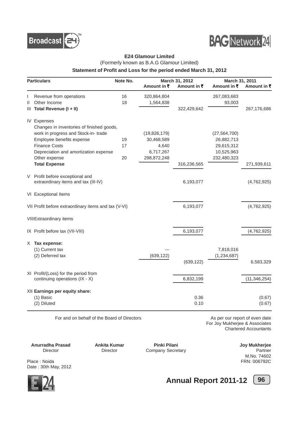



#### **E24 Glamour Limited** (Formerly known as B.A.G Glamour Limited)

#### **Statement of Profit and Loss for the period ended March 31, 2012**

| <b>Particulars</b> |                                                      | Note No. |              | March 31, 2012 | March 31, 2011 |                |
|--------------------|------------------------------------------------------|----------|--------------|----------------|----------------|----------------|
|                    |                                                      |          | Amount in ₹  | Amount in ₹    | Amount in ₹    | Amount in ₹    |
|                    | Revenue from operations                              | 16       | 320,864,804  |                | 267,083,683    |                |
| $\mathbf{H}$       | Other Income                                         | 18       | 1,564,838    |                | 93,003         |                |
|                    | III Total Revenue (I + II)                           |          |              | 322,429,642    |                | 267,176,686    |
|                    | <b>IV Expenses</b>                                   |          |              |                |                |                |
|                    | Changes in inventories of finished goods,            |          |              |                |                |                |
|                    | work in progress and Stock-in-trade                  |          | (19,826,179) |                | (27, 564, 700) |                |
|                    | Employee benefits expense                            | 19       | 30,468,589   |                | 26,882,713     |                |
|                    | <b>Finance Costs</b>                                 | 17       | 4,640        |                | 29,615,312     |                |
|                    | Depreciation and amortization expense                |          | 6,717,267    |                | 10,525,963     |                |
|                    | Other expense                                        | 20       | 298,872,248  |                | 232,480,323    |                |
|                    | <b>Total Expense</b>                                 |          |              | 316,236,565    |                | 271,939,611    |
| V                  | Profit before exceptional and                        |          |              |                |                |                |
|                    | extraordinary items and tax (III-IV)                 |          |              | 6,193,077      |                | (4,762,925)    |
|                    | VI Exceptional Items                                 |          |              |                |                |                |
|                    | VII Profit before extraordinary items and tax (V-VI) |          |              | 6,193,077      |                | (4,762,925)    |
|                    | <b>VIIIExtraordinary items</b>                       |          |              |                |                |                |
|                    | IX Profit before tax (VII-VIII)                      |          |              | 6,193,077      |                | (4,762,925)    |
|                    | X Tax expense:                                       |          |              |                |                |                |
|                    | (1) Current tax                                      |          |              |                | 7,818,016      |                |
|                    | (2) Deferred tax                                     |          | (639, 122)   |                | (1, 234, 687)  |                |
|                    |                                                      |          |              | (639, 122)     |                | 6,583,329      |
|                    | XI Profit/(Loss) for the period from                 |          |              |                |                |                |
|                    | continuing operations (IX - X)                       |          |              | 6,832,199      |                | (11, 346, 254) |
|                    | XII Earnings per equity share:                       |          |              |                |                |                |
|                    | (1) Basic                                            |          |              | 0.36           |                | (0.67)         |
|                    | (2) Diluted                                          |          |              | 0.10           |                | (0.67)         |

For and on behalf of the Board of Directors **As per our report of even date** 

For Joy Mukherjee & Associates Chartered Accountants

**Anurradha Prasad Ankita Kumar Pinki Pilani Pilani Director Director Director Director Partner** 

Director Director Director Company Secretary

M.No. 74602

Place : Noida FRN: 006792C Date : 30th May, 2012



**Annual Report 2011-12** [96]

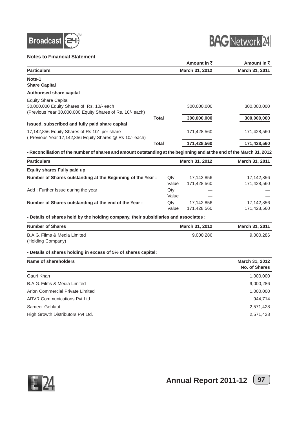

#### **Notes to Financial Statement**



|                                                                                                                       |              |              | Amount in ₹               | Amount in ₹               |
|-----------------------------------------------------------------------------------------------------------------------|--------------|--------------|---------------------------|---------------------------|
| <b>Particulars</b>                                                                                                    |              |              | March 31, 2012            | March 31, 2011            |
| Note-1                                                                                                                |              |              |                           |                           |
| <b>Share Capital</b>                                                                                                  |              |              |                           |                           |
| <b>Authorised share capital</b>                                                                                       |              |              |                           |                           |
| <b>Equity Share Capital</b>                                                                                           |              |              |                           |                           |
| 30,000,000 Equity Shares of Rs. 10/- each<br>(Previous Year 30,000,000 Equity Shares of Rs. 10/- each)                |              |              | 300,000,000               | 300,000,000               |
|                                                                                                                       | <b>Total</b> |              | 300,000,000               | 300,000,000               |
| Issued, subscribed and fully paid share capital                                                                       |              |              |                           |                           |
| 17,142,856 Equity Shares of Rs 10/- per share                                                                         |              |              | 171,428,560               | 171,428,560               |
| (Previous Year 17,142,856 Equity Shares @ Rs 10/- each)                                                               |              |              |                           |                           |
|                                                                                                                       | <b>Total</b> |              | 171,428,560               | 171,428,560               |
| - Reconciliation of the number of shares and amount outstanding at the beginning and at the end of the March 31, 2012 |              |              |                           |                           |
| <b>Particulars</b>                                                                                                    |              |              | March 31, 2012            | March 31, 2011            |
| <b>Equity shares Fully paid up</b>                                                                                    |              |              |                           |                           |
| Number of Shares outstanding at the Beginning of the Year:                                                            |              | Qty          | 17,142,856                | 17,142,856                |
|                                                                                                                       |              | Value        | 171,428,560               | 171,428,560               |
| Add: Further Issue during the year                                                                                    |              | Qty          |                           |                           |
|                                                                                                                       |              | Value        |                           |                           |
| Number of Shares outstanding at the end of the Year :                                                                 |              | Qty<br>Value | 17,142,856<br>171,428,560 | 17,142,856<br>171,428,560 |
| - Details of shares held by the holding company, their subsidiaries and associates :                                  |              |              |                           |                           |
| <b>Number of Shares</b>                                                                                               |              |              | March 31, 2012            | March 31, 2011            |
| B.A.G. Films & Media Limited                                                                                          |              |              | 9,000,286                 | 9,000,286                 |
| (Holding Company)                                                                                                     |              |              |                           |                           |
| - Details of shares holding in excess of 5% of shares capital:                                                        |              |              |                           |                           |
| <b>Name of shareholders</b>                                                                                           |              |              |                           | March 31, 2012            |
|                                                                                                                       |              |              |                           | <b>No. of Shares</b>      |
| Gauri Khan                                                                                                            |              |              |                           | 1,000,000                 |
| B.A.G. Films & Media Limited                                                                                          |              |              |                           | 9,000,286                 |
| Arion Commercial Private Limited                                                                                      |              |              |                           | 1,000,000                 |
| <b>ARVR Communications Pvt Ltd.</b>                                                                                   |              |              |                           | 944,714                   |
| Sameer Gehlaut                                                                                                        |              |              |                           | 2,571,428                 |
| High Growth Distributors Pvt Ltd.                                                                                     |              |              |                           | 2,571,428                 |



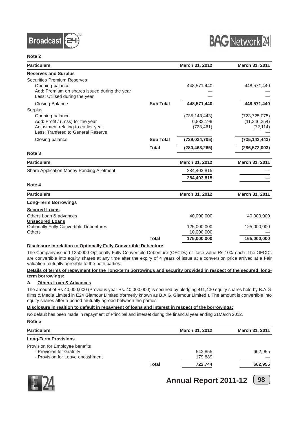



| <b>Particulars</b>                                                                                                                       |                  | March 31, 2012                             | March 31, 2011                                 |
|------------------------------------------------------------------------------------------------------------------------------------------|------------------|--------------------------------------------|------------------------------------------------|
| <b>Reserves and Surplus</b>                                                                                                              |                  |                                            |                                                |
| <b>Securities Premium Reserves</b><br>Opening balance<br>Add: Premium on shares issued during the year<br>Less: Utilised during the year |                  | 448,571,440                                | 448,571,440                                    |
| <b>Closing Balance</b>                                                                                                                   | <b>Sub Total</b> | 448,571,440                                | 448,571,440                                    |
| Surplus                                                                                                                                  |                  |                                            |                                                |
| Opening balance<br>Add: Profit / (Loss) for the year<br>Adjustment relating to earlier year<br>Less: Tranfered to General Reserve        |                  | (735, 143, 443)<br>6,832,199<br>(723, 461) | (723, 725, 075)<br>(11, 346, 254)<br>(72, 114) |
| Closing balance                                                                                                                          | <b>Sub Total</b> | (729, 034, 705)                            | (735, 143, 443)                                |
|                                                                                                                                          | <b>Total</b>     | (280, 463, 265)                            | (286, 572, 003)                                |
| Note <sub>3</sub>                                                                                                                        |                  |                                            |                                                |
| <b>Particulars</b>                                                                                                                       |                  | March 31, 2012                             | March 31, 2011                                 |
| Share Application Money Pending Allotment                                                                                                |                  | 284,403,815                                |                                                |
|                                                                                                                                          |                  | 284,403,815                                |                                                |
| Note 4                                                                                                                                   |                  |                                            |                                                |
| <b>Particulars</b>                                                                                                                       |                  | March 31, 2012                             | March 31, 2011                                 |
| <b>Long-Term Borrowings</b>                                                                                                              |                  |                                            |                                                |
| <b>Secured Loans</b>                                                                                                                     |                  |                                            |                                                |
| Others Loan & advances<br><b>Unsecured Loans</b>                                                                                         |                  | 40,000,000                                 | 40,000,000                                     |
| <b>Optionally Fully Convertible Debentures</b>                                                                                           |                  | 125,000,000                                | 125,000,000                                    |
| <b>Others</b>                                                                                                                            |                  | 10,000,000                                 |                                                |
|                                                                                                                                          | <b>Total</b>     | 175,000,000                                | 165,000,000                                    |

#### **Disclosure in relation to Optionally Fully Convertible Debenture**

The Company issued 1250000 Optionally Fully Convertible Debenture (OFCDs) of face value Rs 100/-each .The OFCDs are convertible into equity shares at any time after the expiry of 4 years of issue at a conversion price arrived at a Fair valuation mutually agreeble to the both parties.

#### **Details of terms of repayment for the long-term borrowings and security provided in respect of the secured longterm borrowings:**

#### **A. Others Loan & Advances**

The amount of Rs 40,000,000 (Previous year Rs. 40,000,000) is secured by pledging 411,430 equity shares held by B.A.G. films & Media Limited in E24 Glamour Limited (formerly known as B.A.G. Glamour Limited ). The amount is convertible into equity shares after a period mutually agreed between the parties

#### **Disclosure in realtion to default in repayment of loans and interest in respect of the borrowings:**

No default has been made in repayment of Principal and interset during the financial year ending 31March 2012.

#### **Note 5**

| <b>Particulars</b>                                                                              |              | March 31, 2012     | <b>March 31, 2011</b> |
|-------------------------------------------------------------------------------------------------|--------------|--------------------|-----------------------|
| <b>Long-Term Provisions</b>                                                                     |              |                    |                       |
| Provision for Employee benefits<br>- Provision for Gratuity<br>- Provision for Leave encashment |              | 542,855<br>179.889 | 662,955               |
|                                                                                                 | <b>Total</b> | 722.744            | 662,955               |



**Annual Report 2011-12** [98]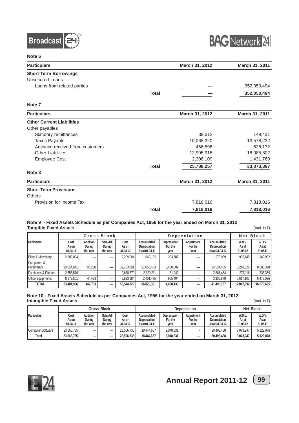



| <b>Particulars</b>               |              | March 31, 2012 | March 31, 2011 |
|----------------------------------|--------------|----------------|----------------|
| <b>Short-Term Borrowings</b>     |              |                |                |
| <b>Unsecured Loans</b>           |              |                |                |
| Loans from related parties       |              |                | 352,050,494    |
|                                  | <b>Total</b> |                | 352,050,494    |
| Note <sub>7</sub>                |              |                |                |
| <b>Particulars</b>               |              | March 31, 2012 | March 31, 2011 |
| <b>Other Current Liabilities</b> |              |                |                |
| Other payables                   |              |                |                |
| Statutory remittances            |              | 39,312         | 149,431        |
| <b>Taxes Payable</b>             |              | 10,068,320     | 13,578,232     |
| Advance received from customers  |              | 466,598        | 628,172        |
| <b>Other Liabilities</b>         |              | 12,905,918     | 18,085,802     |
| <b>Employee Cost</b>             |              | 2,308,109      | 1,431,760      |
|                                  | <b>Total</b> | 25,788,257     | 33,873,397     |
| Note 8                           |              |                |                |
| <b>Particulars</b>               |              | March 31, 2012 | March 31, 2011 |
| <b>Short-Term Provisions</b>     |              |                |                |
| <b>Others</b>                    |              |                |                |
| Provision for Income Tax         |              | 7,818,016      | 7,818,016      |
|                                  | <b>Total</b> | 7,818,016      | 7,818,016      |

#### **Note 9 - Fixed Assets Schedule as per Companies Act, 1956 for the year ended on March 31, 2012 Tangible Fixed Assets** (Amt. in ₹)

|                            | Gross Block               |                                |                                |                           | Depreciation                                  |                                 |                               |                                               | Net Block                   |                             |
|----------------------------|---------------------------|--------------------------------|--------------------------------|---------------------------|-----------------------------------------------|---------------------------------|-------------------------------|-----------------------------------------------|-----------------------------|-----------------------------|
| <b>IParticulars</b>        | Cost<br>As on<br>01.04.11 | Addition<br>During<br>the Year | Sale/Adj<br>During<br>the Year | Cost<br>As on<br>31.03.12 | Accumulated<br>Depreciation<br>As at 01.04.11 | Depreciation<br>For the<br>year | Adjustment<br>For the<br>Year | Accumulated<br>Depreciation<br>As at 31.03.12 | W.D.V.<br>As at<br>31.03.12 | W.D.V.<br>As at<br>31.03.11 |
| Plant & Machinery          | 2.209.084                 | –                              |                                | 2.209.084                 | 1,040,152                                     | 233.787                         |                               | 1.273.939                                     | 935.145                     | 1.168.932                   |
| Computers &<br>Peripherals | 39.654.841                | 98.250                         |                                | 39.753.091                | 31,066,463                                    | 3,468,002                       |                               | 34,534,465                                    | 5.218.626                   | 8,588,378                   |
| Furniture's & Fixtures     | 2.658.570                 | $\overline{\phantom{a}}$       | –                              | 2.658.570                 | 2,320,211                                     | 61.243                          | $\overline{\phantom{m}}$      | 2,381,454                                     | 277.116                     | 338,359                     |
| <b>Office Equipments</b>   | 8.879.501                 | 44.483                         |                                | 8.923.984                 | 2,401,475                                     | 905.404                         |                               | 3,306,879                                     | 5.617.105                   | 6.478.026                   |
| <b>TOTAL</b>               | 53,401,996                | 142.733                        |                                | 53.544.729                | 36.828.301                                    | 4,668,436                       | –                             | 41,496,737                                    | 12.047.992                  | 16.573.695                  |

#### **Note 10 - Fixed Assets Schedule as per Companies Act, 1956 for the year ended on March 31, 2012 Intangible Fixed Assets** (Amt. in ₹)

|                     | Gross Block               |                                |                                | Depreciation              |                                                      |                                 |                               |                                               | Net Block                   |                             |
|---------------------|---------------------------|--------------------------------|--------------------------------|---------------------------|------------------------------------------------------|---------------------------------|-------------------------------|-----------------------------------------------|-----------------------------|-----------------------------|
| <b>IParticulars</b> | Cost<br>As on<br>01.04.11 | Addition<br>During<br>the Year | Sale/Adj<br>During<br>the Year | Cost<br>As on<br>31.03.12 | Accumulated<br><b>Depreciation</b><br>As at 01.04.11 | Depreciation<br>For the<br>year | Adjustment<br>For the<br>Year | Accumulated<br>Depreciation<br>As at 31.03.12 | W.D.V.<br>As at<br>31.03.12 | W.D.V.<br>As at<br>31.03.11 |
| Computer Software   | 23.566.735                |                                |                                | 23.566.735                | 18.444.657                                           | 2.048.831                       |                               | 20.493.488                                    | 3.073.247                   | 5.122.078                   |
| Total               | 23.566.735                | –                              | -                              | 23.566.735                | 18,444,657                                           | 2.048.831                       | $\overline{\phantom{0}}$      | 20.493.488                                    | 3.073.247                   | 5.122.078                   |



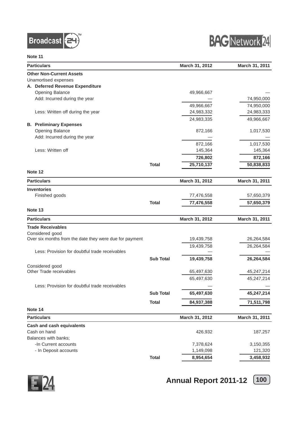



| <b>Particulars</b>                                      |                  | March 31, 2012 | March 31, 2011 |
|---------------------------------------------------------|------------------|----------------|----------------|
| <b>Other Non-Current Assets</b>                         |                  |                |                |
| Unamortised expenses                                    |                  |                |                |
| A. Deferred Revenue Expenditure                         |                  |                |                |
| Opening Balance                                         |                  | 49,966,667     |                |
| Add: Incurred during the year                           |                  |                | 74,950,000     |
|                                                         |                  | 49,966,667     | 74,950,000     |
| Less: Written off during the year                       |                  | 24,983,332     | 24,983,333     |
|                                                         |                  | 24,983,335     | 49,966,667     |
| <b>B. Preliminary Expenses</b>                          |                  |                |                |
| Opening Balance                                         |                  | 872,166        | 1,017,530      |
| Add: Incurred during the year                           |                  |                |                |
|                                                         |                  | 872,166        | 1,017,530      |
| Less: Written off                                       |                  | 145,364        | 145,364        |
|                                                         |                  |                |                |
|                                                         |                  | 726,802        | 872,166        |
|                                                         | <b>Total</b>     | 25,710,137     | 50,838,833     |
| Note 12                                                 |                  |                |                |
| <b>Particulars</b>                                      |                  | March 31, 2012 | March 31, 2011 |
| <b>Inventories</b>                                      |                  |                |                |
|                                                         |                  |                |                |
| Finished goods                                          |                  | 77,476,558     | 57,650,379     |
|                                                         | <b>Total</b>     | 77,476,558     | 57,650,379     |
| Note 13                                                 |                  |                |                |
| <b>Particulars</b>                                      |                  | March 31, 2012 | March 31, 2011 |
| <b>Trade Receivables</b>                                |                  |                |                |
| Considered good                                         |                  |                |                |
| Over six months from the date they were due for payment |                  | 19,439,758     | 26,264,584     |
|                                                         |                  | 19,439,758     | 26,264,584     |
| Less: Provision for doubtful trade receivables          |                  |                |                |
|                                                         | <b>Sub Total</b> | 19,439,758     | 26,264,584     |
| Considered good                                         |                  |                |                |
| Other Trade receivables                                 |                  | 65,497,630     | 45,247,214     |
|                                                         |                  | 65,497,630     | 45,247,214     |
|                                                         |                  |                |                |
| Less: Provision for doubtful trade receivables          |                  |                |                |
|                                                         | <b>Sub Total</b> | 65,497,630     | 45,247,214     |
|                                                         | <b>Total</b>     | 84,937,388     | 71,511,798     |
| Note 14                                                 |                  |                |                |
| <b>Particulars</b>                                      |                  | March 31, 2012 | March 31, 2011 |
| <b>Cash and cash equivalents</b>                        |                  |                |                |
| Cash on hand                                            |                  | 426,932        | 187,257        |
| Balances with banks;                                    |                  |                |                |
| -In Current accounts                                    |                  | 7,378,624      | 3,150,355      |
| - In Deposit accounts                                   |                  | 1,149,098      | 121,320        |
|                                                         |                  |                |                |
|                                                         | <b>Total</b>     | 8,954,654      | 3,458,932      |

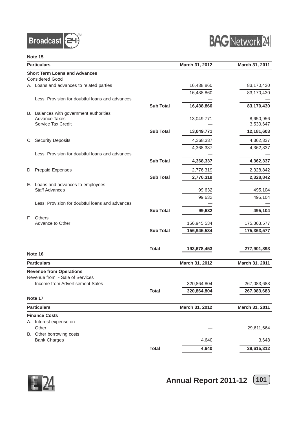



|    | <b>Particulars</b>                              | March 31, 2012   | March 31, 2011 |                |
|----|-------------------------------------------------|------------------|----------------|----------------|
|    | <b>Short Term Loans and Advances</b>            |                  |                |                |
|    | <b>Considered Good</b>                          |                  |                |                |
|    | A. Loans and advances to related parties        |                  | 16,438,860     | 83,170,430     |
|    |                                                 |                  | 16,438,860     | 83,170,430     |
|    | Less: Provision for doubtful loans and advances |                  |                |                |
|    |                                                 | <b>Sub Total</b> | 16,438,860     | 83,170,430     |
|    | B. Balances with government authorities         |                  |                |                |
|    | <b>Advance Taxes</b>                            |                  | 13,049,771     | 8,650,956      |
|    | Service Tax Credit                              |                  |                | 3,530,647      |
|    |                                                 | <b>Sub Total</b> | 13,049,771     | 12,181,603     |
|    | C. Security Deposits                            |                  | 4,368,337      | 4,362,337      |
|    |                                                 |                  | 4,368,337      | 4,362,337      |
|    | Less: Provision for doubtful loans and advances |                  |                |                |
|    |                                                 | <b>Sub Total</b> | 4,368,337      | 4,362,337      |
|    | D. Prepaid Expenses                             |                  | 2,776,319      | 2,328,842      |
|    |                                                 | <b>Sub Total</b> | 2,776,319      | 2,328,842      |
|    | E. Loans and advances to employees              |                  |                |                |
|    | <b>Staff Advances</b>                           |                  | 99,632         | 495,104        |
|    |                                                 |                  | 99,632         | 495,104        |
|    | Less: Provision for doubtful loans and advances |                  |                |                |
|    |                                                 | <b>Sub Total</b> | 99,632         | 495,104        |
| E. | Others                                          |                  |                |                |
|    | Advance to Other                                |                  | 156,945,534    | 175,363,577    |
|    |                                                 | <b>Sub Total</b> | 156,945,534    | 175,363,577    |
|    |                                                 | <b>Total</b>     | 193,678,453    | 277,901,893    |
|    | Note 16                                         |                  |                |                |
|    | <b>Particulars</b>                              |                  | March 31, 2012 | March 31, 2011 |
|    | <b>Revenue from Operations</b>                  |                  |                |                |
|    | Revenue from - Sale of Services                 |                  |                |                |
|    | Income from Advertisement Sales                 |                  | 320,864,804    | 267,083,683    |
|    |                                                 | <b>Total</b>     | 320,864,804    | 267,083,683    |
|    | Note 17                                         |                  |                |                |
|    | <b>Particulars</b>                              |                  | March 31, 2012 | March 31, 2011 |
|    | <b>Finance Costs</b>                            |                  |                |                |
|    | A. Interest expense on                          |                  |                |                |
|    | Other                                           |                  |                | 29,611,664     |
|    | B. Other borrowing costs<br><b>Bank Charges</b> |                  | 4,640          |                |
|    |                                                 |                  |                | 3,648          |
|    |                                                 | <b>Total</b>     | 4,640          | 29,615,312     |



**Annual Report 2011-12** [101]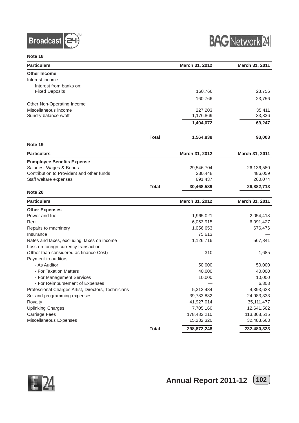



| <b>Particulars</b>                                  |              | March 31, 2012 | March 31, 2011            |
|-----------------------------------------------------|--------------|----------------|---------------------------|
| <b>Other Income</b>                                 |              |                |                           |
| Interest income                                     |              |                |                           |
| Interest from banks on:                             |              |                |                           |
| <b>Fixed Deposits</b>                               |              | 160,766        | 23,756                    |
|                                                     |              | 160,766        | 23,756                    |
| Other Non-Operating Income                          |              |                |                           |
| Miscellaneous income                                |              | 227,203        | 35,411                    |
| Sundry balance w/off                                |              | 1,176,869      | 33,836                    |
|                                                     |              | 1,404,072      | 69,247                    |
|                                                     | <b>Total</b> | 1,564,838      | 93,003                    |
|                                                     |              |                |                           |
| Note 19                                             |              |                |                           |
| <b>Particulars</b>                                  |              | March 31, 2012 | March 31, 2011            |
| <b>Enmployee Benefits Expense</b>                   |              |                |                           |
| Salaries, Wages & Bonus                             |              | 29,546,704     | 26,136,580                |
| Contribution to Provident and other funds           |              | 230,448        | 486,059                   |
| Staff welfare expenses                              |              | 691,437        | 260,074                   |
|                                                     | <b>Total</b> | 30,468,589     | 26,882,713                |
| Note 20                                             |              |                |                           |
| <b>Particulars</b>                                  |              | March 31, 2012 | March 31, 2011            |
| <b>Other Expenses</b>                               |              |                |                           |
| Power and fuel                                      |              | 1,965,021      | 2,054,418                 |
| Rent                                                |              | 6,053,915      | 6,091,427                 |
| Repairs to machinery                                |              | 1,056,653      | 676,476                   |
| Insurance                                           |              | 75,613         |                           |
| Rates and taxes, excluding, taxes on income         |              | 1,126,716      | 567,841                   |
| Loss on foreign currency transaction                |              |                |                           |
| (Other than considered as finance Cost)             |              | 310            | 1,685                     |
| Payment to auditors                                 |              |                |                           |
| - As Auditor                                        |              | 50,000         | 50,000                    |
| - For Taxation Matters                              |              | 40,000         | 40,000                    |
| - For Management Services                           |              | 10,000         | 10,000                    |
| - For Reimbursement of Expenses                     |              |                | 6,303                     |
| Professional Charges Artist, Directors, Technicians |              | 5,313,484      | 4,393,623                 |
| Set and programming expenses                        |              | 39,783,832     | 24,983,333                |
| Royalty                                             |              | 41,927,014     | 35, 111, 477              |
| <b>Uplinking Charges</b>                            |              | 7,705,160      | 12,641,562                |
| <b>Carriage Fees</b>                                |              | 178,482,210    |                           |
| Miscellaneous Expenses                              |              | 15,282,320     | 113,368,515<br>32,483,663 |
|                                                     | <b>Total</b> | 298,872,248    | 232,480,323               |

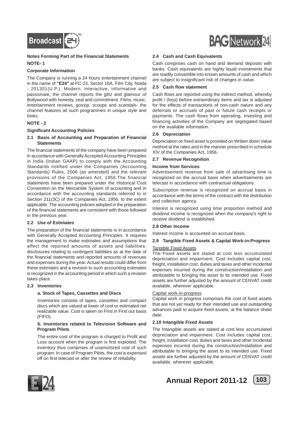

#### **Notes Forming Part of the Financial Statements NOTE- 1**

#### **Corporate Information**

The Company is running a 24 hours entertainment channel in the name of **"E24"** at FC-23, Sector 16A, Film City, Noida - 201301(U.P.). Modern, interactive, informative and passionate, the channel reports the glitz and glamour of Bollywood with honesty, zeal and commitment. Films, music, entertainment reviews, gossip, scoops and scandals- the channel features all such programmes in unique style and looks.

#### **NOTE - 2**

#### **Significant Accounting Policies**

#### **2.1 Basis of Accounting and Preparation of Financial Statements**

The financial statements of the company have been prepared in accordance with Generally Accepted Accounting Principles in India (Indian GAAP) to comply with the Accounting Standards notified under the Companies (Accounting Standards) Rules, 2006 (as amended) and the relevant provisions of the Companies Act, 1956.The financial statements have been prepared under the Historical Cost Convention on the Mercantile System of accounting and in accordance with the accounting standards referred to in Section 211(3C) of the Companies Act, 1956, to the extent applicable. The accounting policies adopted in the preparation of the financial statements are consistent with those followed in the previous year.

#### **2.2 Use of Estimates**

The preparation of the financial statements is in accordance with Generally Accepted Accounting Principles. It requires the management to make estimates and assumptions that affect the reported amounts of assets and liabilities, disclosures relating to contingent liabilities as at the date of the financial statements and reported amounts of revenues and expenses during the year. Actual results could differ from these estimates and a revision to such accounting estimates is recognized in the accounting period in which such a revision takes place.

#### **2.3 Inventories**

#### **a. Stock of Tapes, Cassettes and Discs**

Inventories consists of tapes, cassettes and compact discs which are valued at lower of cost or estimated net realizable value. Cost is taken on First in First out basis (FIFO).

#### **b. Inventories related to Television Software and Program Pilots**

The entire cost of the program is charged to Profit and Loss account when the program is first exploited. The inventory thus comprises of unamortized cost of such program. In case of Program Pilots, the cost is expensed off on first telecast or after the review of reliability.



#### **2.4 Cash and Cash Equivalents**

Cash comprises cash on hand and demand deposits with banks. Cash equivalents are highly liquid investments that are readily convertible into known amounts of cash and which are subject to insignificant risk of changes in value.

#### **2.5 Cash flow statement**

Cash flows are reported using the indirect method, whereby profit / (loss) before extraordinary items and tax is adjusted for the effects of transactions of non-cash nature and any deferrals or accruals of past or future cash receipts or payments. The cash flows from operating, investing and financing activities of the Company are segregated based on the available information.

#### **2.6 Depreciation**

Depreciation on fixed asset is provided on Written down Value method at the rates and in the manner prescribed in schedule XIV of the Companies Act, 1956.

#### **2.7 Revenue Recognition**

#### **Income from Services**

Advertisement revenue from sale of advertising time is recognized on the accrual basis when advertisements are telecast in accordance with contractual obligations.

Subscription revenue is recognized on accrual basis in accordance with the terms of the contract with the distribution and collection agency.

Interest is recognized using time proportion method and dividend income is recognized when the company's right to receive dividend is established.

#### **2.8 Other Income**

Interest income is accounted on accrual basis.

#### **2.9 Tangible Fixed Assets & Capital Work-in-Progress**

#### Tangible Fixed Assets

The Fixed assets are stated at cost less accumulated depreciation and impairment. Cost includes capital cost, freight, installation cost, duties and taxes and other incidental expenses incurred during the construction/installation and attributable to bringing the asset to its intended use. Fixed assets are further adjusted by the amount of CENVAT credit available, wherever applicable.

#### Capital work-in-progress

Capital work in progress comprises the cost of fixed assets that are not yet ready for their intended use and outstanding advances paid to acquire fixed assets, at the balance sheet date.

#### **2.10 Intangible Fixed Assets**

The Intangible assets are stated at cost less accumulated depreciation and impairment. Cost includes capital cost, freight, installation cost, duties and taxes and other incidental expenses incurred during the construction/installation and attributable to bringing the asset to its intended use. Fixed assets are further adjusted by the amount of CENVAT credit available, wherever applicable.



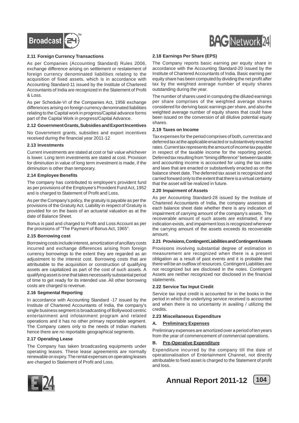

#### **2.11 Foreign Currency Transactions**

As per Companies (Accounting Standard) Rules 2006, exchange difference arising on settlement or restatement of foreign currency denominated liabilities relating to the acquisition of fixed assets, which is in accordance with Accounting Standard-11 issued by the Institute of Chartered Accountants of India are recognized in the Statement of Profit & Loss.

As per Schedule-VI of the Companies Act, 1956 exchange differences arising on foreign currency denominated liabilities relating to the Capital work in progress/Capital advance forms part of the Capital Work in progress/Capital Advance.

#### **2.12 Government Grants, Subsidies and Export Incentives**

No Government grants, subsidies and export incentives received during the financial year 2011-12

#### **2.13 Investments**

Current investments are stated at cost or fair value whichever is lower. Long term investments are stated at cost. Provision for diminution in value of long term investment is made, if the diminution is other than temporary.

#### **2.14 Employee Benefits**

The company has contributed to employee's provident fund as per provisions of the Employee's Provident Fund Act, 1952 and is charged to Statement of Profit and Loss.

As per the Company's policy, the gratuity is payable as per the provisions of the Gratuity Act. Liability in respect of Gratuity is provided for on the basis of an actuarial valuation as at the date of Balance Sheet.

Bonus is paid and charged to Profit and Loss Account as per the provisions of "The Payment of Bonus Act, 1965".

#### **2.15 Borrowing cost**

Borrowing costs include interest, amortization of ancillary costs incurred and exchange differences arising from foreign currency borrowings to the extent they are regarded as an adjustment to the interest cost. Borrowing costs that are attributable to the acquisition or construction of qualifying assets are capitalized as part of the cost of such assets. A qualifying asset is one that takes necessarily substantial period of time to get ready for its intended use. All other borrowing costs are charged to revenue.

#### **2.16 Segmental Reporting**

In accordance with Accounting Standard -17 issued by the Institute of Chartered Accountants of India, the company's single business segment is broadcasting of Bollywood centric entertainment and infotainment program and related operations and it has no other primary reportable segment. The Company caters only to the needs of Indian markets hence there are no reportable geographical segments.

#### **2.17 Operating Lease**

The Company has taken broadcasting equipments under operating leases. These lease agreements are normally renewable on expiry. The rental expenses on operating leases are charged to Statement of Profit and Loss.



#### **2.18 Earnings Per Share (EPS)**

The Company reports basic earning per equity share in accordance with the Accounting Standard-20 issued by the Institute of Chartered Accountants of India. Basic earning per equity share has been computed by dividing the net profit after tax by the weighted average number of equity shares outstanding during the year.

The number of shares used in computing the diluted earnings per share comprises of the weighted average shares considered for deriving basic earnings per share, and also the weighted average number of equity shares that could have been issued on the conversion of all dilutive potential equity shares.

#### **2.19 Taxes on Income**

Tax expenses for the period comprises of both, current tax and deferred tax at the applicable enacted or substantively enacted rates. Current tax represents the amount of income tax payable in respect of the taxable income for the reporting period. Deferred tax resulting from "timing difference" between taxable and accounting income is accounted for using the tax rates and laws that are enacted or substantively enacted as on the balance sheet date. The deferred tax asset is recognized and carried forward only to the extent that there is a virtual certainty that the asset will be realized in future.

#### **2.20 Impairment of Assets**

As per Accounting Standard-28 issued by the Institute of Chartered Accountants of India, the company assesses at each balance sheet date whether there is any indication of impairment of carrying amount of the company's assets. The recoverable amount of such assets are estimated, if any indication exists, and impairment loss is recognized wherever the carrying amount of the assets exceeds its recoverable amount.

#### **2.21 Provisions, Contingent Liabilities and Contingent Assets**

Provisions involving substantial degree of estimation in measurement are recognized when there is a present obligation as a result of past events and it is probable that there will be an outflow of resources. Contingent Liabilities are not recognized but are disclosed in the notes. Contingent Assets are neither recognized nor disclosed in the financial statements.

#### **2.22 Service Tax Input Credit**

Service tax input credit is accounted for in the books in the period in which the underlying service received is accounted and when there is no uncertainty in availing / utilizing the credits.

#### **2.23 Miscellaneous Expenditure**

#### **A. Preliminary Expenses**

Preliminary expenses are amortized over a period of ten years from the year of commencement of commercial operations.

#### **B. Pre-Operative Expenditure**

Expenditure incurred by the company till the date of operationalisation of Entertainment Channel, not directly attributable to fixed asset is charged to the Statement of profit and loss.

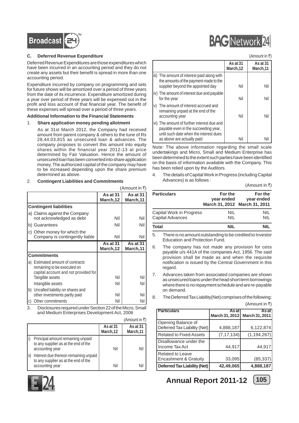

#### **C. Deferred Revenue Expenditure**

Deferred Revenue Expenditures are those expenditures which have been incurred in an accounting period and they do not create any assets but their benefit is spread in more than one accounting period.

Expenditure incurred by company on programming and sets for future shows will be amortized over a period of three years from the date of its incurrence. Expenditure amortized during a year over period of three years will be expensed out in the profit and loss account of that financial year. The benefit of these expenses will spread over a period of three years.

#### **Additional Information to the Financial Statements**

#### 1. **Share application money pending allotment**

As at 31st March 2012, the Company had received amount from parent company & others to the tune of Rs 28,44,03,815 as unsecured loan & advances. The company proposes to convert this amount into equity shares within the financial year 2012-13 at price determined by Fair Valuation. Hence the amount of unsecured loan has been converted into share application money. The authorized capital of the company may have to be increased depending upon the share premium determined as above.

#### 2. **Contingent Liabilities and Commitments**

|                                                                                                                            |                       | (Amount in ₹)        |
|----------------------------------------------------------------------------------------------------------------------------|-----------------------|----------------------|
|                                                                                                                            | As at 31<br>March, 12 | As at 31<br>March,11 |
| <b>Contingent liabilities</b>                                                                                              |                       |                      |
| a) Claims against the Company<br>not acknowledged as debt                                                                  | Nil                   | Nil                  |
| b) Guarantees                                                                                                              | Nil                   | Nil                  |
| c) Other money for which the<br>Company is contingently liable                                                             | Nil                   | Nil                  |
|                                                                                                                            | As at 31<br>March,12  | As at 31<br>March,11 |
| <b>Commitments</b>                                                                                                         |                       |                      |
| a) Estimated amount of contracts<br>remaining to be executed on<br>capital account and not provided for<br>Tangible assets | Nil                   | Nil                  |
| Intangible assets                                                                                                          | Nil                   | Nil                  |
| b)<br>Uncalled liability on shares and<br>other investments partly paid                                                    | Nil                   | Nil                  |
| Other commitments                                                                                                          | Nil                   | Nil                  |

3. Disclosures required under Section 22 of the Micro, Small and Medium Enterprises Development Act, 2006

|                                                                                                  |                       | $(A$ mount in ₹)      |
|--------------------------------------------------------------------------------------------------|-----------------------|-----------------------|
|                                                                                                  | As at 31<br>March, 12 | As at 31<br>March, 11 |
| Principal amount remaining unpaid<br>to any supplier as at the end of the<br>accounting year     | Nil                   |                       |
| Interest due thereon remaining unpaid<br>to any supplier as at the end of the<br>accounting year | Nil                   |                       |



| <b>BAG</b> Network 24 |
|-----------------------|
| $(A$ mount in ₹)      |

**BAART** 

|    |                                                                                                                                                            | As at 31<br>March, 12 | As at 31<br>March, 11 |
|----|------------------------------------------------------------------------------------------------------------------------------------------------------------|-----------------------|-----------------------|
|    | iii) The amount of interest paid along with<br>the amounts of the payment made to the<br>supplier beyond the appointed day                                 | Nil                   | Nil                   |
|    | iv) The amount of interest due and payable<br>for the year                                                                                                 | Nil                   | Nil                   |
| V) | The amount of interest accrued and<br>remaining unpaid at the end of the<br>accounting year                                                                | Nil                   | Nil                   |
|    | vi) The amount of further interest due and<br>payable even in the succeeding year,<br>until such date when the interest dues<br>as above are actually paid | Nil                   |                       |

Note: The above information regarding the small scale undertakings and Micro, Small and Medium Enterprise has been determined to the extent such parties have been identified on the basis of information available with the Company. This has been relied upon by the Auditors.

4. The details of Capital Work in Progress (including Capital Advances) is as follows :

|  |  |  | (Amount in ₹) |  |
|--|--|--|---------------|--|
|  |  |  |               |  |
|  |  |  |               |  |

| <b>Particulars</b>                                  | For the<br>year ended<br>March 31, 2012 March 31, 2011 | For the<br>year ended |
|-----------------------------------------------------|--------------------------------------------------------|-----------------------|
| Capital Work in Progress<br><b>Capital Advances</b> | <b>NIL</b><br>NIL                                      | <b>NIL</b><br>NIL     |
| <b>Total</b>                                        | NII                                                    | NII                   |

- 5. There is no amount outstanding to be credited to Investor Education and Protection Fund.
- 6. The company has not made any provision for cess payable u/s 441A of the companies Act, 1956. The said provision shall be made as and when the requisite notification is issued by the Central Government in this regard.
- 7. Advances taken from associated companies are shown as unsecured loans under the head short term borrowings where there is no repayment schedule and are re-payable on demand.
- 8. The Deferred Tax Liability(Net) comprises of the following:

| (Amount in ₹) |
|---------------|
|---------------|

| <b>Particulars</b>                                 | <b>As at</b><br>March 31, 2012 | As at<br>March 31, 2011 |
|----------------------------------------------------|--------------------------------|-------------------------|
| Opening Balance of<br>Deferred Tax Liability (Net) | 4,888,187                      | 6,122,874               |
| <b>Related to Fixed Assets</b>                     | (7, 17, 134)                   | (1, 194, 267)           |
| Disallowance under the<br>Income Tax Act           | 44,917                         | 44,917                  |
| <b>Related to Leave</b><br>Encashment & Gratuity   | 33,095                         | (85, 337)               |
| <b>Deferred Tax Liability (Net)</b>                | 42,49,065                      | 4,888,187               |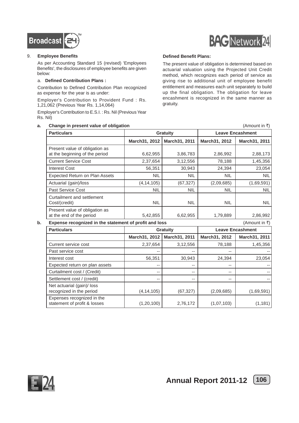

#### 9. **Employee Benefits**

As per Accounting Standard 15 (revised) 'Employees Benefits', the disclosures of employee benefits are given below:

#### a. **Defined Contribution Plans :**

Contribution to Defined Contribution Plan recognized as expense for the year is as under:

Employer's Contribution to Provident Fund : Rs. 1,21,062 (Previous Year Rs. 1,14,064)

Employer's Contribution to E.S.I. : Rs. Nil (Previous Year Rs. Nil)

#### **a.** Change in present value of obligation **and the contract of the contract of the contract of the contract of the contract of the contract of the contract of the contract of the contract of the contract of the contract o**



#### **Defined Benefit Plans:**

The present value of obligation is determined based on actuarial valuation using the Projected Unit Credit method, which recognizes each period of service as giving rise to additional unit of employee benefit entitlement and measures each unit separately to build up the final obligation. The obligation for leave encashment is recognized in the same manner as gratuity.

| <b>Particulars</b>                                               | <b>Gratuity</b> |               | <b>Leave Encashment</b> |                |
|------------------------------------------------------------------|-----------------|---------------|-------------------------|----------------|
|                                                                  | March31, 2012   | March31, 2011 | March31, 2012           | March31, 2011  |
| Present value of obligation as<br>at the beginning of the period | 6,62,955        | 3,86,783      | 2,86,992                | 2,88,173       |
| <b>Current Service Cost</b>                                      | 2,37,654        | 3,12,556      | 78,188                  | 1,45,356       |
| <b>Interest Cost</b>                                             | 56,351          | 30,943        | 24,394                  | 23,054         |
| <b>Expected Return on Plan Assets</b>                            | <b>NIL</b>      | <b>NIL</b>    | <b>NIL</b>              | <b>NIL</b>     |
| Actuarial (gain)/loss                                            | (4, 14, 105)    | (67, 327)     | (2,09,685)              | (1,69,591)     |
| Past Service Cost                                                | <b>NIL</b>      | <b>NIL</b>    | <b>NIL</b>              | <b>NIL</b>     |
| Curtailment and settlement<br>Cost/(credit)                      | <b>NIL</b>      | <b>NIL</b>    | <b>NIL</b>              | NIL.           |
| Present value of obligation as<br>at the end of the period       | 5,42,855        | 6,62,955      | 1,79,889                | 2,86,992       |
| Expense recognized in the statement of profit and loss           |                 |               |                         | (Amount in ₹)  |
| <b>Particulars</b>                                               | Gratuity        |               | <b>Leave Encashment</b> |                |
|                                                                  | March31, 2012   | March31, 2011 | March31, 2012           | March31, 2011  |
| Current service cost                                             | 2,37,654        | 3,12,556      | 78,188                  | 1,45,356       |
| Past service cost                                                |                 |               |                         |                |
| Interest cost                                                    | 56,351          | 30,943        | 24,394                  | 23,054         |
| Expected return on plan assets                                   | --              |               |                         |                |
| Curtailment cost / (Credit)                                      | --              |               | --                      |                |
| Settlement cost / (credit)                                       | --              | --            | --                      | $\overline{a}$ |
| Net actuarial (gain)/ loss<br>recognized in the period           | (4, 14, 105)    | (67, 327)     | (2,09,685)              | (1,69,591)     |
| Expenses recognized in the<br>statement of profit & losses       | (1, 20, 100)    | 2,76,172      | (1,07,103)              | (1, 181)       |

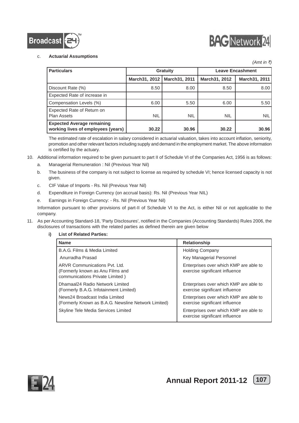



#### c. **Actuarial Assumptions**

| <i>(Amt in ₹)</i>                                                       |                |                 |                         |                |  |
|-------------------------------------------------------------------------|----------------|-----------------|-------------------------|----------------|--|
| <b>Particulars</b>                                                      |                | <b>Gratuity</b> | <b>Leave Encashment</b> |                |  |
|                                                                         | March 31, 2012 | March31, 2011   | March31, 2012           | March 31, 2011 |  |
| Discount Rate (%)                                                       | 8.50           | 8.00            | 8.50                    | 8.00           |  |
| Expected Rate of increase in                                            |                |                 |                         |                |  |
| Compensation Levels (%)                                                 | 6.00           | 5.50            | 6.00                    | 5.50           |  |
| Expected Rate of Return on<br><b>Plan Assets</b>                        | <b>NIL</b>     | <b>NIL</b>      | <b>NIL</b>              | <b>NIL</b>     |  |
| <b>Expected Average remaining</b><br>working lives of employees (years) | 30.22          | 30.96           | 30.22                   | 30.96          |  |

The estimated rate of escalation in salary considered in actuarial valuation, takes into account inflation, seniority, promotion and other relevant factors including supply and demand in the employment market. The above information is certified by the actuary.

- 10. Additional information required to be given pursuant to part II of Schedule VI of the Companies Act, 1956 is as follows:
	- a. Managerial Remuneration : Nil (Previous Year Nil)
		- b. The business of the company is not subject to license as required by schedule VI; hence licensed capacity is not given.
		- c. CIF Value of Imports Rs. Nil (Previous Year Nil)
		- d. Expenditure in Foreign Currency (on accrual basis): Rs. Nil (Previous Year NIL)
		- e. Earnings in Foreign Currency: Rs. Nil (Previous Year Nil)

Information pursuant to other provisions of part-II of Schedule VI to the Act, is either Nil or not applicable to the company.

- 11. As per Accounting Standard-18, 'Party Disclosures', notified in the Companies (Accounting Standards) Rules 2006, the disclosures of transactions with the related parties as defined therein are given below
	- **i) List of Related Parties:**

| <b>Name</b>                                                                                          | <b>Relationship</b>                                                      |
|------------------------------------------------------------------------------------------------------|--------------------------------------------------------------------------|
| B.A.G. Films & Media Limited                                                                         | <b>Holding Company</b>                                                   |
| Anurradha Prasad                                                                                     | Key Managerial Personnel                                                 |
| ARVR Communications Pyt. Ltd.<br>(Formerly known as Anu Films and<br>communications Private Limited) | Enterprises over which KMP are able to<br>exercise significant influence |
| Dhamaal24 Radio Network Limited<br>(Formerly B.A.G. Infotainment Limited)                            | Enterprises over which KMP are able to<br>exercise significant influence |
| News24 Broadcast India Limited<br>(Formerly Known as B.A.G. Newsline Network Limited)                | Enterprises over which KMP are able to<br>exercise significant influence |
| Skyline Tele Media Services Limited                                                                  | Enterprises over which KMP are able to<br>exercise significant influence |

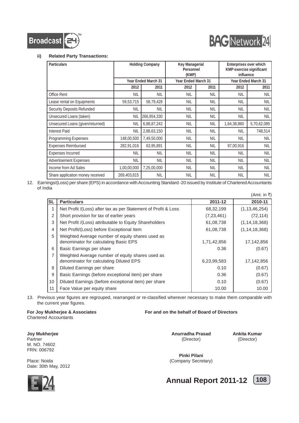



#### **ii) Related Party Transactions:**

| <b>Particulars</b>               |             | <b>Holding Company</b>     | Key Managerial<br>Personnel<br>(KMP) |            | Enterprises over which<br><b>KMP exercise significant</b><br>influence |                            |
|----------------------------------|-------------|----------------------------|--------------------------------------|------------|------------------------------------------------------------------------|----------------------------|
|                                  |             | <b>Year Ended March 31</b> | Year Ended March 31                  |            |                                                                        | <b>Year Ended March 31</b> |
|                                  | 2012        | 2011                       | 2012                                 | 2011       | 2012                                                                   | 2011                       |
| Office Rent                      | <b>NIL</b>  | <b>NIL</b>                 | <b>NIL</b>                           | <b>NIL</b> | <b>NIL</b>                                                             | <b>NIL</b>                 |
| Lease rental on Equipments       | 59,53,715   | 58,79,428                  | <b>NIL</b>                           | <b>NIL</b> | <b>NIL</b>                                                             | <b>NIL</b>                 |
| Security Deposits Refunded       | <b>NIL</b>  | <b>NIL</b>                 | <b>NIL</b>                           | <b>NIL</b> | <b>NIL</b>                                                             | <b>NIL</b>                 |
| Unsecured Loans (taken)          | <b>NIL</b>  | 266,954,330                | <b>NIL</b>                           | <b>NIL</b> | <b>NIL</b>                                                             | <b>NIL</b>                 |
| Unsecured Loans (given/returned) | <b>NIL</b>  | 6,88,87,242                | <b>NIL</b>                           | <b>NIL</b> | 1,64,38,860                                                            | 5,70,62,085                |
| <b>Interest Paid</b>             | <b>NIL</b>  | 2,88,63,150                | <b>NIL</b>                           | <b>NIL</b> | NIL                                                                    | 748,514                    |
| Programming Expenses             | 148,00,500  | 7,49,50,000                | <b>NIL</b>                           | <b>NIL</b> | <b>NIL</b>                                                             | <b>NIL</b>                 |
| <b>Expenses Reimbursed</b>       | 282,91,016  | 63,95,891                  | <b>NIL</b>                           | <b>NIL</b> | 97,00,916                                                              | <b>NIL</b>                 |
| <b>Expenses Incurred</b>         | <b>NIL</b>  | <b>NIL</b>                 | <b>NIL</b>                           | <b>NIL</b> | <b>NIL</b>                                                             | <b>NIL</b>                 |
| <b>Advertisement Expenses</b>    | <b>NIL</b>  | <b>NIL</b>                 | <b>NIL</b>                           | <b>NIL</b> | <b>NIL</b>                                                             | <b>NIL</b>                 |
| Income from Ad Sales             | 1,00,00,000 | 7,25,00,000                | <b>NIL</b>                           | <b>NIL</b> | <b>NIL</b>                                                             | <b>NIL</b>                 |
| Share application money received | 269,403,815 | <b>NIL</b>                 | <b>NIL</b>                           | <b>NIL</b> | <b>NIL</b>                                                             | <b>NIL</b>                 |

12. Earnings/(Loss) per share (EPS) in accordance with Accounting Standard -20 issued by Institute of Chartered Accountants of India

|                |                                                                                             |              | (Amt. in ₹)      |
|----------------|---------------------------------------------------------------------------------------------|--------------|------------------|
| ISL            | <b>Particulars</b>                                                                          | 2011-12      | 2010-11          |
| 1              | Net Profit /(Loss) after tax as per Statement of Profit & Loss                              | 68,32,199    | (1, 13, 46, 254) |
| $\overline{2}$ | Short provision for tax of earlier years                                                    | (7, 23, 461) | (72, 114)        |
| 3              | Net Profit /(Loss) attributable to Equity Shareholders                                      | 61,08,738    | (1, 14, 18, 368) |
| 4              | Net Profit/(Loss) before Exceptional Item                                                   | 61,08,738    | (1, 14, 18, 368) |
| 5              | Weighted Average number of equity shares used as<br>denominator for calculating Basic EPS   | 1,71,42,856  | 17,142,856       |
| 6              | Basic Earnings per share                                                                    | 0.36         | (0.67)           |
| 7              | Weighted Average number of equity shares used as<br>denominator for calculating Diluted EPS | 6,23,99,583  | 17,142,856       |
| 8              | Diluted Earnings per share                                                                  | 0.10         | (0.67)           |
| 9              | Basic Earnings (before exceptional item) per share                                          | 0.36         | (0.67)           |
| 10             | Diluted Earnings (before exceptional item) per share                                        | 0.10         | (0.67)           |
| 11             | Face Value per equity share                                                                 | 10.00        | 10.00            |

13. Previous year figures are regrouped, rearranged or re-classified wherever necessary to make them comparable with the current year figures.

**For Joy Mukherjee & Associates For and on the behalf of Board of Directors** Chartered Accountants

**Joy Mukherjee Anurradha Prasad Ankita Kumar**

Partner (Director) (Director) (Director) (Director) (Director) (Director) (Director) (Director) (Director) (Director) (Director) (Director) (Director) (Director) (Director) (Director) (Director) (Director) (Director) (Dire

FRN: 006792 Place: Noida **(Company Secretary) Place:** Noida Date: 30th May, 2012

**Pinki Pilani**



M. NO. 74602

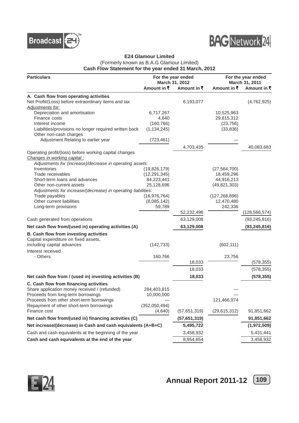



#### **E24 Glamour Limited** (Formerly known as B.A.G Glamour Limited) **Cash Flow Statement for the year ended 31 March, 2012**

| <b>Particulars</b>                                                        |                             | For the year ended<br>March 31, 2012 |                        | For the year ended<br>March 31, 2011 |  |
|---------------------------------------------------------------------------|-----------------------------|--------------------------------------|------------------------|--------------------------------------|--|
|                                                                           | Amount in ₹                 | Amount in ₹                          | Amount in ₹            | Amount in ₹                          |  |
| A. Cash flow from operating activities                                    |                             |                                      |                        |                                      |  |
| Net Profit/(Loss) before extraordinary items and tax                      |                             | 6,193,077                            |                        | (4,762,925)                          |  |
| <b>Adjustments for:</b>                                                   |                             |                                      |                        |                                      |  |
| Depreciation and amortisation                                             | 6,717,267                   |                                      | 10,525,963             |                                      |  |
| Finance costs                                                             | 4,640                       |                                      | 29,615,312             |                                      |  |
| Interest income<br>Liabilities/provisions no longer required written back | (160, 766)<br>(1, 134, 245) |                                      | (23, 756)<br>(33, 836) |                                      |  |
| Other non-cash charges                                                    |                             |                                      |                        |                                      |  |
| Adjustment Relating to earlier year                                       | (723, 461)                  |                                      |                        |                                      |  |
|                                                                           |                             | 4,703,435                            |                        | 40,083,683                           |  |
| Operating profit/(loss) before working capital changes                    |                             |                                      |                        |                                      |  |
| Changes in working capital :                                              |                             |                                      |                        |                                      |  |
| Adjustments for (increase)/decrease in operating assets:                  |                             |                                      |                        |                                      |  |
| Inventories                                                               | (19,826,179)                |                                      | (27, 564, 700)         |                                      |  |
| Trade receivables                                                         | (12, 291, 345)              |                                      | 18,459,296             |                                      |  |
| Short-term loans and advances                                             | 84,223,441                  |                                      | 44,916,213             |                                      |  |
| Other non-current assets                                                  | 25,128,696                  |                                      | (49, 821, 303)         |                                      |  |
| Adjustments for increase/(decrease) in operating liabilities:             |                             |                                      |                        |                                      |  |
| Trade payables                                                            | (16, 976, 764)              |                                      | (127, 268, 896)        |                                      |  |
| Other current liabilities                                                 | (8,085,142)<br>59,789       |                                      | 12,470,480<br>242,336  |                                      |  |
| Long-term provisions                                                      |                             | 52,232,496                           |                        | (128, 566, 574)                      |  |
| Cash generated from operations                                            |                             | 63,129,008                           |                        | (93, 245, 816)                       |  |
| Net cash flow from/(used in) operating activities (A)                     |                             | 63,129,008                           |                        | (93, 245, 816)                       |  |
|                                                                           |                             |                                      |                        |                                      |  |
| B. Cash flow from investing activities                                    |                             |                                      |                        |                                      |  |
| Capital expenditure on fixed assets,<br>including capital advances        | (142, 733)                  |                                      | (602, 111)             |                                      |  |
| Interest received                                                         |                             |                                      |                        |                                      |  |
| - Others                                                                  | 160,766                     |                                      | 23,756                 |                                      |  |
|                                                                           |                             | 18,033                               |                        | (578, 355)                           |  |
|                                                                           |                             | 18,033                               |                        | (578, 355)                           |  |
| Net cash flow from / (used in) investing activities (B)                   |                             | 18,033                               |                        | (578, 355)                           |  |
| C. Cash flow from financing activities                                    |                             |                                      |                        |                                      |  |
| Share application money received / (refunded)                             | 284,403,815                 |                                      |                        |                                      |  |
| Proceeds from long-term borrowings                                        | 10,000,000                  |                                      |                        |                                      |  |
| Proceeds from other short-term borrowings                                 |                             |                                      | 121,466,974            |                                      |  |
| Repayment of other short-term borrowings                                  | (352,050,494)               |                                      |                        |                                      |  |
| Finance cost                                                              | (4,640)                     | (57,651,319)                         | (29, 615, 312)         | 91,851,662                           |  |
| Net cash flow from/(used in) financing activities (C)                     |                             | (57,651,319)                         |                        | 91,851,662                           |  |
| Net increase/(decrease) in Cash and cash equivalents (A+B+C)              |                             | 5,495,722                            |                        | (1,972,509)                          |  |
| Cash and cash equivalents at the beginning of the year                    |                             | 3,458,932                            |                        | 5,431,441                            |  |
| Cash and cash equivalents at the end of the year                          |                             | 8,954,654                            |                        | 3,458,932                            |  |

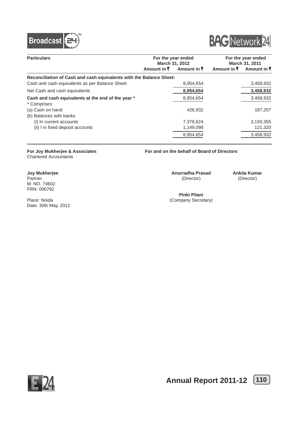



| <b>Particulars</b>                                                  |             | For the year ended<br>March 31, 2012 |             | For the year ended<br>March 31, 2011 |  |
|---------------------------------------------------------------------|-------------|--------------------------------------|-------------|--------------------------------------|--|
|                                                                     | Amount in ₹ | Amount in $\bar{z}$                  | Amount in ₹ | Amount in ₹                          |  |
| Reconciliation of Cash and cash equivalents with the Balance Sheet: |             |                                      |             |                                      |  |
| Cash and cash equivalents as per Balance Sheet                      |             | 8,954,654                            |             | 3,458,932                            |  |
| Net Cash and cash equivalents                                       |             | 8,954,654                            |             | 3,458,932                            |  |
| Cash and cash equivalents at the end of the year *<br>* Comprises:  |             | 8,954,654                            |             | 3,458,932                            |  |
| (a) Cash on hand<br>(b) Balances with banks                         |             | 426.932                              |             | 187,257                              |  |
| (i) In current accounts                                             |             | 7,378,624                            |             | 3,150,355                            |  |
| (ii) I in fixed deposit accounts                                    |             | 1,149,098                            |             | 121,320                              |  |
|                                                                     |             | 8,954,654                            |             | 3,458,932                            |  |

# Chartered Accountants

M. NO. 74602 FRN: 006792

Date: 30th May, 2012

**For Joy Mukherjee & Associates For and on the behalf of Board of Directors**

**Joy Mukherjee Anurradha Prasad Ankita Kumar**<br>
Partner (Director) (Director) (Director) Partner (Director) (Director)

**Pinki Pilani** Place: Noida (Company Secretary)

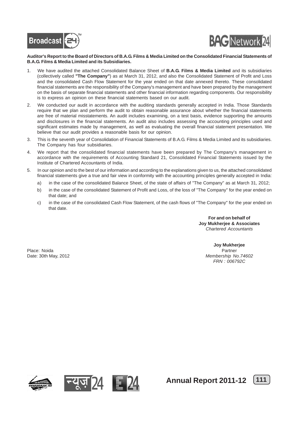



#### **Auditor's Report to the Board of Directors of B.A.G. Films & Media Limited on the Consolidated Financial Statements of B.A.G. Films & Media Limited and its Subsidiaries.**

- 1. We have audited the attached Consolidated Balance Sheet of **B.A.G. Films & Media Limited** and its subsidiaries (collectively called **"The Company"**) as at March 31, 2012, and also the Consolidated Statement of Profit and Loss and the consolidated Cash Flow Statement for the year ended on that date annexed thereto. These consolidated financial statements are the responsibility of the Company's management and have been prepared by the management on the basis of separate financial statements and other financial information regarding components. Our responsibility is to express an opinion on these financial statements based on our audit.
- 2. We conducted our audit in accordance with the auditing standards generally accepted in India. Those Standards require that we plan and perform the audit to obtain reasonable assurance about whether the financial statements are free of material misstatements. An audit includes examining, on a test basis, evidence supporting the amounts and disclosures in the financial statements. An audit also includes assessing the accounting principles used and significant estimates made by management, as well as evaluating the overall financial statement presentation. We believe that our audit provides a reasonable basis for our opinion.
- 3. This is the seventh year of Consolidation of Financial Statements of B.A.G. Films & Media Limited and its subsidiaries. The Company has four subsidiaries.
- 4. We report that the consolidated financial statements have been prepared by The Company's management in accordance with the requirements of Accounting Standard 21, Consolidated Financial Statements issued by the Institute of Chartered Accountants of India.
- 5. In our opinion and to the best of our information and according to the explanations given to us, the attached consolidated financial statements give a true and fair view in conformity with the accounting principles generally accepted in India:
	- a) in the case of the consolidated Balance Sheet, of the state of affairs of "The Company" as at March 31, 2012;
	- b) in the case of the consolidated Statement of Profit and Loss, of the loss of "The Company" for the year ended on that date; and
	- c) in the case of the consolidated Cash Flow Statement, of the cash flows of "The Company" for the year ended on that date.

**For and on behalf of Joy Mukherjee & Associates** *Chartered Accountants*

Place: Noida Partner

**Joy Mukherjee** Date: 30th May, 2012 *Membership No.74602 FRN : 006792C*







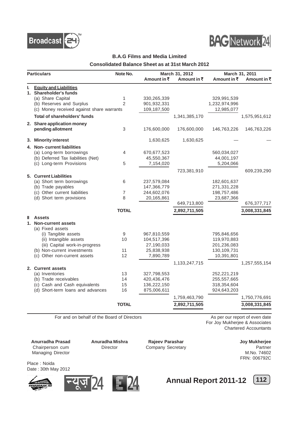



### **B.A.G Films and Media Limited**

**Consolidated Balance Sheet as at 31st March 2012**

| <b>Particulars</b> |                                           | Note No.       |             | March 31, 2012 | March 31, 2011 |               |  |
|--------------------|-------------------------------------------|----------------|-------------|----------------|----------------|---------------|--|
|                    |                                           |                | Amount in ₹ | Amount in ₹    | Amount in ₹    | Amount in ₹   |  |
| ı.                 | <b>Equity and Liabilities</b>             |                |             |                |                |               |  |
|                    | 1. Shareholder's funds                    |                |             |                |                |               |  |
|                    | (a) Share Capital                         | 1              | 330,265,339 |                | 329,991,539    |               |  |
|                    | (b) Reserves and Surplus                  | $\overline{2}$ | 901,932,331 |                | 1,232,974,996  |               |  |
|                    | (c) Money received against share warrants |                | 109,187,500 |                | 12,985,077     |               |  |
|                    | <b>Total of shareholders' funds</b>       |                |             | 1,341,385,170  |                | 1,575,951,612 |  |
|                    | 2. Share application money                |                |             |                |                |               |  |
|                    | pending allotment                         | 3              | 176,600,000 | 176,600,000    | 146,763,226    | 146,763,226   |  |
| 3.                 | <b>Minority interest</b>                  |                | 1,630,625   | 1,630,625      |                |               |  |
|                    | 4. Non-current liabilities                |                |             |                |                |               |  |
|                    | (a) Long-term borrowings                  | 4              | 670,677,523 |                | 560,034,027    |               |  |
|                    | (b) Deferred Tax liabilities (Net)        |                | 45,550,367  |                | 44,001,197     |               |  |
|                    | (c) Long-term Provisions                  | 5              | 7,154,020   |                | 5,204,066      |               |  |
|                    |                                           |                |             | 723,381,910    |                | 609,239,290   |  |
|                    | 5. Current Liabilities                    |                |             |                |                |               |  |
|                    | (a) Short term borrowings                 | 6              | 237,579,084 |                | 182,601,637    |               |  |
|                    | (b) Trade payables                        |                | 147,366,779 |                | 271,331,228    |               |  |
|                    | (c) Other current liabilities             | 7              | 244,602,076 |                | 198,757,486    |               |  |
|                    | (d) Short term provisions                 | 8              | 20,165,861  |                | 23,687,366     |               |  |
|                    |                                           |                |             | 649,713,800    |                | 676, 377, 717 |  |
|                    |                                           | <b>TOTAL</b>   |             | 2,892,711,505  |                | 3,008,331,845 |  |
| Ш                  | <b>Assets</b>                             |                |             |                |                |               |  |
|                    | 1. Non-current assets                     |                |             |                |                |               |  |
|                    | (a) Fixed assets                          |                |             |                |                |               |  |
|                    | (i) Tangible assets                       | 9              | 967,810,559 |                | 795,846,656    |               |  |
|                    | (ii) Intangible assets                    | 10             | 104,517,396 |                | 119,970,883    |               |  |
|                    | (iii) Capital work-in-progress            |                | 27,190,033  |                | 201,236,083    |               |  |
|                    | (b) Non-current investments               | 11             | 25,838,938  |                | 130,109,731    |               |  |
|                    | (c) Other non-current assets              | 12             | 7,890,789   |                | 10,391,801     |               |  |
|                    |                                           |                |             | 1,133,247,715  |                | 1,257,555,154 |  |
|                    | 2. Current assets                         |                |             |                |                |               |  |
|                    | (a) Inventories                           | 13             | 327,798,553 |                | 252,221,219    |               |  |
|                    | (b) Trade receivables                     | 14             | 420,436,476 |                | 255,557,665    |               |  |
|                    | (c) Cash and Cash equivalents             | 15             | 136,222,150 |                | 318,354,604    |               |  |
|                    | (d) Short-term loans and advances         | 16             | 875,006,611 |                | 924,643,203    |               |  |
|                    |                                           |                |             | 1,759,463,790  |                | 1,750,776,691 |  |
|                    |                                           | <b>TOTAL</b>   |             | 2,892,711,505  |                | 3,008,331,845 |  |

For and on behalf of the Board of Directors As per our report of even date

For Joy Mukherjee & Associates Chartered Accountants

**Anurradha Prasad Anuradha Mishra Rajeev Parashar Chairperson cum Director Chairperson cum Director Company Secretary** Managing Director M.No. 74602

Company Secretary

FRN: 006792C

Place : Noida Date : 30th May 2012







**Annual Report 2011-12** [112]

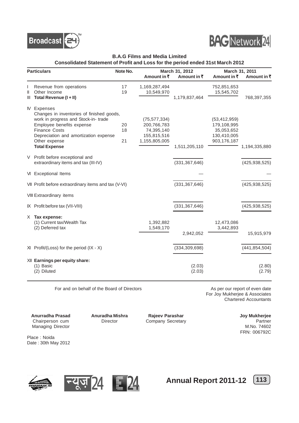



#### **B.A.G Films and Media Limited**

**Consolidated Statement of Profit and Loss for the period ended 31st March 2012**

|    | <b>Particulars</b>                                   | Note No. |                | March 31, 2012  |                | March 31, 2011  |
|----|------------------------------------------------------|----------|----------------|-----------------|----------------|-----------------|
|    |                                                      |          | Amount in ₹    | Amount in ₹     | Amount in ₹    | Amount in ₹     |
|    | Revenue from operations                              | 17       | 1,169,287,494  |                 | 752,851,653    |                 |
| Ш  | Other Income                                         | 19       | 10,549,970     |                 | 15,545,702     |                 |
| Ш  | Total Revenue (I + II)                               |          |                | 1,179,837,464   |                | 768,397,355     |
|    | <b>N</b> Expenses                                    |          |                |                 |                |                 |
|    | Changes in inventories of finished goods,            |          |                |                 |                |                 |
|    | work in progress and Stock-in-trade                  |          | (75, 577, 334) |                 | (53, 412, 959) |                 |
|    | Employee benefits expense                            | 20       | 200,766,783    |                 | 179,108,995    |                 |
|    | <b>Finance Costs</b>                                 | 18       | 74,395,140     |                 | 35,053,652     |                 |
|    | Depreciation and amortization expense                |          | 155,815,516    |                 | 130,410,005    |                 |
|    | Other expense                                        | 21       | 1,155,805,005  |                 | 903,176,187    |                 |
|    | <b>Total Expense</b>                                 |          |                | 1,511,205,110   |                | 1,194,335,880   |
|    | V Profit before exceptional and                      |          |                |                 |                |                 |
|    | extraordinary items and tax (III-IV)                 |          |                | (331, 367, 646) |                | (425, 938, 525) |
|    | VI Exceptional Items                                 |          |                |                 |                |                 |
|    | VII Profit before extraordinary items and tax (V-VI) |          |                | (331, 367, 646) |                | (425, 938, 525) |
|    | VIII Extraordinary items                             |          |                |                 |                |                 |
|    | IX Profit before tax (VII-VIII)                      |          |                | (331, 367, 646) |                | (425, 938, 525) |
| X. | Tax expense:                                         |          |                |                 |                |                 |
|    | (1) Current tax/Wealth Tax                           |          | 1,392,882      |                 | 12,473,086     |                 |
|    | (2) Deferred tax                                     |          | 1,549,170      |                 | 3,442,893      |                 |
|    |                                                      |          |                | 2,942,052       |                | 15,915,979      |
|    | $XI$ Profit/(Loss) for the period (IX - X)           |          |                | (334, 309, 698) |                | (441, 854, 504) |
|    |                                                      |          |                |                 |                |                 |
|    | XII Earnings per equity share:                       |          |                |                 |                |                 |
|    | (1) Basic                                            |          |                | (2.03)          |                | (2.80)          |
|    | (2) Diluted                                          |          |                | (2.03)          |                | (2.79)          |

For and on behalf of the Board of Directors **As per our report of even date** 

For Joy Mukherjee & Associates Chartered Accountants

Anurradha Prasad Anuradha Mishra Rajeev Parashar **Martia Anuradha Mishra** Rajeev Parashar Chairperson cum Director Company Secretary Company Company Company Company Company Company Company Company Company Company Company Company Company Company Company Company Company Company Company Company Company Company Com Managing Director

FRN: 006792C

Place : Noida Date : 30th May 2012







**Annual Report 2011-12** [113]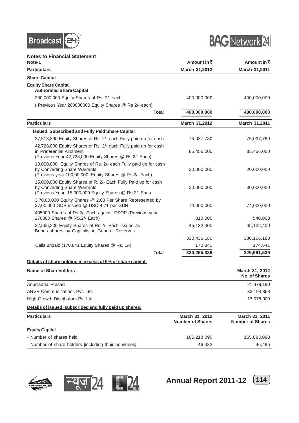



**Notes to Financial Statement**

| Note-1                                                                                                                                                    | Amount in ₹                               | Amount in ₹                               |
|-----------------------------------------------------------------------------------------------------------------------------------------------------------|-------------------------------------------|-------------------------------------------|
| <b>Particulars</b>                                                                                                                                        | March 31,2012                             | March 31,2011                             |
| <b>Share Capital</b>                                                                                                                                      |                                           |                                           |
| <b>Equity Share Capital</b><br><b>Authorised Share Capital</b>                                                                                            |                                           |                                           |
| 200,000,000 Equity Shares of Rs. 2/- each                                                                                                                 | 400,000,000                               | 400,000,000                               |
| (Previous Year 200000000 Equity Shares @ Rs 2/- each)                                                                                                     |                                           |                                           |
| <b>Total</b>                                                                                                                                              | 400,000,000                               | 400,000,000                               |
| <b>Particulars</b>                                                                                                                                        | March 31,2012                             | March 31,2011                             |
| Issued, Subscribed and Fully Paid Share Capital                                                                                                           |                                           |                                           |
| 37,518,890 Equity Shares of Rs. 2/- each Fully paid up for cash                                                                                           | 75,037,780                                | 75,037,780                                |
| 42,728,000 Equity Shares of Rs. 2/- each Fully paid up for cash<br>in Preferential Allotment<br>(Previous Year 42,728,000 Equity Shares @ Rs 2/- Each)    | 85,456,000                                | 85,456,000                                |
| 10,000,000 Equity Shares of Rs. 2/- each Fully paid up for cash<br>by Converting Share Warrants<br>(Previous year 100,00,000 Equity Shares @ Rs 2/- Each) | 20,000,000                                | 20,000,000                                |
| 15,000,000 Equity Shares of R. 2/- Each Fully Paid up for cash<br>by Converting Share Warrants<br>(Previous Year 15,000,000 Equity Shares @ Rs 2/- Each   | 30,000,000                                | 30,000,000                                |
| 3,70,00,000 Equity Shares @ 2.00 Per Share Represented by<br>37,00,000 GDR issued @ USD 4.71 per GDR                                                      | 74,000,000                                | 74,000,000                                |
| 405000 Shares of Rs.2/- Each against ESOP (Previous year<br>270000 Shares @ RS.2/- Each)                                                                  | 810,000                                   | 540,000                                   |
| 22,566,200 Equity Shares of Rs.2/- Each Issued as<br>Bonus shares by Capitalising General Reserves                                                        | 45,132,400                                | 45,132,400                                |
|                                                                                                                                                           | 330,436,180                               | 330,166,180                               |
| Calls unpaid (170,841 Equity Shares @ Rs. 1/-)                                                                                                            | 170,841                                   | 174,641                                   |
| <b>Total</b>                                                                                                                                              | 330,265,339                               | 329,991,539                               |
| Details of share holding in excess of 5% of share capital:                                                                                                |                                           |                                           |
| <b>Name of Shareholders</b>                                                                                                                               |                                           | March 31, 2012<br><b>No. of Shares</b>    |
| Anurradha Prasad                                                                                                                                          |                                           | 21,479,190                                |
| <b>ARVR Communications Pvt. Ltd.</b>                                                                                                                      |                                           | 33,194,868                                |
| High Growth Distributors Pvt Ltd.                                                                                                                         |                                           | 13,078,000                                |
| Details of issued, subscribed and fully paid up shares:                                                                                                   |                                           |                                           |
| <b>Particulars</b>                                                                                                                                        | March 31, 2012<br><b>Number of Shares</b> | March 31, 2011<br><b>Number of Shares</b> |
| <b>Equity Capital</b>                                                                                                                                     |                                           |                                           |
| - Number of shares held                                                                                                                                   | 165,218,090                               | 165,083,090                               |
| - Number of share holders [including their nominees]                                                                                                      | 46,482                                    | 46,495                                    |





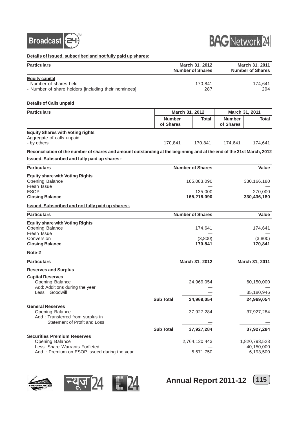



**Details of issued, subscribed and not fully paid up shares:**

| 199000, 9009011000 and not faily paid ap 911al 09.                                                                    |                                           |                |                                       |                            |                                           |
|-----------------------------------------------------------------------------------------------------------------------|-------------------------------------------|----------------|---------------------------------------|----------------------------|-------------------------------------------|
| <b>Particulars</b>                                                                                                    | March 31, 2012<br><b>Number of Shares</b> |                |                                       |                            | March 31, 2011<br><b>Number of Shares</b> |
| <b>Equity capital</b><br>- Number of shares held<br>- Number of share holders [including their nominees]              |                                           |                | 170,841<br>287                        |                            | 174,641<br>294                            |
| <b>Details of Calls unpaid</b>                                                                                        |                                           |                |                                       |                            |                                           |
| <b>Particulars</b>                                                                                                    |                                           | March 31, 2012 |                                       |                            | March 31, 2011                            |
|                                                                                                                       | <b>Number</b><br>of Shares                |                | Total                                 | <b>Number</b><br>of Shares | Total                                     |
| <b>Equity Shares with Voting rights</b><br>Aggregate of calls unpaid<br>- by others                                   | 170,841                                   |                | 170,841                               | 174,641                    | 174,641                                   |
| Reconciliation of the number of shares and amount outstanding at the beginning and at the end of the 31st March, 2012 |                                           |                |                                       |                            |                                           |
| <b>Issued, Subscribed and fully paid up shares:-</b>                                                                  |                                           |                |                                       |                            |                                           |
| <b>Particulars</b>                                                                                                    |                                           |                | <b>Number of Shares</b>               |                            | <b>Value</b>                              |
| <b>Equity share with Voting Rights</b><br>Opening Balance<br>Fresh Issue<br><b>ESOP</b><br><b>Closing Balance</b>     |                                           |                | 165,083,090<br>135,000<br>165,218,090 |                            | 330,166,180<br>270,000<br>330,436,180     |
| <b>Issued, Subscribed and not fully paid up shares:-</b>                                                              |                                           |                |                                       |                            |                                           |
| <b>Particulars</b>                                                                                                    |                                           |                | <b>Number of Shares</b>               |                            | Value                                     |
|                                                                                                                       |                                           |                |                                       |                            |                                           |
| <b>Equity share with Voting Rights</b><br>Opening Balance<br>Fresh Issue<br>Conversion<br><b>Closing Balance</b>      |                                           |                | 174,641<br>(3,800)<br>170,841         |                            | 174,641<br>(3,800)<br>170,841             |
| Note-2                                                                                                                |                                           |                |                                       |                            |                                           |
| <b>Particulars</b>                                                                                                    |                                           |                | March 31, 2012                        |                            | March 31, 2011                            |
| <b>Reserves and Surplus</b>                                                                                           |                                           |                |                                       |                            |                                           |
| <b>Capital Reserves</b><br>Opening Balance<br>Add: Additions during the year                                          |                                           |                | 24,969,054                            |                            | 60,150,000                                |
| Less: Goodwill                                                                                                        |                                           |                |                                       |                            | 35,180,946                                |
|                                                                                                                       | <b>Sub Total</b>                          |                | 24,969,054                            |                            | 24,969,054                                |
| <b>General Reserves</b><br>Opening Balance<br>Add: Transferred from surplus in                                        |                                           |                | 37,927,284                            |                            | 37,927,284                                |
| Statement of Profit and Loss                                                                                          |                                           |                |                                       |                            |                                           |
|                                                                                                                       | <b>Sub Total</b>                          |                | 37,927,284                            |                            | 37,927,284                                |
| <b>Securities Premium Reserves</b><br>Opening Balance<br>Less: Share Warrants Forfieted                               |                                           |                | 2,764,120,443                         |                            | 1,820,793,523<br>40,150,000               |
| Add: Premium on ESOP issued during the year                                                                           |                                           |                | 5,571,750                             |                            | 6,193,500                                 |





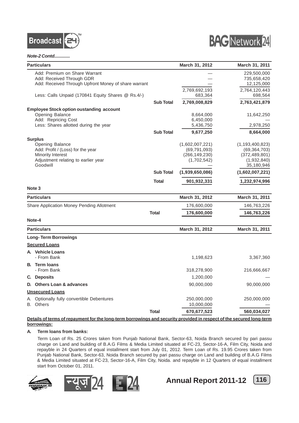



#### *Note-2 Contd.............*

| Add: Premium on Share Warrant<br>229,500,000<br>Add: Received Through GDR<br>735,658,420<br>Add: Received Through Upfront Money of share warrant<br>12,125,000<br>2,769,692,193<br>2,764,120,443<br>Less: Calls Unpaid (170841 Equity Shares @ Rs.4/-)<br>683,364<br>698,564<br>2,769,008,829<br>2,763,421,879<br><b>Sub Total</b><br><b>Employee Stock option oustanding account</b><br><b>Opening Balance</b><br>8,664,000<br>11,642,250<br>Add: Repricing Cost<br>6,450,000<br>Less: Shares allotted during the year<br>5,436,750<br>2,978,250<br><b>Sub Total</b><br>9,677,250<br>8,664,000<br><b>Surplus</b><br>Opening Balance<br>(1,602,007,221)<br>(1, 193, 400, 823)<br>Add: Profit / (Loss) for the year<br>(69, 791, 093)<br>(69, 364, 703)<br>(266, 149, 230)<br>Minority Interest<br>(372, 489, 801)<br>Adjustment relating to earlier year<br>(1,702,542)<br>(1,932,840)<br>Goodwill<br>35,180,946<br><b>Sub Total</b><br>(1,939,650,086)<br>(1,602,007,221)<br>Total<br>901,932,331<br>1,232,974,996<br>Note <sub>3</sub><br><b>Particulars</b><br>March 31, 2012<br>March 31, 2011<br>Share Application Money Pending Allotment<br>176,600,000<br>146,763,226<br><b>Total</b><br>176,600,000<br>146,763,226<br>Note-4<br>March 31, 2012<br>March 31, 2011<br><b>Particulars</b><br><b>Long-Term Borrowings</b><br><b>Secured Loans</b><br>A. Vehicle Loans<br>- From Bank<br>1,198,623<br>3,367,360<br><b>B.</b> Term loans<br>- From Bank<br>216,666,667<br>318,278,900<br>C. Deposits<br>1,200,000<br>D. Others Loan & advances<br>90,000,000<br>90,000,000<br><b>Unsecured Loans</b><br>Optionally fully convertible Debentures<br>250,000,000<br>250,000,000<br>B. Others<br>10,000,000 |    | <b>Particulars</b> |              | March 31, 2012 | March 31, 2011 |
|-------------------------------------------------------------------------------------------------------------------------------------------------------------------------------------------------------------------------------------------------------------------------------------------------------------------------------------------------------------------------------------------------------------------------------------------------------------------------------------------------------------------------------------------------------------------------------------------------------------------------------------------------------------------------------------------------------------------------------------------------------------------------------------------------------------------------------------------------------------------------------------------------------------------------------------------------------------------------------------------------------------------------------------------------------------------------------------------------------------------------------------------------------------------------------------------------------------------------------------------------------------------------------------------------------------------------------------------------------------------------------------------------------------------------------------------------------------------------------------------------------------------------------------------------------------------------------------------------------------------------------------------------------------------------------------------------------------|----|--------------------|--------------|----------------|----------------|
|                                                                                                                                                                                                                                                                                                                                                                                                                                                                                                                                                                                                                                                                                                                                                                                                                                                                                                                                                                                                                                                                                                                                                                                                                                                                                                                                                                                                                                                                                                                                                                                                                                                                                                             |    |                    |              |                |                |
|                                                                                                                                                                                                                                                                                                                                                                                                                                                                                                                                                                                                                                                                                                                                                                                                                                                                                                                                                                                                                                                                                                                                                                                                                                                                                                                                                                                                                                                                                                                                                                                                                                                                                                             |    |                    |              |                |                |
|                                                                                                                                                                                                                                                                                                                                                                                                                                                                                                                                                                                                                                                                                                                                                                                                                                                                                                                                                                                                                                                                                                                                                                                                                                                                                                                                                                                                                                                                                                                                                                                                                                                                                                             |    |                    |              |                |                |
|                                                                                                                                                                                                                                                                                                                                                                                                                                                                                                                                                                                                                                                                                                                                                                                                                                                                                                                                                                                                                                                                                                                                                                                                                                                                                                                                                                                                                                                                                                                                                                                                                                                                                                             |    |                    |              |                |                |
|                                                                                                                                                                                                                                                                                                                                                                                                                                                                                                                                                                                                                                                                                                                                                                                                                                                                                                                                                                                                                                                                                                                                                                                                                                                                                                                                                                                                                                                                                                                                                                                                                                                                                                             |    |                    |              |                |                |
|                                                                                                                                                                                                                                                                                                                                                                                                                                                                                                                                                                                                                                                                                                                                                                                                                                                                                                                                                                                                                                                                                                                                                                                                                                                                                                                                                                                                                                                                                                                                                                                                                                                                                                             |    |                    |              |                |                |
|                                                                                                                                                                                                                                                                                                                                                                                                                                                                                                                                                                                                                                                                                                                                                                                                                                                                                                                                                                                                                                                                                                                                                                                                                                                                                                                                                                                                                                                                                                                                                                                                                                                                                                             |    |                    |              |                |                |
|                                                                                                                                                                                                                                                                                                                                                                                                                                                                                                                                                                                                                                                                                                                                                                                                                                                                                                                                                                                                                                                                                                                                                                                                                                                                                                                                                                                                                                                                                                                                                                                                                                                                                                             |    |                    |              |                |                |
|                                                                                                                                                                                                                                                                                                                                                                                                                                                                                                                                                                                                                                                                                                                                                                                                                                                                                                                                                                                                                                                                                                                                                                                                                                                                                                                                                                                                                                                                                                                                                                                                                                                                                                             |    |                    |              |                |                |
|                                                                                                                                                                                                                                                                                                                                                                                                                                                                                                                                                                                                                                                                                                                                                                                                                                                                                                                                                                                                                                                                                                                                                                                                                                                                                                                                                                                                                                                                                                                                                                                                                                                                                                             |    |                    |              |                |                |
|                                                                                                                                                                                                                                                                                                                                                                                                                                                                                                                                                                                                                                                                                                                                                                                                                                                                                                                                                                                                                                                                                                                                                                                                                                                                                                                                                                                                                                                                                                                                                                                                                                                                                                             |    |                    |              |                |                |
|                                                                                                                                                                                                                                                                                                                                                                                                                                                                                                                                                                                                                                                                                                                                                                                                                                                                                                                                                                                                                                                                                                                                                                                                                                                                                                                                                                                                                                                                                                                                                                                                                                                                                                             |    |                    |              |                |                |
|                                                                                                                                                                                                                                                                                                                                                                                                                                                                                                                                                                                                                                                                                                                                                                                                                                                                                                                                                                                                                                                                                                                                                                                                                                                                                                                                                                                                                                                                                                                                                                                                                                                                                                             |    |                    |              |                |                |
|                                                                                                                                                                                                                                                                                                                                                                                                                                                                                                                                                                                                                                                                                                                                                                                                                                                                                                                                                                                                                                                                                                                                                                                                                                                                                                                                                                                                                                                                                                                                                                                                                                                                                                             |    |                    |              |                |                |
|                                                                                                                                                                                                                                                                                                                                                                                                                                                                                                                                                                                                                                                                                                                                                                                                                                                                                                                                                                                                                                                                                                                                                                                                                                                                                                                                                                                                                                                                                                                                                                                                                                                                                                             |    |                    |              |                |                |
|                                                                                                                                                                                                                                                                                                                                                                                                                                                                                                                                                                                                                                                                                                                                                                                                                                                                                                                                                                                                                                                                                                                                                                                                                                                                                                                                                                                                                                                                                                                                                                                                                                                                                                             |    |                    |              |                |                |
|                                                                                                                                                                                                                                                                                                                                                                                                                                                                                                                                                                                                                                                                                                                                                                                                                                                                                                                                                                                                                                                                                                                                                                                                                                                                                                                                                                                                                                                                                                                                                                                                                                                                                                             |    |                    |              |                |                |
|                                                                                                                                                                                                                                                                                                                                                                                                                                                                                                                                                                                                                                                                                                                                                                                                                                                                                                                                                                                                                                                                                                                                                                                                                                                                                                                                                                                                                                                                                                                                                                                                                                                                                                             |    |                    |              |                |                |
|                                                                                                                                                                                                                                                                                                                                                                                                                                                                                                                                                                                                                                                                                                                                                                                                                                                                                                                                                                                                                                                                                                                                                                                                                                                                                                                                                                                                                                                                                                                                                                                                                                                                                                             |    |                    |              |                |                |
|                                                                                                                                                                                                                                                                                                                                                                                                                                                                                                                                                                                                                                                                                                                                                                                                                                                                                                                                                                                                                                                                                                                                                                                                                                                                                                                                                                                                                                                                                                                                                                                                                                                                                                             |    |                    |              |                |                |
|                                                                                                                                                                                                                                                                                                                                                                                                                                                                                                                                                                                                                                                                                                                                                                                                                                                                                                                                                                                                                                                                                                                                                                                                                                                                                                                                                                                                                                                                                                                                                                                                                                                                                                             |    |                    |              |                |                |
|                                                                                                                                                                                                                                                                                                                                                                                                                                                                                                                                                                                                                                                                                                                                                                                                                                                                                                                                                                                                                                                                                                                                                                                                                                                                                                                                                                                                                                                                                                                                                                                                                                                                                                             |    |                    |              |                |                |
|                                                                                                                                                                                                                                                                                                                                                                                                                                                                                                                                                                                                                                                                                                                                                                                                                                                                                                                                                                                                                                                                                                                                                                                                                                                                                                                                                                                                                                                                                                                                                                                                                                                                                                             |    |                    |              |                |                |
|                                                                                                                                                                                                                                                                                                                                                                                                                                                                                                                                                                                                                                                                                                                                                                                                                                                                                                                                                                                                                                                                                                                                                                                                                                                                                                                                                                                                                                                                                                                                                                                                                                                                                                             |    |                    |              |                |                |
|                                                                                                                                                                                                                                                                                                                                                                                                                                                                                                                                                                                                                                                                                                                                                                                                                                                                                                                                                                                                                                                                                                                                                                                                                                                                                                                                                                                                                                                                                                                                                                                                                                                                                                             |    |                    |              |                |                |
|                                                                                                                                                                                                                                                                                                                                                                                                                                                                                                                                                                                                                                                                                                                                                                                                                                                                                                                                                                                                                                                                                                                                                                                                                                                                                                                                                                                                                                                                                                                                                                                                                                                                                                             |    |                    |              |                |                |
|                                                                                                                                                                                                                                                                                                                                                                                                                                                                                                                                                                                                                                                                                                                                                                                                                                                                                                                                                                                                                                                                                                                                                                                                                                                                                                                                                                                                                                                                                                                                                                                                                                                                                                             |    |                    |              |                |                |
|                                                                                                                                                                                                                                                                                                                                                                                                                                                                                                                                                                                                                                                                                                                                                                                                                                                                                                                                                                                                                                                                                                                                                                                                                                                                                                                                                                                                                                                                                                                                                                                                                                                                                                             |    |                    |              |                |                |
|                                                                                                                                                                                                                                                                                                                                                                                                                                                                                                                                                                                                                                                                                                                                                                                                                                                                                                                                                                                                                                                                                                                                                                                                                                                                                                                                                                                                                                                                                                                                                                                                                                                                                                             |    |                    |              |                |                |
|                                                                                                                                                                                                                                                                                                                                                                                                                                                                                                                                                                                                                                                                                                                                                                                                                                                                                                                                                                                                                                                                                                                                                                                                                                                                                                                                                                                                                                                                                                                                                                                                                                                                                                             |    |                    |              |                |                |
|                                                                                                                                                                                                                                                                                                                                                                                                                                                                                                                                                                                                                                                                                                                                                                                                                                                                                                                                                                                                                                                                                                                                                                                                                                                                                                                                                                                                                                                                                                                                                                                                                                                                                                             |    |                    |              |                |                |
|                                                                                                                                                                                                                                                                                                                                                                                                                                                                                                                                                                                                                                                                                                                                                                                                                                                                                                                                                                                                                                                                                                                                                                                                                                                                                                                                                                                                                                                                                                                                                                                                                                                                                                             |    |                    |              |                |                |
|                                                                                                                                                                                                                                                                                                                                                                                                                                                                                                                                                                                                                                                                                                                                                                                                                                                                                                                                                                                                                                                                                                                                                                                                                                                                                                                                                                                                                                                                                                                                                                                                                                                                                                             |    |                    |              |                |                |
|                                                                                                                                                                                                                                                                                                                                                                                                                                                                                                                                                                                                                                                                                                                                                                                                                                                                                                                                                                                                                                                                                                                                                                                                                                                                                                                                                                                                                                                                                                                                                                                                                                                                                                             | А. |                    |              |                |                |
|                                                                                                                                                                                                                                                                                                                                                                                                                                                                                                                                                                                                                                                                                                                                                                                                                                                                                                                                                                                                                                                                                                                                                                                                                                                                                                                                                                                                                                                                                                                                                                                                                                                                                                             |    |                    |              |                |                |
|                                                                                                                                                                                                                                                                                                                                                                                                                                                                                                                                                                                                                                                                                                                                                                                                                                                                                                                                                                                                                                                                                                                                                                                                                                                                                                                                                                                                                                                                                                                                                                                                                                                                                                             |    |                    | <b>Total</b> | 670,677,523    | 560,034,027    |

#### **Details of terms of repayment for the long-term borrowings and security provided in respect of the secured long-term borrowings:**

#### **A. Term loans from banks:**

Term Loan of Rs. 25 Crores taken from Punjab National Bank, Sector-63, Noida Branch secured by pari passu charge on Land and building of B.A.G Films & Media Limited situated at FC-23, Sector-16-A, Film City, Noida and repayble in 24 Quarters of equal installment start from July 01, 2012. Term Loan of Rs. 19.95 Crores taken from Punjab National Bank, Sector-63, Noida Branch secured by pari passu charge on Land and building of B.A.G Films & Media Limited situated at FC-23, Sector-16-A, Film City, Noida. and repayble in 12 Quarters of equal installment start from October 01, 2011.









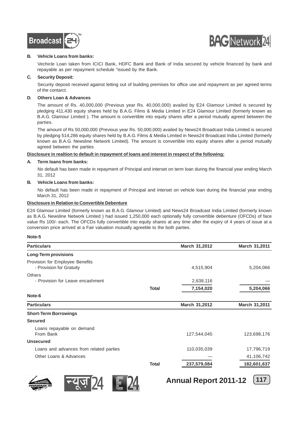



#### **B. Vehicle Loans from banks:**

Vechicle Loan taken from ICICI Bank, HDFC Bank and Bank of India secured by vehicle financed by bank and repayable as per repayment schedule "issued by the Bank.

#### **C. Security Deposit:**

Security deposit received against letting out of building premises for office use and repayment as per agreed terms of the contarct.

#### **D. Others Loan & Advances**

The amount of Rs. 40,000,000 (Previous year Rs. 40,000,000) availed by E24 Glamour Limited is secured by pledging 411,430 equity shares held by B.A.G. Films & Media Limited in E24 Glamour Limited (formerly known as B.A.G. Glamour Limited ). The amount is convertible into equity shares after a period mutually agreed between the parties.

The amount of Rs 50,000,000 (Previous year Rs. 50,000,000) availed by News24 Broadcast India Limited is secured by pledging 514,286 equity shares held by B.A.G. Films & Media Limited in News24 Broadcast India Limited (formerly known as B.A.G. Newsline Network Limited). The amount is convertible into equity shares after a period mutually agreed between the parties

#### **Disclosure in realtion to default in repayment of loans and interest in respect of the following:**

#### **A. Term loans from banks:**

No default has been made in repayment of Principal and interset on term loan during the financial year ending March 31, 2012

#### **B. Vehicle Loans from banks:**

No default has been made in repayment of Principal and interset on vehicle loan during the financial year ending March 31, 2012

#### **Disclosure in Relation to Convertible Debenture**

E24 Glamour Limited (formerly known as B.A.G. Glamour Limited) and News24 Broadcast India Limited (formerly known as B.A.G. Newsline Network Limited ) had issued 1,250,000 each optionally fully convertible debenture (OFCDs) of face value Rs 100/- each. The OFCDs fully convertible into equity shares at any time after the expiry of 4 years of issue at a conversion price arrived at a Fair valuation mutually agreeble to the both parties.

#### **Note-5**

| <b>Particulars</b>                                          |              | March 31,2012 | March 31,2011 |
|-------------------------------------------------------------|--------------|---------------|---------------|
| <b>Long-Term provisions</b>                                 |              |               |               |
| Provision for Employee Benefits<br>- Provision for Gratuity |              | 4,515,904     | 5,204,066     |
| <b>Others</b><br>- Provision for Leave encashment           |              | 2,638,116     |               |
|                                                             | <b>Total</b> | 7,154,020     | 5,204,066     |
| Note-6                                                      |              |               |               |
| <b>Particulars</b>                                          |              | March 31,2012 | March 31,2011 |
| <b>Short-Term Borrowings</b>                                |              |               |               |
| <b>Secured</b>                                              |              |               |               |
| Loans repayable on demand<br>From Bank                      |              | 127,544,045   | 123,698,176   |
| <b>Unsecured</b>                                            |              |               |               |
| Loans and advances from related parties                     |              | 110,035,039   | 17,796,719    |
| Other Loans & Advances                                      |              |               | 41,106,742    |
|                                                             | <b>Total</b> | 237,579,084   | 182,601,637   |







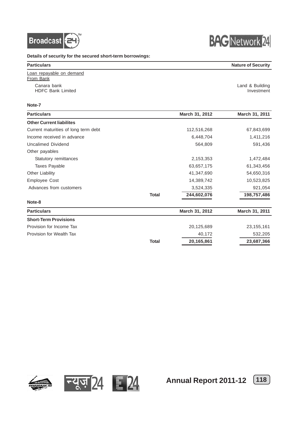



**Details of security for the secured short-term borrowings:**

| <b>Particulars</b>                      | <b>Nature of Security</b>     |
|-----------------------------------------|-------------------------------|
| Loan repayable on demand<br>From Bank   |                               |
| Canara bank<br><b>HDFC Bank Limited</b> | Land & Building<br>Investment |

#### **Note-7**

| <b>Particulars</b>                   |              | March 31, 2012 | March 31, 2011 |
|--------------------------------------|--------------|----------------|----------------|
| <b>Other Current liabilites</b>      |              |                |                |
| Current maturities of long term debt |              | 112,516,268    | 67,843,699     |
| Income received in advance           |              | 6,448,704      | 1,411,216      |
| Uncalimed Dividend                   |              | 564,809        | 591,436        |
| Other payables                       |              |                |                |
| Statutory remittances                |              | 2,153,353      | 1,472,484      |
| <b>Taxes Payable</b>                 |              | 63,657,175     | 61,343,456     |
| Other Liability                      |              | 41,347,690     | 54,650,316     |
| <b>Employee Cost</b>                 |              | 14,389,742     | 10,523,825     |
| Advances from customers              |              | 3,524,335      | 921,054        |
|                                      | <b>Total</b> | 244,602,076    | 198,757,486    |
| Note-8                               |              |                |                |
| <b>Particulars</b>                   |              | March 31, 2012 | March 31, 2011 |
| <b>Short-Term Provisions</b>         |              |                |                |
| Provision for Income Tax             |              | 20,125,689     | 23, 155, 161   |
| Provision for Wealth Tax             |              | 40,172         | 532,205        |
|                                      | <b>Total</b> | 20,165,861     | 23,687,366     |







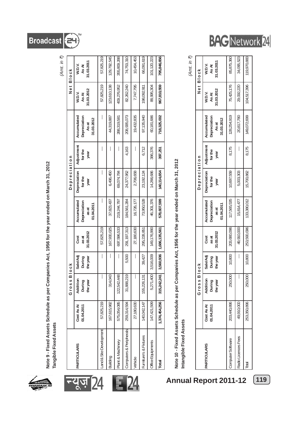

Note 9 - Fixed Assets Schedule as per Companies Act, 1956 for the year ended on March 31, 2012 **Note 9 - Fixed Assets Schedule as per Companies Act, 1956 for the year ended on March 31, 2012** Tangible Fixed Assets **Tangible Fixed Assets**

|                         |                          |                                |                                |                             |                                                    |                                 |                               |                                                    |                               | (Amt. in ₹)                   |
|-------------------------|--------------------------|--------------------------------|--------------------------------|-----------------------------|----------------------------------------------------|---------------------------------|-------------------------------|----------------------------------------------------|-------------------------------|-------------------------------|
|                         |                          | Gross                          | <b>Block</b>                   |                             |                                                    | Depreciation                    |                               |                                                    | Net Block                     |                               |
| <b>PARTICULARS</b>      | Cost As At<br>01.04.2011 | Addition<br>During<br>the year | Sale/Adj<br>During<br>the year | 31.03.2012<br>Cost<br>as at | Accumulated<br>Depreciation<br>01.04.2011<br>as at | Depreciation<br>for the<br>year | Adjustment<br>for the<br>year | Accumulated<br>Depreciation<br>31.03.2012<br>As at | 31.03.2012<br>W.D.V.<br>As At | 31.03.2011<br>W.D.V.<br>As At |
| Land & Site Development | 57,825,219               | I                              |                                | 57,825,219                  |                                                    |                                 |                               |                                                    | 57,825,219                    | 57,825,219                    |
| Building                | 167,615,982              | 314,043                        |                                | 167,930,025                 | 37,823,437                                         | 6,496,450                       |                               | 44,319,887                                         | 123,610,138                   | 129,792,545                   |
| Plant & Machinery       | 575,054,085              | 122,542,448                    | I                              | 697,596,533                 | 219,244,797                                        | 69,074,784                      |                               | 288,319,581                                        | 409,276,952                   | 355,809,288                   |
| Computers & Peripherals | 259,314,594              | 219<br>31,888,                 | 5,500                          | 291, 197, 313               | 184,561,284                                        | 24,377,952                      | 4,163                         | 208,935,073                                        | 82,262,240                    | 74,753,310                    |
| Vehicle                 | 27,180,630               | I                              | I                              | 27,180,630                  | 16,726,177                                         | 2,706,658                       | I                             | 19,432,835                                         | 7,747,795                     | 10,454,453                    |
| Furniture's & Fixtures  | 140,042,147              | 131<br>155,226,                | 39,427                         | 295,228,851                 | 73,950,528                                         | 23, 192, 124                    | 6,712                         | 97, 135, 940                                       | 198,092,911                   | 66,091,619                    |
| Office Equipments       | 147,421,599              | 400<br>5,271,                  | 3,516,009                      | 149, 176, 990               | 46,301,376                                         | 14,266,686                      | 386,376                       | 60,181,686                                         | 88,995,304                    | 101,120,223                   |
| Total                   | 1,374,454,256            | 315,242,241                    | 3,560,936                      | 1,686,135,561               | 578,607,599                                        | 140,114,654                     | 397,251                       | 718,325,002                                        | 967,810,559                   | 795,846,656                   |
|                         |                          |                                |                                |                             |                                                    |                                 |                               |                                                    |                               |                               |

24

न्यूज़ 24

# Note 10 - Fixed Assets Schedule as per Companies Act, 1956 for the year ended on March 31, 2012 **Note 10 - Fixed Assets Schedule as per Companies Act, 1956 for the year ended on March 31, 2012**

Intangible Fixed Assets **Intangible Fixed Assets**

*(Amt. in* `*)*

|                     |                          | Gross                          | <b>Block</b>                   |                             |                                                           | Depreciation                      |                               |                                                    |                               | Net Block                     |
|---------------------|--------------------------|--------------------------------|--------------------------------|-----------------------------|-----------------------------------------------------------|-----------------------------------|-------------------------------|----------------------------------------------------|-------------------------------|-------------------------------|
| PARTICULARS         | Cost As At<br>01.04.2011 | Addition<br>During<br>the year | Sale/Adj<br>the year<br>During | 31.03.2012<br>Cost<br>as at | Accumulated<br><b>Depreciation</b><br>11.04.2011<br>as at | Depreciation  <br>for the<br>year | Adjustment<br>for the<br>year | Accumulated<br>Depreciation<br>31.03.2012<br>As at | 31.03.2012<br>W.D.V.<br>As At | 81.03.2011<br>W.D.V.<br>As At |
| Computer Software   | 203,440,896              | 250,000                        | 10,800                         | 203,680,096                 | 117,565,535                                               | 10,697,559                        | 8,175                         | 128,254,919                                        | 75,425,176                    | 85,875,360                    |
| Radio Licences Fees | 49,910,000               |                                |                                | 49,910,000                  | 15,814,477                                                | 5,003,303                         |                               | 20,817,780                                         | 29,092,220                    | 34,095,523                    |
| Total               | 253,350,896              | 250,000                        | 10,800                         | 253,590,096                 | 133,380,012                                               | 15,700,862                        | 8,175                         | 149,072,699                                        | 104,517,396                   | 119,970,883                   |

**Annual Report 2011-12 119**

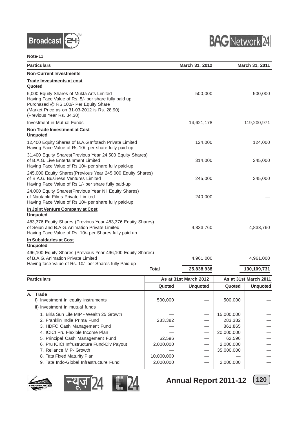



#### **Note-11**

| <b>Particulars</b>                                                                                                                                                                                                      |              | March 31, 2012        |                    | March 31, 2011        |
|-------------------------------------------------------------------------------------------------------------------------------------------------------------------------------------------------------------------------|--------------|-----------------------|--------------------|-----------------------|
| <b>Non-Current Investments</b>                                                                                                                                                                                          |              |                       |                    |                       |
| <b>Trade Investments at cost</b><br>Quoted                                                                                                                                                                              |              |                       |                    |                       |
| 5,000 Equity Shares of Mukta Arts Limited<br>Having Face Value of Rs. 5/- per share fully paid up<br>Purchased @ RS.100/- Per Equity Share<br>(Market Price as on 31-03-2012 is Rs. 28.90)<br>(Previous Year Rs. 34.30) |              | 500,000               |                    | 500,000               |
| Investment in Mutual Funds                                                                                                                                                                                              |              | 14,621,178            |                    | 119,200,971           |
| Non Trade Investment at Cost<br><b>Unquoted</b>                                                                                                                                                                         |              |                       |                    |                       |
| 12,400 Equity Shares of B.A.G.Infotech Private Limited<br>Having Face Value of Rs 10/- per share fully paid-up                                                                                                          |              | 124,000               |                    | 124,000               |
| 31,400 Equity Shares(Previous Year 24,500 Equity Shares)<br>of B.A.G. Live Entertainment Limited<br>Having Face Value of Rs 10/- per share fully paid-up                                                                |              | 314,000               |                    | 245,000               |
| 245,000 Equity Shares(Previous Year 245,000 Equity Shares)<br>of B.A.G. Business Ventures Limited<br>Having Face Value of Rs 1/- per share fully paid-up                                                                |              | 245,000               |                    | 245,000               |
| 24,000 Equity Shares(Previous Year Nil Equity Shares)<br>of Nautanki Films Private Limited<br>Having Face Value of Rs 10/- per share fully paid-up                                                                      |              | 240,000               |                    |                       |
| In Joint Venture Company at Cost                                                                                                                                                                                        |              |                       |                    |                       |
| <b>Unquoted</b><br>483,376 Equity Shares (Previous Year 483,376 Equity Shares)<br>of Seiun and B.A.G. Animation Private Limited<br>Having Face Value of Rs. 10/- per Shares fully paid up                               |              | 4,833,760             |                    | 4,833,760             |
| In Subsidaries at Cost<br><b>Unquoted</b>                                                                                                                                                                               |              |                       |                    |                       |
| 496,100 Equity Shares (Previous Year 496,100 Equity Shares)<br>of B.A.G. Animation Private Limited<br>Having face Value of Rs. 10/- per Shares fully Paid up                                                            |              | 4,961,000             |                    | 4,961,000             |
|                                                                                                                                                                                                                         | <b>Total</b> | 25,838,938            |                    | 130,109,731           |
| <b>Particulars</b>                                                                                                                                                                                                      |              | As at 31st March 2012 |                    | As at 31st March 2011 |
|                                                                                                                                                                                                                         | Quoted       | <b>Unquoted</b>       | Quoted             | <b>Unquoted</b>       |
| A. Trade<br>i) Investment in equity instruments                                                                                                                                                                         | 500,000      |                       | 500,000            |                       |
| ii) Investment in mutual funds<br>1. Birla Sun Life MIP - Wealth 25 Growth                                                                                                                                              |              |                       | 15,000,000         |                       |
| 2. Franklin India Prima Fund<br>3. HDFC Cash Management Fund                                                                                                                                                            | 283,382      |                       | 283,382<br>861,865 |                       |
| 4. ICICI Pru Flexible Income Plan                                                                                                                                                                                       |              |                       | 20,000,000         |                       |
| 5. Principal Cash Management Fund                                                                                                                                                                                       | 62,596       |                       | 62,596             |                       |
| 6. Pru ICICI Infrustructure Fund-Div Payout                                                                                                                                                                             | 2,000,000    |                       | 2,000,000          |                       |
| 7. Reliance MIP- Growth                                                                                                                                                                                                 |              |                       | 35,000,000         |                       |
| 8. Tata Fixed Maturity Plan                                                                                                                                                                                             | 10,000,000   |                       |                    |                       |
| 9. Tata Indo-Global Infrastructure Fund                                                                                                                                                                                 | 2,000,000    |                       | 2,000,000          |                       |





**Annual Report 2011-12 120**

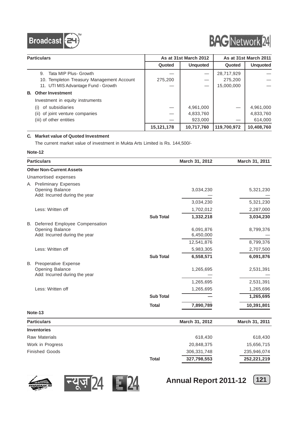



|    | <b>Particulars</b>                        |            | As at 31st March 2012 |             | As at 31st March 2011 |
|----|-------------------------------------------|------------|-----------------------|-------------|-----------------------|
|    |                                           | Quoted     | <b>Unquoted</b>       | Quoted      | <b>Unquoted</b>       |
|    | Tata MIP Plus- Growth<br>9.               |            |                       | 28,717,929  |                       |
|    | 10. Templeton Treasury Management Account | 275,200    |                       | 275,200     |                       |
|    | 11. UTI MIS Advantage Fund - Growth       |            |                       | 15,000,000  |                       |
| B. | <b>Other Investment</b>                   |            |                       |             |                       |
|    | Investment in equity instruments          |            |                       |             |                       |
|    | of subsidiaries                           |            | 4,961,000             |             | 4.961.000             |
|    | (ii) of joint venture companies           |            | 4,833,760             |             | 4,833,760             |
|    | (iii) of other entities                   |            | 923.000               |             | 614,000               |
|    |                                           | 15,121,178 | 10,717,760            | 119,700,972 | 10,408,760            |

#### **C. Market value of Quoted Investment**

The current market value of investment in Mukta Arts Limited is Rs. 144,500/-

#### **Note-12**

|    | <b>Particulars</b>                                                                 |                  | March 31, 2012                       | March 31, 2011         |
|----|------------------------------------------------------------------------------------|------------------|--------------------------------------|------------------------|
|    | <b>Other Non-Current Assets</b>                                                    |                  |                                      |                        |
|    | Unamortised expenses                                                               |                  |                                      |                        |
|    | A Preliminary Expenses<br>Opening Balance<br>Add: Incurred during the year         |                  | 3,034,230                            | 5,321,230              |
|    |                                                                                    |                  | 3,034,230                            | 5,321,230              |
|    | Less: Written off                                                                  |                  | 1,702,012                            | 2,287,000              |
|    |                                                                                    | <b>Sub Total</b> | 1,332,218                            | 3,034,230              |
| В. | Deferred Employee Compensation<br>Opening Balance<br>Add: Incurred during the year |                  | 6,091,876<br>6,450,000<br>12,541,876 | 8,799,376<br>8,799,376 |
|    | Less: Written off                                                                  |                  | 5,983,305                            | 2,707,500              |
|    |                                                                                    | <b>Sub Total</b> | 6,558,571                            | 6,091,876              |
|    | <b>B.</b> Preoperative Expense<br>Opening Balance<br>Add: Incurred during the year |                  | 1,265,695<br>1,265,695               | 2,531,391<br>2,531,391 |
|    | Less: Written off                                                                  |                  | 1,265,695                            | 1,265,696              |
|    |                                                                                    | <b>Sub Total</b> |                                      | 1,265,695              |
|    |                                                                                    | <b>Total</b>     | 7,890,789                            | 10,391,801             |
|    | Note-13                                                                            |                  |                                      |                        |
|    | <b>Particulars</b>                                                                 |                  | March 31, 2012                       | March 31, 2011         |
|    | <b>Inventories</b>                                                                 |                  |                                      |                        |
|    | <b>Raw Materials</b>                                                               |                  | 618,430                              | 618,430                |







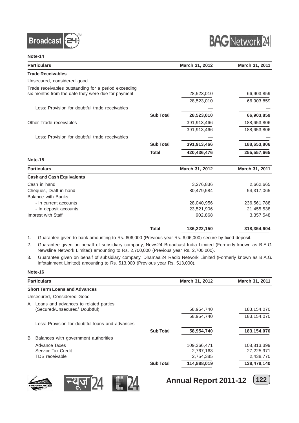



#### **Note-14**

| <b>Particulars</b>                                   |                  | March 31, 2012 | March 31, 2011 |
|------------------------------------------------------|------------------|----------------|----------------|
| <b>Trade Receivables</b>                             |                  |                |                |
| Unsecured, considered good                           |                  |                |                |
| Trade receivables outstanding for a period exceeding |                  |                |                |
| six months from the date they were due for payment   |                  | 28,523,010     | 66,903,859     |
|                                                      |                  | 28,523,010     | 66,903,859     |
| Less: Provision for doubtful trade receivables       |                  |                |                |
|                                                      | <b>Sub Total</b> | 28,523,010     | 66,903,859     |
| Other Trade receivables                              |                  | 391,913,466    | 188,653,806    |
|                                                      |                  | 391,913,466    | 188,653,806    |
| Less: Provision for doubtful trade receivables       |                  |                |                |
|                                                      | <b>Sub Total</b> | 391,913,466    | 188,653,806    |
|                                                      | <b>Total</b>     | 420,436,476    | 255,557,665    |
| Note-15                                              |                  |                |                |
| <b>Particulars</b>                                   |                  | March 31, 2012 | March 31, 2011 |
| <b>Cash and Cash Equivalents</b>                     |                  |                |                |
| Cash in hand                                         |                  | 3,276,836      | 2,662,665      |
| Cheques, Draft in hand                               |                  | 80,479,584     | 54,317,065     |
| <b>Balance with Banks</b>                            |                  |                |                |
| - In current accounts                                |                  | 28,040,956     | 236,561,788    |
| - In deposit accounts                                |                  | 23,521,906     | 21,455,538     |
| Imprest with Staff                                   |                  | 902,868        | 3,357,548      |
|                                                      | <b>Total</b>     | 136,222,150    | 318,354,604    |

- 1. Guarantee given to bank amounting to Rs. 606,000 (Previous year Rs. 6,06,000) secure by fixed deposit.
- 2. Guarantee given on behalf of subsidiary company, News24 Broadcast India Limited (Formerly known as B.A.G. Newsline Network Limited) amounting to Rs. 2,700,000 (Previous year Rs. 2,700,000).
- 3. Guarantee given on behalf of subsidiary company, Dhamaal24 Radio Network Limited (Formerly known as B.A.G. Infotainment Limited) amounting to Rs. 513,000 (Previous year Rs. 513,000).

**Note-16**

| <b>Particulars</b>                                    |                                                 |                  | <b>March 31, 2012</b>                                | <b>March 31, 2011</b>                                 |
|-------------------------------------------------------|-------------------------------------------------|------------------|------------------------------------------------------|-------------------------------------------------------|
| <b>Short Term Loans and Advances</b>                  |                                                 |                  |                                                      |                                                       |
| Unsecured, Considered Good                            |                                                 |                  |                                                      |                                                       |
| A.<br>(Secured/Unsecured/ Doubtful)                   | Loans and advances to related parties           |                  | 58,954,740<br>58,954,740                             | 183,154,070<br>183.154.070                            |
|                                                       | Less: Provision for doubtful loans and advances | <b>Sub Total</b> | 58,954,740                                           | 183,154,070                                           |
| В.                                                    | Balances with government authorities            |                  |                                                      |                                                       |
| Advance Taxes<br>Service Tax Credit<br>TDS receivable |                                                 | <b>Sub Total</b> | 109,366,471<br>2,767,163<br>2,754,385<br>114,888,019 | 108,813,399<br>27,225,971<br>2,438,770<br>138,478,140 |







**Annual Report 2011-12** [122]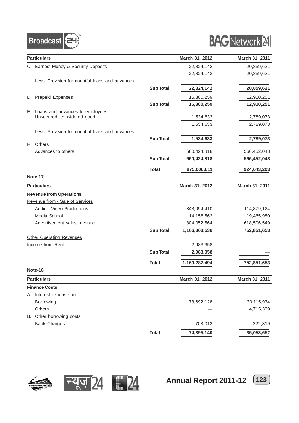

# **BAG** Network 24

|    | <b>Particulars</b>                              |                  | March 31, 2012 | March 31, 2011 |
|----|-------------------------------------------------|------------------|----------------|----------------|
|    | C. Earnest Money & Security Deposits            |                  | 22,824,142     | 20,859,621     |
|    |                                                 |                  | 22,824,142     | 20,859,621     |
|    | Less: Provision for doubtful loans and advances |                  |                |                |
|    |                                                 | <b>Sub Total</b> | 22,824,142     | 20,859,621     |
|    | D. Prepaid Expenses                             |                  | 16,380,259     | 12,910,251     |
|    |                                                 | <b>Sub Total</b> | 16,380,259     | 12,910,251     |
|    | E. Loans and advances to employees              |                  |                |                |
|    | Unsecured, considered good                      |                  | 1,534,633      | 2,789,073      |
|    |                                                 |                  | 1,534,633      | 2,789,073      |
|    | Less: Provision for doubtful loans and advances |                  |                |                |
|    |                                                 | <b>Sub Total</b> | 1,534,633      | 2,789,073      |
| E. | Others                                          |                  |                |                |
|    | Advances to others                              |                  | 660,424,818    | 566,452,048    |
|    |                                                 | <b>Sub Total</b> | 660,424,818    | 566,452,048    |
|    |                                                 | <b>Total</b>     | 875,006,611    | 924,643,203    |
|    | Note-17                                         |                  |                |                |
|    | <b>Particulars</b>                              |                  | March 31, 2012 | March 31, 2011 |
|    | <b>Revenue from Operations</b>                  |                  |                |                |
|    | Revenue from - Sale of Services                 |                  |                |                |
|    | Audio - Video Productions                       |                  | 348,094,410    | 114,879,124    |
|    | Media School                                    |                  | 14,156,562     | 19,465,980     |
|    | Advertisement sales revenue                     |                  | 804,052,564    | 618,506,549    |
|    |                                                 | <b>Sub Total</b> | 1,166,303,536  | 752,851,653    |
|    | <b>Other Operating Revenues</b>                 |                  |                |                |
|    | Income from Rent                                |                  | 2,983,958      |                |
|    |                                                 | <b>Sub Total</b> | 2,983,958      |                |
|    |                                                 | <b>Total</b>     | 1,169,287,494  | 752,851,653    |
|    | Note-18                                         |                  |                |                |
|    | <b>Particulars</b>                              |                  | March 31, 2012 | March 31, 2011 |
|    | <b>Finance Costs</b>                            |                  |                |                |
|    | A Interest expense on                           |                  |                |                |
|    | Borrowing                                       |                  | 73,692,128     | 30,115,934     |
|    | Others                                          |                  |                | 4,715,399      |
|    | B. Other borrowing costs                        |                  |                |                |
|    | <b>Bank Charges</b>                             |                  | 703,012        | 222,319        |
|    |                                                 | <b>Total</b>     | 74,395,140     | 35,053,652     |





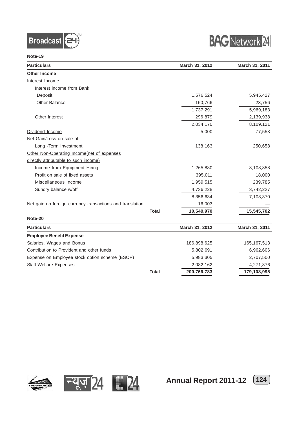



**Note-19**

| <b>Particulars</b>                                        |              | March 31, 2012 | March 31, 2011 |
|-----------------------------------------------------------|--------------|----------------|----------------|
| <b>Other Income</b>                                       |              |                |                |
| Interest Income                                           |              |                |                |
| Interest income from Bank                                 |              |                |                |
| Deposit                                                   |              | 1,576,524      | 5,945,427      |
| <b>Other Balance</b>                                      |              | 160,766        | 23,756         |
|                                                           |              | 1,737,291      | 5,969,183      |
| Other Interest                                            |              | 296,879        | 2,139,938      |
|                                                           |              | 2,034,170      | 8,109,121      |
| Dividend Income                                           |              | 5,000          | 77,553         |
| Net Gain/Loss on sale of                                  |              |                |                |
| Long -Term Investment                                     |              | 138,163        | 250,658        |
| Other Non-Operating Income(net of expenses                |              |                |                |
| directly attributable to such income)                     |              |                |                |
| Income from Equipment Hiring                              |              | 1,265,880      | 3,108,358      |
| Profit on sale of fixed assets                            |              | 395,011        | 18,000         |
| Miscellaneous income                                      |              | 1,959,515      | 239,785        |
| Sundry balance w/off                                      |              | 4,736,228      | 3,742,227      |
|                                                           |              | 8,356,634      | 7,108,370      |
| Net gain on foreign currency transactions and translation |              | 16,003         |                |
|                                                           | <b>Total</b> | 10,549,970     | 15,545,702     |
| Note-20                                                   |              |                |                |
| <b>Particulars</b>                                        |              | March 31, 2012 | March 31, 2011 |
| <b>Employee Benefit Expense</b>                           |              |                |                |
| Salaries, Wages and Bonus                                 |              | 186,898,625    | 165, 167, 513  |
| Contribution to Provident and other funds                 |              | 5,802,691      | 6,962,606      |
| Expense on Employee stock option scheme (ESOP)            |              | 5,983,305      | 2,707,500      |
| <b>Staff Welfare Expenses</b>                             |              | 2,082,162      | 4,271,376      |
|                                                           | <b>Total</b> | 200,766,783    | 179,108,995    |





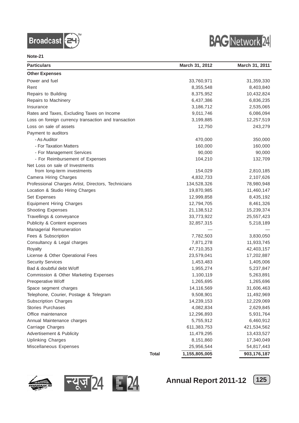



#### **Note-21**

| <b>Particulars</b>                                   |              | March 31, 2012 | March 31, 2011 |
|------------------------------------------------------|--------------|----------------|----------------|
| <b>Other Expenses</b>                                |              |                |                |
| Power and fuel                                       |              | 33,760,971     | 31,359,330     |
| Rent                                                 |              | 8,355,548      | 8,403,840      |
| Repairs to Building                                  |              | 8,375,952      | 10,432,824     |
| Repairs to Machinery                                 |              | 6,437,386      | 6,836,235      |
| Insurance                                            |              | 3,186,712      | 2,535,065      |
| Rates and Taxes, Excluding Taxes on Income           |              | 9,011,746      | 6,086,094      |
| Loss on foreign currency transaction and transaction |              | 3,199,885      | 12,257,519     |
| Loss on sale of assets                               |              | 12,750         | 243,279        |
| Payment to auditors                                  |              |                |                |
| - As Auditor                                         |              | 470,000        | 350,000        |
| - For Taxation Matters                               |              | 160,000        | 160,000        |
| - For Management Services                            |              | 90,000         | 90,000         |
| - For Reimbursement of Expenses                      |              | 104,210        | 132,709        |
| Net Loss on sale of Investments                      |              |                |                |
| from long-term investments                           |              | 154,029        | 2,810,185      |
| <b>Camera Hiring Charges</b>                         |              | 4,832,733      | 2,107,626      |
| Professional Charges Artist, Directors, Technicians  |              | 134,528,326    | 78,980,948     |
| Location & Studio Hiring Charges                     |              | 19,870,985     | 11,460,147     |
| Set Expenses                                         |              | 12,999,858     | 8,435,192      |
| <b>Equipment Hiring Charges</b>                      |              | 12,794,705     | 8,461,326      |
| <b>Shooting Expenses</b>                             |              | 21,138,512     | 15,239,374     |
| Travellings & conveyance                             |              | 33,773,922     | 25,557,423     |
| Publicity & Content expenses                         |              | 32,857,315     | 5,218,189      |
| Managerial Remuneration                              |              |                |                |
| Fees & Subscription                                  |              | 7,782,503      | 3,830,050      |
| Consultancy & Legal charges                          |              | 7,871,278      | 11,933,745     |
| Royalty                                              |              | 47,710,353     | 42,403,157     |
| License & Other Operational Fees                     |              | 23,579,041     | 17,202,887     |
| <b>Security Services</b>                             |              | 1,453,483      | 1,405,006      |
| Bad & doubtful debt W/off                            |              | 1,955,274      | 5,237,847      |
| Commission & Other Marketing Expenses                |              | 1,100,119      | 5,263,891      |
| Preoperative W/off                                   |              | 1,265,695      | 1,265,696      |
| Space segment charges                                |              | 14,116,569     | 31,606,463     |
| Telephone, Courier, Postage & Telegram               |              | 9,508,901      | 11,492,969     |
| <b>Subscription Charges</b>                          |              | 14,239,153     | 12,229,069     |
| Stories Purchases                                    |              | 4,082,834      | 2,629,845      |
| Office maintenance                                   |              | 12,296,893     | 5,931,764      |
| Annual Maintenance charges                           |              | 5,755,912      | 6,460,912      |
| Carriage Charges                                     |              | 611,383,753    | 421,534,562    |
| Advertisement & Publicity                            |              | 11,479,295     | 13,433,527     |
| <b>Uplinking Charges</b>                             |              | 8,151,860      | 17,340,049     |
| Miscellaneous Expenses                               |              | 25,956,544     | 54,817,443     |
|                                                      | <b>Total</b> | 1,155,805,005  | 903,176,187    |





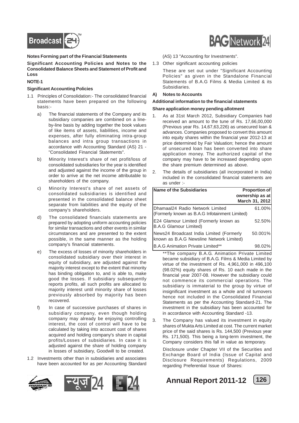

#### **Notes Forming part of the Financial Statements**

**Significant Accounting Policies and Notes to the Consolidated Balance Sheets and Statement of Profit and Loss**

#### **NOTE-1**

#### **Significant Accounting Policies**

- 1.1 Principles of Consolidation:- The consolidated financial statements have been prepared on the following basis:
	- a) The financial statements of the Company and its subsidiary companies are combined on a lineby-line basis by adding together the book values of like items of assets, liabilities, income and expenses, after fully eliminating intra-group balances and intra group transactions in accordance with Accounting Standard (AS) 21 - "Consolidated Financial Statements".
	- b) Minority Interest's share of net profit/loss of consolidated subsidiaries for the year is identified and adjusted against the income of the group in order to arrive at the net income attributable to shareholders of the company.
	- c) Minority Interest's share of net assets of consolidated subsidiaries is identified and presented in the consolidated balance sheet separate from liabilities and the equity of the company's shareholders.
	- d) The consolidated financials statements are prepared by adopting uniform accounting policies for similar transactions and other events in similar circumstances and are presented to the extent possible, in the same manner as the holding company's financial statements.
	- e) The excess of losses of minority shareholders in consolidated subsidiary over their interest in equity of subsidiary, are adjusted against the majority interest except to the extent that minority has binding obligation to, and is able to, make good the losses. If subsidiary subsequently reports profits, all such profits are allocated to majority interest until minority share of losses previously absorbed by majority has been recovered.
	- f) In case of successive purchases of shares in subsidiary company, even though holding company may already be enjoying controlling interest, the cost of control will have to be calculated by taking into account cost of shares acquired and holding company's share in capital profits/Losses of subsidiaries. In case it is adjusted against the share of holding company in losses of subsidiary, Goodwill to be created.
- 1.2 Investments other than in subsidiaries and associates have been accounted for as per Accounting Standard



# **BAG** Network 24

(AS) 13 "Accounting for Investments".

1.3 Other significant accounting policies

These are set out under "Significant Accounting Policies" as given in the Standalone Financial Statements of B.A.G Films & Media Limited & its Subsidiaries.

**A) Notes to Accounts**

#### **Additional information to the financial statements**

#### **Share application money pending allotment**

- 1. As at 31st March 2012, Subsidiary Companies had received an amount to the tune of Rs. 17,66,00,000 (Previous year Rs. 14,67,63,226) as unsecured loan & advances. Companies proposed to convert this amount into equity shares within the financial year 2012-13 at price determined by Fair Valuation; hence the amount of unsecured loan has been converted into share application money. The authorized capital of the company may have to be increased depending upon the share premium determined as above.
- 2. The details of subsidiaries (all incorporated in India) included in the consolidated financial statements are as under :-

| Name of the Subsidiaries                                                             | Proportion of<br>ownership as at<br>March 31, 2012 |
|--------------------------------------------------------------------------------------|----------------------------------------------------|
| IDhamaal24 Radio Network Limited<br>(Formerly known as B.A.G Infotainment Limited)   | 61.00%                                             |
| E24 Glamour Limited (Formerly known as<br><b>B.A.G Glamour Limited)</b>              | 52.50%                                             |
| News24 Broadcast India Limited (Formerly<br>known as B.A.G Newsline Network Limited) | 50.001%                                            |
| B.A.G Animation Private Limited**                                                    | 98.02%                                             |

\*\*The company B.A.G. Animation Private Limited became subsidiary of B.A.G. Films & Media Limited by virtue of the investment of Rs. 4,961,000 in 496,100 (98.02%) equity shares of Rs. 10 each made in the financial year 2007-08. However the subsidiary could not commence its commercial operations. The subsidiary is immaterial to the group by virtue of insignificant investment as a whole and nil turnovers hence not included in the Consolidated Financial Statements as per the Accounting Standard-21. The investment in the subsidiary has been accounted for in accordance with Accounting Standard -13.

3. The Company has valued its investment in equity shares of Mukta Arts Limited at cost. The current market price of the said shares is Rs. 144,500 (Previous year Rs. 171,500). This being a long-term investment, the Company considers this fall in value as temporary.

Disclosure under Chapter VII of the Securities and Exchange Board of India (Issue of Capital and Disclosure Requirements) Regulations, 2009 regarding Preferential Issue of Shares:

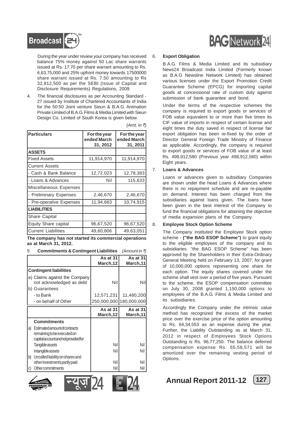

During the year under review your company has received balance 75% money against 50 Lac share warrants issued at Rs. 17.70 per share warrant amounting to Rs. 6,63,75,000 and 25% upfront money towards 17500000 share warrant issued at Rs. 7.50 amounting to Rs 32,812,500 as per the SEBI (Issue of Capital and Disclosure Requirements) Regulations, 2009.

4. The financial disclosures as per Accounting Standard - 27 issued by Institute of Chartered Accountants of India for the 50:50 Joint venture Sieun & B.A.G. Animation Private Limited of B.A.G. Films & Media Limited with Sieun Design Co. Limited of South Korea is given below.

| <b>Particulars</b>          | For the year<br>ended March<br>31, 2012 | For the year<br>ended March<br>31, 2011 |  |
|-----------------------------|-----------------------------------------|-----------------------------------------|--|
| <b>ASSETS</b>               |                                         |                                         |  |
| <b>Fixed Assets</b>         | 11,914,970                              | 11,914,970                              |  |
| <b>Current Assets</b>       |                                         |                                         |  |
| - Cash & Bank Balance       | 12,72,023                               | 12,78,383                               |  |
| - Loans & Advances          | Nil                                     | 115,633                                 |  |
| Miscellaneous Expenses      |                                         |                                         |  |
| - Preliminary Expenses      | 2,46,670                                | 2,46,670                                |  |
| - Pre-operative Expenses    | 11,94,663                               | 10,74,915                               |  |
| <b>LIABILITIES</b>          |                                         |                                         |  |
| Share Capital               |                                         |                                         |  |
| <b>Equity Share capital</b> | 96,67,520                               | 96,67,520                               |  |
| <b>Current Liabilities</b>  | 49.60.806                               | 49.63.051                               |  |

 $(Amt.$  *in*  $\bar{z})$ 

**The company has not started its commercial operations as at March 31, 2012.**

| 5. | <b>Commitments &amp; Contingent Liabilities</b> (Amount in $\bar{z}$ ) |  |
|----|------------------------------------------------------------------------|--|
|    |                                                                        |  |

|                                                                                                                            | As at 31<br>March, 12 | As at 31<br>March,11 |
|----------------------------------------------------------------------------------------------------------------------------|-----------------------|----------------------|
| <b>Contingent liabilities</b>                                                                                              |                       |                      |
| a) Claims against the Company<br>not acknowledged as debt<br>b) Guarantees                                                 | Nil                   | Nil                  |
| - to Bank                                                                                                                  | 12,571,231            | 11,480,200           |
| - on behalf of Other                                                                                                       | 250,000,000           | 180,000,000          |
|                                                                                                                            | As at 31<br>March, 12 | As at 31<br>March,11 |
| <b>Commitments</b>                                                                                                         |                       |                      |
| <b>Estimated amount of contracts</b><br>$ a\rangle$<br>remaining to be executed on<br>capital account and not provided for |                       |                      |
| <b>Tangible assets</b>                                                                                                     | Nil                   | Nil                  |
| Intangible assets                                                                                                          | Nil                   | Nil                  |
| b)<br>Uncalled liability on shares and                                                                                     |                       |                      |
| other investments partly paid                                                                                              | Nil                   | Nil                  |
| Othercommitments                                                                                                           | Nil                   | Nil                  |







# **BAG** Network 24

#### 6. **Export Obligation**

B.A.G. Films & Media Limited and its subsidiary News24 Broadcast India Limited (Formerly known as B.A.G Newsline Network Limited) has obtained various licenses under the Export Promotion Credit Guarantee Scheme (EPCG) for importing capital goods at concessional rate of custom duty against submission of bank guarantee and bond.

Under the terms of the respective schemes the company is required to export goods or services of FOB value equivalent to or more than five times its CIF value of imports in respect of certain license and eight times the duty saved in respect of license fair export obligation has been re-fixed by the order of Director General Foreign Trade Ministry of Finance as applicable. Accordingly, the company is required to export goods or services of FOB value of at least Rs. 498,912,580 (Previous year 498,912,580) within Eight years.

#### 7. **Loans & Advances**

Loans or advances given to subsidiary Companies are shown under the head Loans & Advances where there is no repayment schedule and are re-payable on demand. Interest has been charged from the subsidiaries against loans given. The loans have been given in the best interest of the Company to fund the financial obligations for attaining the objective of media expansion plans of the Company.

#### 8. **Employee Stock Option Scheme**

The Company instituted the Employee Stock option scheme - **("the BAG ESOP Scheme")** to grant equity to the eligible employees of the company and its subsidiaries. "the BAG ESOP Scheme" has been approved by the Shareholders in their Extra-Ordinary General Meeting held on February 13, 2007, for grant of 10,000,000 options representing one share for each option. The equity shares covered under the scheme shall vest over a period of five years. Pursuant to the scheme, the ESOP compensation committee on July 30, 2008 granted 1,150,000 options to employees of the B.A.G. Films & Media Limited and its subsidiaries.

Accordingly the Company under the intrinsic value method has recognized the excess of the market price over the exercise price of the option amounting to Rs. 64,34,553 as an expense during the year. Further, the Liability Outstanding as at March 31, 2012 in respect of Employees Stock Options Outstanding is Rs. 96,77,250. The balance deferred compensation expense Rs. 65,58,571 will be amortized over the remaining vesting period of Options.

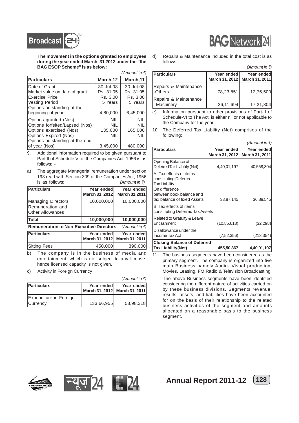



 $(Amount in **F**)$ 

**The movement in the options granted to employees during the year ended March, 31 2012 under the "the BAG ESOP Scheme" is as below:**

|                                                                                                                                                                 |                                                           | <i>(Amount in ₹)</i>                                      |
|-----------------------------------------------------------------------------------------------------------------------------------------------------------------|-----------------------------------------------------------|-----------------------------------------------------------|
| Particulars                                                                                                                                                     | March, 12                                                 | March,11                                                  |
| <b>IDate of Grant</b><br>Market value on date of grant<br><b>IExercise Price</b><br><b>IVesting Period</b><br>Options outstanding at the<br>beginning of year   | 30-Jul-08<br>Rs. 31.05<br>Rs. 3.00<br>5 Years<br>4,80,000 | 30-Jul-08<br>Rs. 31.05<br>Rs. 3.00<br>5 Years<br>6,45,000 |
| Options granted (Nos)<br>Options forfeited/Lapsed (Nos)<br>Options exercised (Nos)<br>Options Expired (Nos)<br>Options outstanding at the end<br>lof vear (Nos) | NIL<br><b>NIL</b><br>135,000<br>NIL<br>3,45,000           | <b>NIL</b><br>NIL<br>165,000<br><b>NIL</b><br>480,000     |

9. Additional information required to be given pursuant to Part II of Schedule VI of the Companies Act, 1956 is as follows: -

a) The aggregate Managerial remuneration under section 198 read with Section 309 of the Companies Act, 1956 is as follows:  $(Amount in \bar{\tau})$ 

| <b>Particulars</b>                                                 | Year ended<br>March 31, 2012 | Year ended<br>March 31,2011  |
|--------------------------------------------------------------------|------------------------------|------------------------------|
| Managing Directors<br>Remuneration and<br><b>IOther Allowances</b> | 10,000,000                   | 10,000,000                   |
| <b>Total</b>                                                       | 10,000,000                   | 10,000,000                   |
| <b>Remuneration to Non-Executive Directors</b>                     |                              | $(A$ mount in ₹)             |
|                                                                    |                              |                              |
| <b>Particulars</b>                                                 | Year ended<br>March 31, 2012 | Year ended<br>March 31, 2011 |

b) The company is in the business of media and entertainment, which is not subject to any license; hence licensed capacity is not given.

c) Activity in Foreign Currency

|                                           |            | $(A$ mount in ₹)                            |
|-------------------------------------------|------------|---------------------------------------------|
| <b>Particulars</b>                        | Year ended | Year ended<br>March 31, 2012 March 31, 2011 |
| Expenditure in Foreign<br><b>Currency</b> | 133,66,955 | 58,98,318                                   |

d) Repairs & Maintenance included in the total cost is as follows: -

|                                      |            | $1$ <sub>1</sub>                            |
|--------------------------------------|------------|---------------------------------------------|
| <b>IParticulars</b>                  | Year ended | Year ended<br>March 31, 2012 March 31, 2011 |
| Repairs & Maintenance<br>I-Others    | 78,23,851  | 12.76.500                                   |
| Repairs & Maintenance<br>- Machinery | 26,11,694  | 17,21,804                                   |

e) Information pursuant to other provisions of Part-II of Schedule-VI to The Act, is either nil or not applicable to the Company for the year.

10. The Deferred Tax Liability (Net) comprises of the following:

|                                                                                                                                                      |                              | <i>(Amount in ₹)</i>         |
|------------------------------------------------------------------------------------------------------------------------------------------------------|------------------------------|------------------------------|
| <b>Particulars</b>                                                                                                                                   | Year ended<br>March 31, 2012 | Year ended<br>March 31, 2011 |
| Opening Balance of<br>Deferred Tax Liability (Net)                                                                                                   | 4,40,01,197                  | 40,558,304                   |
| A. Tax effects of items<br>constituting Deferred<br><b>Tax Liability</b><br>On difference<br>between book balance and<br>tax balance of fixed Assets | 33,87,145                    | 36,88,545                    |
| B. Tax effects of items<br>constituting Deferred Tax Assets                                                                                          |                              |                              |
| Related to Gratuity & Leave<br>Encashment                                                                                                            | (10, 85, 618)                | (32, 298)                    |
| Disallowance under the<br>Income Tax Act                                                                                                             | (7,52,356)                   | (213, 354)                   |
| <b>Closing Balance of Deferred</b><br><b>Tax Liability (Net)</b>                                                                                     | 455,50,367                   | 4,40,01,197                  |

11. The business segments have been considered as the primary segment. The company is organized into five main Business namely Audio- Visual production, Movies, Leasing, FM Radio & Television Broadcasting.

The above Business segments have been identified considering the different nature of activities carried on by these business divisions. Segments revenue, results, assets, and liabilities have been accounted for on the basis of their relationship to the related business activities of the segment and amounts allocated on a reasonable basis to the business segment.









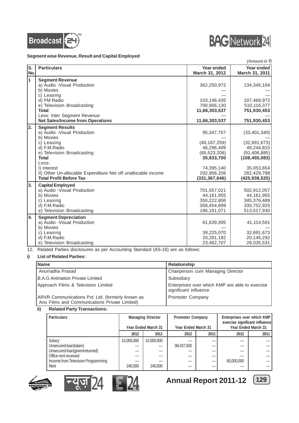



#### **Segment wise Revenue, Result and Capital Employed**

|            |                                                                                                                                                                                                                                                                            |                                                                                                                            | (Amount in ₹)                                                                                                                     |
|------------|----------------------------------------------------------------------------------------------------------------------------------------------------------------------------------------------------------------------------------------------------------------------------|----------------------------------------------------------------------------------------------------------------------------|-----------------------------------------------------------------------------------------------------------------------------------|
| ls.<br>No. | <b>Particulars</b>                                                                                                                                                                                                                                                         | Year ended<br>March 31, 2012                                                                                               | Year ended<br>March 31, 2011                                                                                                      |
| 1          | <b>Segment Revenue</b><br>a) Audio - Visual Production<br>b) Movies<br>c) Leasing<br>d) FM Radio<br>e) Television Broadcasting<br><b>Total</b><br>Less: Inter Segment Revenue<br><b>Net Sales/Income from Operations</b>                                                   | 362,250,972<br>103,146,435<br>700,906,130<br>11,66,303,537<br>11,66,303,537                                                | 134,345,104<br>107,468,972<br>510,116,377<br>751,930,453<br>751,930,453                                                           |
| 2.         | <b>Segment Results</b><br>a) Audio - Visual Production<br>b) Movies<br>c) Leasing<br>d) F.M.Radio<br>e) Television Broadcasting<br><b>Total</b><br>Less:<br>I) Interest<br>II) Other Un-allocable Expenditure Net off unallocable income<br><b>Total Profit Before Tax</b> | 95,347,757<br>(40, 187, 259)<br>46,296,409<br>(65, 523, 206)<br>35,933,700<br>74,395,140<br>292,906,206<br>(331, 367, 646) | (33, 401, 340)<br>(32,891,673)<br>49,244,815<br>(91, 406, 885)<br>(108, 455, 083)<br>35,053,654<br>282,429,788<br>(425, 938, 525) |
| 3.         | <b>Capital Employed</b><br>a) Audio - Visual Production<br>b) Movies<br>c) Leasing<br>d) F.M.Radio<br>e) Television Broadcasting                                                                                                                                           | 701,557,021<br>44,161,955<br>350,222,806<br>358,454,899<br>186, 181, 071                                                   | 502,912,057<br>44, 161, 955<br>345,376,489<br>330,752,925<br>513,517,930                                                          |
| 4.         | <b>Segment Depreciation</b><br>a) Audio - Visual Production<br>b) Movies<br>c) Leasing<br>d) F.M.Radio<br>e) Television Broadcasting                                                                                                                                       | 61,639,395<br>39,225,070<br>20,281,182<br>23,462,707                                                                       | 41,114,591<br>32,891,673<br>20,145,292<br>28,035,531                                                                              |

12. Related Parties disclosures as per Accounting Standard (AS-18) are as follows:

#### **i) List of Related Parties:**

| <b>Name</b>                                                                                       | <b>Relationship</b>                                                      |
|---------------------------------------------------------------------------------------------------|--------------------------------------------------------------------------|
| Anurradha Prasad                                                                                  | Chairperson cum Managing Director                                        |
| IB.A.G Animation Private Limited                                                                  | Subsidiary                                                               |
| Approach Films & Television Limited                                                               | Enterprises over which KMP are able to exercise<br>significant influence |
| ARVR Communications Pvt. Ltd. (formerly known as<br>Anu Films and Communications Private Limited) | Promoter Company                                                         |

#### **ii) Related Party Transactions:**

| <b>Particulars</b>                                     | <b>Managing Director</b><br><b>Promoter Company</b><br>Year Ended March 31<br>Year Ended March 31 |            |            |      | Enterprises over which KMP<br>exercise significant influence | Year Ended March 31 |
|--------------------------------------------------------|---------------------------------------------------------------------------------------------------|------------|------------|------|--------------------------------------------------------------|---------------------|
|                                                        | 2012                                                                                              | 2011       | 2012       | 2011 | 2012                                                         | 2011                |
| Salary<br>Unsecured loan(taken)                        | 10,000,000                                                                                        | 10,000,000 | 98,437,500 |      |                                                              |                     |
| Unsecured loan(given/returned)<br>Office rent received |                                                                                                   |            |            |      |                                                              |                     |
| Income from Television Programming<br>Rent             | 240,000                                                                                           | 240,000    |            |      | 60,000,000                                                   |                     |







**Annual Report 2011-12 129**

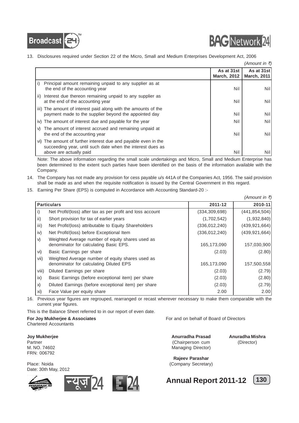



13. Disclosures required under Section 22 of the Micro, Small and Medium Enterprises Development Act, 2006

|                                                                                                                                                         |                                  | <i>(Amount in ₹)</i>      |
|---------------------------------------------------------------------------------------------------------------------------------------------------------|----------------------------------|---------------------------|
|                                                                                                                                                         | As at 31st<br><b>March, 2012</b> | As at 31st<br>March, 2011 |
| Principal amount remaining unpaid to any supplier as at<br>i)<br>the end of the accounting year                                                         | Nil                              | Nil                       |
| ii) Interest due thereon remaining unpaid to any supplier as<br>at the end of the accounting year                                                       | Nil                              | <b>Nil</b>                |
| iii) The amount of interest paid along with the amounts of the<br>payment made to the supplier beyond the appointed day                                 | Nil                              | Nil                       |
| iv) The amount of interest due and payable for the year                                                                                                 | Nil                              | Nil                       |
| The amount of interest accrued and remaining unpaid at<br>V)<br>the end of the accounting year                                                          | Nil                              | <b>Nil</b>                |
| vi) The amount of further interest due and payable even in the<br>succeeding year, until such date when the interest dues as<br>above are actually paid | Nil                              | Nill                      |

Note: The above information regarding the small scale undertakings and Micro, Small and Medium Enterprise has been determined to the extent such parties have been identified on the basis of the information available with the Company.

- 14. The Company has not made any provision for cess payable u/s 441A of the Companies Act, 1956. The said provision shall be made as and when the requisite notification is issued by the Central Government in this regard.
- 15. Earning Per Share (EPS) is computed in Accordance with Accounting Standard-20 :-

|                    |                                                                                             |                 | <i>(Amount in ₹)</i> |
|--------------------|---------------------------------------------------------------------------------------------|-----------------|----------------------|
| <b>Particulars</b> |                                                                                             | 2011-12         | 2010-11              |
| i)                 | Net Profit/(loss) after tax as per profit and loss account                                  | (334, 309, 698) | (441, 854, 504)      |
| ii)                | Short provision for tax of earlier years                                                    | (1,702,542)     | (1,932,840)          |
| iii)               | Net Profit/(loss) attributable to Equity Shareholders                                       | (336, 012, 240) | (439, 921, 664)      |
| iv)                | Net Profit/(loss) before Exceptional Item                                                   | (336,012,240)   | (439, 921, 664)      |
| V)                 | Weighted Average number of equity shares used as<br>denominator for calculating Basic EPS.  | 165,173,090     | 157,030,900          |
| vi)                | Basic Earnings per share                                                                    | (2.03)          | (2.80)               |
| Vii)               | Weighted Average number of equity shares used as<br>denominator for calculating Diluted EPS | 165,173,090     | 157,500,558          |
| viii)              | Diluted Earnings per share                                                                  | (2.03)          | (2.79)               |
| ix)                | Basic Earnings (before exceptional item) per share                                          | (2.03)          | (2.80)               |
| X)                 | Diluted Earnings (before exceptional item) per share                                        | (2.03)          | (2.79)               |
| xi)                | Face Value per equity share                                                                 | 2.00            | 2.00                 |

16. Previous year figures are regrouped, rearranged or recast wherever necessary to make them comparable with the current year figures.

This is the Balance Sheet referred to in our report of even date.

**For Joy Mukherjee & Associates For and on behalf of Board of Directors** Chartered Accountants

Partner (Chairperson cum (Director) (Chairperson cum (Director) M. NO. 74602 Managing Director) FRN: 006792

Date: 30th May, 2012





**Joy Mukherjee Anurradha Prasad Anuradha Mishra**

**Rajeev Parashar** Place: Noida (Company Secretary)



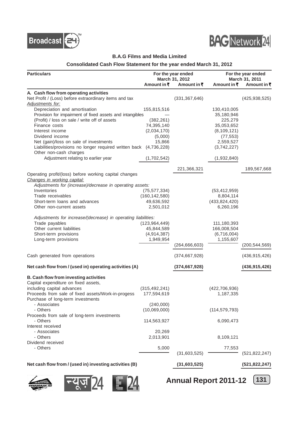



#### **B.A.G Films and Media Limited**

#### **Consolidated Cash Flow Statement for the year ended March 31, 2012**

| <b>Particulars</b>                                                 | For the year ended       |                 |                       | For the year ended |  |
|--------------------------------------------------------------------|--------------------------|-----------------|-----------------------|--------------------|--|
|                                                                    |                          | March 31, 2012  |                       | March 31, 2011     |  |
|                                                                    | Amount in $\bar{\tau}$   | Amount in ₹     | Amount in ₹           | Amount in ₹        |  |
| A. Cash flow from operating activities                             |                          |                 |                       |                    |  |
| Net Profit / (Loss) before extraordinary items and tax             |                          | (331, 367, 646) |                       | (425, 938, 525)    |  |
| <b>Adjustments for:</b>                                            |                          |                 |                       |                    |  |
| Depreciation and amortisation                                      | 155,815,516              |                 | 130,410,005           |                    |  |
| Provision for impairment of fixed assets and intangibles           |                          |                 | 35,180,946<br>225,279 |                    |  |
| (Profit) / loss on sale / write off of assets<br>Finance costs     | (382, 261)<br>74,395,140 |                 | 35,053,652            |                    |  |
| Interest income                                                    | (2,034,170)              |                 | (8, 109, 121)         |                    |  |
| Dividend income                                                    | (5,000)                  |                 | (77, 553)             |                    |  |
| Net (gain)/loss on sale of investments                             | 15,866                   |                 | 2,559,527             |                    |  |
| Liabilities/provisions no longer required written back (4,736,228) |                          |                 | (3,742,227)           |                    |  |
| Other non-cash charges                                             |                          |                 |                       |                    |  |
| Adjustment relating to earlier year                                | (1,702,542)              |                 | (1,932,840)           |                    |  |
|                                                                    |                          |                 |                       |                    |  |
|                                                                    |                          | 221,366,321     |                       | 189,567,668        |  |
| Operating profit/(loss) before working capital changes             |                          |                 |                       |                    |  |
| Changes in working capital:                                        |                          |                 |                       |                    |  |
| Adjustments for (increase)/decrease in operating assets:           |                          |                 |                       |                    |  |
| Inventories                                                        | (75, 577, 334)           |                 | (53, 412, 959)        |                    |  |
| Trade receivables                                                  | (160, 142, 580)          |                 | 8,804,114             |                    |  |
| Short-term loans and advances                                      | 49,636,592               |                 | (433, 824, 420)       |                    |  |
| Other non-current assets                                           | 2,501,012                |                 | 6,260,196             |                    |  |
| Adjustments for increase/(decrease) in operating liabilities:      |                          |                 |                       |                    |  |
| Trade payables                                                     | (123, 964, 449)          |                 | 111,180,393           |                    |  |
| Other current liabilities                                          | 45,844,589               |                 | 166,008,504           |                    |  |
| Short-term provisions                                              | (4,914,387)              |                 | (6,716,004)           |                    |  |
| Long-term provisions                                               | 1,949,954                |                 | 1,155,607             |                    |  |
|                                                                    |                          | (264, 666, 603) |                       | (200, 544, 569)    |  |
|                                                                    |                          |                 |                       |                    |  |
| Cash generated from operations                                     |                          | (374, 667, 928) |                       | (436, 915, 426)    |  |
| Net cash flow from / (used in) operating activities (A)            |                          | (374, 667, 928) |                       | (436, 915, 426)    |  |
| B. Cash flow from investing activities                             |                          |                 |                       |                    |  |
| Capital expenditure on fixed assets,                               |                          |                 |                       |                    |  |
| including capital advances                                         | (315, 492, 241)          |                 | (422, 706, 936)       |                    |  |
| Proceeds from sale of fixed assets/Work-in-progess 177,594,619     |                          |                 | 1,187,335             |                    |  |
| Purchase of long-term investments                                  |                          |                 |                       |                    |  |
| - Associates                                                       | (240,000)                |                 |                       |                    |  |
| - Others                                                           | (10,069,000)             |                 | (114, 579, 793)       |                    |  |
| Proceeds from sale of long-term investments                        |                          |                 |                       |                    |  |
| - Others                                                           | 114,563,927              |                 | 6,090,473             |                    |  |
| Interest received                                                  |                          |                 |                       |                    |  |
| - Associates                                                       | 20,269                   |                 |                       |                    |  |
| - Others                                                           | 2,013,901                |                 | 8,109,121             |                    |  |
| Dividend received                                                  |                          |                 |                       |                    |  |
| - Others                                                           | 5,000                    | (31,603,525)    | 77,553                | (521, 822, 247)    |  |
|                                                                    |                          |                 |                       |                    |  |
| Net cash flow from / (used in) investing activities (B)            |                          | (31,603,525)    |                       | (521, 822, 247)    |  |





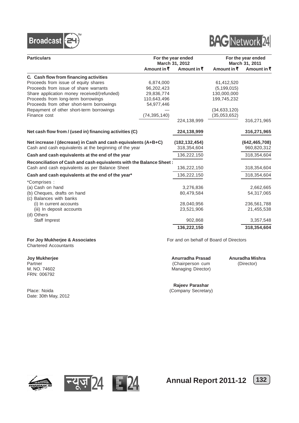



| <b>Particulars</b>                                                  | For the year ended<br>March 31, 2012 |                     | For the year ended<br>March 31, 2011 |                 |
|---------------------------------------------------------------------|--------------------------------------|---------------------|--------------------------------------|-----------------|
|                                                                     | Amount in $\bar{z}$                  | Amount in $\bar{z}$ | Amount in ₹                          | Amount in ₹     |
| C. Cash flow from financing activities                              |                                      |                     |                                      |                 |
| Proceeds from issue of equity shares                                | 6,874,000                            |                     | 61,412,520                           |                 |
| Proceeds from issue of share warrants                               | 96,202,423                           |                     | (5, 199, 015)                        |                 |
| Share application money received/(refunded)                         | 29,836,774                           |                     | 130,000,000                          |                 |
| Proceeds from long-term borrowings                                  | 110,643,496                          |                     | 199,745,232                          |                 |
| Proceeds from other short-term borrowings                           | 54,977,446                           |                     |                                      |                 |
| Repayment of other short-term borrowings                            |                                      |                     | (34,633,120)                         |                 |
| Finance cost                                                        | (74, 395, 140)                       |                     | (35,053,652)                         |                 |
|                                                                     |                                      | 224,138,999         |                                      | 316,271,965     |
| Net cash flow from / (used in) financing activities (C)             |                                      | 224,138,999         |                                      | 316,271,965     |
| Net increase / (decrease) in Cash and cash equivalents (A+B+C)      |                                      | (182, 132, 454)     |                                      | (642, 465, 708) |
| Cash and cash equivalents at the beginning of the year              |                                      | 318,354,604         |                                      | 960,820,312     |
| Cash and cash equivalents at the end of the year                    |                                      | 136,222,150         |                                      | 318,354,604     |
| Reconciliation of Cash and cash equivalents with the Balance Sheet: |                                      |                     |                                      |                 |
| Cash and cash equivalents as per Balance Sheet                      |                                      | 136,222,150         |                                      | 318,354,604     |
| Cash and cash equivalents at the end of the year*                   |                                      | 136,222,150         |                                      | 318,354,604     |
| *Comprises:                                                         |                                      |                     |                                      |                 |
| (a) Cash on hand                                                    |                                      | 3,276,836           |                                      | 2,662,665       |
| (b) Cheques, drafts on hand                                         |                                      | 80,479,584          |                                      | 54,317,065      |
| (c) Balances with banks                                             |                                      |                     |                                      |                 |
| (i) In current accounts                                             |                                      | 28,040,956          |                                      | 236,561,788     |
| (iii) In deposit accounts                                           |                                      | 23,521,906          |                                      | 21,455,538      |
| (d) Others                                                          |                                      |                     |                                      |                 |
| Staff Imprest                                                       |                                      | 902,868             |                                      | 3,357,548       |
|                                                                     |                                      | 136,222,150         |                                      | 318,354,604     |

# Chartered Accountants

FRN: 006792

Date: 30th May, 2012

For Joy Mukherjee & Associates **For and on behalf of Board of Directors** 

Partner (Chairperson cum (Director)<br>
M. NO. 74602 (M. NO. 74602 Managing Director) Managing Director)

**Joy Mukherjee Anurradha Prasad Anuradha Mishra**

**Rajeev Parashar** Place: Noida (Company Secretary)







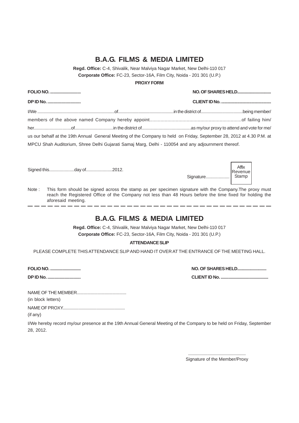## **B.A.G. FILMS & MEDIA LIMITED**

**Regd. Office:** C-4, Shivalik, Near Malviya Nagar Market, New Delhi-110 017 **Corporate Office:** FC-23, Sector-16A, Film City, Noida - 201 301 (U.P.)

#### **PROXY FORM**

| <b>FOLIO NO. </b>                                                                                                     |  |  |  |  |
|-----------------------------------------------------------------------------------------------------------------------|--|--|--|--|
| <b>DP ID No. </b>                                                                                                     |  |  |  |  |
|                                                                                                                       |  |  |  |  |
|                                                                                                                       |  |  |  |  |
|                                                                                                                       |  |  |  |  |
| us our behalf at the 19th Annual General Meeting of the Company to held on Friday, September 28, 2012 at 4.30 P.M. at |  |  |  |  |
| MPCU Shah Auditorium, Shree Delhi Gujarati Samaj Marg, Delhi - 110054 and any adjournment thereof.                    |  |  |  |  |

Signed this.....................day of......................2012.

| Signature | Affix<br>Revenue<br>Stamp |
|-----------|---------------------------|
|           |                           |

Note : This form should be signed across the stamp as per specimen signature with the Company.The proxy must reach the Registered Office of the Company not less than 48 Hours before the time fixed for holding the aforesaid meeting. ——————————

## **B.A.G. FILMS & MEDIA LIMITED**

**Regd. Office:** C-4, Shivalik, Near Malviya Nagar Market, New Delhi-110 017 **Corporate Office:** FC-23, Sector-16A, Film City, Noida - 201 301 (U.P.)

#### **ATTENDANCE SLIP**

PLEASE COMPLETE THIS ATTENDANCE SLIP AND HAND IT OVER AT THE ENTRANCE OF THE MEETING HALL.

**FOLIO NO. ........................... NO. OF SHARES HELD..........................**

**DP ID No. ............................. CLIENT ID No. ..........................................**

NAME OF THE MEMBER........................................... (in block letters)

NAME OF PROXY.......................................................

(if any)

I/We hereby record my/our presence at the 19th Annual General Meeting of the Company to be held on Friday, September 28, 2012.

> ................................................... Signature of the Member/Proxy